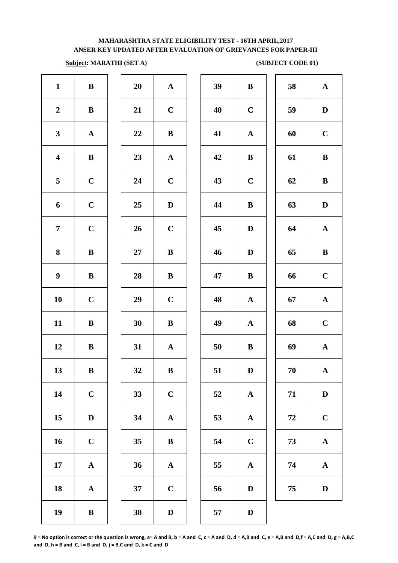# **Subject: MARATHI (SET A)** (SUBJECT CODE 01)

| $\mathbf{1}$            | $\, {\bf B}$ | 20 | ${\bf A}$             | 39 | $\bf{B}$     |
|-------------------------|--------------|----|-----------------------|----|--------------|
| $\boldsymbol{2}$        | $\, {\bf B}$ | 21 | $\mathbf C$           | 40 | $\mathbf C$  |
| $\mathbf{3}$            | ${\bf A}$    | 22 | $\bf{B}$              | 41 | $\mathbf A$  |
| $\overline{\mathbf{4}}$ | $\bf{B}$     | 23 | ${\bf A}$             | 42 | $\bf{B}$     |
| 5                       | $\mathbf C$  | 24 | $\mathbf C$           | 43 | $\mathbf C$  |
| 6                       | $\mathbf C$  | 25 | $\mathbf D$           | 44 | $\bf{B}$     |
| $\overline{7}$          | $\mathbf C$  | 26 | $\mathbf C$           | 45 | $\mathbf{D}$ |
| 8                       | $\bf{B}$     | 27 | $\, {\bf B}$          | 46 | $\mathbf{D}$ |
| $\boldsymbol{9}$        | $\bf{B}$     | 28 | $\, {\bf B}$          | 47 | $\bf{B}$     |
| 10                      | $\mathbf C$  | 29 | $\mathbf C$           | 48 | $\mathbf A$  |
| 11                      | $\, {\bf B}$ | 30 | $\, {\bf B}$          | 49 | $\mathbf A$  |
| 12                      | $\, {\bf B}$ | 31 | ${\bf A}$             | 50 | $\bf{B}$     |
| 13                      | $\bf{B}$     | 32 | $\bf{B}$              | 51 | $\mathbf{D}$ |
| 14                      | $\mathbf C$  | 33 | $\mathbf C$           | 52 | $\mathbf A$  |
| 15                      | $\mathbf D$  | 34 | $\boldsymbol{\rm{A}}$ | 53 | $\mathbf A$  |
| 16                      | $\mathbf C$  | 35 | $\bf{B}$              | 54 | $\mathbf C$  |
| 17                      | ${\bf A}$    | 36 | ${\bf A}$             | 55 | $\mathbf A$  |
| 18                      | ${\bf A}$    | 37 | $\mathbf C$           | 56 | $\mathbf{D}$ |
| 19                      | $\, {\bf B}$ | 38 | $\mathbf D$           | 57 | $\mathbf{D}$ |
|                         |              |    |                       |    |              |

| 20 | $\mathbf{A}$   |  |
|----|----------------|--|
| 21 | $\overline{C}$ |  |
| 22 | B              |  |
| 23 | $\mathbf{A}$   |  |
| 24 | $\mathbf C$    |  |
| 25 | D              |  |
| 26 | $\mathbf C$    |  |
| 27 | B              |  |
| 28 | B              |  |
| 29 | $\mathbf C$    |  |
| 30 | B              |  |
| 31 | $\mathbf{A}$   |  |
| 32 | B              |  |
| 33 | $\mathbf C$    |  |
| 34 | ${\bf A}$      |  |
| 35 | $\bf{B}$       |  |
| 36 | $\mathbf A$    |  |
| 37 | $\mathbf C$    |  |
|    |                |  |

| $\mathbf{1}$            | $\bf{B}$     | 20        | $\mathbf{A}$ | 39                 | $\bf{B}$     | 58       | $\mathbf{A}$ |
|-------------------------|--------------|-----------|--------------|--------------------|--------------|----------|--------------|
| $\overline{2}$          | $\, {\bf B}$ | 21        | $\mathbf C$  | 40                 | $\mathbf C$  | 59       | $\mathbf D$  |
| $\mathbf{3}$            | $\mathbf{A}$ | 22        | $\bf{B}$     | 41                 | $\mathbf{A}$ | 60       | $\mathbf C$  |
| $\overline{\mathbf{4}}$ | $\bf{B}$     | 23        | $\mathbf{A}$ | 42                 | $\bf{B}$     | 61       | $\bf{B}$     |
| $5\phantom{.0}$         | $\mathbf C$  | 24        | $\mathbf C$  | 43                 | $\mathbf C$  | 62       | $\bf{B}$     |
| 6                       | $\mathbf C$  | 25        | D            | 44                 | $\, {\bf B}$ | 63       | $\mathbf D$  |
| $\overline{7}$          | $\mathbf C$  | 26        | $\mathbf C$  | 45                 | D            | 64       | ${\bf A}$    |
| 8                       | $\bf{B}$     | <b>27</b> | $\bf{B}$     | 46                 | $\mathbf D$  | 65       | $\bf{B}$     |
| $\boldsymbol{9}$        | ${\bf B}$    | 28        | $\bf{B}$     | 47                 | $\, {\bf B}$ | 66       | $\mathbf C$  |
| 10                      | $\mathbf C$  | 29        | $\mathbf C$  | 48                 | $\mathbf{A}$ | 67       | ${\bf A}$    |
| 11                      | ${\bf B}$    | 30        | $\bf{B}$     | 49                 | $\mathbf{A}$ | 68       | $\mathbf C$  |
| 12                      | ${\bf B}$    | 31        | ${\bf A}$    | 50                 | $\bf{B}$     | 69       | $\mathbf{A}$ |
| 13                      | $\, {\bf B}$ | 32        | $\, {\bf B}$ | 51                 | $\mathbf D$  | $70\,$   | ${\bf A}$    |
| 14                      | $\mathbf C$  | 33        | $\mathbf C$  | 52                 | ${\bf A}$    | 71       | $\mathbf D$  |
| 15                      | $\mathbf D$  | 34        | ${\bf A}$    | 53                 | ${\bf A}$    | $\bf 72$ | $\mathbf C$  |
| 16                      | $\mathbf C$  | 35        | $\bf{B}$     | 54                 | $\bf C$      | 73       | ${\bf A}$    |
| 17                      | ${\bf A}$    | 36        | ${\bf A}$    | 55                 | $\mathbf{A}$ | 74       | ${\bf A}$    |
| 18                      | ${\bf A}$    | 37        | $\mathbf C$  | 56                 | $\mathbf D$  | 75       | $\mathbf D$  |
| 10                      | $\mathbf{D}$ | 20        | $\mathbf{r}$ | $E^{\prime\prime}$ | $\mathbf{r}$ |          |              |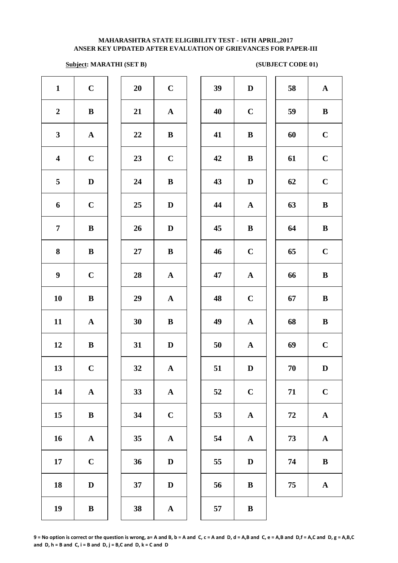### **Subject: MARATHI (SET B)** (SUBJECT CODE 01)

| $\mathbf{1}$            | $\mathbf C$  | 20 | $\mathbf C$  | 39 | $\mathbf D$  | 58         | ${\bf A}$    |
|-------------------------|--------------|----|--------------|----|--------------|------------|--------------|
| $\boldsymbol{2}$        | $\bf{B}$     | 21 | $\mathbf{A}$ | 40 | $\mathbf C$  | 59         | $\, {\bf B}$ |
| $\mathbf{3}$            | ${\bf A}$    | 22 | $\bf{B}$     | 41 | $\bf{B}$     | 60         | $\mathbf C$  |
| $\overline{\mathbf{4}}$ | $\mathbf C$  | 23 | $\mathbf C$  | 42 | $\bf{B}$     | 61         | $\mathbf C$  |
| 5 <sub>5</sub>          | $\mathbf D$  | 24 | $\bf{B}$     | 43 | $\mathbf D$  | 62         | $\mathbf C$  |
| 6                       | $\mathbf C$  | 25 | $\mathbf D$  | 44 | ${\bf A}$    | 63         | $\, {\bf B}$ |
| $7\phantom{.}$          | $\bf{B}$     | 26 | $\mathbf{D}$ | 45 | $\, {\bf B}$ | 64         | $\, {\bf B}$ |
| 8                       | $\, {\bf B}$ | 27 | $\, {\bf B}$ | 46 | $\mathbf C$  | 65         | $\mathbf C$  |
| $\boldsymbol{9}$        | $\mathbf C$  | 28 | $\mathbf{A}$ | 47 | ${\bf A}$    | 66         | $\, {\bf B}$ |
| 10                      | $\bf{B}$     | 29 | $\mathbf{A}$ | 48 | $\mathbf C$  | 67         | $\, {\bf B}$ |
| 11                      | $\mathbf A$  | 30 | $\bf{B}$     | 49 | $\mathbf A$  | 68         | $\, {\bf B}$ |
| 12                      | $\bf{B}$     | 31 | $\mathbf D$  | 50 | ${\bf A}$    | 69         | $\mathbf C$  |
| 13                      | $\mathbf C$  | 32 | $\mathbf A$  | 51 | $\mathbf D$  | 70         | $\mathbf D$  |
| 14                      | $\mathbf A$  | 33 | $\mathbf{A}$ | 52 | $\bf C$      | 71         | $\mathbf C$  |
| 15                      | $\bf{B}$     | 34 | $\mathbf C$  | 53 | $\mathbf{A}$ | ${\bf 72}$ | ${\bf A}$    |
| 16                      | $\mathbf A$  | 35 | $\mathbf A$  | 54 | $\mathbf A$  | 73         | ${\bf A}$    |
| 17                      | $\mathbf C$  | 36 | $\mathbf D$  | 55 | $\mathbf D$  | 74         | $\, {\bf B}$ |
| 18                      | $\mathbf D$  | 37 | $\mathbf D$  | 56 | $\, {\bf B}$ | 75         | ${\bf A}$    |
| 19                      | $\, {\bf B}$ | 38 | $\mathbf{A}$ | 57 | $\, {\bf B}$ |            |              |
|                         |              |    |              |    |              |            |              |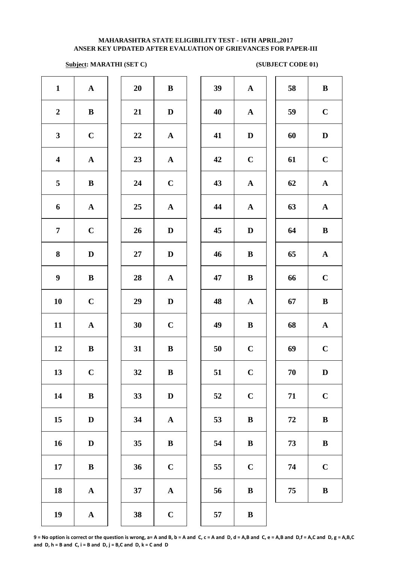### **Subject: MARATHI (SET C)** (SUBJECT CODE 01)

| $\mathbf{1}$            | ${\bf A}$             | 20 | $\, {\bf B}$          | 39 | $\mathbf A$ |
|-------------------------|-----------------------|----|-----------------------|----|-------------|
| $\boldsymbol{2}$        | $\, {\bf B}$          | 21 | $\mathbf D$           | 40 | $\mathbf A$ |
| $\mathbf{3}$            | $\mathbf C$           | 22 | ${\bf A}$             | 41 | $\mathbf D$ |
| $\overline{\mathbf{4}}$ | ${\bf A}$             | 23 | ${\bf A}$             | 42 | $\mathbf C$ |
| 5                       | $\, {\bf B}$          | 24 | $\mathbf C$           | 43 | $\mathbf A$ |
| 6                       | $\boldsymbol{\rm{A}}$ | 25 | $\mathbf A$           | 44 | $\mathbf A$ |
| $\overline{7}$          | $\mathbf C$           | 26 | $\mathbf D$           | 45 | $\bf{D}$    |
| 8                       | $\mathbf D$           | 27 | $\mathbf D$           | 46 | $\bf{B}$    |
| $\boldsymbol{9}$        | $\, {\bf B}$          | 28 | ${\bf A}$             | 47 | $\bf{B}$    |
| 10                      | $\mathbf C$           | 29 | $\mathbf D$           | 48 | $\mathbf A$ |
| 11                      | $\mathbf A$           | 30 | $\mathbf C$           | 49 | $\bf{B}$    |
| 12                      | $\, {\bf B}$          | 31 | $\, {\bf B}$          | 50 | $\mathbf C$ |
| 13                      | $\mathbf C$           | 32 | $\, {\bf B}$          | 51 | $\mathbf C$ |
| 14                      | $\, {\bf B}$          | 33 | $\mathbf D$           | 52 | $\mathbf C$ |
| 15                      | $\mathbf D$           | 34 | $\boldsymbol{\rm{A}}$ | 53 | $\bf{B}$    |
| 16                      | $\mathbf D$           | 35 | $\, {\bf B}$          | 54 | $\bf{B}$    |
| 17                      | $\bf{B}$              | 36 | $\mathbf C$           | 55 | $\mathbf C$ |
| 18                      | $\boldsymbol{\rm{A}}$ | 37 | $\boldsymbol{\rm{A}}$ | 56 | $\bf{B}$    |
| 19                      | $\boldsymbol{\rm{A}}$ | 38 | $\mathbf C$           | 57 | $\bf{B}$    |
|                         |                       |    |                       |    |             |

| 20 | B            |  |
|----|--------------|--|
| 21 | D            |  |
| 22 | $\mathbf A$  |  |
| 23 | $\mathbf{A}$ |  |
| 24 | $\mathbf C$  |  |
| 25 | $\mathbf A$  |  |
| 26 | $\mathbf D$  |  |
| 27 | D            |  |
| 28 | $\mathbf A$  |  |
| 29 | D            |  |
| 30 | $\mathbf C$  |  |
| 31 | B            |  |
| 32 | B            |  |
| 33 | $\mathbf D$  |  |
| 34 | A            |  |
| 35 | B            |  |
| 36 | $\mathbf C$  |  |
| 37 | A            |  |
|    |              |  |

| $\mathbf{1}$            | ${\bf A}$    | 20     | $\bf{B}$     | 39        | ${\bf A}$    | 58 | $\, {\bf B}$ |
|-------------------------|--------------|--------|--------------|-----------|--------------|----|--------------|
| $\overline{2}$          | $\bf{B}$     | 21     | $\mathbf D$  | 40        | $\mathbf{A}$ | 59 | $\mathbf C$  |
| $\mathbf{3}$            | $\mathbf C$  | 22     | ${\bf A}$    | 41        | $\mathbf D$  | 60 | $\mathbf D$  |
| $\overline{\mathbf{4}}$ | ${\bf A}$    | 23     | ${\bf A}$    | 42        | $\mathbf C$  | 61 | $\mathbf C$  |
| $5\phantom{.0}$         | $\, {\bf B}$ | 24     | $\mathbf C$  | 43        | ${\bf A}$    | 62 | ${\bf A}$    |
| 6                       | ${\bf A}$    | 25     | ${\bf A}$    | 44        | ${\bf A}$    | 63 | ${\bf A}$    |
| $\overline{7}$          | $\mathbf C$  | 26     | $\mathbf D$  | 45        | $\mathbf D$  | 64 | $\, {\bf B}$ |
| 8                       | $\mathbf D$  | $27\,$ | $\mathbf{D}$ | 46        | $\bf{B}$     | 65 | ${\bf A}$    |
| $\boldsymbol{9}$        | $\bf{B}$     | 28     | ${\bf A}$    | 47        | $\, {\bf B}$ | 66 | $\mathbf C$  |
| 10                      | $\mathbf C$  | 29     | D            | 48        | ${\bf A}$    | 67 | $\, {\bf B}$ |
| 11                      | $\mathbf A$  | 30     | $\mathbf C$  | 49        | $\bf{B}$     | 68 | ${\bf A}$    |
| 12                      | $\bf{B}$     | 31     | $\bf{B}$     | 50        | $\mathbf C$  | 69 | $\mathbf C$  |
| 13                      | $\mathbf C$  | 32     | ${\bf B}$    | 51        | $\mathbf C$  | 70 | $\mathbf D$  |
| 14                      | ${\bf B}$    | 33     | $\mathbf D$  | 52        | $\mathbf C$  | 71 | $\mathbf C$  |
| 15                      | $\mathbf{D}$ | 34     | $\mathbf A$  | 53        | $\bf{B}$     | 72 | $\, {\bf B}$ |
| 16                      | $\mathbf{D}$ | 35     | $\bf{B}$     | 54        | $\bf{B}$     | 73 | $\bf{B}$     |
| 17                      | $\bf{B}$     | 36     | $\mathbf C$  | 55        | $\mathbf C$  | 74 | $\mathbf C$  |
| 18                      | $\mathbf{A}$ | 37     | $\mathbf{A}$ | 56        | $\bf{B}$     | 75 | $\, {\bf B}$ |
| 10                      |              | 20     | $\mathbf{C}$ | $E^{\pi}$ | $\mathbf{D}$ |    |              |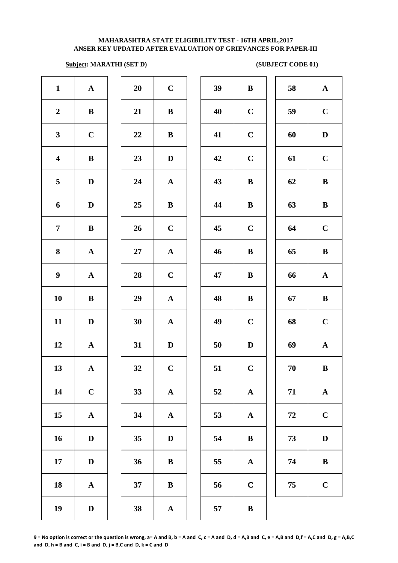### **Subject: MARATHI (SET D)** (SUBJECT CODE 01)

| $\mathbf{1}$            | ${\bf A}$    | 20     | $\mathbf C$  | 39 | $\bf{B}$     | 58         | $\mathbf A$  |
|-------------------------|--------------|--------|--------------|----|--------------|------------|--------------|
| $\boldsymbol{2}$        | ${\bf B}$    | 21     | $\bf{B}$     | 40 | $\mathbf C$  | 59         | $\mathbf C$  |
| $\mathbf{3}$            | $\mathbf C$  | 22     | $\bf{B}$     | 41 | $\mathbf C$  | 60         | $\mathbf D$  |
| $\overline{\mathbf{4}}$ | ${\bf B}$    | 23     | $\mathbf{D}$ | 42 | $\mathbf C$  | 61         | $\mathbf C$  |
| 5                       | $\mathbf D$  | 24     | ${\bf A}$    | 43 | $\bf{B}$     | 62         | $\bf{B}$     |
| 6                       | $\mathbf D$  | 25     | $\bf{B}$     | 44 | $\bf{B}$     | 63         | $\bf{B}$     |
| $\overline{7}$          | ${\bf B}$    | 26     | $\mathbf C$  | 45 | $\mathbf C$  | 64         | $\mathbf C$  |
| $\bf{8}$                | ${\bf A}$    | $27\,$ | ${\bf A}$    | 46 | $\bf{B}$     | 65         | $\bf{B}$     |
| $\boldsymbol{9}$        | ${\bf A}$    | 28     | $\mathbf C$  | 47 | $\, {\bf B}$ | 66         | $\mathbf A$  |
| 10                      | $\, {\bf B}$ | 29     | ${\bf A}$    | 48 | $\bf{B}$     | 67         | $\bf{B}$     |
| 11                      | $\mathbf D$  | 30     | ${\bf A}$    | 49 | $\mathbf C$  | 68         | $\mathbf C$  |
| 12                      | ${\bf A}$    | 31     | $\mathbf D$  | 50 | $\mathbf D$  | 69         | $\mathbf A$  |
| 13                      | $\mathbf{A}$ | 32     | $\mathbf C$  | 51 | $\bf C$      | 70         | $\bf{B}$     |
| 14                      | $\mathbf C$  | 33     | ${\bf A}$    | 52 | ${\bf A}$    | 71         | $\mathbf A$  |
| 15                      | $\mathbf A$  | 34     | ${\bf A}$    | 53 | $\mathbf{A}$ | ${\bf 72}$ | $\mathbf C$  |
| 16                      | $\mathbf D$  | 35     | $\mathbf D$  | 54 | $\, {\bf B}$ | 73         | $\mathbf{D}$ |
| 17                      | $\mathbf D$  | 36     | $\bf{B}$     | 55 | $\mathbf A$  | 74         | $\bf{B}$     |
| 18                      | ${\bf A}$    | 37     | $\, {\bf B}$ | 56 | $\mathbf C$  | 75         | $\mathbf C$  |
| 19                      | $\mathbf D$  | 38     | $\mathbf A$  | 57 | $\, {\bf B}$ |            |              |
|                         |              |        |              |    |              |            |              |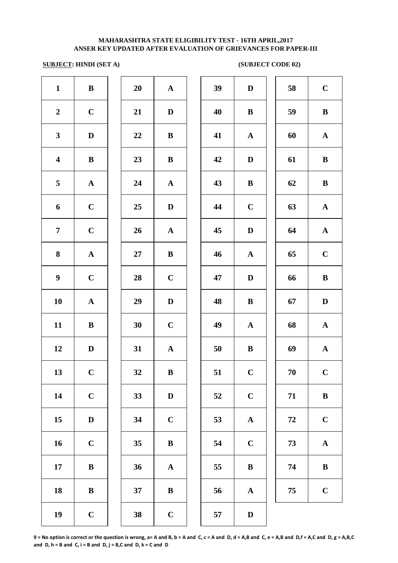# **SUBJECT: HINDI (SET A) (SUBJECT CODE 02)**

| $\mathbf{1}$            | $\, {\bf B}$ | 20        | $\mathbf A$           | 39 | $\mathbf{D}$ |
|-------------------------|--------------|-----------|-----------------------|----|--------------|
| $\boldsymbol{2}$        | $\mathbf C$  | 21        | $\mathbf D$           | 40 | $\bf{B}$     |
| $\mathbf{3}$            | $\mathbf D$  | 22        | $\bf{B}$              | 41 | $\mathbf A$  |
| $\overline{\mathbf{4}}$ | $\bf{B}$     | 23        | $\, {\bf B}$          | 42 | $\mathbf{D}$ |
| 5                       | $\mathbf A$  | 24        | ${\bf A}$             | 43 | $\bf{B}$     |
| 6                       | $\mathbf C$  | 25        | $\mathbf D$           | 44 | $\mathbf C$  |
| $\overline{7}$          | $\mathbf C$  | 26        | ${\bf A}$             | 45 | $\mathbf{D}$ |
| ${\bf 8}$               | ${\bf A}$    | $27\,$    | $\, {\bf B}$          | 46 | $\mathbf A$  |
| $\boldsymbol{9}$        | $\mathbf C$  | 28        | $\mathbf C$           | 47 | $\mathbf{D}$ |
| 10                      | ${\bf A}$    | 29        | $\mathbf D$           | 48 | $\bf{B}$     |
| 11                      | $\bf{B}$     | 30        | $\mathbf C$           | 49 | $\mathbf A$  |
| 12                      | $\mathbf D$  | 31        | $\boldsymbol{\rm{A}}$ | 50 | $\bf{B}$     |
| 13                      | $\mathbf{C}$ | <b>32</b> | B                     | 51 | $\mathbf C$  |
| 14                      | $\mathbf C$  | 33        | $\mathbf D$           | 52 | $\mathbf C$  |
| 15                      | $\mathbf D$  | 34        | $\mathbf C$           | 53 | $\mathbf A$  |
| 16                      | $\mathbf C$  | 35        | $\, {\bf B}$          | 54 | $\mathbf C$  |
| 17                      | $\, {\bf B}$ | 36        | $\boldsymbol{\rm{A}}$ | 55 | $\bf{B}$     |
| 18                      | $\bf{B}$     | 37        | $\bf{B}$              | 56 | $\mathbf A$  |
| 19                      | $\mathbf C$  | 38        | $\mathbf C$           | 57 | $\mathbf{D}$ |
|                         |              |           |                       |    |              |

| $\mathbf{1}$            | $\, {\bf B}$ | 20     | ${\bf A}$    | 39 | D            | 58         | $\mathbf C$  |
|-------------------------|--------------|--------|--------------|----|--------------|------------|--------------|
| $\overline{2}$          | $\mathbf C$  | 21     | $\mathbf{D}$ | 40 | $\bf{B}$     | 59         | $\bf{B}$     |
| $\mathbf{3}$            | $\mathbf D$  | $22\,$ | $\bf{B}$     | 41 | $\mathbf{A}$ | 60         | $\mathbf{A}$ |
| $\overline{\mathbf{4}}$ | $\, {\bf B}$ | 23     | $\bf{B}$     | 42 | D            | 61         | $\bf{B}$     |
| 5                       | ${\bf A}$    | 24     | ${\bf A}$    | 43 | $\, {\bf B}$ | 62         | $\, {\bf B}$ |
| 6                       | $\mathbf C$  | 25     | $\mathbf D$  | 44 | $\mathbf C$  | 63         | $\mathbf{A}$ |
| $\overline{7}$          | $\mathbf C$  | 26     | ${\bf A}$    | 45 | D            | 64         | $\mathbf{A}$ |
| 8                       | $\mathbf A$  | 27     | ${\bf B}$    | 46 | $\mathbf{A}$ | 65         | $\mathbf C$  |
| $\boldsymbol{9}$        | $\mathbf C$  | 28     | $\mathbf C$  | 47 | D            | 66         | $\bf{B}$     |
| 10                      | $\mathbf A$  | 29     | $\mathbf D$  | 48 | $\bf{B}$     | 67         | $\mathbf D$  |
| 11                      | $\bf{B}$     | 30     | $\mathbf C$  | 49 | $\mathbf A$  | 68         | $\mathbf A$  |
| 12                      | D            | 31     | ${\bf A}$    | 50 | $\bf{B}$     | 69         | $\mathbf A$  |
| 13                      | $\mathbf C$  | 32     | $\bf{B}$     | 51 | $\mathbf C$  | ${\bf 70}$ | $\mathbf C$  |
| 14                      | $\mathbf C$  | 33     | $\mathbf D$  | 52 | $\mathbf C$  | 71         | $\bf{B}$     |
| 15                      | D            | 34     | $\mathbf C$  | 53 | ${\bf A}$    | 72         | $\mathbf C$  |
| 16                      | $\mathbf C$  | 35     | $\bf{B}$     | 54 | $\mathbf C$  | 73         | ${\bf A}$    |
| 17                      | $\bf{B}$     | 36     | $\mathbf A$  | 55 | $\bf{B}$     | 74         | $\bf{B}$     |
| 18                      | $\bf{B}$     | 37     | B            | 56 | $\mathbf A$  | 75         | $\mathbf C$  |
| 19                      | $\mathbf C$  | 38     | $\mathbf C$  | 57 | $\mathbf{D}$ |            |              |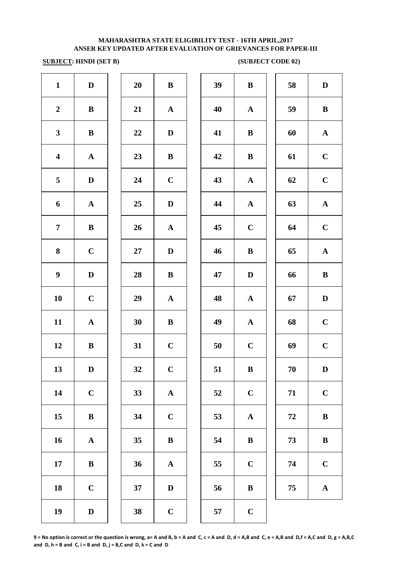### **SUBJECT:** HINDI (SET B) (SUBJECT CODE 02)

| $\mathbf{1}$            | $\mathbf D$  | 20 | ${\bf B}$    | 39 | $\bf{B}$     | 58         | $\mathbf{D}$ |
|-------------------------|--------------|----|--------------|----|--------------|------------|--------------|
| $\boldsymbol{2}$        | ${\bf B}$    | 21 | $\mathbf{A}$ | 40 | ${\bf A}$    | 59         | $\bf{B}$     |
| $\mathbf{3}$            | ${\bf B}$    | 22 | $\mathbf{D}$ | 41 | $\bf{B}$     | 60         | $\mathbf A$  |
| $\overline{\mathbf{4}}$ | ${\bf A}$    | 23 | $\bf{B}$     | 42 | $\bf{B}$     | 61         | $\mathbf C$  |
| 5                       | $\mathbf D$  | 24 | $\mathbf C$  | 43 | ${\bf A}$    | 62         | $\mathbf C$  |
| 6                       | ${\bf A}$    | 25 | $\mathbf D$  | 44 | ${\bf A}$    | 63         | $\mathbf A$  |
| $\overline{7}$          | ${\bf B}$    | 26 | ${\bf A}$    | 45 | $\mathbf C$  | 64         | $\mathbf C$  |
| 8                       | $\mathbf C$  | 27 | $\mathbf{D}$ | 46 | $\bf{B}$     | 65         | $\mathbf A$  |
| $\boldsymbol{9}$        | $\mathbf D$  | 28 | ${\bf B}$    | 47 | $\mathbf D$  | 66         | $\bf{B}$     |
| 10                      | $\mathbf C$  | 29 | $\mathbf{A}$ | 48 | ${\bf A}$    | 67         | $\mathbf{D}$ |
| 11                      | ${\bf A}$    | 30 | $\bf{B}$     | 49 | ${\bf A}$    | 68         | $\mathbf C$  |
| 12                      | ${\bf B}$    | 31 | $\mathbf C$  | 50 | $\mathbf C$  | 69         | $\mathbf C$  |
| 13                      | $\mathbf D$  | 32 | $\bf C$      | 51 | $\, {\bf B}$ | 70         | $\mathbf{D}$ |
| 14                      | $\mathbf C$  | 33 | ${\bf A}$    | 52 | $\mathbf C$  | 71         | $\mathbf C$  |
| 15                      | $\, {\bf B}$ | 34 | $\mathbf C$  | 53 | ${\bf A}$    | ${\bf 72}$ | $\bf{B}$     |
| 16                      | ${\bf A}$    | 35 | $\, {\bf B}$ | 54 | $\, {\bf B}$ | 73         | $\bf{B}$     |
| $17\,$                  | $\, {\bf B}$ | 36 | ${\bf A}$    | 55 | $\mathbf C$  | 74         | $\mathbf C$  |
| 18                      | $\mathbf C$  | 37 | $\mathbf D$  | 56 | $\bf{B}$     | 75         | $\mathbf A$  |
| 19                      | $\mathbf D$  | 38 | $\mathbf C$  | 57 | $\mathbf C$  |            |              |
|                         |              |    |              |    |              |            |              |

| 39 | $\bf{B}$              | 58 | $\mathbf D$           |
|----|-----------------------|----|-----------------------|
| 40 | ${\bf A}$             | 59 | ${\bf B}$             |
| 41 | B                     | 60 | ${\bf A}$             |
| 42 | $\bf{B}$              | 61 | $\mathbf C$           |
| 43 | $\mathbf A$           | 62 | $\mathbf C$           |
| 44 | $\mathbf A$           | 63 | $\mathbf A$           |
| 45 | $\mathbf C$           | 64 | $\mathbf C$           |
| 46 | $\bf{B}$              | 65 | $\boldsymbol{\rm{A}}$ |
| 47 | $\mathbf D$           | 66 | $\bf{B}$              |
| 48 | $\boldsymbol{\rm{A}}$ | 67 | $\mathbf D$           |
| 49 | $\boldsymbol{\rm{A}}$ | 68 | $\mathbf C$           |
| 50 | $\mathbf C$           | 69 | $\mathbf C$           |
| 51 | $\bf{B}$              | 70 | D                     |
| 52 | $\mathbf C$           | 71 | $\mathbf C$           |
| 53 | ${\bf A}$             | 72 | $\bf{B}$              |
| 54 | $\, {\bf B}$          | 73 | $\, {\bf B}$          |
| 55 | $\mathbf C$           | 74 | $\mathbf C$           |
| 56 | $\bf{B}$              | 75 | $\mathbf A$           |
|    |                       |    |                       |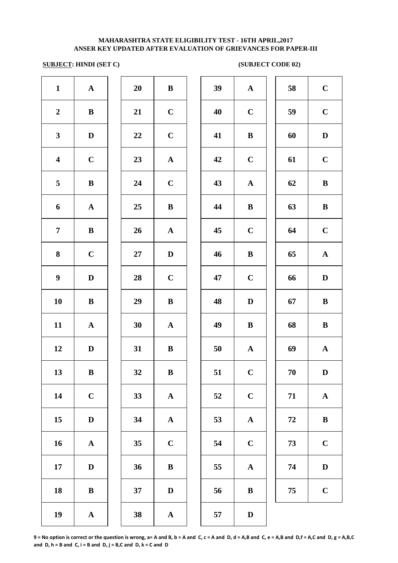# **SUBJECT: HINDI (SET C) (SUBJECT CODE 02)**

| $\mathbf{1}$            | ${\bf A}$    | 20 | $\bf{B}$              | 39 | $\mathbf A$  |
|-------------------------|--------------|----|-----------------------|----|--------------|
| $\boldsymbol{2}$        | $\, {\bf B}$ | 21 | $\mathbf C$           | 40 | $\mathbf C$  |
| $\mathbf{3}$            | $\mathbf D$  | 22 | $\mathbf C$           | 41 | $\bf{B}$     |
| $\overline{\mathbf{4}}$ | $\mathbf C$  | 23 | $\boldsymbol{\rm{A}}$ | 42 | $\mathbf C$  |
| 5                       | $\, {\bf B}$ | 24 | $\mathbf C$           | 43 | $\mathbf A$  |
| 6                       | ${\bf A}$    | 25 | $\, {\bf B}$          | 44 | $\bf{B}$     |
| $\overline{7}$          | $\, {\bf B}$ | 26 | $\mathbf A$           | 45 | $\mathbf C$  |
| 8                       | $\mathbf C$  | 27 | $\mathbf D$           | 46 | $\bf{B}$     |
| $\boldsymbol{9}$        | $\mathbf D$  | 28 | $\mathbf C$           | 47 | $\mathbf C$  |
| 10                      | $\, {\bf B}$ | 29 | $\, {\bf B}$          | 48 | $\mathbf{D}$ |
| 11                      | ${\bf A}$    | 30 | ${\bf A}$             | 49 | $\bf{B}$     |
| 12                      | $\mathbf D$  | 31 | ${\bf B}$             | 50 | $\mathbf A$  |
| 13                      | $\bf{B}$     | 32 | $\, {\bf B}$          | 51 | $\mathbf C$  |
| 14                      | $\mathbf C$  | 33 | $\boldsymbol{\rm{A}}$ | 52 | $\mathbf C$  |
| 15                      | $\mathbf D$  | 34 | $\boldsymbol{\rm{A}}$ | 53 | $\mathbf A$  |
| 16                      | ${\bf A}$    | 35 | $\mathbf C$           | 54 | $\mathbf C$  |
| 17                      | $\mathbf D$  | 36 | $\bf{B}$              | 55 | $\mathbf A$  |
| ${\bf 18}$              | $\bf{B}$     | 37 | $\mathbf D$           | 56 | $\bf{B}$     |
| 19                      | ${\bf A}$    | 38 | $\mathbf A$           | 57 | $\bf{D}$     |

| 20 | B                       |
|----|-------------------------|
| 21 | $\mathbf C$             |
| 22 | $\mathbf C$             |
| 23 | A                       |
| 24 | $\mathbf C$             |
| 25 | B                       |
| 26 | $\overline{\mathbf{A}}$ |
| 27 | D                       |
| 28 | $\mathbf C$             |
| 29 | B                       |
| 30 | $\mathbf{A}$            |
| 31 | B                       |
| 32 | B                       |
| 33 | A                       |
| 34 | A                       |
| 35 | $\overline{\mathbf{C}}$ |
| 36 | B                       |
| 37 | D                       |
|    |                         |

| $\mathbf{1}$            | $\mathbf{A}$ | 20 | ${\bf B}$    | 39 | $\mathbf{A}$ | 58       | $\mathbf C$ |
|-------------------------|--------------|----|--------------|----|--------------|----------|-------------|
| $\boldsymbol{2}$        | $\bf{B}$     | 21 | $\mathbf C$  | 40 | $\mathbf C$  | 59       | $\mathbf C$ |
| $\mathbf{3}$            | $\mathbf D$  | 22 | $\bf C$      | 41 | $\bf{B}$     | 60       | D           |
| $\overline{\mathbf{4}}$ | $\mathbf C$  | 23 | ${\bf A}$    | 42 | $\mathbf C$  | 61       | $\mathbf C$ |
| $\overline{5}$          | $\bf{B}$     | 24 | $\mathbf C$  | 43 | ${\bf A}$    | 62       | $\bf{B}$    |
| 6                       | ${\bf A}$    | 25 | $\bf{B}$     | 44 | $\bf{B}$     | 63       | $\bf{B}$    |
| $\overline{7}$          | $\, {\bf B}$ | 26 | ${\bf A}$    | 45 | $\mathbf C$  | 64       | $\mathbf C$ |
| 8                       | $\mathbf C$  | 27 | D            | 46 | $\bf{B}$     | 65       | ${\bf A}$   |
| $\boldsymbol{9}$        | $\mathbf D$  | 28 | $\mathbf C$  | 47 | $\mathbf C$  | 66       | $\mathbf D$ |
| 10                      | $\bf{B}$     | 29 | $\bf{B}$     | 48 | $\mathbf D$  | 67       | $\bf{B}$    |
| 11                      | $\mathbf{A}$ | 30 | ${\bf A}$    | 49 | $\bf{B}$     | 68       | $\bf{B}$    |
| 12                      | $\mathbf D$  | 31 | $\bf{B}$     | 50 | $\mathbf{A}$ | 69       | ${\bf A}$   |
| 13                      | $\, {\bf B}$ | 32 | $\, {\bf B}$ | 51 | $\mathbf C$  | 70       | $\mathbf D$ |
| 14                      | $\mathbf C$  | 33 | ${\bf A}$    | 52 | $\mathbf C$  | 71       | ${\bf A}$   |
| 15                      | $\mathbf D$  | 34 | ${\bf A}$    | 53 | ${\bf A}$    | $\bf 72$ | $\bf{B}$    |
| 16                      | ${\bf A}$    | 35 | $\mathbf C$  | 54 | $\mathbf C$  | 73       | $\mathbf C$ |
| 17                      | $\mathbf D$  | 36 | $\bf{B}$     | 55 | ${\bf A}$    | 74       | $\mathbf D$ |
| 18                      | $\bf{B}$     | 37 | D            | 56 | $\bf{B}$     | 75       | $\mathbf C$ |
|                         |              |    |              |    |              |          |             |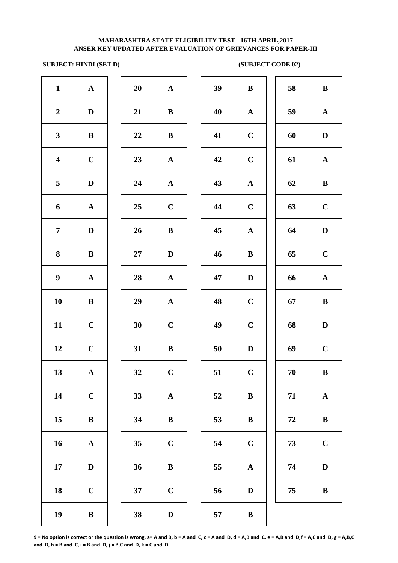# **SUBJECT: HINDI (SET D) (SUBJECT CODE 02)**

| $\mathbf{1}$            | ${\bf A}$    | 20        | $\mathbf{A}$ | 39 | $\bf{B}$     | 58     | $\bf{B}$     |
|-------------------------|--------------|-----------|--------------|----|--------------|--------|--------------|
| $\boldsymbol{2}$        | $\mathbf D$  | 21        | $\bf{B}$     | 40 | $\mathbf{A}$ | 59     | $\mathbf A$  |
| $\mathbf{3}$            | $\bf{B}$     | 22        | $\bf{B}$     | 41 | $\mathbf C$  | 60     | $\mathbf{D}$ |
| $\overline{\mathbf{4}}$ | $\bf C$      | 23        | $\mathbf{A}$ | 42 | $\bf C$      | 61     | $\mathbf A$  |
| $\overline{\mathbf{5}}$ | $\mathbf D$  | 24        | ${\bf A}$    | 43 | $\mathbf{A}$ | 62     | $\bf{B}$     |
| 6                       | $\mathbf{A}$ | 25        | $\bf C$      | 44 | $\bf C$      | 63     | $\mathbf C$  |
| $\overline{7}$          | $\mathbf D$  | 26        | $\bf{B}$     | 45 | $\mathbf{A}$ | 64     | $\mathbf D$  |
| $\bf{8}$                | $\bf{B}$     | $27\,$    | $\mathbf{D}$ | 46 | $\bf{B}$     | 65     | $\mathbf C$  |
| $\boldsymbol{9}$        | ${\bf A}$    | 28        | $\mathbf{A}$ | 47 | $\mathbf D$  | 66     | $\mathbf A$  |
| 10                      | $\bf{B}$     | 29        | $\mathbf{A}$ | 48 | $\mathbf C$  | 67     | $\bf{B}$     |
| 11                      | $\mathbf C$  | 30        | $\mathbf C$  | 49 | $\mathbf C$  | 68     | D            |
| 12                      | $\mathbf C$  | 31        | $\bf{B}$     | 50 | $\mathbf D$  | 69     | $\mathbf C$  |
| 13                      | ${\bf A}$    | <b>32</b> | $\mathbf C$  | 51 | $\mathbf C$  | $70\,$ | $\bf{B}$     |
| 14                      | $\mathbf C$  | 33        | ${\bf A}$    | 52 | $\bf{B}$     | 71     | $\mathbf A$  |
| 15                      | $\, {\bf B}$ | 34        | $\bf{B}$     | 53 | $\, {\bf B}$ | 72     | $\bf{B}$     |
| 16                      | $\mathbf{A}$ | 35        | $\mathbf C$  | 54 | $\bf C$      | 73     | $\mathbf C$  |
| 17                      | $\mathbf D$  | 36        | $\bf{B}$     | 55 | $\mathbf{A}$ | 74     | $\mathbf{D}$ |
| 18                      | $\mathbf C$  | 37        | $\mathbf C$  | 56 | $\mathbf D$  | 75     | $\bf{B}$     |
| 19                      | $\mathbf{B}$ | 38        | $\mathbf D$  | 57 | $\, {\bf B}$ |        |              |

| 39 | $\, {\bf B}$ | 58         | $\bf{B}$              |
|----|--------------|------------|-----------------------|
| 40 | $\mathbf A$  | 59         | ${\bf A}$             |
| 41 | $\mathbf C$  | 60         | D                     |
| 42 | $\mathbf C$  | 61         | ${\bf A}$             |
| 43 | ${\bf A}$    | 62         | B                     |
| 44 | $\mathbf C$  | 63         | $\mathbf C$           |
| 45 | ${\bf A}$    | 64         | $\mathbf D$           |
| 46 | B            | 65         | $\mathbf C$           |
| 47 | D            | 66         | $\mathbf A$           |
| 48 | $\mathbf C$  | 67         | ${\bf B}$             |
| 49 | $\mathbf C$  | 68         | D                     |
| 50 | D            | 69         | $\mathbf C$           |
| 51 | $\mathbf C$  | 70         | ${\bf B}$             |
| 52 | $\, {\bf B}$ | 71         | $\boldsymbol{\rm{A}}$ |
| 53 | $\, {\bf B}$ | ${\bf 72}$ | $\bf{B}$              |
| 54 | $\mathbf C$  | 73         | $\mathbf C$           |
| 55 | ${\bf A}$    | 74         | $\mathbf D$           |
| 56 | $\mathbf D$  | 75         | $\, {\bf B}$          |
| 57 | D            |            |                       |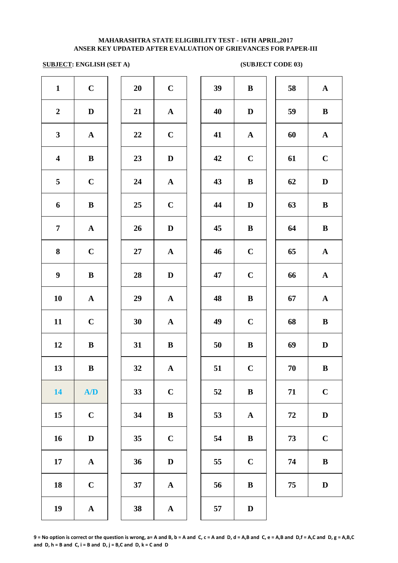# **SUBJECT: ENGLISH (SET A)** (SUBJECT CODE 03)

| $\mathbf{1}$            | $\mathbf C$  | 20 | $\mathbf C$  | 39 | $\bf{B}$     | 58 | $\mathbf{A}$ |
|-------------------------|--------------|----|--------------|----|--------------|----|--------------|
| $\boldsymbol{2}$        | $\mathbf D$  | 21 | ${\bf A}$    | 40 | $\mathbf D$  | 59 | $\bf{B}$     |
| $\mathbf{3}$            | ${\bf A}$    | 22 | $\mathbf C$  | 41 | ${\bf A}$    | 60 | ${\bf A}$    |
| $\overline{\mathbf{4}}$ | $\, {\bf B}$ | 23 | $\mathbf D$  | 42 | $\mathbf C$  | 61 | $\mathbf C$  |
| $5\phantom{.0}$         | $\mathbf C$  | 24 | ${\bf A}$    | 43 | $\, {\bf B}$ | 62 | ${\bf D}$    |
| $\boldsymbol{6}$        | $\, {\bf B}$ | 25 | $\mathbf C$  | 44 | $\mathbf D$  | 63 | $\, {\bf B}$ |
| $\overline{7}$          | $\mathbf{A}$ | 26 | $\mathbf D$  | 45 | $\bf{B}$     | 64 | $\, {\bf B}$ |
| $\bf{8}$                | $\mathbf C$  | 27 | ${\bf A}$    | 46 | $\mathbf C$  | 65 | ${\bf A}$    |
| $\boldsymbol{9}$        | $\, {\bf B}$ | 28 | $\mathbf D$  | 47 | $\mathbf C$  | 66 | ${\bf A}$    |
| 10                      | ${\bf A}$    | 29 | ${\bf A}$    | 48 | $\, {\bf B}$ | 67 | ${\bf A}$    |
| 11                      | $\mathbf C$  | 30 | ${\bf A}$    | 49 | $\mathbf C$  | 68 | $\, {\bf B}$ |
| 12                      | $\bf{B}$     | 31 | $\bf{B}$     | 50 | $\, {\bf B}$ | 69 | $\mathbf D$  |
| 13                      | $\, {\bf B}$ | 32 | ${\bf A}$    | 51 | $\mathbf C$  | 70 | $\, {\bf B}$ |
| 14                      | A/D          | 33 | $\mathbf C$  | 52 | $\, {\bf B}$ | 71 | $\mathbf C$  |
| 15                      | $\mathbf C$  | 34 | $\, {\bf B}$ | 53 | ${\bf A}$    | 72 | $\mathbf D$  |
| 16                      | ${\bf D}$    | 35 | $\mathbf C$  | 54 | $\, {\bf B}$ | 73 | $\mathbf C$  |
| 17                      | ${\bf A}$    | 36 | $\mathbf D$  | 55 | $\mathbf C$  | 74 | $\, {\bf B}$ |
| 18                      | $\mathbf C$  | 37 | $\mathbf{A}$ | 56 | $\, {\bf B}$ | 75 | $\mathbf D$  |
| 19                      | ${\bf A}$    | 38 | $\mathbf{A}$ | 57 | $\mathbf D$  |    |              |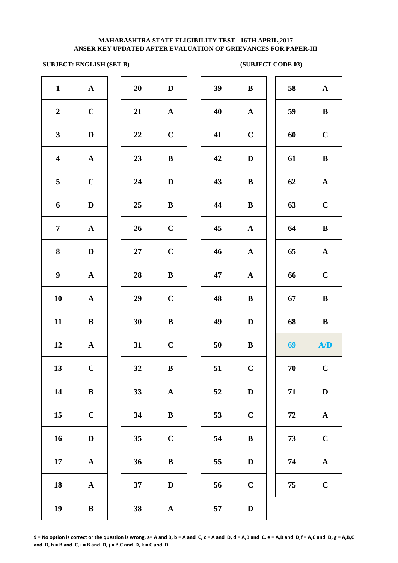# **SUBJECT: ENGLISH (SET B)** (SUBJECT CODE 03)

| $\mathbf{1}$            | ${\bf A}$    | 20 | $\mathbf D$  | 39 | $\bf{B}$     | 58 | ${\bf A}$    |
|-------------------------|--------------|----|--------------|----|--------------|----|--------------|
| $\boldsymbol{2}$        | $\mathbf C$  | 21 | $\mathbf{A}$ | 40 | $\mathbf{A}$ | 59 | ${\bf B}$    |
| $\mathbf{3}$            | D            | 22 | $\mathbf C$  | 41 | $\mathbf C$  | 60 | $\mathbf C$  |
| $\overline{\mathbf{4}}$ | ${\bf A}$    | 23 | ${\bf B}$    | 42 | $\mathbf D$  | 61 | $\bf{B}$     |
| 5                       | $\mathbf C$  | 24 | $\mathbf D$  | 43 | $\bf{B}$     | 62 | ${\bf A}$    |
| 6                       | $\mathbf D$  | 25 | ${\bf B}$    | 44 | $\bf{B}$     | 63 | $\mathbf C$  |
| $\overline{7}$          | ${\bf A}$    | 26 | $\mathbf C$  | 45 | ${\bf A}$    | 64 | $\, {\bf B}$ |
| 8                       | $\mathbf D$  | 27 | $\mathbf C$  | 46 | ${\bf A}$    | 65 | ${\bf A}$    |
| $\boldsymbol{9}$        | $\mathbf A$  | 28 | ${\bf B}$    | 47 | ${\bf A}$    | 66 | $\mathbf C$  |
| 10                      | $\mathbf A$  | 29 | $\mathbf C$  | 48 | $\bf{B}$     | 67 | $\, {\bf B}$ |
| 11                      | $\, {\bf B}$ | 30 | ${\bf B}$    | 49 | $\mathbf D$  | 68 | $\, {\bf B}$ |
| 12                      | ${\bf A}$    | 31 | $\mathbf C$  | 50 | $\bf{B}$     | 69 | A/D          |
| 13                      | $\mathbf C$  | 32 | $\, {\bf B}$ | 51 | $\mathbf C$  | 70 | $\mathbf C$  |
| 14                      | $\bf{B}$     | 33 | $\mathbf{A}$ | 52 | $\mathbf D$  | 71 | $\mathbf{D}$ |
| 15                      | $\mathbf C$  | 34 | $\bf{B}$     | 53 | $\bf C$      | 72 | $\mathbf{A}$ |
| 16                      | $\mathbf D$  | 35 | $\mathbf C$  | 54 | $\bf{B}$     | 73 | $\mathbf C$  |
| 17                      | ${\bf A}$    | 36 | $\, {\bf B}$ | 55 | D            | 74 | ${\bf A}$    |
| 18                      | ${\bf A}$    | 37 | $\mathbf D$  | 56 | $\mathbf C$  | 75 | $\mathbf C$  |
| 19                      | $\, {\bf B}$ | 38 | $\mathbf{A}$ | 57 | D            |    |              |
|                         |              |    |              |    |              |    |              |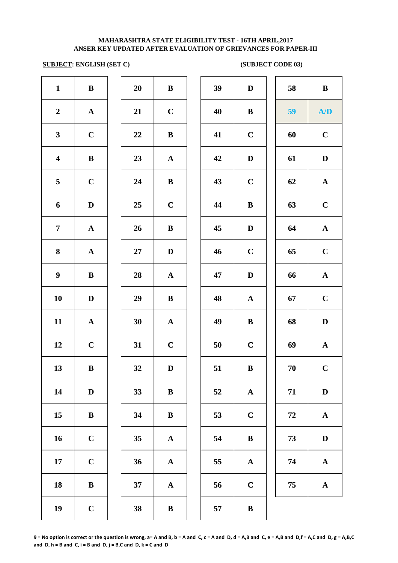# **SUBJECT: ENGLISH (SET C)** (SUBJECT CODE 03)

| $\mathbf{1}$            | $\, {\bf B}$ | 20 | $\bf{B}$     | 39 | $\mathbf D$  | 58     | $\, {\bf B}$ |
|-------------------------|--------------|----|--------------|----|--------------|--------|--------------|
| $\boldsymbol{2}$        | ${\bf A}$    | 21 | $\mathbf C$  | 40 | $\bf{B}$     | 59     | A/D          |
| $\mathbf{3}$            | $\mathbf C$  | 22 | $\bf{B}$     | 41 | $\mathbf C$  | 60     | $\mathbf C$  |
| $\overline{\mathbf{4}}$ | $\, {\bf B}$ | 23 | ${\bf A}$    | 42 | $\mathbf D$  | 61     | $\mathbf D$  |
| $\overline{\mathbf{5}}$ | $\mathbf C$  | 24 | $\bf{B}$     | 43 | $\mathbf C$  | 62     | ${\bf A}$    |
| 6                       | $\mathbf D$  | 25 | $\mathbf C$  | 44 | $\, {\bf B}$ | 63     | $\mathbf C$  |
| $\overline{7}$          | ${\bf A}$    | 26 | $\bf{B}$     | 45 | $\mathbf D$  | 64     | ${\bf A}$    |
| $\bf{8}$                | ${\bf A}$    | 27 | $\mathbf D$  | 46 | $\mathbf C$  | 65     | $\mathbf C$  |
| $\boldsymbol{9}$        | $\bf{B}$     | 28 | ${\bf A}$    | 47 | $\mathbf D$  | 66     | $\mathbf A$  |
| 10                      | $\mathbf D$  | 29 | $\bf{B}$     | 48 | $\mathbf{A}$ | 67     | $\mathbf C$  |
| 11                      | ${\bf A}$    | 30 | $\mathbf{A}$ | 49 | $\, {\bf B}$ | 68     | $\mathbf D$  |
| 12                      | $\mathbf C$  | 31 | $\mathbf C$  | 50 | $\mathbf C$  | 69     | ${\bf A}$    |
| 13                      | $\, {\bf B}$ | 32 | $\mathbf D$  | 51 | $\, {\bf B}$ | $70\,$ | $\mathbf C$  |
| 14                      | $\mathbf D$  | 33 | $\bf{B}$     | 52 | $\mathbf A$  | 71     | $\mathbf D$  |
| 15                      | $\, {\bf B}$ | 34 | $\, {\bf B}$ | 53 | $\mathbf C$  | 72     | $\mathbf A$  |
| 16                      | $\mathbf C$  | 35 | ${\bf A}$    | 54 | $\bf{B}$     | 73     | $\mathbf D$  |
| 17                      | $\mathbf C$  | 36 | $\mathbf{A}$ | 55 | $\mathbf{A}$ | 74     | ${\bf A}$    |
| 18                      | $\, {\bf B}$ | 37 | $\mathbf{A}$ | 56 | $\mathbf C$  | 75     | $\mathbf{A}$ |
| 19                      | $\mathbf C$  | 38 | $\bf{B}$     | 57 | $\bf{B}$     |        |              |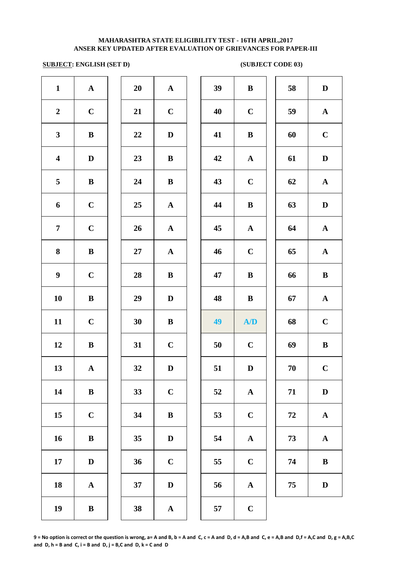# **SUBJECT: ENGLISH (SET D)** (SUBJECT CODE 03)

| 39<br>$\mathbf{1}$<br>${\bf A}$<br>20<br>${\bf A}$<br>$\bf{B}$<br>58<br>D<br>$\bf C$<br>$\mathbf C$<br>$\boldsymbol{2}$<br>21<br>40<br>$\mathbf C$<br>59<br>${\bf A}$<br>$\mathbf C$<br>$\mathbf{3}$<br>$\, {\bf B}$<br>41<br>$\, {\bf B}$<br>60<br>22<br>$\mathbf D$<br>$\overline{\mathbf{4}}$<br>23<br>42<br>61<br>$\mathbf D$<br>$\mathbf D$<br>$\bf{B}$<br>$\mathbf{A}$<br>5<br>24<br>43<br>$\mathbf C$<br>62<br>${\bf A}$<br>${\bf B}$<br>$\bf{B}$<br>$\mathbf C$<br>6<br>25<br>44<br>$\, {\bf B}$<br>63<br>D<br>${\bf A}$<br>$\overline{7}$<br>$\mathbf C$<br>26<br>${\bf A}$<br>45<br>${\bf A}$<br>64<br>${\bf A}$<br>8<br>$\mathbf C$<br>${\bf B}$<br>46<br>65<br>${\bf A}$<br>27<br>${\bf A}$<br>$\boldsymbol{9}$<br>$\bf C$<br>28<br>$\bf{B}$<br>$\, {\bf B}$<br>66<br>$\, {\bf B}$<br>47<br>10<br>$\, {\bf B}$<br>29<br>48<br>$\, {\bf B}$<br>67<br>${\bf A}$<br>$\mathbf D$<br>11<br>$\mathbf C$<br>$\mathbf C$<br>30<br>49<br>A/D<br>68<br>$\bf{B}$<br>12<br>31<br>$\mathbf C$<br>$\mathbf C$<br>69<br>${\bf B}$<br>50<br>$\, {\bf B}$<br>13<br>$\mathbf C$<br>${\bf A}$<br>32<br>51<br>$\mathbf D$<br>$70\,$<br>$\mathbf D$<br>14<br>$\mathbf C$<br>${\bf B}$<br>33<br>52<br>71<br>$\mathbf D$<br>$\mathbf{A}$<br>$\mathbf C$<br>15<br>34<br>$\, {\bf B}$<br>53<br>$\mathbf C$<br>72<br>$\mathbf A$<br>16<br>$\, {\bf B}$<br>35<br>54<br>73<br>$\mathbf A$<br>$\mathbf D$<br>${\bf A}$<br>17<br>36<br>$\mathbf C$<br>55<br>$\mathbf C$<br>$\, {\bf B}$<br>$\mathbf D$<br>74<br>37<br>18<br>$\mathbf D$<br>56<br>75<br>$\mathbf D$<br>$\mathbf{A}$<br>$\mathbf{A}$<br>19<br>$\, {\bf B}$<br>38<br>57<br>$\mathbf C$<br>${\bf A}$ |  |  |  |  |  |  |
|------------------------------------------------------------------------------------------------------------------------------------------------------------------------------------------------------------------------------------------------------------------------------------------------------------------------------------------------------------------------------------------------------------------------------------------------------------------------------------------------------------------------------------------------------------------------------------------------------------------------------------------------------------------------------------------------------------------------------------------------------------------------------------------------------------------------------------------------------------------------------------------------------------------------------------------------------------------------------------------------------------------------------------------------------------------------------------------------------------------------------------------------------------------------------------------------------------------------------------------------------------------------------------------------------------------------------------------------------------------------------------------------------------------------------------------------------------------------------------------------------------------------------------------------------------------------------------------------------------------------------------------------|--|--|--|--|--|--|
|                                                                                                                                                                                                                                                                                                                                                                                                                                                                                                                                                                                                                                                                                                                                                                                                                                                                                                                                                                                                                                                                                                                                                                                                                                                                                                                                                                                                                                                                                                                                                                                                                                                |  |  |  |  |  |  |
|                                                                                                                                                                                                                                                                                                                                                                                                                                                                                                                                                                                                                                                                                                                                                                                                                                                                                                                                                                                                                                                                                                                                                                                                                                                                                                                                                                                                                                                                                                                                                                                                                                                |  |  |  |  |  |  |
|                                                                                                                                                                                                                                                                                                                                                                                                                                                                                                                                                                                                                                                                                                                                                                                                                                                                                                                                                                                                                                                                                                                                                                                                                                                                                                                                                                                                                                                                                                                                                                                                                                                |  |  |  |  |  |  |
|                                                                                                                                                                                                                                                                                                                                                                                                                                                                                                                                                                                                                                                                                                                                                                                                                                                                                                                                                                                                                                                                                                                                                                                                                                                                                                                                                                                                                                                                                                                                                                                                                                                |  |  |  |  |  |  |
|                                                                                                                                                                                                                                                                                                                                                                                                                                                                                                                                                                                                                                                                                                                                                                                                                                                                                                                                                                                                                                                                                                                                                                                                                                                                                                                                                                                                                                                                                                                                                                                                                                                |  |  |  |  |  |  |
|                                                                                                                                                                                                                                                                                                                                                                                                                                                                                                                                                                                                                                                                                                                                                                                                                                                                                                                                                                                                                                                                                                                                                                                                                                                                                                                                                                                                                                                                                                                                                                                                                                                |  |  |  |  |  |  |
|                                                                                                                                                                                                                                                                                                                                                                                                                                                                                                                                                                                                                                                                                                                                                                                                                                                                                                                                                                                                                                                                                                                                                                                                                                                                                                                                                                                                                                                                                                                                                                                                                                                |  |  |  |  |  |  |
|                                                                                                                                                                                                                                                                                                                                                                                                                                                                                                                                                                                                                                                                                                                                                                                                                                                                                                                                                                                                                                                                                                                                                                                                                                                                                                                                                                                                                                                                                                                                                                                                                                                |  |  |  |  |  |  |
|                                                                                                                                                                                                                                                                                                                                                                                                                                                                                                                                                                                                                                                                                                                                                                                                                                                                                                                                                                                                                                                                                                                                                                                                                                                                                                                                                                                                                                                                                                                                                                                                                                                |  |  |  |  |  |  |
|                                                                                                                                                                                                                                                                                                                                                                                                                                                                                                                                                                                                                                                                                                                                                                                                                                                                                                                                                                                                                                                                                                                                                                                                                                                                                                                                                                                                                                                                                                                                                                                                                                                |  |  |  |  |  |  |
|                                                                                                                                                                                                                                                                                                                                                                                                                                                                                                                                                                                                                                                                                                                                                                                                                                                                                                                                                                                                                                                                                                                                                                                                                                                                                                                                                                                                                                                                                                                                                                                                                                                |  |  |  |  |  |  |
|                                                                                                                                                                                                                                                                                                                                                                                                                                                                                                                                                                                                                                                                                                                                                                                                                                                                                                                                                                                                                                                                                                                                                                                                                                                                                                                                                                                                                                                                                                                                                                                                                                                |  |  |  |  |  |  |
|                                                                                                                                                                                                                                                                                                                                                                                                                                                                                                                                                                                                                                                                                                                                                                                                                                                                                                                                                                                                                                                                                                                                                                                                                                                                                                                                                                                                                                                                                                                                                                                                                                                |  |  |  |  |  |  |
|                                                                                                                                                                                                                                                                                                                                                                                                                                                                                                                                                                                                                                                                                                                                                                                                                                                                                                                                                                                                                                                                                                                                                                                                                                                                                                                                                                                                                                                                                                                                                                                                                                                |  |  |  |  |  |  |
|                                                                                                                                                                                                                                                                                                                                                                                                                                                                                                                                                                                                                                                                                                                                                                                                                                                                                                                                                                                                                                                                                                                                                                                                                                                                                                                                                                                                                                                                                                                                                                                                                                                |  |  |  |  |  |  |
|                                                                                                                                                                                                                                                                                                                                                                                                                                                                                                                                                                                                                                                                                                                                                                                                                                                                                                                                                                                                                                                                                                                                                                                                                                                                                                                                                                                                                                                                                                                                                                                                                                                |  |  |  |  |  |  |
|                                                                                                                                                                                                                                                                                                                                                                                                                                                                                                                                                                                                                                                                                                                                                                                                                                                                                                                                                                                                                                                                                                                                                                                                                                                                                                                                                                                                                                                                                                                                                                                                                                                |  |  |  |  |  |  |
|                                                                                                                                                                                                                                                                                                                                                                                                                                                                                                                                                                                                                                                                                                                                                                                                                                                                                                                                                                                                                                                                                                                                                                                                                                                                                                                                                                                                                                                                                                                                                                                                                                                |  |  |  |  |  |  |
|                                                                                                                                                                                                                                                                                                                                                                                                                                                                                                                                                                                                                                                                                                                                                                                                                                                                                                                                                                                                                                                                                                                                                                                                                                                                                                                                                                                                                                                                                                                                                                                                                                                |  |  |  |  |  |  |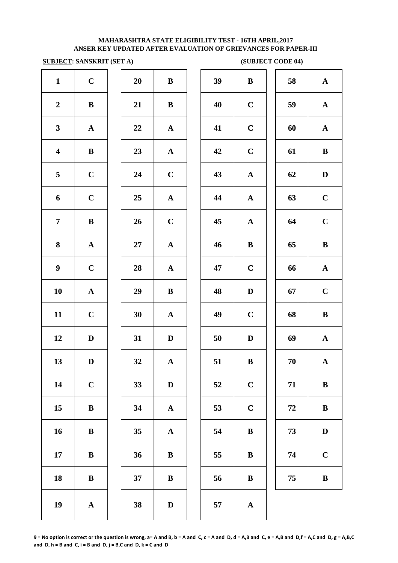## **SUBJECT: SANSKRIT (SET A)** (SUBJECT CODE 04)

|                         | $\frac{\text{SODJLCL}}{\text{SODJLCL}}$ |        |                       |    | $\omega$     |
|-------------------------|-----------------------------------------|--------|-----------------------|----|--------------|
| $\mathbf{1}$            | $\mathbf C$                             | 20     | $\, {\bf B}$          | 39 | $\bf{B}$     |
| $\boldsymbol{2}$        | $\, {\bf B}$                            | 21     | $\, {\bf B}$          | 40 | $\mathbf C$  |
| $\mathbf{3}$            | $\mathbf A$                             | 22     | ${\bf A}$             | 41 | $\mathbf C$  |
| $\overline{\mathbf{4}}$ | $\, {\bf B}$                            | 23     | ${\bf A}$             | 42 | $\mathbf C$  |
| 5                       | $\mathbf C$                             | 24     | $\mathbf C$           | 43 | $\mathbf{A}$ |
| 6                       | $\mathbf C$                             | 25     | $\boldsymbol{\rm{A}}$ | 44 | $\mathbf{A}$ |
| $\overline{7}$          | $\, {\bf B}$                            | 26     | $\mathbf C$           | 45 | $\mathbf A$  |
| 8                       | ${\bf A}$                               | $27\,$ | ${\bf A}$             | 46 | $\bf{B}$     |
| $\boldsymbol{9}$        | $\mathbf C$                             | 28     | ${\bf A}$             | 47 | $\mathbf C$  |
| 10                      | $\boldsymbol{\rm{A}}$                   | 29     | $\, {\bf B}$          | 48 | $\mathbf{D}$ |
| 11                      | $\mathbf C$                             | 30     | ${\bf A}$             | 49 | $\mathbf C$  |
| 12                      | $\mathbf D$                             | 31     | $\mathbf D$           | 50 | $\mathbf{D}$ |
| 13                      | D                                       | 32     | $\mathbf A$           | 51 | $\bf{B}$     |
| 14                      | $\mathbf C$                             | 33     | $\mathbf D$           | 52 | $\mathbf C$  |
| 15                      | $\, {\bf B}$                            | 34     | $\boldsymbol{\rm{A}}$ | 53 | $\mathbf C$  |
| 16                      | $\, {\bf B}$                            | 35     | $\mathbf A$           | 54 | $\bf{B}$     |
| $17\,$                  | $\, {\bf B}$                            | 36     | $\, {\bf B}$          | 55 | $\bf{B}$     |
| 18                      | $\, {\bf B}$                            | 37     | $\bf{B}$              | 56 | $\bf{B}$     |
| 19                      | $\boldsymbol{\rm{A}}$                   | 38     | $\mathbf D$           | 57 | $\mathbf A$  |
|                         |                                         |        |                       |    |              |

|                         | $\frac{1}{2}$ . Sain and $\frac{1}{2}$ |    |              |    |              | (90D0ECI CODE <sub>0</sub> ) |              |
|-------------------------|----------------------------------------|----|--------------|----|--------------|------------------------------|--------------|
| $\mathbf{1}$            | $\mathbf C$                            | 20 | ${\bf B}$    | 39 | $\, {\bf B}$ | 58                           | ${\bf A}$    |
| $\overline{2}$          | $\, {\bf B}$                           | 21 | $\, {\bf B}$ | 40 | $\mathbf C$  | 59                           | ${\bf A}$    |
| $\mathbf{3}$            | $\mathbf{A}$                           | 22 | ${\bf A}$    | 41 | $\mathbf C$  | 60                           | ${\bf A}$    |
| $\overline{\mathbf{4}}$ | $\bf{B}$                               | 23 | ${\bf A}$    | 42 | $\mathbf C$  | 61                           | $\bf{B}$     |
| $\overline{\mathbf{5}}$ | $\mathbf C$                            | 24 | $\mathbf C$  | 43 | ${\bf A}$    | 62                           | $\mathbf D$  |
| 6                       | $\mathbf C$                            | 25 | ${\bf A}$    | 44 | ${\bf A}$    | 63                           | $\mathbf C$  |
| $\overline{7}$          | $\bf{B}$                               | 26 | $\mathbf C$  | 45 | ${\bf A}$    | 64                           | $\mathbf C$  |
| 8                       | ${\bf A}$                              | 27 | ${\bf A}$    | 46 | $\bf{B}$     | 65                           | $\bf{B}$     |
| $\boldsymbol{9}$        | $\mathbf C$                            | 28 | ${\bf A}$    | 47 | $\mathbf C$  | 66                           | ${\bf A}$    |
| 10                      | ${\bf A}$                              | 29 | ${\bf B}$    | 48 | $\mathbf D$  | 67                           | $\mathbf C$  |
| 11                      | $\mathbf C$                            | 30 | ${\bf A}$    | 49 | $\mathbf C$  | 68                           | ${\bf B}$    |
| 12                      | $\mathbf D$                            | 31 | $\mathbf D$  | 50 | $\mathbf D$  | 69                           | ${\bf A}$    |
| 13                      | $\mathbf{D}$                           | 32 | ${\bf A}$    | 51 | $\bf{B}$     | 70                           | ${\bf A}$    |
| 14                      | $\mathbf C$                            | 33 | D            | 52 | $\mathbf C$  | 71                           | $\, {\bf B}$ |
| 15                      | $\bf{B}$                               | 34 | ${\bf A}$    | 53 | $\mathbf C$  | 72                           | $\bf{B}$     |
| 16                      | $\, {\bf B}$                           | 35 | ${\bf A}$    | 54 | $\, {\bf B}$ | 73                           | $\mathbf D$  |
| 17                      | $\, {\bf B}$                           | 36 | $\, {\bf B}$ | 55 | $\bf{B}$     | 74                           | $\mathbf C$  |
| 18                      | $\, {\bf B}$                           | 37 | $\, {\bf B}$ | 56 | $\bf{B}$     | 75                           | $\, {\bf B}$ |
| 19                      | ${\bf A}$                              | 38 | $\mathbf D$  | 57 | $\mathbf{A}$ |                              |              |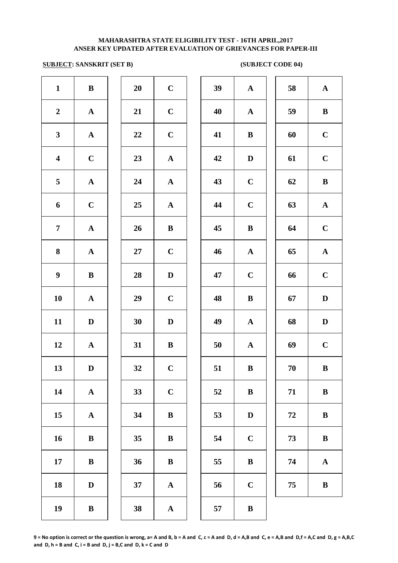# **SUBJECT: SANSKRIT (SET B) (SUBJECT CODE 04)**

| $\mathbf{1}$            | ${\bf B}$    | 20 | $\mathbf C$  | 39 | ${\bf A}$    | 58 | ${\bf A}$    |
|-------------------------|--------------|----|--------------|----|--------------|----|--------------|
| $\overline{2}$          | $\mathbf{A}$ | 21 | $\mathbf C$  | 40 | ${\bf A}$    | 59 | $\bf{B}$     |
| $\mathbf{3}$            | ${\bf A}$    | 22 | $\mathbf C$  | 41 | $\bf{B}$     | 60 | $\mathbf C$  |
| $\overline{\mathbf{4}}$ | $\mathbf C$  | 23 | ${\bf A}$    | 42 | $\mathbf D$  | 61 | $\mathbf C$  |
| 5                       | ${\bf A}$    | 24 | ${\bf A}$    | 43 | $\mathbf C$  | 62 | $\, {\bf B}$ |
| 6                       | $\mathbf C$  | 25 | ${\bf A}$    | 44 | $\mathbf C$  | 63 | $\mathbf{A}$ |
| $\overline{7}$          | ${\bf A}$    | 26 | ${\bf B}$    | 45 | $\bf{B}$     | 64 | $\mathbf C$  |
| 8                       | $\mathbf A$  | 27 | $\mathbf C$  | 46 | $\mathbf A$  | 65 | ${\bf A}$    |
| $\boldsymbol{9}$        | $\bf{B}$     | 28 | $\mathbf D$  | 47 | $\mathbf C$  | 66 | $\mathbf C$  |
| 10                      | ${\bf A}$    | 29 | $\bf C$      | 48 | $\bf{B}$     | 67 | $\mathbf D$  |
| 11                      | $\mathbf{D}$ | 30 | D            | 49 | $\mathbf{A}$ | 68 | $\mathbf D$  |
| 12                      | $\mathbf{A}$ | 31 | $\bf{B}$     | 50 | $\mathbf{A}$ | 69 | $\mathbf C$  |
| 13                      | $\mathbf D$  | 32 | $\mathbf C$  | 51 | $\, {\bf B}$ | 70 | $\, {\bf B}$ |
| 14                      | $\mathbf{A}$ | 33 | $\mathbf C$  | 52 | $\bf{B}$     | 71 | $\, {\bf B}$ |
| 15                      | ${\bf A}$    | 34 | $\bf{B}$     | 53 | $\mathbf D$  | 72 | $\, {\bf B}$ |
| 16                      | $\, {\bf B}$ | 35 | $\bf{B}$     | 54 | $\mathbf C$  | 73 | $\, {\bf B}$ |
| 17                      | ${\bf B}$    | 36 | $\bf{B}$     | 55 | $\bf{B}$     | 74 | ${\bf A}$    |
| 18                      | $\mathbf D$  | 37 | $\mathbf{A}$ | 56 | $\mathbf C$  | 75 | $\, {\bf B}$ |
| 19                      | ${\bf B}$    | 38 | ${\bf A}$    | 57 | $\bf{B}$     |    |              |
|                         |              |    |              |    |              |    |              |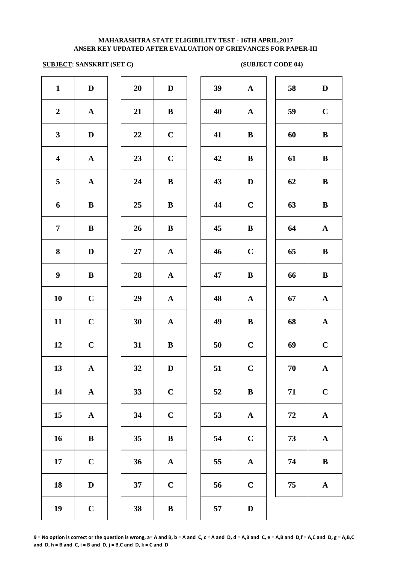# **SUBJECT: SANSKRIT (SET C) (SUBJECT CODE 04)**

| $\mathbf{1}$            | $\mathbf D$  | 20 | $\mathbf D$  | 39 | ${\bf A}$    | 58 | $\mathbf D$  |
|-------------------------|--------------|----|--------------|----|--------------|----|--------------|
| $\boldsymbol{2}$        | ${\bf A}$    | 21 | $\bf{B}$     | 40 | $\mathbf{A}$ | 59 | $\mathbf C$  |
| $\mathbf{3}$            | $\mathbf D$  | 22 | $\mathbf C$  | 41 | $\, {\bf B}$ | 60 | $\, {\bf B}$ |
| $\overline{\mathbf{4}}$ | $\mathbf A$  | 23 | $\mathbf C$  | 42 | $\bf{B}$     | 61 | $\, {\bf B}$ |
| 5 <sub>5</sub>          | ${\bf A}$    | 24 | $\bf{B}$     | 43 | $\mathbf D$  | 62 | $\, {\bf B}$ |
| 6                       | $\bf{B}$     | 25 | $\bf{B}$     | 44 | $\bf C$      | 63 | $\, {\bf B}$ |
| $\overline{7}$          | $\bf{B}$     | 26 | $\bf{B}$     | 45 | $\, {\bf B}$ | 64 | ${\bf A}$    |
| 8                       | $\mathbf D$  | 27 | $\mathbf{A}$ | 46 | $\mathbf C$  | 65 | $\, {\bf B}$ |
| $\boldsymbol{9}$        | $\bf{B}$     | 28 | ${\bf A}$    | 47 | $\bf{B}$     | 66 | $\, {\bf B}$ |
| 10                      | $\mathbf C$  | 29 | $\mathbf{A}$ | 48 | $\mathbf{A}$ | 67 | ${\bf A}$    |
| 11                      | $\mathbf C$  | 30 | ${\bf A}$    | 49 | $\, {\bf B}$ | 68 | ${\bf A}$    |
| 12                      | $\mathbf C$  | 31 | $\bf{B}$     | 50 | $\bf C$      | 69 | $\mathbf C$  |
| 13                      | $\mathbf A$  | 32 | $\mathbf D$  | 51 | $\mathbf C$  | 70 | ${\bf A}$    |
| 14                      | $\mathbf{A}$ | 33 | $\mathbf C$  | 52 | $\bf{B}$     | 71 | $\mathbf C$  |
| 15                      | $\mathbf A$  | 34 | $\mathbf C$  | 53 | ${\bf A}$    | 72 | ${\bf A}$    |
| 16                      | $\, {\bf B}$ | 35 | $\, {\bf B}$ | 54 | $\mathbf C$  | 73 | ${\bf A}$    |
| 17                      | $\mathbf C$  | 36 | ${\bf A}$    | 55 | ${\bf A}$    | 74 | $\, {\bf B}$ |
| 18                      | $\mathbf D$  | 37 | $\mathbf C$  | 56 | $\mathbf C$  | 75 | ${\bf A}$    |
| 19                      | $\mathbf C$  | 38 | $\, {\bf B}$ | 57 | $\mathbf D$  |    |              |
|                         |              |    |              |    |              |    |              |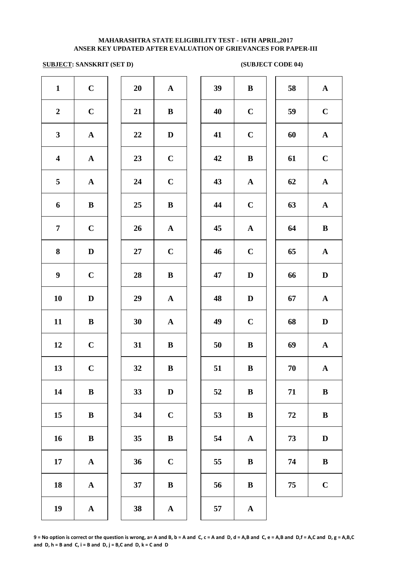# **SUBJECT: SANSKRIT (SET D) (SUBJECT CODE 04)**

| $\mathbf{1}$            | $\mathbf C$  | 20 | ${\bf A}$    | 39 | $\bf{B}$     | 58     | ${\bf A}$    |
|-------------------------|--------------|----|--------------|----|--------------|--------|--------------|
| $\boldsymbol{2}$        | $\mathbf C$  | 21 | $\bf{B}$     | 40 | $\mathbf C$  | 59     | $\bf C$      |
| $\mathbf{3}$            | ${\bf A}$    | 22 | $\mathbf D$  | 41 | $\mathbf C$  | 60     | ${\bf A}$    |
| $\overline{\mathbf{4}}$ | ${\bf A}$    | 23 | $\mathbf C$  | 42 | $\bf{B}$     | 61     | $\mathbf C$  |
| 5                       | ${\bf A}$    | 24 | $\mathbf C$  | 43 | ${\bf A}$    | 62     | ${\bf A}$    |
| 6                       | $\, {\bf B}$ | 25 | ${\bf B}$    | 44 | $\mathbf C$  | 63     | $\mathbf{A}$ |
| $\overline{7}$          | $\mathbf C$  | 26 | ${\bf A}$    | 45 | ${\bf A}$    | 64     | $\, {\bf B}$ |
| 8                       | $\mathbf D$  | 27 | $\bf C$      | 46 | $\mathbf C$  | 65     | ${\bf A}$    |
| $\boldsymbol{9}$        | $\mathbf C$  | 28 | $\, {\bf B}$ | 47 | $\mathbf D$  | 66     | $\mathbf D$  |
| 10                      | $\mathbf D$  | 29 | ${\bf A}$    | 48 | $\mathbf D$  | 67     | ${\bf A}$    |
| 11                      | ${\bf B}$    | 30 | ${\bf A}$    | 49 | $\mathbf C$  | 68     | $\mathbf D$  |
| 12                      | $\mathbf C$  | 31 | $\bf{B}$     | 50 | $\bf{B}$     | 69     | $\mathbf A$  |
| 13                      | $\mathbf C$  | 32 | $\bf{B}$     | 51 | $\, {\bf B}$ | 70     | $\mathbf{A}$ |
| 14                      | ${\bf B}$    | 33 | $\mathbf D$  | 52 | $\bf{B}$     | 71     | $\bf{B}$     |
| 15                      | $\, {\bf B}$ | 34 | $\mathbf C$  | 53 | $\bf{B}$     | 72     | $\, {\bf B}$ |
| 16                      | $\, {\bf B}$ | 35 | $\, {\bf B}$ | 54 | $\mathbf A$  | 73     | $\mathbf D$  |
| 17                      | ${\bf A}$    | 36 | $\mathbf C$  | 55 | $\bf{B}$     | 74     | $\, {\bf B}$ |
| 18                      | ${\bf A}$    | 37 | $\bf{B}$     | 56 | $\bf{B}$     | $75\,$ | $\mathbf C$  |
| 19                      | ${\bf A}$    | 38 | ${\bf A}$    | 57 | ${\bf A}$    |        |              |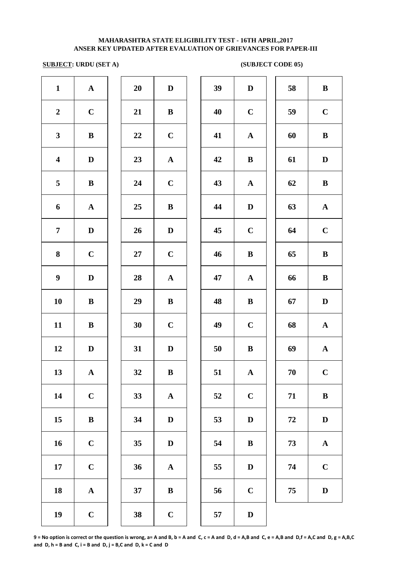# **SUBJECT: URDU (SET A)** (SUBJECT CODE 05)

| $\mathbf{1}$            | ${\bf A}$    | 20     | $\mathbf D$  | 39 | $\mathbf D$ | 58     | $\bf{B}$     |
|-------------------------|--------------|--------|--------------|----|-------------|--------|--------------|
| $\boldsymbol{2}$        | $\mathbf C$  | 21     | $\bf{B}$     | 40 | $\bf C$     | 59     | $\mathbf C$  |
| $\mathbf{3}$            | ${\bf B}$    | 22     | $\mathbf C$  | 41 | ${\bf A}$   | 60     | $\bf{B}$     |
| $\overline{\mathbf{4}}$ | $\mathbf D$  | 23     | ${\bf A}$    | 42 | $\bf{B}$    | 61     | $\mathbf{D}$ |
| 5                       | $\mathbf{B}$ | 24     | $\mathbf C$  | 43 | ${\bf A}$   | 62     | $\bf{B}$     |
| 6                       | ${\bf A}$    | 25     | $\bf{B}$     | 44 | $\mathbf D$ | 63     | $\mathbf A$  |
| $\overline{7}$          | $\mathbf D$  | 26     | $\mathbf D$  | 45 | $\mathbf C$ | 64     | $\mathbf C$  |
| 8                       | $\mathbf C$  | $27\,$ | $\mathbf C$  | 46 | $\bf{B}$    | 65     | $\bf{B}$     |
| $\boldsymbol{9}$        | $\mathbf D$  | 28     | ${\bf A}$    | 47 | ${\bf A}$   | 66     | $\bf{B}$     |
| 10                      | $\bf{B}$     | 29     | $\bf{B}$     | 48 | $\bf{B}$    | 67     | $\bf{D}$     |
| 11                      | $\bf{B}$     | 30     | $\mathbf C$  | 49 | $\mathbf C$ | 68     | $\mathbf A$  |
| 12                      | $\mathbf D$  | 31     | $\mathbf{D}$ | 50 | $\bf{B}$    | 69     | $\mathbf A$  |
| 13                      | $\mathbf A$  | 32     | $\, {\bf B}$ | 51 | ${\bf A}$   | $70\,$ | $\mathbf C$  |
| 14                      | $\mathbf C$  | 33     | ${\bf A}$    | 52 | $\mathbf C$ | 71     | $\bf{B}$     |
| 15                      | ${\bf B}$    | 34     | $\mathbf D$  | 53 | $\mathbf D$ | 72     | D            |
| 16                      | $\mathbf C$  | 35     | $\mathbf D$  | 54 | $\bf{B}$    | 73     | $\mathbf A$  |
| 17                      | $\mathbf C$  | 36     | ${\bf A}$    | 55 | $\mathbf D$ | 74     | $\mathbf C$  |
| 18                      | ${\bf A}$    | 37     | $\bf{B}$     | 56 | $\mathbf C$ | 75     | $\bf{D}$     |
| 19                      | $\mathbf C$  | 38     | $\mathbf C$  | 57 | $\mathbf D$ |        |              |

| $\mathbf{1}$            | ${\bf A}$    | 20 | $\mathbf D$  | 39 | D            | 58         | $\bf{B}$     |
|-------------------------|--------------|----|--------------|----|--------------|------------|--------------|
| $\overline{\mathbf{2}}$ | $\mathbf C$  | 21 | $\bf{B}$     | 40 | $\mathbf C$  | 59         | $\mathbf C$  |
| $\overline{\mathbf{3}}$ | $\, {\bf B}$ | 22 | $\mathbf C$  | 41 | ${\bf A}$    | 60         | $\, {\bf B}$ |
| 4                       | D            | 23 | ${\bf A}$    | 42 | $\bf{B}$     | 61         | $\mathbf{D}$ |
| 5                       | $\bf{B}$     | 24 | $\mathbf C$  | 43 | $\mathbf{A}$ | 62         | $\, {\bf B}$ |
| 6                       | $\mathbf{A}$ | 25 | $\bf{B}$     | 44 | $\mathbf D$  | 63         | $\mathbf{A}$ |
| 7                       | $\mathbf{D}$ | 26 | $\mathbf D$  | 45 | $\mathbf C$  | 64         | $\mathbf C$  |
| 8                       | $\mathbf C$  | 27 | $\mathbf C$  | 46 | $\bf{B}$     | 65         | $\bf{B}$     |
| 9                       | D            | 28 | ${\bf A}$    | 47 | $\mathbf A$  | 66         | $\bf{B}$     |
| $\overline{\mathbf{0}}$ | $\bf{B}$     | 29 | $\bf{B}$     | 48 | B            | 67         | $\mathbf{D}$ |
| $\overline{\mathbf{1}}$ | $\bf{B}$     | 30 | $\mathbf C$  | 49 | $\bf C$      | 68         | $\mathbf{A}$ |
| $\overline{2}$          | $\mathbf{D}$ | 31 | $\mathbf D$  | 50 | $\bf{B}$     | 69         | ${\bf A}$    |
| $\overline{3}$          | $\mathbf A$  | 32 | $\bf{B}$     | 51 | $\mathbf{A}$ | $70\,$     | $\mathbf C$  |
| $\overline{14}$         | $\mathbf C$  | 33 | ${\bf A}$    | 52 | $\mathbf C$  | 71         | $\, {\bf B}$ |
| $\overline{5}$          | $\, {\bf B}$ | 34 | $\mathbf D$  | 53 | D            | ${\bf 72}$ | $\mathbf D$  |
| $16 \,$                 | $\mathbf C$  | 35 | D            | 54 | $\bf{B}$     | 73         | $\mathbf{A}$ |
| $\overline{17}$         | $\mathbf C$  | 36 | $\mathbf A$  | 55 | D            | 74         | $\mathbf C$  |
| $\overline{8}$          | $\mathbf A$  | 37 | $\, {\bf B}$ | 56 | $\mathbf C$  | 75         | $\mathbf D$  |
| $\overline{9}$          | $\mathbf C$  | 38 | $\mathbf C$  | 57 | D            |            |              |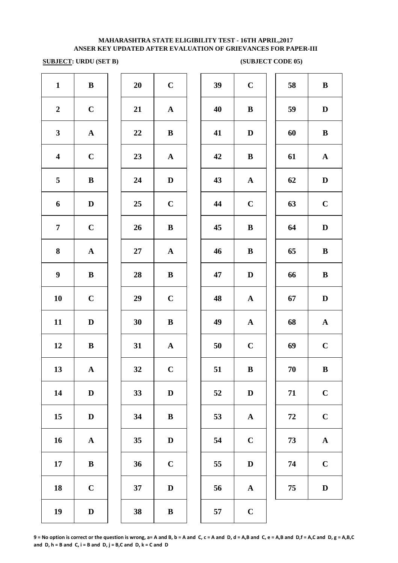# **SUBJECT: URDU (SET B)** (SUBJECT CODE 05)

| $\mathbf{1}$            | $\bf{B}$     | 20 | $\mathbf C$  | 39 | $\bf C$      | 58         | $\bf{B}$     |
|-------------------------|--------------|----|--------------|----|--------------|------------|--------------|
| $\boldsymbol{2}$        | $\mathbf C$  | 21 | ${\bf A}$    | 40 | $\, {\bf B}$ | 59         | $\mathbf{D}$ |
| $\mathbf{3}$            | ${\bf A}$    | 22 | $\, {\bf B}$ | 41 | $\mathbf D$  | 60         | $\bf{B}$     |
| $\overline{\mathbf{4}}$ | $\mathbf C$  | 23 | ${\bf A}$    | 42 | $\, {\bf B}$ | 61         | $\mathbf A$  |
| 5                       | $\bf{B}$     | 24 | $\mathbf D$  | 43 | ${\bf A}$    | 62         | $\mathbf{D}$ |
| 6                       | $\mathbf D$  | 25 | $\mathbf C$  | 44 | $\bf C$      | 63         | $\mathbf C$  |
| $\overline{7}$          | $\mathbf C$  | 26 | $\bf{B}$     | 45 | $\bf{B}$     | 64         | $\mathbf{D}$ |
| 8                       | $\mathbf{A}$ | 27 | $\mathbf{A}$ | 46 | $\bf{B}$     | 65         | $\bf{B}$     |
| $\boldsymbol{9}$        | $\bf{B}$     | 28 | $\bf{B}$     | 47 | $\mathbf D$  | 66         | $\bf{B}$     |
| 10                      | $\mathbf C$  | 29 | $\mathbf C$  | 48 | $\mathbf A$  | 67         | $\mathbf{D}$ |
| 11                      | $\mathbf D$  | 30 | $\bf{B}$     | 49 | ${\bf A}$    | 68         | $\mathbf A$  |
| 12                      | $\bf{B}$     | 31 | $\mathbf{A}$ | 50 | $\bf C$      | 69         | $\mathbf C$  |
| 13                      | ${\bf A}$    | 32 | $\mathbf C$  | 51 | $\, {\bf B}$ | $70\,$     | $\bf{B}$     |
| 14                      | $\mathbf D$  | 33 | $\mathbf D$  | 52 | $\mathbf D$  | 71         | $\mathbf C$  |
| 15                      | $\mathbf D$  | 34 | $\, {\bf B}$ | 53 | $\mathbf A$  | ${\bf 72}$ | $\mathbf C$  |
| 16                      | ${\bf A}$    | 35 | $\mathbf D$  | 54 | $\mathbf C$  | 73         | $\mathbf A$  |
| 17                      | ${\bf B}$    | 36 | $\mathbf C$  | 55 | $\mathbf D$  | 74         | $\mathbf C$  |
| 18                      | $\mathbf C$  | 37 | $\mathbf D$  | 56 | $\mathbf{A}$ | 75         | $\mathbf D$  |
| 19                      | $\mathbf D$  | 38 | $\, {\bf B}$ | 57 | $\bf C$      |            |              |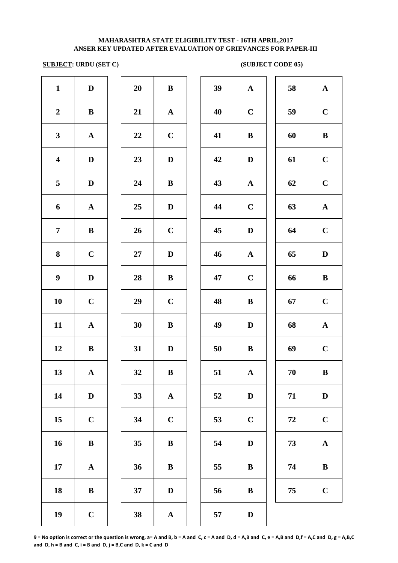# **SUBJECT: URDU (SET C)** (SUBJECT CODE 05)

| $\mathbf{1}$            | $\mathbf D$  | 20     | $\bf{B}$     | 39 | ${\bf A}$    | 58 | $\mathbf A$  |
|-------------------------|--------------|--------|--------------|----|--------------|----|--------------|
| $\boldsymbol{2}$        | $\bf{B}$     | 21     | $\mathbf{A}$ | 40 | $\bf C$      | 59 | $\mathbf C$  |
| $\mathbf{3}$            | ${\bf A}$    | 22     | $\mathbf C$  | 41 | $\bf{B}$     | 60 | $\bf{B}$     |
| $\overline{\mathbf{4}}$ | $\mathbf D$  | 23     | $\mathbf D$  | 42 | $\mathbf D$  | 61 | $\mathbf C$  |
| 5                       | $\mathbf D$  | 24     | $\bf{B}$     | 43 | ${\bf A}$    | 62 | $\mathbf C$  |
| $\boldsymbol{6}$        | ${\bf A}$    | 25     | $\mathbf D$  | 44 | $\mathbf C$  | 63 | $\mathbf A$  |
| $\overline{7}$          | $\bf{B}$     | 26     | $\mathbf C$  | 45 | $\mathbf D$  | 64 | $\mathbf C$  |
| 8                       | $\bf C$      | $27\,$ | $\mathbf D$  | 46 | ${\bf A}$    | 65 | $\mathbf{D}$ |
| $\boldsymbol{9}$        | $\mathbf D$  | 28     | $\bf{B}$     | 47 | $\mathbf C$  | 66 | $\bf{B}$     |
| 10                      | $\mathbf C$  | 29     | $\mathbf C$  | 48 | $\bf{B}$     | 67 | $\mathbf C$  |
| 11                      | ${\bf A}$    | 30     | $\bf{B}$     | 49 | $\mathbf D$  | 68 | $\mathbf A$  |
| 12                      | $\bf{B}$     | 31     | $\mathbf{D}$ | 50 | $\bf{B}$     | 69 | $\mathbf C$  |
| 13                      | ${\bf A}$    | 32     | $\, {\bf B}$ | 51 | $\mathbf A$  | 70 | $\bf{B}$     |
| 14                      | $\mathbf D$  | 33     | ${\bf A}$    | 52 | $\mathbf D$  | 71 | $\mathbf{D}$ |
| 15                      | $\bf C$      | 34     | $\mathbf C$  | 53 | $\mathbf C$  | 72 | $\mathbf C$  |
| 16                      | $\bf{B}$     | 35     | $\bf{B}$     | 54 | $\mathbf D$  | 73 | $\mathbf A$  |
| 17                      | $\mathbf{A}$ | 36     | $\bf{B}$     | 55 | $\, {\bf B}$ | 74 | $\bf{B}$     |
| 18                      | $\bf{B}$     | 37     | $\mathbf D$  | 56 | $\, {\bf B}$ | 75 | $\mathbf C$  |
| 19                      | $\bf C$      | 38     | ${\bf A}$    | 57 | $\mathbf D$  |    |              |
|                         |              |        |              |    |              |    |              |

| 39 | ${\bf A}$    | 58 | ${\bf A}$   |
|----|--------------|----|-------------|
| 40 | $\mathbf C$  | 59 | $\mathbf C$ |
| 41 | $\bf{B}$     | 60 | $\bf{B}$    |
| 42 | $\mathbf D$  | 61 | $\mathbf C$ |
| 43 | ${\bf A}$    | 62 | $\mathbf C$ |
| 44 | $\mathbf C$  | 63 | ${\bf A}$   |
| 45 | $\mathbf D$  | 64 | $\mathbf C$ |
| 46 | ${\bf A}$    | 65 | D           |
| 47 | $\mathbf C$  | 66 | $\bf{B}$    |
| 48 | B            | 67 | $\mathbf C$ |
| 49 | $\mathbf D$  | 68 | ${\bf A}$   |
| 50 | $\bf{B}$     | 69 | $\mathbf C$ |
| 51 | $\mathbf{A}$ | 70 | $\bf{B}$    |
| 52 | ${\bf D}$    | 71 | $\mathbf D$ |
| 53 | $\mathbf C$  | 72 | $\mathbf C$ |
| 54 | ${\bf D}$    | 73 | $\mathbf A$ |
| 55 | $\bf{B}$     | 74 | $\bf{B}$    |
| 56 | $\bf{B}$     | 75 | $\mathbf C$ |
|    |              |    |             |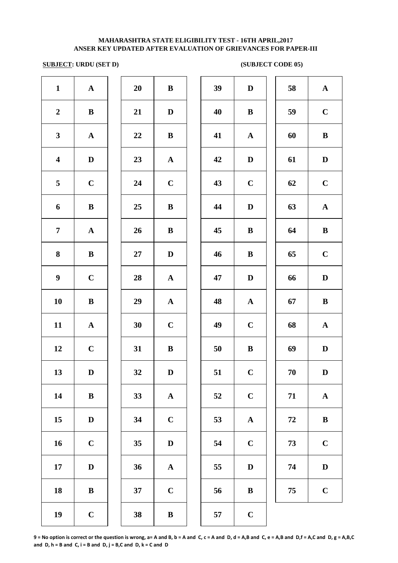# **SUBJECT: URDU (SET D)** (SUBJECT CODE 05)

| $\mathbf{1}$            | ${\bf A}$    | 20 | $\, {\bf B}$ | 39 | $\mathbf D$ | 58       | $\mathbf A$  |
|-------------------------|--------------|----|--------------|----|-------------|----------|--------------|
| $\boldsymbol{2}$        | $\bf{B}$     | 21 | $\mathbf{D}$ | 40 | $\bf{B}$    | 59       | $\mathbf C$  |
| $\mathbf{3}$            | ${\bf A}$    | 22 | $\bf{B}$     | 41 | ${\bf A}$   | 60       | $\bf{B}$     |
| $\overline{\mathbf{4}}$ | $\mathbf D$  | 23 | $\mathbf{A}$ | 42 | $\mathbf D$ | 61       | D            |
| 5                       | $\mathbf C$  | 24 | $\mathbf C$  | 43 | $\mathbf C$ | 62       | $\mathbf C$  |
| 6                       | $\bf{B}$     | 25 | $\bf{B}$     | 44 | $\mathbf D$ | 63       | $\mathbf A$  |
| $\overline{7}$          | ${\bf A}$    | 26 | $\bf{B}$     | 45 | $\bf{B}$    | 64       | $\bf{B}$     |
| 8                       | $\bf{B}$     | 27 | $\mathbf D$  | 46 | $\bf{B}$    | 65       | $\mathbf C$  |
| $\boldsymbol{9}$        | $\mathbf C$  | 28 | ${\bf A}$    | 47 | $\mathbf D$ | 66       | $\mathbf{D}$ |
| 10                      | $\bf{B}$     | 29 | ${\bf A}$    | 48 | ${\bf A}$   | 67       | $\bf{B}$     |
| 11                      | ${\bf A}$    | 30 | $\mathbf C$  | 49 | $\mathbf C$ | 68       | $\mathbf A$  |
| 12                      | $\mathbf C$  | 31 | $\bf{B}$     | 50 | $\bf{B}$    | 69       | D            |
| 13                      | D            | 32 | D            | 51 | $\mathbf C$ | 70       | D            |
| 14                      | $\, {\bf B}$ | 33 | ${\bf A}$    | 52 | $\mathbf C$ | 71       | $\mathbf A$  |
| 15                      | $\mathbf D$  | 34 | $\mathbf C$  | 53 | ${\bf A}$   | $\bf 72$ | $\bf{B}$     |
| 16                      | $\mathbf C$  | 35 | $\mathbf D$  | 54 | $\mathbf C$ | 73       | $\mathbf C$  |
| 17                      | $\mathbf D$  | 36 | $\mathbf A$  | 55 | $\mathbf D$ | 74       | $\mathbf{D}$ |
| 18                      | ${\bf B}$    | 37 | $\mathbf C$  | 56 | $\bf{B}$    | 75       | $\mathbf C$  |
| 19                      | $\mathbf C$  | 38 | $\, {\bf B}$ | 57 | $\mathbf C$ |          |              |
|                         |              |    |              |    |             |          |              |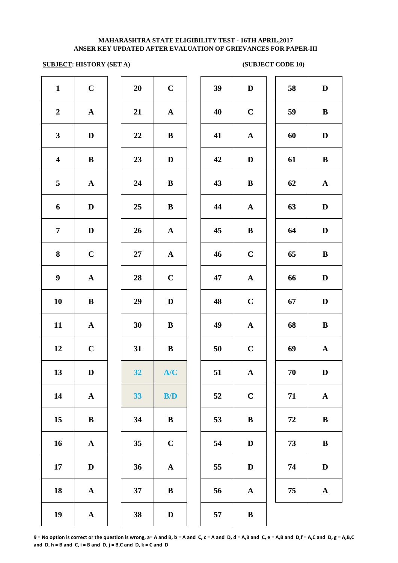### **SUBJECT: HISTORY (SET A)** (SUBJECT CODE 10)

| $\mathbf{1}$            | $\mathbf C$ | 20 | $\mathbf C$             | 39 | $\mathbf D$  | 58         | $\mathbf{D}$ |
|-------------------------|-------------|----|-------------------------|----|--------------|------------|--------------|
| $\boldsymbol{2}$        | ${\bf A}$   | 21 | ${\bf A}$               | 40 | $\bf C$      | 59         | $\bf{B}$     |
| $\mathbf{3}$            | $\mathbf D$ | 22 | $\, {\bf B}$            | 41 | $\mathbf{A}$ | 60         | $\mathbf{D}$ |
| $\overline{\mathbf{4}}$ | $\bf{B}$    | 23 | $\mathbf{D}$            | 42 | $\mathbf D$  | 61         | $\bf{B}$     |
| 5                       | ${\bf A}$   | 24 | ${\bf B}$               | 43 | $\bf{B}$     | 62         | $\mathbf A$  |
| 6                       | $\mathbf D$ | 25 | $\bf{B}$                | 44 | ${\bf A}$    | 63         | $\mathbf{D}$ |
| $\overline{7}$          | $\mathbf D$ | 26 | $\mathbf{A}$            | 45 | $\bf{B}$     | 64         | $\mathbf{D}$ |
| 8                       | $\mathbf C$ | 27 | $\mathbf{A}$            | 46 | $\mathbf C$  | 65         | $\bf{B}$     |
| $\boldsymbol{9}$        | ${\bf A}$   | 28 | $\mathbf C$             | 47 | $\mathbf A$  | 66         | $\mathbf{D}$ |
| 10                      | $\bf{B}$    | 29 | $\mathbf D$             | 48 | $\mathbf C$  | 67         | $\mathbf D$  |
| 11                      | ${\bf A}$   | 30 | ${\bf B}$               | 49 | ${\bf A}$    | 68         | $\bf{B}$     |
| 12                      | $\mathbf C$ | 31 | $\bf{B}$                | 50 | $\mathbf C$  | 69         | $\mathbf A$  |
| 13                      | $\mathbf D$ | 32 | A/C                     | 51 | $\mathbf{A}$ | $70\,$     | $\mathbf{D}$ |
| 14                      | ${\bf A}$   | 33 | $\mathbf{B}/\mathbf{D}$ | 52 | $\mathbf C$  | 71         | $\mathbf A$  |
| 15                      | ${\bf B}$   | 34 | ${\bf B}$               | 53 | $\, {\bf B}$ | ${\bf 72}$ | $\bf{B}$     |
| 16                      | ${\bf A}$   | 35 | $\mathbf C$             | 54 | $\mathbf D$  | 73         | $\bf{B}$     |
| 17                      | $\mathbf D$ | 36 | ${\bf A}$               | 55 | $\mathbf D$  | 74         | $\mathbf{D}$ |
| 18                      | ${\bf A}$   | 37 | $\bf{B}$                | 56 | $\mathbf{A}$ | 75         | $\mathbf A$  |
| 19                      | ${\bf A}$   | 38 | $\mathbf D$             | 57 | $\, {\bf B}$ |            |              |
|                         |             |    |                         |    |              |            |              |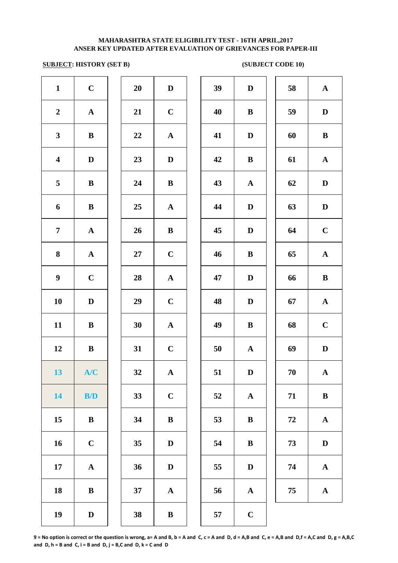# **SUBJECT: HISTORY (SET B)** (SUBJECT CODE 10)

| $\mathbf{1}$            | $\mathbf C$  | 20     | $\mathbf D$           | 39     | $\mathbf{D}$ |
|-------------------------|--------------|--------|-----------------------|--------|--------------|
| $\boldsymbol{2}$        | ${\bf A}$    | 21     | $\mathbf C$           | 40     | $\bf{B}$     |
| $\mathbf{3}$            | $\, {\bf B}$ | 22     | $\mathbf A$           | 41     | $\mathbf{D}$ |
| $\overline{\mathbf{4}}$ | $\mathbf D$  | 23     | $\mathbf D$           | 42     | $\bf{B}$     |
| 5                       | $\bf{B}$     | 24     | $\bf{B}$              | 43     | $\mathbf A$  |
| 6                       | $\bf{B}$     | 25     | ${\bf A}$             | 44     | $\bf{D}$     |
| $\overline{7}$          | ${\bf A}$    | 26     | $\bf{B}$              | 45     | $\mathbf{D}$ |
| 8                       | ${\bf A}$    | $27\,$ | $\mathbf C$           | 46     | $\bf{B}$     |
| $\boldsymbol{9}$        | $\mathbf C$  | 28     | ${\bf A}$             | 47     | $\mathbf{D}$ |
| 10                      | $\mathbf D$  | 29     | $\mathbf C$           | 48     | $\mathbf{D}$ |
| 11                      | $\, {\bf B}$ | 30     | $\boldsymbol{\rm{A}}$ | 49     | $\bf{B}$     |
| 12                      | $\, {\bf B}$ | 31     | $\mathbf C$           | $50\,$ | $\mathbf A$  |
| 13 <sup>7</sup>         | A/C          | 32     | ${\bf A}$             | 51     | $\mathbf{D}$ |
| 14                      | B/D          | 33     | $\mathbf C$           | 52     | $\mathbf A$  |
| 15                      | ${\bf B}$    | 34     | $\, {\bf B}$          | 53     | $\bf{B}$     |
| 16                      | $\mathbf C$  | 35     | $\mathbf D$           | 54     | $\bf{B}$     |
| 17                      | $\mathbf A$  | 36     | $\mathbf D$           | 55     | $\mathbf{D}$ |
| 18                      | $\, {\bf B}$ | 37     | ${\bf A}$             | 56     | $\mathbf A$  |
| 19                      | $\mathbf D$  | 38     | $\, {\bf B}$          | 57     | $\mathbf C$  |
|                         |              |        |                       |        |              |

| 20 | D                       |  |
|----|-------------------------|--|
| 21 | $\mathbf C$             |  |
| 22 | $\mathbf{A}$            |  |
| 23 | $\mathbf D$             |  |
| 24 | B                       |  |
| 25 | A                       |  |
| 26 | B                       |  |
| 27 | $\mathbf C$             |  |
| 28 | $\mathbf A$             |  |
| 29 | $\mathbf C$             |  |
| 30 | $\overline{\mathbf{A}}$ |  |
| 31 | $\mathbf C$             |  |
| 32 | $\overline{\mathbf{A}}$ |  |
| 33 | $\mathbf C$             |  |
| 34 | B                       |  |
| 35 | D                       |  |
| 36 | D                       |  |
| 37 | A                       |  |
|    |                         |  |

| $\mathbf{1}$            | $\mathbf C$  | 20 | $\mathbf D$  | 39 | $\mathbf D$  | 58 | $\mathbf A$  |
|-------------------------|--------------|----|--------------|----|--------------|----|--------------|
| $\overline{2}$          | $\mathbf A$  | 21 | $\mathbf C$  | 40 | $\bf{B}$     | 59 | $\mathbf D$  |
| $\mathbf{3}$            | $\bf{B}$     | 22 | ${\bf A}$    | 41 | $\mathbf D$  | 60 | $\, {\bf B}$ |
| $\overline{\mathbf{4}}$ | $\mathbf D$  | 23 | $\mathbf D$  | 42 | $\bf{B}$     | 61 | $\mathbf{A}$ |
| $\overline{\mathbf{5}}$ | $\bf{B}$     | 24 | $\bf{B}$     | 43 | ${\bf A}$    | 62 | $\mathbf D$  |
| 6                       | $\bf{B}$     | 25 | $\mathbf{A}$ | 44 | D            | 63 | $\mathbf D$  |
| $\overline{7}$          | $\mathbf{A}$ | 26 | $\, {\bf B}$ | 45 | D            | 64 | $\mathbf C$  |
| 8                       | ${\bf A}$    | 27 | $\mathbf C$  | 46 | $\bf{B}$     | 65 | ${\bf A}$    |
| $\boldsymbol{9}$        | $\mathbf C$  | 28 | ${\bf A}$    | 47 | $\mathbf D$  | 66 | $\, {\bf B}$ |
| 10                      | $\mathbf D$  | 29 | $\mathbf C$  | 48 | $\mathbf D$  | 67 | ${\bf A}$    |
| 11                      | $\bf{B}$     | 30 | ${\bf A}$    | 49 | $\bf{B}$     | 68 | $\mathbf C$  |
| 12                      | $\bf{B}$     | 31 | $\mathbf C$  | 50 | $\mathbf{A}$ | 69 | $\mathbf D$  |
| 13                      | A/C          | 32 | ${\bf A}$    | 51 | $\mathbf D$  | 70 | $\mathbf{A}$ |
| 14                      | B/D          | 33 | $\mathbf C$  | 52 | $\mathbf{A}$ | 71 | $\bf{B}$     |
| 15                      | ${\bf B}$    | 34 | $\bf{B}$     | 53 | $\bf{B}$     | 72 | ${\bf A}$    |
| 16                      | $\mathbf C$  | 35 | $\mathbf D$  | 54 | $\bf{B}$     | 73 | $\mathbf D$  |
| 17                      | $\mathbf{A}$ | 36 | $\mathbf{D}$ | 55 | $\mathbf D$  | 74 | ${\bf A}$    |
| 18                      | $\bf{B}$     | 37 | $\mathbf A$  | 56 | ${\bf A}$    | 75 | ${\bf A}$    |
| 19                      | $\mathbf D$  | 38 | $\, {\bf B}$ | 57 | $\mathbf C$  |    |              |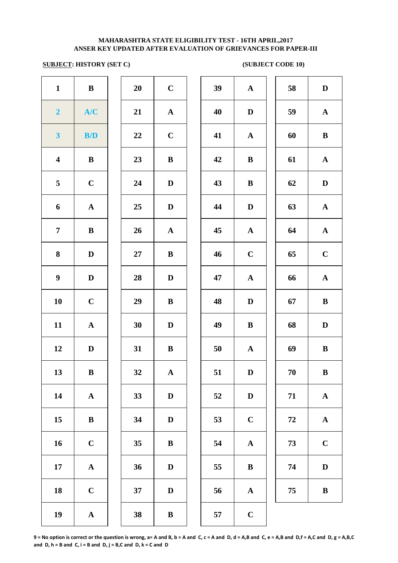# **SUBJECT: HISTORY (SET C)** (SUBJECT CODE 10)

| $\mathbf{1}$            | $\bf{B}$     | 20 | $\mathbf C$  | 39 | ${\bf A}$    | 58     | $\mathbf{D}$ |
|-------------------------|--------------|----|--------------|----|--------------|--------|--------------|
| $\overline{2}$          | A/C          | 21 | ${\bf A}$    | 40 | $\mathbf D$  | 59     | $\mathbf A$  |
| $\overline{\mathbf{3}}$ | B/D          | 22 | $\mathbf C$  | 41 | ${\bf A}$    | 60     | $\bf{B}$     |
| $\overline{\mathbf{4}}$ | $\bf{B}$     | 23 | $\, {\bf B}$ | 42 | $\bf{B}$     | 61     | $\mathbf A$  |
| 5                       | $\mathbf C$  | 24 | $\mathbf D$  | 43 | $\bf{B}$     | 62     | $\mathbf{D}$ |
| 6                       | $\mathbf{A}$ | 25 | $\mathbf D$  | 44 | $\mathbf D$  | 63     | $\mathbf A$  |
| $\overline{7}$          | $\bf{B}$     | 26 | ${\bf A}$    | 45 | $\mathbf{A}$ | 64     | $\mathbf A$  |
| 8                       | $\mathbf D$  | 27 | $\bf{B}$     | 46 | $\mathbf C$  | 65     | $\mathbf C$  |
| $\boldsymbol{9}$        | $\mathbf D$  | 28 | $\mathbf{D}$ | 47 | ${\bf A}$    | 66     | $\mathbf A$  |
| 10                      | $\mathbf C$  | 29 | $\bf{B}$     | 48 | $\mathbf D$  | 67     | $\bf{B}$     |
| 11                      | ${\bf A}$    | 30 | $\mathbf D$  | 49 | $\bf{B}$     | 68     | $\mathbf{D}$ |
| 12                      | $\mathbf D$  | 31 | ${\bf B}$    | 50 | ${\bf A}$    | 69     | $\bf{B}$     |
| 13                      | $\bf{B}$     | 32 | $\mathbf{A}$ | 51 | D            | 70     | B            |
| 14                      | ${\bf A}$    | 33 | $\mathbf D$  | 52 | $\mathbf D$  | 71     | $\mathbf A$  |
| 15                      | $\bf{B}$     | 34 | $\mathbf D$  | 53 | $\mathbf C$  | $72\,$ | $\mathbf A$  |
| 16                      | $\mathbf C$  | 35 | $\, {\bf B}$ | 54 | ${\bf A}$    | 73     | $\mathbf C$  |
| 17                      | ${\bf A}$    | 36 | $\mathbf D$  | 55 | $\bf{B}$     | 74     | $\mathbf{D}$ |
| 18                      | $\mathbf C$  | 37 | $\mathbf D$  | 56 | ${\bf A}$    | 75     | $\bf{B}$     |
| 19                      | ${\bf A}$    | 38 | $\, {\bf B}$ | 57 | $\mathbf C$  |        |              |
|                         |              |    |              |    |              |        |              |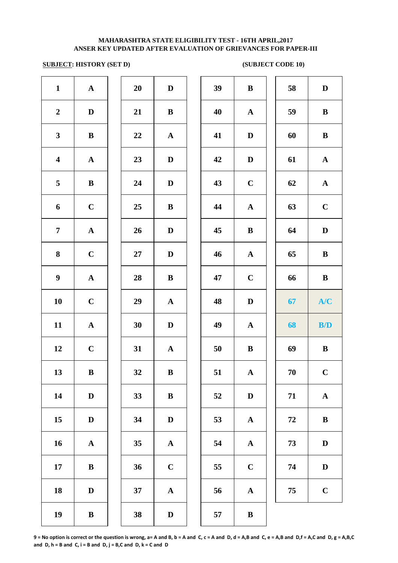### **SUBJECT: HISTORY (SET D)** (SUBJECT CODE 10)

| $\mathbf{1}$            | ${\bf A}$    | 20 | $\mathbf D$  | 39 | $\bf{B}$     | 58         | D            |
|-------------------------|--------------|----|--------------|----|--------------|------------|--------------|
| $\boldsymbol{2}$        | $\mathbf D$  | 21 | $\, {\bf B}$ | 40 | ${\bf A}$    | 59         | $\bf{B}$     |
| $\mathbf{3}$            | $\, {\bf B}$ | 22 | ${\bf A}$    | 41 | $\mathbf D$  | 60         | $\bf{B}$     |
| $\overline{\mathbf{4}}$ | ${\bf A}$    | 23 | $\mathbf{D}$ | 42 | $\mathbf D$  | 61         | ${\bf A}$    |
| 5                       | $\, {\bf B}$ | 24 | $\mathbf{D}$ | 43 | $\mathbf C$  | 62         | ${\bf A}$    |
| 6                       | $\mathbf C$  | 25 | $\bf{B}$     | 44 | $\mathbf A$  | 63         | $\mathbf C$  |
| $\overline{7}$          | ${\bf A}$    | 26 | $\mathbf D$  | 45 | $\bf{B}$     | 64         | D            |
| 8                       | $\mathbf C$  | 27 | $\mathbf D$  | 46 | $\mathbf{A}$ | 65         | $\bf{B}$     |
| $\boldsymbol{9}$        | ${\bf A}$    | 28 | $\bf{B}$     | 47 | $\mathbf C$  | 66         | $\bf{B}$     |
| 10                      | $\mathbf C$  | 29 | $\mathbf A$  | 48 | $\mathbf D$  | 67         | A/C          |
| 11                      | ${\bf A}$    | 30 | $\mathbf D$  | 49 | $\mathbf A$  | 68         | B/D          |
| 12                      | $\mathbf C$  | 31 | ${\bf A}$    | 50 | $\bf{B}$     | 69         | $\bf{B}$     |
| 13                      | $\, {\bf B}$ | 32 | $\, {\bf B}$ | 51 | ${\bf A}$    | 70         | $\bf C$      |
| 14                      | $\mathbf D$  | 33 | $\, {\bf B}$ | 52 | $\mathbf D$  | 71         | ${\bf A}$    |
| 15                      | $\mathbf D$  | 34 | $\mathbf D$  | 53 | $\mathbf A$  | ${\bf 72}$ | $\, {\bf B}$ |
| 16                      | ${\bf A}$    | 35 | ${\bf A}$    | 54 | ${\bf A}$    | 73         | D            |
| 17                      | $\, {\bf B}$ | 36 | $\mathbf C$  | 55 | $\mathbf C$  | 74         | D            |
| 18                      | $\mathbf D$  | 37 | ${\bf A}$    | 56 | $\mathbf{A}$ | 75         | $\mathbf C$  |
| 19                      | $\, {\bf B}$ | 38 | $\mathbf D$  | 57 | $\, {\bf B}$ |            |              |
|                         |              |    |              |    |              |            |              |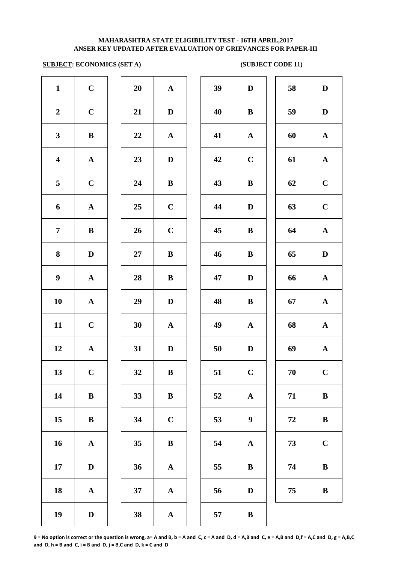### **SUBJECT: ECONOMICS (SET A)** (SUBJECT CODE 11)

| $\mathbf{1}$            | $\mathbf C$  | 20        | ${\bf A}$    | 39 | $\mathbf D$      | 58         | $\mathbf D$  |
|-------------------------|--------------|-----------|--------------|----|------------------|------------|--------------|
| $\boldsymbol{2}$        | $\mathbf C$  | 21        | $\mathbf D$  | 40 | $\bf{B}$         | 59         | $\mathbf{D}$ |
| $\mathbf{3}$            | $\bf{B}$     | 22        | $\mathbf{A}$ | 41 | $\mathbf{A}$     | 60         | $\mathbf A$  |
| $\overline{\mathbf{4}}$ | ${\bf A}$    | 23        | $\mathbf D$  | 42 | $\mathbf C$      | 61         | $\mathbf A$  |
| 5                       | $\mathbf C$  | 24        | $\bf{B}$     | 43 | $\, {\bf B}$     | 62         | $\mathbf C$  |
| 6                       | ${\bf A}$    | 25        | $\mathbf C$  | 44 | $\mathbf D$      | 63         | $\mathbf C$  |
| $\overline{7}$          | $\bf{B}$     | 26        | $\mathbf C$  | 45 | $\bf{B}$         | 64         | $\mathbf A$  |
| 8                       | $\mathbf{D}$ | $27\,$    | $\bf{B}$     | 46 | $\, {\bf B}$     | 65         | D            |
| $\boldsymbol{9}$        | ${\bf A}$    | 28        | $\bf{B}$     | 47 | $\mathbf D$      | 66         | $\mathbf A$  |
| 10                      | ${\bf A}$    | 29        | $\mathbf D$  | 48 | $\, {\bf B}$     | 67         | $\mathbf A$  |
| 11                      | $\mathbf C$  | 30        | ${\bf A}$    | 49 | $\mathbf{A}$     | 68         | $\mathbf A$  |
| 12                      | ${\bf A}$    | 31        | $\mathbf{D}$ | 50 | $\mathbf D$      | 69         | $\mathbf A$  |
| 13                      | $\mathbf C$  | <b>32</b> | B            | 51 | $\mathbf C$      | 70         | $\mathbf C$  |
| 14                      | $\bf{B}$     | 33        | $\bf{B}$     | 52 | ${\bf A}$        | 71         | $\bf{B}$     |
| 15                      | $\bf{B}$     | 34        | $\bf C$      | 53 | $\boldsymbol{9}$ | ${\bf 72}$ | $\bf{B}$     |
| 16                      | ${\bf A}$    | 35        | $\bf{B}$     | 54 | $\mathbf A$      | 73         | $\mathbf C$  |
| 17                      | $\mathbf D$  | 36        | ${\bf A}$    | 55 | $\bf{B}$         | 74         | $\bf{B}$     |
| 18                      | ${\bf A}$    | 37        | ${\bf A}$    | 56 | $\mathbf D$      | 75         | $\bf{B}$     |
| 19                      | $\mathbf D$  | 38        | ${\bf A}$    | 57 | $\, {\bf B}$     |            |              |
|                         |              |           |              |    |                  |            |              |

| 39 | $\mathbf D$           | 58 | $\mathbf D$ |
|----|-----------------------|----|-------------|
| 40 | $\bf{B}$              | 59 | $\mathbf D$ |
| 41 | ${\bf A}$             | 60 | $\mathbf A$ |
| 42 | $\mathbf C$           | 61 | ${\bf A}$   |
| 43 | B                     | 62 | $\mathbf C$ |
| 44 | $\mathbf D$           | 63 | $\mathbf C$ |
| 45 | B                     | 64 | ${\bf A}$   |
| 46 | $\bf{B}$              | 65 | $\mathbf D$ |
| 47 | $\mathbf D$           | 66 | ${\bf A}$   |
| 48 | $\bf{B}$              | 67 | ${\bf A}$   |
| 49 | ${\bf A}$             | 68 | ${\bf A}$   |
| 50 | $\mathbf D$           | 69 | $\mathbf A$ |
| 51 | $\mathbf C$           | 70 | $\mathbf C$ |
| 52 | $\boldsymbol{\rm{A}}$ | 71 | $\bf{B}$    |
| 53 | 9                     | 72 | $\bf{B}$    |
| 54 | ${\bf A}$             | 73 | $\mathbf C$ |
| 55 | B                     | 74 | $\bf{B}$    |
| 56 | $\mathbf D$           | 75 | $\bf{B}$    |
| 57 | B                     |    |             |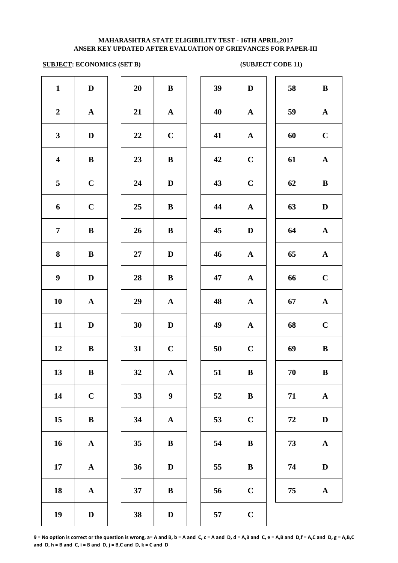### **SUBJECT: ECONOMICS (SET B)** (SUBJECT CODE 11)

| $\mathbf{1}$            | $\mathbf D$           | 20 | $\, {\bf B}$     | 39         | $\mathbf{D}$ |
|-------------------------|-----------------------|----|------------------|------------|--------------|
| $\boldsymbol{2}$        | $\boldsymbol{\rm{A}}$ | 21 | ${\bf A}$        | 40         | $\mathbf A$  |
| $\mathbf{3}$            | $\mathbf D$           | 22 | $\mathbf C$      | 41         | $\mathbf A$  |
| $\overline{\mathbf{4}}$ | $\bf{B}$              | 23 | $\bf{B}$         | 42         | $\mathbf C$  |
| 5                       | $\mathbf C$           | 24 | $\mathbf D$      | 43         | $\mathbf C$  |
| 6                       | $\mathbf C$           | 25 | $\bf{B}$         | 44         | $\mathbf A$  |
| $\overline{7}$          | $\bf{B}$              | 26 | $\bf{B}$         | 45         | $\mathbf{D}$ |
| $\bf{8}$                | $\, {\bf B}$          | 27 | $\mathbf D$      | 46         | $\mathbf A$  |
| $\boldsymbol{9}$        | $\mathbf D$           | 28 | $\, {\bf B}$     | 47         | $\mathbf A$  |
| ${\bf 10}$              | $\boldsymbol{\rm{A}}$ | 29 | $\mathbf A$      | 48         | $\mathbf{A}$ |
| 11                      | $\mathbf D$           | 30 | $\mathbf D$      | 49         | $\mathbf{A}$ |
| 12                      | $\, {\bf B}$          | 31 | $\mathbf C$      | 50         | $\mathbf C$  |
| 13                      | $\bf{B}$              | 32 | ${\bf A}$        | 51         | $\bf{B}$     |
| 14                      | $\mathbf C$           | 33 | $\boldsymbol{9}$ | 52         | $\bf{B}$     |
| 15                      | $\bf{B}$              | 34 | $\mathbf A$      | 53         | $\mathbf C$  |
| 16                      | ${\bf A}$             | 35 | $\, {\bf B}$     | 54         | $\bf{B}$     |
| 17                      | $\boldsymbol{\rm{A}}$ | 36 | $\mathbf D$      | 55         | $\bf{B}$     |
| 18                      | $\boldsymbol{\rm{A}}$ | 37 | $\, {\bf B}$     | 56         | $\mathbf C$  |
| 19                      | $\mathbf D$           | 38 | $\mathbf{D}%$    | ${\bf 57}$ | $\mathbf C$  |
|                         |                       |    |                  |            |              |

| 20 | B                       |
|----|-------------------------|
| 21 | $\mathbf{A}$            |
| 22 | $\mathbf C$             |
| 23 | B                       |
| 24 | D                       |
| 25 | B                       |
| 26 | B                       |
| 27 | D                       |
| 28 | B                       |
|    |                         |
| 29 | $\mathbf A$             |
| 30 | D                       |
| 31 | $\overline{\mathbf{C}}$ |
| 32 | A                       |
| 33 | 9                       |
| 34 | $\mathbf A$             |
| 35 | B                       |
| 36 | D                       |
| 37 | B                       |

| $\mathbf{1}$            | $\mathbf D$  | 20 | $\, {\bf B}$     | 39                 | $\mathbf D$  | 58 | $\, {\bf B}$ |
|-------------------------|--------------|----|------------------|--------------------|--------------|----|--------------|
| $\overline{2}$          | $\mathbf{A}$ | 21 | ${\bf A}$        | 40                 | $\mathbf{A}$ | 59 | ${\bf A}$    |
| $\mathbf{3}$            | D            | 22 | $\mathbf C$      | 41                 | ${\bf A}$    | 60 | $\mathbf C$  |
| $\overline{\mathbf{4}}$ | $\bf{B}$     | 23 | $\bf{B}$         | 42                 | $\mathbf C$  | 61 | ${\bf A}$    |
| $\overline{5}$          | $\mathbf C$  | 24 | D                | 43                 | $\mathbf C$  | 62 | $\bf{B}$     |
| 6                       | $\mathbf C$  | 25 | $\bf{B}$         | 44                 | ${\bf A}$    | 63 | D            |
| $\overline{7}$          | $\, {\bf B}$ | 26 | $\bf{B}$         | 45                 | $\mathbf D$  | 64 | ${\bf A}$    |
| 8                       | $\bf{B}$     | 27 | $\mathbf D$      | 46                 | $\mathbf{A}$ | 65 | ${\bf A}$    |
| $\boldsymbol{9}$        | $\mathbf D$  | 28 | $\bf{B}$         | 47                 | ${\bf A}$    | 66 | $\mathbf C$  |
| 10                      | ${\bf A}$    | 29 | ${\bf A}$        | 48                 | ${\bf A}$    | 67 | ${\bf A}$    |
| 11                      | $\mathbf D$  | 30 | $\mathbf D$      | 49                 | ${\bf A}$    | 68 | $\mathbf C$  |
| 12                      | $\bf{B}$     | 31 | $\mathbf C$      | 50                 | $\mathbf C$  | 69 | $\bf{B}$     |
| 13                      | $\bf{B}$     | 32 | ${\bf A}$        | 51                 | $\, {\bf B}$ | 70 | $\bf{B}$     |
| 14                      | $\mathbf C$  | 33 | $\boldsymbol{9}$ | 52                 | B            | 71 | ${\bf A}$    |
| 15                      | $\, {\bf B}$ | 34 | ${\bf A}$        | 53                 | $\mathbf C$  | 72 | $\mathbf D$  |
| 16                      | ${\bf A}$    | 35 | $\bf{B}$         | 54                 | $\bf{B}$     | 73 | ${\bf A}$    |
| 17                      | ${\bf A}$    | 36 | $\mathbf D$      | 55                 | $\bf{B}$     | 74 | $\mathbf D$  |
| 18                      | ${\bf A}$    | 37 | $\bf{B}$         | 56                 | $\mathbf C$  | 75 | ${\bf A}$    |
| 10                      | $\mathbf{r}$ | 20 | $\mathbf{r}$     | $E_{\overline{z}}$ |              |    |              |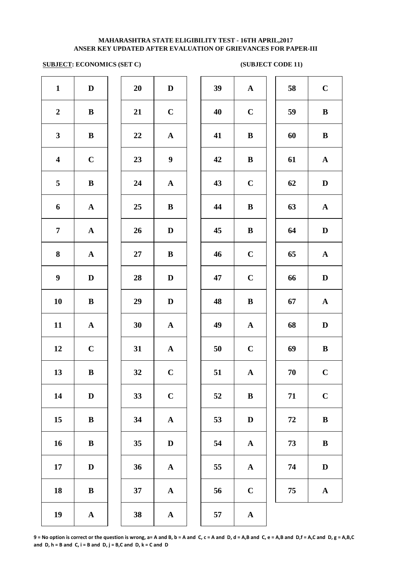### **SUBJECT: ECONOMICS (SET C)** (SUBJECT CODE 11)

| $\mathbf{1}$            | $\mathbf D$           | 20     | $\mathbf D$           | 39     | $\mathbf A$ |
|-------------------------|-----------------------|--------|-----------------------|--------|-------------|
| $\boldsymbol{2}$        | $\, {\bf B}$          | 21     | $\mathbf C$           | 40     | $\mathbf C$ |
| $\mathbf{3}$            | $\, {\bf B}$          | 22     | $\mathbf A$           | 41     | $\bf{B}$    |
| $\overline{\mathbf{4}}$ | $\mathbf C$           | 23     | $\boldsymbol{9}$      | 42     | $\bf{B}$    |
| 5                       | $\bf{B}$              | 24     | $\mathbf A$           | 43     | $\mathbf C$ |
| 6                       | ${\bf A}$             | 25     | $\bf{B}$              | 44     | $\bf{B}$    |
| $\overline{7}$          | ${\bf A}$             | 26     | $\mathbf D$           | 45     | $\bf{B}$    |
| 8                       | ${\bf A}$             | $27\,$ | $\bf{B}$              | 46     | $\mathbf C$ |
| $\boldsymbol{9}$        | ${\bf D}$             | 28     | $\mathbf D$           | 47     | $\mathbf C$ |
| 10                      | $\, {\bf B}$          | 29     | $\mathbf D$           | 48     | $\bf{B}$    |
| 11                      | $\boldsymbol{\rm{A}}$ | 30     | $\boldsymbol{\rm{A}}$ | 49     | $\mathbf A$ |
| 12                      | $\mathbf C$           | 31     | $\boldsymbol{\rm{A}}$ | $50\,$ | $\mathbf C$ |
| 13                      | $\bf{B}$              | 32     | $\mathbf C$           | 51     | $\mathbf A$ |
| 14                      | $\mathbf D$           | 33     | $\mathbf C$           | 52     | $\bf{B}$    |
| 15                      | $\bf{B}$              | 34     | $\mathbf A$           | 53     | $\bf{D}$    |
| 16                      | $\bf{B}$              | 35     | $\mathbf D$           | 54     | $\mathbf A$ |
| 17                      | $\mathbf D$           | 36     | $\mathbf A$           | 55     | $\mathbf A$ |
| 18                      | $\, {\bf B}$          | 37     | $\mathbf A$           | 56     | $\mathbf C$ |
| 19                      | $\boldsymbol{\rm{A}}$ | 38     | $\boldsymbol{\rm{A}}$ | 57     | $\mathbf A$ |
|                         |                       |        |                       |        |             |

| 20 | D                       |  |
|----|-------------------------|--|
| 21 | $\mathbf C$             |  |
| 22 | $\mathbf{A}$            |  |
| 23 | 9                       |  |
| 24 | $\mathbf A$             |  |
| 25 | B                       |  |
| 26 | D                       |  |
| 27 | B                       |  |
| 28 | D                       |  |
| 29 | D                       |  |
| 30 | $\mathbf{A}$            |  |
| 31 | $\overline{\mathbf{A}}$ |  |
| 32 | $\overline{\mathbf{C}}$ |  |
| 33 | $\mathbf C$             |  |
| 34 | A                       |  |
| 35 | D                       |  |
| 36 | A                       |  |
| 37 | A                       |  |
|    |                         |  |

| $\mathbf{1}$            | $\mathbf D$  | 20     | $\mathbf D$      | 39 | ${\bf A}$    | 58 | $\mathbf C$  |
|-------------------------|--------------|--------|------------------|----|--------------|----|--------------|
| $\overline{2}$          | $\bf{B}$     | 21     | $\mathbf C$      | 40 | $\mathbf C$  | 59 | $\bf{B}$     |
| $\mathbf{3}$            | ${\bf B}$    | 22     | ${\bf A}$        | 41 | $\bf{B}$     | 60 | $\, {\bf B}$ |
| $\overline{\mathbf{4}}$ | $\mathbf C$  | 23     | $\boldsymbol{9}$ | 42 | $\bf{B}$     | 61 | ${\bf A}$    |
| 5                       | $\, {\bf B}$ | 24     | ${\bf A}$        | 43 | $\mathbf C$  | 62 | $\mathbf D$  |
| 6                       | ${\bf A}$    | 25     | $\, {\bf B}$     | 44 | $\, {\bf B}$ | 63 | ${\bf A}$    |
| $\overline{7}$          | ${\bf A}$    | 26     | D                | 45 | $\, {\bf B}$ | 64 | $\mathbf D$  |
| $\boldsymbol{8}$        | ${\bf A}$    | $27\,$ | $\, {\bf B}$     | 46 | $\mathbf C$  | 65 | ${\bf A}$    |
| $\boldsymbol{9}$        | D            | 28     | $\mathbf D$      | 47 | $\mathbf C$  | 66 | $\mathbf D$  |
| 10                      | $\bf{B}$     | 29     | $\mathbf D$      | 48 | $\bf{B}$     | 67 | ${\bf A}$    |
| 11                      | $\mathbf A$  | 30     | ${\bf A}$        | 49 | ${\bf A}$    | 68 | ${\bf D}$    |
| 12                      | $\mathbf C$  | 31     | $\mathbf{A}$     | 50 | $\mathbf C$  | 69 | $\bf{B}$     |
| 13                      | $\, {\bf B}$ | 32     | $\mathbf C$      | 51 | $\mathbf A$  | 70 | $\mathbf C$  |
| 14                      | D            | 33     | $\mathbf C$      | 52 | $\bf{B}$     | 71 | $\mathbf C$  |
| 15                      | ${\bf B}$    | 34     | ${\bf A}$        | 53 | D            | 72 | $\bf{B}$     |
| 16                      | $\bf{B}$     | 35     | $\mathbf D$      | 54 | ${\bf A}$    | 73 | $\bf{B}$     |
| 17                      | D            | 36     | ${\bf A}$        | 55 | $\mathbf A$  | 74 | $\mathbf D$  |
| 18                      | $\, {\bf B}$ | 37     | ${\bf A}$        | 56 | $\mathbf C$  | 75 | ${\bf A}$    |
| 10                      |              | 38     |                  | 57 |              |    |              |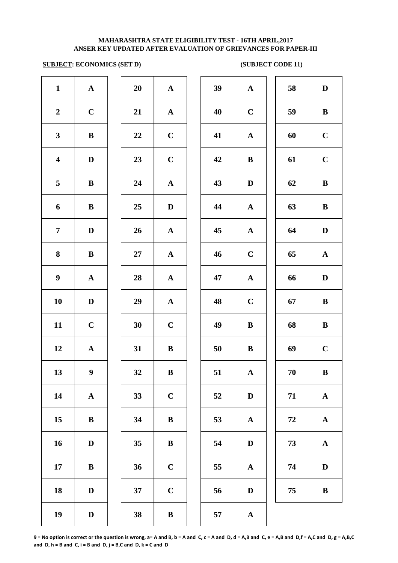# **SUBJECT: ECONOMICS (SET D) (SUBJECT CODE 11)**

| $\mathbf{1}$            | ${\bf A}$             | 20     | $\mathbf A$           | 39 | $\mathbf A$  |
|-------------------------|-----------------------|--------|-----------------------|----|--------------|
| $\boldsymbol{2}$        | $\mathbf C$           | 21     | $\mathbf A$           | 40 | $\mathbf C$  |
| $\mathbf{3}$            | $\, {\bf B}$          | 22     | $\mathbf C$           | 41 | $\mathbf A$  |
| $\overline{\mathbf{4}}$ | $\mathbf D$           | 23     | $\mathbf C$           | 42 | $\bf{B}$     |
| 5                       | $\, {\bf B}$          | 24     | $\boldsymbol{\rm{A}}$ | 43 | $\mathbf{D}$ |
| 6                       | $\, {\bf B}$          | 25     | $\mathbf D$           | 44 | $\mathbf A$  |
| $\overline{7}$          | $\mathbf D$           | 26     | $\boldsymbol{\rm{A}}$ | 45 | $\mathbf A$  |
| 8                       | $\bf{B}$              | $27\,$ | ${\bf A}$             | 46 | $\mathbf C$  |
| $\boldsymbol{9}$        | ${\bf A}$             | 28     | ${\bf A}$             | 47 | $\mathbf A$  |
| 10                      | ${\bf D}$             | 29     | $\mathbf A$           | 48 | $\mathbf C$  |
| 11                      | $\mathbf C$           | 30     | $\mathbf C$           | 49 | $\bf{B}$     |
| 12                      | $\boldsymbol{\rm{A}}$ | 31     | $\, {\bf B}$          | 50 | $\bf{B}$     |
| 13                      | $\boldsymbol{9}$      | 32     | $\, {\bf B}$          | 51 | $\mathbf A$  |
| 14                      | ${\bf A}$             | 33     | $\mathbf C$           | 52 | $\mathbf{D}$ |
| 15                      | $\bf{B}$              | 34     | $\, {\bf B}$          | 53 | $\mathbf A$  |
| 16                      | $\mathbf D$           | 35     | $\, {\bf B}$          | 54 | $\bf{D}$     |
| 17                      | $\bf{B}$              | 36     | $\mathbf C$           | 55 | $\mathbf A$  |
| 18                      | $\mathbf D$           | 37     | $\mathbf C$           | 56 | $\bf{D}$     |
| 19                      | $\mathbf D$           | 38     | $\, {\bf B}$          | 57 | $\mathbf A$  |
|                         |                       |        |                       |    |              |

| 20 | $\overline{\mathbf{A}}$ |  |
|----|-------------------------|--|
| 21 | $\mathbf A$             |  |
| 22 | $\mathbf C$             |  |
| 23 | $\mathbf C$             |  |
| 24 | $\mathbf{A}$            |  |
| 25 | D                       |  |
| 26 | $\mathbf A$             |  |
| 27 | $\mathbf A$             |  |
| 28 | ${\bf A}$               |  |
| 29 | $\mathbf A$             |  |
| 30 | $\mathbf C$             |  |
| 31 | B                       |  |
| 32 | B                       |  |
| 33 | $\mathbf C$             |  |
| 34 | B                       |  |
| 35 | B                       |  |
| 36 | $\mathbf C$             |  |
| 37 | $\overline{\mathbf{C}}$ |  |
|    |                         |  |

| $\mathbf{1}$            | ${\bf A}$        | 20 | ${\bf A}$    | 39 | ${\bf A}$    | 58     | $\mathbf D$  |
|-------------------------|------------------|----|--------------|----|--------------|--------|--------------|
| $\overline{2}$          | $\mathbf C$      | 21 | ${\bf A}$    | 40 | $\mathbf C$  | 59     | $\, {\bf B}$ |
| $\mathbf{3}$            | $\, {\bf B}$     | 22 | $\mathbf C$  | 41 | $\mathbf{A}$ | 60     | $\mathbf C$  |
| $\overline{\mathbf{4}}$ | $\mathbf D$      | 23 | $\mathbf C$  | 42 | $\bf{B}$     | 61     | $\mathbf C$  |
| $5\phantom{.0}$         | $\bf{B}$         | 24 | ${\bf A}$    | 43 | $\mathbf D$  | 62     | $\, {\bf B}$ |
| $\boldsymbol{6}$        | $\bf{B}$         | 25 | $\mathbf{D}$ | 44 | ${\bf A}$    | 63     | $\, {\bf B}$ |
| $\overline{7}$          | D                | 26 | $\mathbf{A}$ | 45 | $\mathbf{A}$ | 64     | $\mathbf D$  |
| 8                       | $\bf{B}$         | 27 | $\mathbf{A}$ | 46 | $\mathbf C$  | 65     | ${\bf A}$    |
| $\boldsymbol{9}$        | $\mathbf{A}$     | 28 | $\mathbf{A}$ | 47 | $\mathbf{A}$ | 66     | $\mathbf D$  |
| 10                      | $\mathbf D$      | 29 | $\mathbf A$  | 48 | $\mathbf C$  | 67     | $\, {\bf B}$ |
| 11                      | $\mathbf C$      | 30 | $\mathbf C$  | 49 | $\bf{B}$     | 68     | $\, {\bf B}$ |
| 12                      | $\mathbf A$      | 31 | $\bf{B}$     | 50 | $\bf{B}$     | 69     | $\mathbf C$  |
| 13                      | $\boldsymbol{9}$ | 32 | $\, {\bf B}$ | 51 | $\mathbf A$  | $70\,$ | $\, {\bf B}$ |
| 14                      | ${\bf A}$        | 33 | $\bf C$      | 52 | $\mathbf D$  | 71     | ${\bf A}$    |
| 15                      | $\bf{B}$         | 34 | $\bf{B}$     | 53 | $\mathbf{A}$ | 72     | ${\bf A}$    |
| 16                      | D                | 35 | $\bf{B}$     | 54 | $\mathbf D$  | 73     | ${\bf A}$    |
| 17                      | $\bf{B}$         | 36 | $\mathbf C$  | 55 | $\mathbf{A}$ | 74     | $\mathbf D$  |
| 18                      | D                | 37 | $\mathbf C$  | 56 | $\mathbf D$  | 75     | $\bf{B}$     |
| 10                      | $\mathbf{D}$     | 38 | $\mathbf{R}$ | 57 | Δ            |        |              |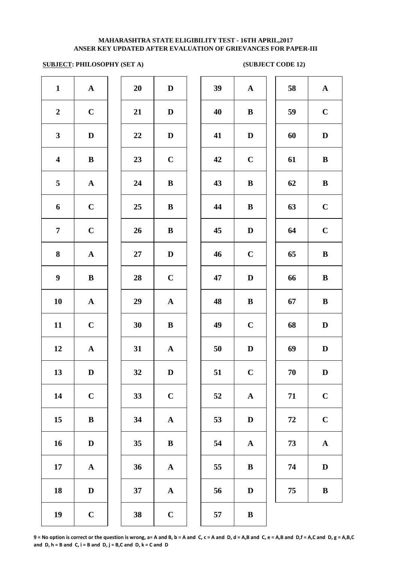### **SUBJECT: PHILOSOPHY (SET A)** (SUBJECT CODE 12)

| $\mathbf{1}$            | ${\bf A}$             | 20     | $\mathbf D$           | 39 | $\mathbf A$ |
|-------------------------|-----------------------|--------|-----------------------|----|-------------|
| $\boldsymbol{2}$        | $\mathbf C$           | 21     | D                     | 40 | $\bf{B}$    |
| $\mathbf{3}$            | $\mathbf D$           | 22     | $\mathbf D$           | 41 | $\mathbf D$ |
| $\overline{\mathbf{4}}$ | $\, {\bf B}$          | 23     | $\mathbf C$           | 42 | $\mathbf C$ |
| 5                       | ${\bf A}$             | 24     | $\, {\bf B}$          | 43 | $\bf{B}$    |
| 6                       | $\mathbf C$           | 25     | $\, {\bf B}$          | 44 | $\bf{B}$    |
| $\overline{7}$          | $\mathbf C$           | 26     | $\, {\bf B}$          | 45 | $\mathbf D$ |
| $\bf{8}$                | $\boldsymbol{\rm{A}}$ | $27\,$ | $\mathbf D$           | 46 | $\mathbf C$ |
| $\boldsymbol{9}$        | $\, {\bf B}$          | 28     | $\mathbf C$           | 47 | $\bf{D}$    |
| 10                      | $\boldsymbol{\rm{A}}$ | 29     | $\boldsymbol{\rm{A}}$ | 48 | $\bf{B}$    |
| 11                      | $\mathbf C$           | 30     | $\, {\bf B}$          | 49 | $\mathbf C$ |
| 12                      | ${\bf A}$             | 31     | ${\bf A}$             | 50 | D           |
| 13                      | $\mathbf D$           | 32     | $\mathbf D$           | 51 | $\mathbf C$ |
| 14                      | $\mathbf C$           | 33     | $\mathbf C$           | 52 | $\mathbf A$ |
| 15                      | $\bf{B}$              | 34     | $\boldsymbol{\rm{A}}$ | 53 | $\mathbf D$ |
| 16                      | $\mathbf D$           | 35     | $\bf{B}$              | 54 | $\mathbf A$ |
| 17                      | $\boldsymbol{\rm{A}}$ | 36     | ${\bf A}$             | 55 | $\bf{B}$    |
| 18                      | $\mathbf D$           | 37     | ${\bf A}$             | 56 | $\bf{D}$    |
| 19                      | $\mathbf C$           | 38     | $\mathbf C$           | 57 | $\bf{B}$    |

| 20 | D                       |  |
|----|-------------------------|--|
| 21 | D                       |  |
| 22 | D                       |  |
| 23 | $\mathbf C$             |  |
| 24 | B                       |  |
| 25 | B                       |  |
| 26 | B                       |  |
| 27 | D                       |  |
| 28 | $\mathbf C$             |  |
| 29 | $\overline{\mathbf{A}}$ |  |
| 30 | B                       |  |
| 31 | $\overline{\mathbf{A}}$ |  |
| 32 | D                       |  |
| 33 | $\mathbf C$             |  |
| 34 | A                       |  |
| 35 | B                       |  |
| 36 | A                       |  |
| 37 | $\mathbf A$             |  |
|    |                         |  |

| $\mathbf{1}$            | ${\bf A}$    | 20     | D            | 39 | ${\bf A}$    | 58 | ${\bf A}$    |
|-------------------------|--------------|--------|--------------|----|--------------|----|--------------|
| $\overline{2}$          | $\mathbf C$  | 21     | D            | 40 | $\bf{B}$     | 59 | $\mathbf C$  |
| $\mathbf{3}$            | $\mathbf D$  | 22     | $\mathbf D$  | 41 | $\mathbf D$  | 60 | $\mathbf D$  |
| $\overline{\mathbf{4}}$ | $\bf{B}$     | 23     | $\mathbf C$  | 42 | $\mathbf C$  | 61 | $\, {\bf B}$ |
| $5\phantom{.0}$         | ${\bf A}$    | 24     | $\, {\bf B}$ | 43 | $\, {\bf B}$ | 62 | $\, {\bf B}$ |
| 6                       | $\mathbf C$  | 25     | $\bf{B}$     | 44 | $\bf{B}$     | 63 | $\mathbf C$  |
| $\overline{7}$          | $\mathbf C$  | 26     | $\bf{B}$     | 45 | $\mathbf D$  | 64 | $\mathbf C$  |
| 8                       | $\mathbf A$  | $27\,$ | $\mathbf{D}$ | 46 | $\mathbf C$  | 65 | $\, {\bf B}$ |
| $\boldsymbol{9}$        | $\bf{B}$     | 28     | $\mathbf C$  | 47 | $\mathbf D$  | 66 | $\, {\bf B}$ |
| 10                      | $\mathbf{A}$ | 29     | $\mathbf{A}$ | 48 | $\, {\bf B}$ | 67 | $\, {\bf B}$ |
| 11                      | $\mathbf C$  | 30     | $\bf{B}$     | 49 | $\mathbf C$  | 68 | $\mathbf D$  |
| 12                      | $\mathbf A$  | 31     | $\mathbf{A}$ | 50 | $\mathbf D$  | 69 | $\mathbf D$  |
| 13                      | D            | 32     | $\mathbf D$  | 51 | $\mathbf C$  | 70 | D            |
| 14                      | $\mathbf C$  | 33     | $\mathbf C$  | 52 | $\mathbf{A}$ | 71 | $\mathbf C$  |
| 15                      | $\, {\bf B}$ | 34     | $\mathbf A$  | 53 | $\mathbf D$  | 72 | $\mathbf C$  |
| 16                      | D            | 35     | $\bf{B}$     | 54 | ${\bf A}$    | 73 | ${\bf A}$    |
| 17                      | ${\bf A}$    | 36     | $\mathbf{A}$ | 55 | $\bf{B}$     | 74 | $\mathbf D$  |
| 18                      | $\mathbf D$  | 37     | ${\bf A}$    | 56 | D            | 75 | $\, {\bf B}$ |
| 19                      | $\mathbf C$  | 38     | $\mathbf C$  | 57 | $\bf{B}$     |    |              |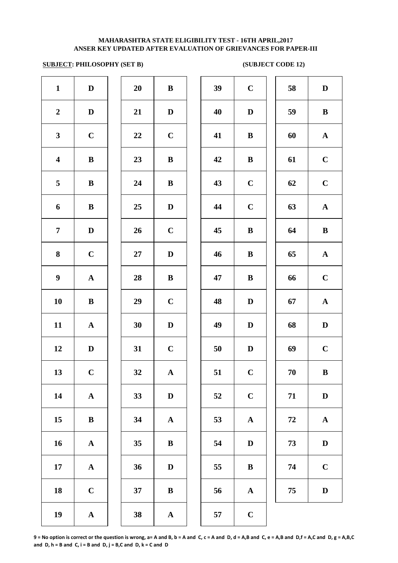# **SUBJECT: PHILOSOPHY (SET B)** (SUBJECT CODE 12)

| $\mathbf{1}$            | $\mathbf D$           | 20 | $\, {\bf B}$ | 39 | $\mathbf C$  |
|-------------------------|-----------------------|----|--------------|----|--------------|
| $\boldsymbol{2}$        | $\mathbf D$           | 21 | $\mathbf D$  | 40 | $\mathbf{D}$ |
| $\mathbf{3}$            | $\mathbf C$           | 22 | $\mathbf C$  | 41 | $\bf{B}$     |
| $\overline{\mathbf{4}}$ | $\bf{B}$              | 23 | $\bf{B}$     | 42 | $\bf{B}$     |
| 5                       | $\bf{B}$              | 24 | $\bf{B}$     | 43 | $\mathbf C$  |
| 6                       | $\bf{B}$              | 25 | $\mathbf D$  | 44 | $\mathbf C$  |
| $\overline{7}$          | $\mathbf D$           | 26 | $\mathbf C$  | 45 | $\bf{B}$     |
| $\bf{8}$                | $\mathbf C$           | 27 | ${\bf D}$    | 46 | $\bf{B}$     |
| $\boldsymbol{9}$        | $\boldsymbol{\rm{A}}$ | 28 | $\, {\bf B}$ | 47 | $\bf{B}$     |
| 10                      | $\, {\bf B}$          | 29 | $\mathbf C$  | 48 | $\mathbf{D}$ |
| 11                      | $\boldsymbol{\rm{A}}$ | 30 | $\mathbf D$  | 49 | $\mathbf{D}$ |
| 12                      | $\mathbf D$           | 31 | $\mathbf C$  | 50 | $\mathbf{D}$ |
| 13                      | $\mathbf C$           | 32 | ${\bf A}$    | 51 | $\mathbf C$  |
| 14                      | $\boldsymbol{\rm{A}}$ | 33 | $\mathbf D$  | 52 | $\mathbf C$  |
| 15                      | $\bf{B}$              | 34 | $\mathbf A$  | 53 | $\mathbf A$  |
| 16                      | ${\bf A}$             | 35 | $\, {\bf B}$ | 54 | $\mathbf{D}$ |
| 17                      | $\boldsymbol{\rm{A}}$ | 36 | $\mathbf D$  | 55 | $\bf{B}$     |
| 18                      | $\mathbf C$           | 37 | $\, {\bf B}$ | 56 | $\mathbf A$  |
| 19                      | $\boldsymbol{\rm{A}}$ | 38 | $\mathbf A$  | 57 | $\mathbf C$  |
|                         |                       |    |              |    |              |

| 20 | B            |
|----|--------------|
| 21 | D            |
| 22 | $\mathbf C$  |
| 23 | B            |
| 24 | B            |
| 25 | D            |
| 26 | $\mathbf C$  |
| 27 | D            |
| 28 | B            |
| 29 | $\mathbf C$  |
| 30 | D            |
| 31 | $\mathbf C$  |
| 32 | $\mathbf A$  |
| 33 | D            |
| 34 | $\mathbf{A}$ |
| 35 | B            |
| 36 | D            |
| 37 | B            |
|    |              |

| $\mathbf{1}$            | $\mathbf D$  | 20     | $\bf{B}$     | 39 | $\mathbf C$ | 58 | $\mathbf D$  |
|-------------------------|--------------|--------|--------------|----|-------------|----|--------------|
| $\overline{2}$          | D            | 21     | $\mathbf{D}$ | 40 | D           | 59 | $\, {\bf B}$ |
| $\mathbf{3}$            | $\mathbf C$  | 22     | $\mathbf C$  | 41 | $\bf{B}$    | 60 | ${\bf A}$    |
| $\overline{\mathbf{4}}$ | $\bf{B}$     | 23     | $\bf{B}$     | 42 | $\bf{B}$    | 61 | $\mathbf C$  |
| $\overline{5}$          | $\bf{B}$     | 24     | $\bf{B}$     | 43 | $\mathbf C$ | 62 | $\mathbf C$  |
| 6                       | $\, {\bf B}$ | 25     | $\mathbf{D}$ | 44 | $\mathbf C$ | 63 | ${\bf A}$    |
| $\overline{7}$          | $\mathbf D$  | 26     | $\mathbf C$  | 45 | ${\bf B}$   | 64 | $\bf{B}$     |
| 8                       | $\mathbf C$  | $27\,$ | $\mathbf D$  | 46 | ${\bf B}$   | 65 | ${\bf A}$    |
| $\boldsymbol{9}$        | ${\bf A}$    | 28     | $\bf{B}$     | 47 | ${\bf B}$   | 66 | $\mathbf C$  |
| 10                      | $\, {\bf B}$ | 29     | $\mathbf C$  | 48 | D           | 67 | ${\bf A}$    |
| 11                      | ${\bf A}$    | 30     | $\mathbf D$  | 49 | D           | 68 | $\mathbf D$  |
| 12                      | D            | 31     | $\mathbf C$  | 50 | D           | 69 | $\mathbf C$  |
| 13                      | $\mathbf C$  | 32     | ${\bf A}$    | 51 | $\mathbf C$ | 70 | $\bf{B}$     |
| 14                      | ${\bf A}$    | 33     | $\mathbf{D}$ | 52 | $\mathbf C$ | 71 | $\mathbf D$  |
| 15                      | $\bf{B}$     | 34     | ${\bf A}$    | 53 | ${\bf A}$   | 72 | ${\bf A}$    |
| 16                      | ${\bf A}$    | 35     | $\bf{B}$     | 54 | $\mathbf D$ | 73 | $\mathbf D$  |
| 17                      | ${\bf A}$    | 36     | $\mathbf D$  | 55 | $\bf{B}$    | 74 | $\mathbf C$  |
| 18                      | $\mathbf C$  | 37     | $\bf{B}$     | 56 | ${\bf A}$   | 75 | $\mathbf D$  |
| 10                      | Δ            | 38     |              | 57 | $\mathbf C$ |    |              |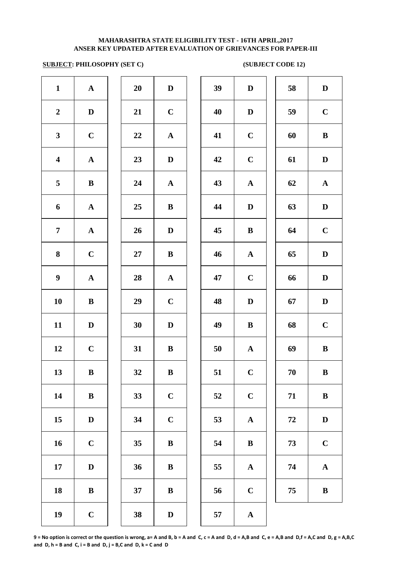# **SUBJECT: PHILOSOPHY (SET C)** (SUBJECT CODE 12)

| $\mathbf{1}$            | $\boldsymbol{\rm{A}}$ | 20 | $\mathbf D$  | 39 | $\mathbf{D}$ |
|-------------------------|-----------------------|----|--------------|----|--------------|
| $\boldsymbol{2}$        | $\mathbf D$           | 21 | $\mathbf C$  | 40 | $\mathbf{D}$ |
| $\mathbf{3}$            | $\mathbf C$           | 22 | $\mathbf A$  | 41 | $\mathbf C$  |
| $\overline{\mathbf{4}}$ | ${\bf A}$             | 23 | $\mathbf D$  | 42 | $\mathbf C$  |
| 5                       | $\bf{B}$              | 24 | ${\bf A}$    | 43 | $\mathbf A$  |
| 6                       | ${\bf A}$             | 25 | $\bf{B}$     | 44 | $\mathbf{D}$ |
| $\overline{7}$          | ${\bf A}$             | 26 | $\mathbf D$  | 45 | $\bf{B}$     |
| 8                       | $\mathbf C$           | 27 | $\, {\bf B}$ | 46 | $\mathbf A$  |
| $\boldsymbol{9}$        | $\boldsymbol{\rm{A}}$ | 28 | $\mathbf A$  | 47 | $\mathbf C$  |
| 10                      | $\, {\bf B}$          | 29 | $\mathbf C$  | 48 | $\mathbf{D}$ |
| 11                      | $\mathbf D$           | 30 | ${\bf D}$    | 49 | $\bf{B}$     |
| 12                      | $\mathbf C$           | 31 | $\, {\bf B}$ | 50 | $\mathbf A$  |
| 13                      | ${\bf B}$             | 32 | $\, {\bf B}$ | 51 | $\mathbf C$  |
| 14                      | $\bf{B}$              | 33 | $\mathbf C$  | 52 | $\mathbf C$  |
| 15                      | $\mathbf D$           | 34 | $\mathbf C$  | 53 | $\mathbf A$  |
| 16                      | $\mathbf C$           | 35 | $\, {\bf B}$ | 54 | $\bf{B}$     |
| 17                      | $\mathbf D$           | 36 | $\, {\bf B}$ | 55 | $\mathbf A$  |
| 18                      | $\, {\bf B}$          | 37 | $\, {\bf B}$ | 56 | $\mathbf C$  |
| 19                      | $\mathbf C$           | 38 | $\mathbf D$  | 57 | $\mathbf{A}$ |

| 20 | $\bf{D}$                |
|----|-------------------------|
| 21 | $\mathbf C$             |
| 22 | $\mathbf A$             |
| 23 | D                       |
| 24 | $\overline{\mathbf{A}}$ |
| 25 | B                       |
| 26 | D                       |
| 27 | B                       |
| 28 | $\mathbf A$             |
| 29 | $\mathbf C$             |
| 30 | D                       |
| 31 | B                       |
| 32 | B                       |
| 33 | $\mathbf C$             |
| 34 | $\mathbf C$             |
| 35 | B                       |
| 36 | B                       |
| 37 | B                       |
|    |                         |

| $\mathbf{1}$            | ${\bf A}$    | 20     | $\mathbf D$  | 39 | $\mathbf D$  | 58 | $\mathbf D$   |
|-------------------------|--------------|--------|--------------|----|--------------|----|---------------|
| $\overline{2}$          | $\mathbf D$  | 21     | $\mathbf C$  | 40 | $\mathbf D$  | 59 | $\mathbf C$   |
| 3                       | $\mathbf C$  | 22     | ${\bf A}$    | 41 | $\mathbf C$  | 60 | $\bf{B}$      |
| $\overline{\mathbf{4}}$ | ${\bf A}$    | 23     | $\mathbf D$  | 42 | $\mathbf C$  | 61 | $\mathbf D$   |
| 5                       | ${\bf B}$    | 24     | ${\bf A}$    | 43 | ${\bf A}$    | 62 | ${\bf A}$     |
| 6                       | ${\bf A}$    | 25     | $\, {\bf B}$ | 44 | $\mathbf D$  | 63 | ${\bf D}$     |
| $\overline{7}$          | ${\bf A}$    | 26     | $\mathbf D$  | 45 | $\, {\bf B}$ | 64 | $\mathbf C$   |
| $\bf 8$                 | $\mathbf C$  | $27\,$ | $\, {\bf B}$ | 46 | $\mathbf A$  | 65 | $\mathbf{D}%$ |
| $\boldsymbol{9}$        | $\mathbf A$  | 28     | ${\bf A}$    | 47 | $\mathbf C$  | 66 | $\mathbf D$   |
| 10                      | $\, {\bf B}$ | 29     | $\mathbf C$  | 48 | $\mathbf D$  | 67 | $\mathbf D$   |
| 11                      | D            | 30     | $\mathbf D$  | 49 | $\bf{B}$     | 68 | $\mathbf C$   |
| 12                      | $\mathbf C$  | 31     | $\bf{B}$     | 50 | ${\bf A}$    | 69 | $\, {\bf B}$  |
| 13                      | $\bf{B}$     | 32     | B            | 51 | $\mathbf C$  | 70 | $\bf{B}$      |
| 14                      | $\, {\bf B}$ | 33     | $\mathbf C$  | 52 | $\mathbf C$  | 71 | $\bf{B}$      |
| 15                      | $\mathbf D$  | 34     | $\mathbf C$  | 53 | $\mathbf A$  | 72 | $\mathbf D$   |
| 16                      | $\mathbf C$  | 35     | $\bf{B}$     | 54 | $\bf{B}$     | 73 | $\mathbf C$   |
| 17                      | $\mathbf D$  | 36     | $\bf{B}$     | 55 | ${\bf A}$    | 74 | ${\bf A}$     |
| 18                      | $\, {\bf B}$ | 37     | $\bf{B}$     | 56 | $\mathbf C$  | 75 | $\, {\bf B}$  |
| 19                      | $\mathbf C$  | 38     | D            | 57 | $\mathbf{A}$ |    |               |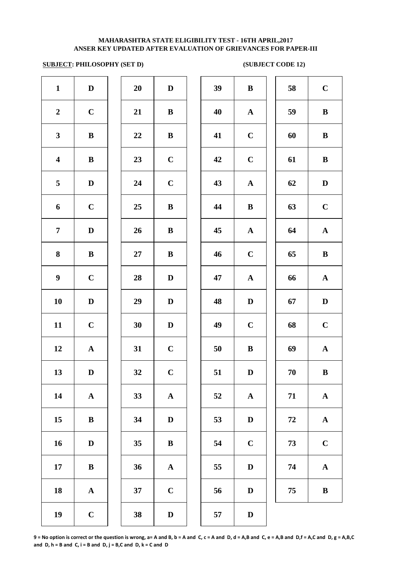# **SUBJECT: PHILOSOPHY (SET D)** (SUBJECT CODE 12)

| $\mathbf{1}$            | $\mathbf D$           | 20        | $\mathbf D$           | 39 | $\bf{B}$     |
|-------------------------|-----------------------|-----------|-----------------------|----|--------------|
| $\boldsymbol{2}$        | $\mathbf C$           | 21        | $\bf{B}$              | 40 | $\mathbf A$  |
| $\mathbf{3}$            | ${\bf B}$             | 22        | $\bf{B}$              | 41 | $\mathbf C$  |
| $\overline{\mathbf{4}}$ | ${\bf B}$             | 23        | $\mathbf C$           | 42 | $\mathbf C$  |
| $\overline{\mathbf{5}}$ | $\mathbf D$           | 24        | $\mathbf C$           | 43 | $\mathbf A$  |
| 6                       | $\mathbf C$           | 25        | $\, {\bf B}$          | 44 | $\bf{B}$     |
| $\overline{7}$          | $\mathbf D$           | 26        | $\, {\bf B}$          | 45 | $\mathbf{A}$ |
| 8                       | $\, {\bf B}$          | <b>27</b> | $\, {\bf B}$          | 46 | $\mathbf C$  |
| $\boldsymbol{9}$        | $\mathbf C$           | 28        | $\mathbf D$           | 47 | $\mathbf A$  |
| 10                      | $\mathbf D$           | 29        | $\mathbf{D}%$         | 48 | $\mathbf{D}$ |
| 11                      | $\mathbf C$           | 30        | $\mathbf D$           | 49 | $\mathbf C$  |
| 12                      | $\boldsymbol{\rm{A}}$ | 31        | $\mathbf C$           | 50 | $\bf{B}$     |
| 13                      | $\mathbf D$           | 32        | $\mathbf C$           | 51 | $\bf{D}$     |
| 14                      | $\boldsymbol{\rm{A}}$ | 33        | $\boldsymbol{\rm{A}}$ | 52 | $\mathbf A$  |
| 15                      | $\bf{B}$              | 34        | $\mathbf D$           | 53 | $\mathbf{D}$ |
| 16                      | $\mathbf D$           | 35        | $\, {\bf B}$          | 54 | $\mathbf C$  |
| 17                      | $\, {\bf B}$          | 36        | $\boldsymbol{\rm{A}}$ | 55 | $\mathbf{D}$ |
| 18                      | $\boldsymbol{\rm{A}}$ | 37        | $\mathbf C$           | 56 | $\bf{D}$     |
| 19                      | $\mathbf C$           | 38        | $\mathbf D$           | 57 | $\mathbf{D}$ |

| 20 | D                       |
|----|-------------------------|
| 21 | B                       |
| 22 | B                       |
| 23 | $\mathbf C$             |
| 24 | $\mathbf C$             |
| 25 | B                       |
| 26 | B                       |
| 27 | B                       |
| 28 | D                       |
| 29 | D                       |
| 30 | D                       |
| 31 | $\overline{C}$          |
| 32 | $\mathbf C$             |
| 33 | $\mathbf A$             |
| 34 | D                       |
| 35 | B                       |
| 36 | A                       |
| 37 | $\overline{\mathbf{C}}$ |
|    |                         |

| $\mathbf{1}$            | $\mathbf D$  | 20     | $\mathbf D$  | 39 | $\bf{B}$     | 58 | $\mathbf C$           |
|-------------------------|--------------|--------|--------------|----|--------------|----|-----------------------|
| $\overline{2}$          | $\mathbf C$  | 21     | $\bf{B}$     | 40 | ${\bf A}$    | 59 | $\, {\bf B}$          |
| $\mathbf{3}$            | $\bf{B}$     | 22     | ${\bf B}$    | 41 | $\mathbf C$  | 60 | $\, {\bf B}$          |
| $\overline{\mathbf{4}}$ | ${\bf B}$    | 23     | $\mathbf C$  | 42 | $\mathbf C$  | 61 | $\, {\bf B}$          |
| $5\overline{)}$         | $\mathbf D$  | 24     | $\mathbf C$  | 43 | ${\bf A}$    | 62 | $\mathbf D$           |
| 6                       | $\mathbf C$  | 25     | ${\bf B}$    | 44 | $\, {\bf B}$ | 63 | $\mathbf C$           |
| $\overline{7}$          | $\mathbf D$  | 26     | ${\bf B}$    | 45 | ${\bf A}$    | 64 | ${\bf A}$             |
| 8                       | $\, {\bf B}$ | $27\,$ | $\bf{B}$     | 46 | $\mathbf C$  | 65 | $\, {\bf B}$          |
| $\boldsymbol{9}$        | $\mathbf C$  | 28     | $\mathbf{D}$ | 47 | ${\bf A}$    | 66 | ${\bf A}$             |
| 10                      | $\mathbf D$  | 29     | $\mathbf{D}$ | 48 | $\mathbf D$  | 67 | $\mathbf D$           |
| 11                      | $\mathbf C$  | 30     | $\mathbf D$  | 49 | $\mathbf C$  | 68 | $\mathbf C$           |
| 12                      | $\mathbf{A}$ | 31     | $\mathbf C$  | 50 | $\, {\bf B}$ | 69 | ${\bf A}$             |
| 13                      | D            | 32     | $\mathbf C$  | 51 | D            | 70 | $\bf{B}$              |
| 14                      | ${\bf A}$    | 33     | ${\bf A}$    | 52 | ${\bf A}$    | 71 | $\mathbf A$           |
| 15                      | $\bf{B}$     | 34     | $\mathbf D$  | 53 | $\mathbf D$  | 72 | $\boldsymbol{\rm{A}}$ |
| 16                      | $\mathbf D$  | 35     | ${\bf B}$    | 54 | $\mathbf C$  | 73 | $\mathbf C$           |
| 17                      | $\, {\bf B}$ | 36     | ${\bf A}$    | 55 | ${\bf D}$    | 74 | $\mathbf A$           |
| 18                      | ${\bf A}$    | 37     | $\mathbf C$  | 56 | $\mathbf D$  | 75 | $\, {\bf B}$          |
| 19                      | $\mathbf C$  | 38     | $\mathbf D$  | 57 | D            |    |                       |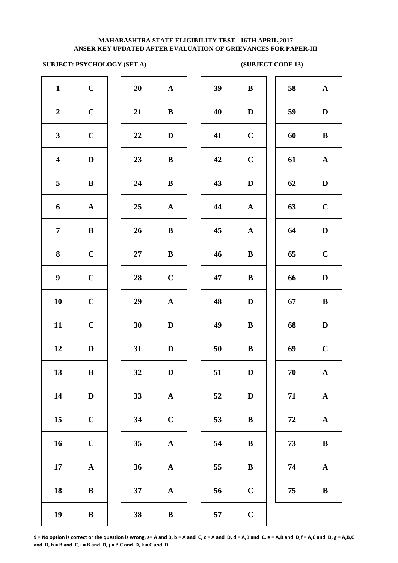### **SUBJECT: PSYCHOLOGY (SET A)** (SUBJECT CODE 13)

| $\mathbf{1}$            | $\mathbf C$  | 20 | ${\bf A}$             | 39 | $\bf{B}$     |
|-------------------------|--------------|----|-----------------------|----|--------------|
| $\boldsymbol{2}$        | $\mathbf C$  | 21 | $\, {\bf B}$          | 40 | $\mathbf D$  |
| $\mathbf{3}$            | $\mathbf C$  | 22 | $\mathbf D$           | 41 | $\mathbf C$  |
| $\overline{\mathbf{4}}$ | $\mathbf D$  | 23 | $\bf{B}$              | 42 | $\mathbf C$  |
| $\overline{\mathbf{5}}$ | $\, {\bf B}$ | 24 | $\, {\bf B}$          | 43 | $\mathbf{D}$ |
| 6                       | ${\bf A}$    | 25 | ${\bf A}$             | 44 | $\mathbf A$  |
| $\boldsymbol{7}$        | $\bf{B}$     | 26 | $\bf{B}$              | 45 | $\mathbf A$  |
| ${\bf 8}$               | $\mathbf C$  | 27 | $\bf{B}$              | 46 | $\bf{B}$     |
| $\boldsymbol{9}$        | $\mathbf C$  | 28 | $\mathbf C$           | 47 | $\bf{B}$     |
| 10                      | $\mathbf C$  | 29 | $\boldsymbol{\rm{A}}$ | 48 | $\mathbf{D}$ |
| 11                      | $\mathbf C$  | 30 | $\mathbf D$           | 49 | $\bf{B}$     |
| 12                      | $\mathbf D$  | 31 | $\mathbf D$           | 50 | $\bf{B}$     |
| 13                      | $\bf{B}$     | 32 | $\mathbf D$           | 51 | $\bf{D}$     |
| 14                      | $\mathbf D$  | 33 | $\boldsymbol{\rm{A}}$ | 52 | $\mathbf{D}$ |
| 15                      | $\mathbf C$  | 34 | $\mathbf C$           | 53 | $\bf{B}$     |
| 16                      | $\mathbf C$  | 35 | $\boldsymbol{\rm{A}}$ | 54 | $\bf{B}$     |
| 17                      | ${\bf A}$    | 36 | $\boldsymbol{\rm{A}}$ | 55 | $\bf{B}$     |
| 18                      | $\bf{B}$     | 37 | $\boldsymbol{\rm{A}}$ | 56 | $\mathbf C$  |
| 19                      | $\bf{B}$     | 38 | $\bf{B}$              | 57 | $\mathbf C$  |
|                         |              |    |                       |    |              |

| $\mathbf{1}$            | $\mathbf C$  | 20         | ${\bf A}$    | 39 | $\bf{B}$     | 58 | $\mathbf{A}$ |
|-------------------------|--------------|------------|--------------|----|--------------|----|--------------|
| $\overline{2}$          | $\mathbf C$  | 21         | $\bf{B}$     | 40 | D            | 59 | $\mathbf D$  |
| 3                       | $\mathbf C$  | 22         | D            | 41 | $\mathbf C$  | 60 | $\bf{B}$     |
| $\overline{\mathbf{4}}$ | $\mathbf D$  | 23         | $\bf{B}$     | 42 | $\mathbf C$  | 61 | ${\bf A}$    |
| $\overline{5}$          | $\, {\bf B}$ | 24         | $\bf{B}$     | 43 | $\mathbf D$  | 62 | $\mathbf D$  |
| 6                       | ${\bf A}$    | 25         | ${\bf A}$    | 44 | $\mathbf{A}$ | 63 | $\mathbf C$  |
| $\overline{7}$          | $\, {\bf B}$ | 26         | $\bf{B}$     | 45 | ${\bf A}$    | 64 | $\mathbf D$  |
| $\boldsymbol{8}$        | $\mathbf C$  | ${\bf 27}$ | ${\bf B}$    | 46 | $\, {\bf B}$ | 65 | $\mathbf C$  |
| $\boldsymbol{9}$        | $\mathbf C$  | 28         | $\mathbf C$  | 47 | $\, {\bf B}$ | 66 | $\mathbf D$  |
| 10                      | $\mathbf C$  | 29         | ${\bf A}$    | 48 | D            | 67 | $\bf{B}$     |
| 11                      | $\mathbf C$  | 30         | D            | 49 | $\bf{B}$     | 68 | $\mathbf D$  |
| 12                      | D            | 31         | $\mathbf D$  | 50 | $\bf{B}$     | 69 | $\mathbf C$  |
| 13                      | B            | 32         | D            | 51 | D            | 70 | $\mathbf{A}$ |
| 14                      | $\mathbf D$  | 33         | $\mathbf{A}$ | 52 | $\mathbf D$  | 71 | ${\bf A}$    |
| 15                      | $\mathbf C$  | 34         | $\mathbf C$  | 53 | $\bf{B}$     | 72 | $\mathbf A$  |
| 16                      | $\mathbf C$  | 35         | ${\bf A}$    | 54 | $\bf{B}$     | 73 | $\, {\bf B}$ |
| 17                      | $\mathbf A$  | 36         | $\mathbf A$  | 55 | $\bf{B}$     | 74 | $\mathbf A$  |
| 18                      | $\bf{B}$     | 37         | $\mathbf{A}$ | 56 | $\mathbf C$  | 75 | $\, {\bf B}$ |
| 19                      | $\bf{B}$     | 38         | $\, {\bf B}$ | 57 | $\mathbf C$  |    |              |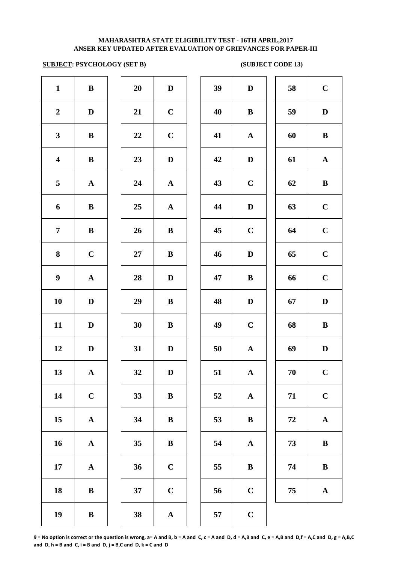### **SUBJECT: PSYCHOLOGY (SET B) (SUBJECT CODE 13)**

| $\mathbf{1}$            | $\, {\bf B}$          | 20 | $\mathbf D$           | 39 | $\mathbf{D}$ |
|-------------------------|-----------------------|----|-----------------------|----|--------------|
| $\boldsymbol{2}$        | $\mathbf D$           | 21 | $\mathbf C$           | 40 | $\bf{B}$     |
| $\mathbf{3}$            | $\bf{B}$              | 22 | $\mathbf C$           | 41 | $\mathbf A$  |
| $\overline{\mathbf{4}}$ | $\bf{B}$              | 23 | $\mathbf D$           | 42 | $\mathbf{D}$ |
| 5                       | $\boldsymbol{\rm{A}}$ | 24 | $\mathbf A$           | 43 | $\mathbf C$  |
| 6                       | $\bf{B}$              | 25 | $\mathbf A$           | 44 | $\mathbf{D}$ |
| $\overline{7}$          | $\bf{B}$              | 26 | $\bf{B}$              | 45 | $\mathbf C$  |
| 8                       | $\mathbf C$           | 27 | $\bf{B}$              | 46 | $\mathbf{D}$ |
| $\boldsymbol{9}$        | $\boldsymbol{\rm{A}}$ | 28 | $\mathbf D$           | 47 | $\bf{B}$     |
| 10                      | $\mathbf D$           | 29 | $\, {\bf B}$          | 48 | $\mathbf{D}$ |
| 11                      | $\mathbf D$           | 30 | $\, {\bf B}$          | 49 | $\mathbf C$  |
| 12                      | $\mathbf D$           | 31 | $\mathbf D$           | 50 | $\mathbf{A}$ |
| 13                      | ${\bf A}$             | 32 | $\mathbf D$           | 51 | $\mathbf A$  |
| 14                      | $\mathbf C$           | 33 | $\, {\bf B}$          | 52 | $\mathbf A$  |
| 15                      | $\boldsymbol{\rm{A}}$ | 34 | $\, {\bf B}$          | 53 | $\bf{B}$     |
| 16                      | $\boldsymbol{\rm{A}}$ | 35 | $\bf{B}$              | 54 | $\mathbf A$  |
| 17                      | $\boldsymbol{\rm{A}}$ | 36 | $\mathbf C$           | 55 | $\bf{B}$     |
| 18                      | $\bf{B}$              | 37 | $\mathbf C$           | 56 | $\mathbf C$  |
| 19                      | $\, {\bf B}$          | 38 | $\boldsymbol{\rm{A}}$ | 57 | $\mathbf C$  |
|                         |                       |    |                       |    |              |

| 20 | $\mathbf D$             |  |
|----|-------------------------|--|
| 21 | $\mathbf C$             |  |
| 22 | $\mathbf C$             |  |
| 23 | D                       |  |
| 24 | $\mathbf{A}$            |  |
| 25 | $\mathbf{A}$            |  |
| 26 | B                       |  |
| 27 | B                       |  |
| 28 | D                       |  |
| 29 | B                       |  |
| 30 | B                       |  |
| 31 | D                       |  |
| 32 | D                       |  |
| 33 | B                       |  |
| 34 | B                       |  |
| 35 | B                       |  |
| 36 | $\mathbf C$             |  |
| 37 | $\overline{\mathbf{C}}$ |  |
|    |                         |  |

| $\mathbf{1}$            | $\, {\bf B}$ | 20              | $\mathbf D$  | 39 | $\mathbf D$  | 58 | $\bf C$      |
|-------------------------|--------------|-----------------|--------------|----|--------------|----|--------------|
| $\overline{2}$          | $\mathbf D$  | 21              | $\mathbf C$  | 40 | $\bf{B}$     | 59 | $\mathbf D$  |
| $\mathbf{3}$            | $\, {\bf B}$ | $22\,$          | $\mathbf C$  | 41 | $\mathbf{A}$ | 60 | $\bf{B}$     |
| $\overline{\mathbf{4}}$ | $\bf{B}$     | 23              | $\mathbf{D}$ | 42 | $\mathbf D$  | 61 | ${\bf A}$    |
| $5\overline{)}$         | $\mathbf{A}$ | 24              | ${\bf A}$    | 43 | $\mathbf C$  | 62 | $\bf{B}$     |
| 6                       | ${\bf B}$    | 25              | ${\bf A}$    | 44 | D            | 63 | $\mathbf C$  |
| $\overline{7}$          | ${\bf B}$    | 26              | $\bf{B}$     | 45 | $\bf C$      | 64 | $\mathbf C$  |
| 8                       | $\mathbf C$  | $27\,$          | $\bf{B}$     | 46 | $\mathbf D$  | 65 | $\mathbf C$  |
| $\boldsymbol{9}$        | ${\bf A}$    | 28              | $\mathbf D$  | 47 | $\bf{B}$     | 66 | $\mathbf C$  |
| 10                      | D            | 29              | $\bf{B}$     | 48 | $\mathbf D$  | 67 | $\mathbf D$  |
| 11                      | D            | 30              | $\bf{B}$     | 49 | $\mathbf C$  | 68 | $\, {\bf B}$ |
| 12                      | D            | 31              | $\mathbf D$  | 50 | ${\bf A}$    | 69 | D            |
| 13                      | $\mathbf{A}$ | 32              | $\mathbf D$  | 51 | $\mathbf{A}$ | 70 | $\mathbf C$  |
| 14                      | $\mathbf C$  | 33              | $\bf{B}$     | 52 | $\mathbf{A}$ | 71 | $\mathbf C$  |
| 15                      | ${\bf A}$    | 34              | $\bf{B}$     | 53 | $\bf{B}$     | 72 | ${\bf A}$    |
| 16                      | ${\bf A}$    | 35 <sub>5</sub> | $\bf{B}$     | 54 | ${\bf A}$    | 73 | ${\bf B}$    |
| 17                      | ${\bf A}$    | 36              | $\mathbf C$  | 55 | $\bf{B}$     | 74 | $\, {\bf B}$ |
| 18                      | $\, {\bf B}$ | 37              | $\mathbf C$  | 56 | $\mathbf C$  | 75 | ${\bf A}$    |
| 10                      | $\mathbf{R}$ | 38              |              | 57 | $\mathbf C$  |    |              |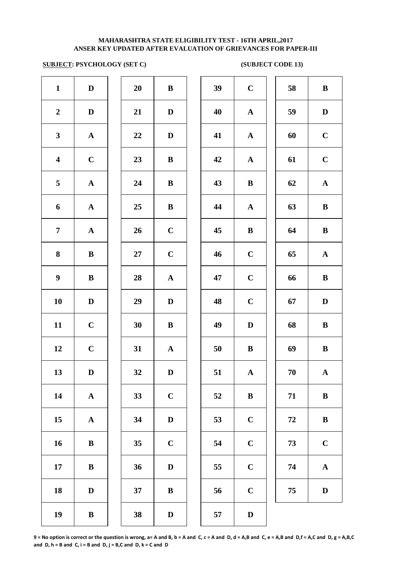# **SUBJECT: PSYCHOLOGY (SET C) (SUBJECT CODE 13)**

| $\mathbf{1}$            | $\mathbf D$  | 20     | $\bf{B}$     | 39 | $\mathbf C$  | 58 | $\bf{B}$     |
|-------------------------|--------------|--------|--------------|----|--------------|----|--------------|
| $\boldsymbol{2}$        | $\mathbf D$  | 21     | $\mathbf D$  | 40 | $\mathbf{A}$ | 59 | $\mathbf{D}$ |
| $\mathbf{3}$            | ${\bf A}$    | 22     | $\mathbf D$  | 41 | $\mathbf{A}$ | 60 | $\mathbf C$  |
| $\overline{\mathbf{4}}$ | $\mathbf C$  | 23     | $\bf{B}$     | 42 | $\mathbf{A}$ | 61 | $\mathbf C$  |
| $\overline{\mathbf{5}}$ | ${\bf A}$    | 24     | $\bf{B}$     | 43 | $\, {\bf B}$ | 62 | $\mathbf A$  |
| 6                       | ${\bf A}$    | 25     | $\bf{B}$     | 44 | $\mathbf{A}$ | 63 | $\bf{B}$     |
| $\overline{7}$          | ${\bf A}$    | 26     | $\mathbf C$  | 45 | $\, {\bf B}$ | 64 | $\bf{B}$     |
| $\bf{8}$                | ${\bf B}$    | $27\,$ | $\mathbf C$  | 46 | $\mathbf C$  | 65 | $\mathbf A$  |
| $\boldsymbol{9}$        | $\bf{B}$     | 28     | ${\bf A}$    | 47 | $\mathbf C$  | 66 | $\bf{B}$     |
| 10                      | $\mathbf D$  | 29     | D            | 48 | $\mathbf C$  | 67 | D            |
| 11                      | $\mathbf C$  | 30     | $\bf{B}$     | 49 | $\mathbf D$  | 68 | $\bf{B}$     |
| 12                      | $\mathbf C$  | 31     | ${\bf A}$    | 50 | $\bf{B}$     | 69 | $\bf{B}$     |
| 13                      | $\mathbf D$  | 32     | $\mathbf D$  | 51 | $\mathbf A$  | 70 | $\mathbf A$  |
| 14                      | ${\bf A}$    | 33     | $\mathbf C$  | 52 | $\, {\bf B}$ | 71 | $\bf{B}$     |
| 15                      | $\mathbf{A}$ | 34     | $\mathbf D$  | 53 | $\mathbf C$  | 72 | $\bf{B}$     |
| 16                      | $\bf{B}$     | 35     | $\mathbf C$  | 54 | $\mathbf C$  | 73 | $\mathbf C$  |
| 17                      | $\bf{B}$     | 36     | $\mathbf D$  | 55 | $\mathbf C$  | 74 | $\mathbf A$  |
| 18                      | $\mathbf D$  | 37     | $\bf{B}$     | 56 | $\bf C$      | 75 | $\mathbf{D}$ |
| 19                      | $\bf{B}$     | 38     | $\mathbf{D}$ | 57 | $\mathbf D$  |    |              |
|                         |              |        |              |    |              |    |              |

| 39 | $\mathbf C$  | 58 | $\bf{B}$     |
|----|--------------|----|--------------|
| 40 | $\mathbf{A}$ | 59 | D            |
| 41 | $\mathbf A$  | 60 | $\mathbf C$  |
| 42 | $\mathbf A$  | 61 | $\mathbf C$  |
| 43 | $\bf{B}$     | 62 | $\mathbf A$  |
| 44 | $\mathbf A$  | 63 | $\bf{B}$     |
| 45 | $\bf{B}$     | 64 | $\bf{B}$     |
| 46 | $\mathbf C$  | 65 | ${\bf A}$    |
| 47 | $\mathbf C$  | 66 | $\bf{B}$     |
| 48 | $\mathbf C$  | 67 | D            |
| 49 | D            | 68 | $\bf{B}$     |
| 50 | $\bf{B}$     | 69 | $\bf{B}$     |
| 51 | $\mathbf{A}$ | 70 | $\mathbf{A}$ |
| 52 | $\bf{B}$     | 71 | $\bf{B}$     |
| 53 | $\mathbf C$  | 72 | $\bf{B}$     |
| 54 | $\mathbf C$  | 73 | $\mathbf C$  |
| 55 | $\mathbf C$  | 74 | $\mathbf{A}$ |
| 56 | $\mathbf C$  | 75 | D            |
| 57 | D            |    |              |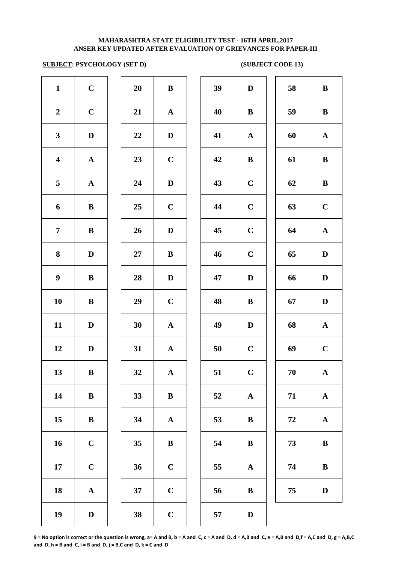### **SUBJECT: PSYCHOLOGY (SET D) (SUBJECT CODE 13)**

| $\mathbf{1}$            | $\mathbf C$  | 20 | $\, {\bf B}$ | 39 | $\mathbf D$  | 58     | $\bf{B}$     |
|-------------------------|--------------|----|--------------|----|--------------|--------|--------------|
| $\boldsymbol{2}$        | $\mathbf C$  | 21 | ${\bf A}$    | 40 | $\bf{B}$     | 59     | $\bf{B}$     |
| $\mathbf{3}$            | $\mathbf D$  | 22 | $\mathbf D$  | 41 | $\mathbf{A}$ | 60     | $\mathbf A$  |
| $\overline{\mathbf{4}}$ | ${\bf A}$    | 23 | $\mathbf C$  | 42 | $\bf{B}$     | 61     | $\bf{B}$     |
| 5                       | ${\bf A}$    | 24 | $\mathbf D$  | 43 | $\bf C$      | 62     | $\bf{B}$     |
| 6                       | ${\bf B}$    | 25 | $\mathbf C$  | 44 | $\bf C$      | 63     | $\mathbf C$  |
| $\overline{7}$          | $\bf{B}$     | 26 | $\mathbf D$  | 45 | $\mathbf C$  | 64     | $\mathbf A$  |
| 8                       | $\mathbf D$  | 27 | $\bf{B}$     | 46 | $\mathbf C$  | 65     | $\mathbf{D}$ |
| $\boldsymbol{9}$        | $\bf{B}$     | 28 | $\mathbf D$  | 47 | $\mathbf D$  | 66     | $\mathbf D$  |
| 10                      | ${\bf B}$    | 29 | $\mathbf C$  | 48 | $\bf{B}$     | 67     | $\mathbf{D}$ |
| 11                      | $\mathbf D$  | 30 | ${\bf A}$    | 49 | $\mathbf D$  | 68     | $\mathbf A$  |
| 12                      | $\mathbf D$  | 31 | ${\bf A}$    | 50 | $\mathbf C$  | 69     | $\mathbf C$  |
| 13                      | ${\bf B}$    | 32 | $\mathbf{A}$ | 51 | $\mathbf C$  | 70     | $\mathbf A$  |
| 14                      | $\, {\bf B}$ | 33 | $\, {\bf B}$ | 52 | ${\bf A}$    | 71     | $\mathbf A$  |
| 15                      | ${\bf B}$    | 34 | ${\bf A}$    | 53 | $\bf{B}$     | $72\,$ | $\mathbf A$  |
| 16                      | $\mathbf C$  | 35 | $\, {\bf B}$ | 54 | $\bf{B}$     | 73     | $\bf{B}$     |
| 17                      | $\mathbf C$  | 36 | $\mathbf C$  | 55 | $\mathbf{A}$ | 74     | $\bf{B}$     |
| 18                      | ${\bf A}$    | 37 | $\mathbf C$  | 56 | $\bf{B}$     | 75     | $\mathbf D$  |
| 19                      | $\mathbf D$  | 38 | $\mathbf C$  | 57 | $\mathbf D$  |        |              |

| 39 | $\mathbf D$  | 58 | ${\bf B}$             |
|----|--------------|----|-----------------------|
| 40 | $\bf{B}$     | 59 | $\, {\bf B}$          |
| 41 | $\mathbf A$  | 60 | ${\bf A}$             |
| 42 | $\bf{B}$     | 61 | $\, {\bf B}$          |
| 43 | $\mathbf C$  | 62 | $\bf{B}$              |
| 44 | $\mathbf C$  | 63 | $\mathbf C$           |
| 45 | $\mathbf C$  | 64 | ${\bf A}$             |
| 46 | $\mathbf C$  | 65 | $\mathbf D$           |
| 47 | D            | 66 | $\mathbf D$           |
| 48 | $\bf{B}$     | 67 | D                     |
| 49 | D            | 68 | ${\bf A}$             |
| 50 | $\mathbf C$  | 69 | $\mathbf C$           |
| 51 | $\mathbf C$  | 70 | A                     |
| 52 | $\mathbf A$  | 71 | ${\bf A}$             |
| 53 | $\, {\bf B}$ | 72 | $\boldsymbol{\rm{A}}$ |
| 54 | $\, {\bf B}$ | 73 | $\, {\bf B}$          |
| 55 | $\mathbf A$  | 74 | $\, {\bf B}$          |
| 56 | $\, {\bf B}$ | 75 | $\mathbf D$           |
|    |              |    |                       |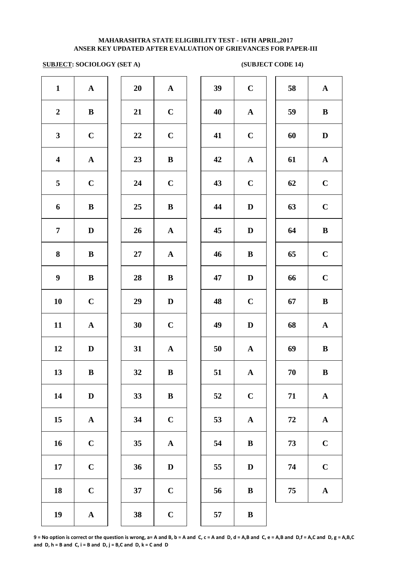# **SUBJECT: SOCIOLOGY (SET A)** (SUBJECT CODE 14)

| $\mathbf{1}$            | $\boldsymbol{\rm{A}}$ | 20 | ${\bf A}$             | 39 | $\mathbf C$               |
|-------------------------|-----------------------|----|-----------------------|----|---------------------------|
| $\boldsymbol{2}$        | $\, {\bf B}$          | 21 | $\mathbf C$           | 40 | $\mathbf A$               |
| $\mathbf{3}$            | $\mathbf C$           | 22 | $\mathbf C$           | 41 | $\mathbf C$               |
| $\overline{\mathbf{4}}$ | $\boldsymbol{\rm{A}}$ | 23 | $\bf{B}$              | 42 | $\mathbf A$               |
| 5                       | $\mathbf C$           | 24 | $\mathbf C$           | 43 | $\mathbf C$               |
| 6                       | $\bf{B}$              | 25 | $\bf{B}$              | 44 | $\bf{D}$                  |
| $\overline{7}$          | $\mathbf D$           | 26 | ${\bf A}$             | 45 | D                         |
| 8                       | $\bf{B}$              | 27 | ${\bf A}$             | 46 | $\bf{B}$                  |
| $\boldsymbol{9}$        | $\, {\bf B}$          | 28 | $\, {\bf B}$          | 47 | $\mathbf{D}$              |
| 10                      | $\mathbf C$           | 29 | $\mathbf D$           | 48 | $\mathbf C$               |
| 11                      | $\boldsymbol{\rm{A}}$ | 30 | $\mathbf C$           | 49 | D                         |
| 12                      | $\mathbf D$           | 31 | $\mathbf A$           | 50 | $\mathbf A$               |
| 13                      | $\, {\bf B}$          | 32 | $\bf{B}$              | 51 | $\boldsymbol{\mathsf{A}}$ |
| 14                      | $\mathbf D$           | 33 | $\, {\bf B}$          | 52 | $\mathbf C$               |
| 15                      | $\boldsymbol{\rm{A}}$ | 34 | $\mathbf C$           | 53 | $\mathbf A$               |
| 16                      | $\mathbf C$           | 35 | $\boldsymbol{\rm{A}}$ | 54 | $\bf{B}$                  |
| 17                      | $\mathbf C$           | 36 | $\mathbf D$           | 55 | D                         |
| 18                      | $\mathbf C$           | 37 | $\mathbf C$           | 56 | $\bf{B}$                  |
| 19                      | $\boldsymbol{\rm{A}}$ | 38 | $\mathbf C$           | 57 | $\bf{B}$                  |
|                         |                       |    |                       |    |                           |

| 20 | A                       |
|----|-------------------------|
| 21 | $\mathbf C$             |
| 22 | $\mathbf C$             |
| 23 | B                       |
| 24 | $\mathbf C$             |
| 25 | B                       |
| 26 | $\mathbf{A}$            |
| 27 | $\mathbf A$             |
| 28 | B                       |
| 29 | $\mathbf D$             |
| 30 | $\mathbf C$             |
| 31 | $\overline{\mathbf{A}}$ |
| 32 | B                       |
| 33 | B                       |
| 34 | $\mathbf C$             |
| 35 | $\overline{\mathbf{A}}$ |
| 36 | D                       |
| 37 | $\mathbf C$             |
|    |                         |

| $\mathbf{1}$            | ${\bf A}$    | 20     | ${\bf A}$    | 39 | $\mathbf C$  | 58 | ${\bf A}$    |
|-------------------------|--------------|--------|--------------|----|--------------|----|--------------|
| $\overline{2}$          | ${\bf B}$    | 21     | $\mathbf C$  | 40 | ${\bf A}$    | 59 | $\, {\bf B}$ |
| $\mathbf{3}$            | $\mathbf C$  | 22     | $\mathbf C$  | 41 | $\mathbf C$  | 60 | $\mathbf D$  |
| $\overline{\mathbf{4}}$ | ${\bf A}$    | 23     | $\bf{B}$     | 42 | ${\bf A}$    | 61 | ${\bf A}$    |
| $\overline{5}$          | $\mathbf C$  | 24     | $\mathbf C$  | 43 | $\mathbf C$  | 62 | $\mathbf C$  |
| 6                       | $\, {\bf B}$ | 25     | $\bf{B}$     | 44 | $\mathbf D$  | 63 | $\mathbf C$  |
| $\overline{7}$          | $\mathbf{D}$ | 26     | ${\bf A}$    | 45 | $\mathbf D$  | 64 | $\, {\bf B}$ |
| 8                       | $\bf{B}$     | $27\,$ | ${\bf A}$    | 46 | $\, {\bf B}$ | 65 | $\mathbf C$  |
| $\boldsymbol{9}$        | $\bf{B}$     | 28     | $\bf{B}$     | 47 | $\mathbf D$  | 66 | $\mathbf C$  |
| 10                      | $\mathbf C$  | 29     | $\mathbf D$  | 48 | $\mathbf C$  | 67 | $\, {\bf B}$ |
| 11                      | $\mathbf A$  | 30     | $\mathbf C$  | 49 | $\mathbf D$  | 68 | ${\bf A}$    |
| 12                      | D            | 31     | $\mathbf{A}$ | 50 | $\mathbf A$  | 69 | $\, {\bf B}$ |
| 13                      | $\, {\bf B}$ | 32     | $\bf{B}$     | 51 | $\mathbf A$  | 70 | $\bf{B}$     |
| 14                      | $\mathbf D$  | 33     | $\, {\bf B}$ | 52 | $\mathbf C$  | 71 | ${\bf A}$    |
| 15                      | ${\bf A}$    | 34     | $\mathbf C$  | 53 | ${\bf A}$    | 72 | ${\bf A}$    |
| 16                      | $\mathbf C$  | 35     | $\mathbf A$  | 54 | $\bf{B}$     | 73 | $\mathbf C$  |
| 17                      | $\mathbf C$  | 36     | $\mathbf D$  | 55 | D            | 74 | $\mathbf C$  |
| 18                      | $\mathbf C$  | 37     | $\mathbf C$  | 56 | $\bf{B}$     | 75 | $\mathbf A$  |
| 19                      | $\mathbf A$  | 38     | $\mathbf C$  | 57 | $\bf{B}$     |    |              |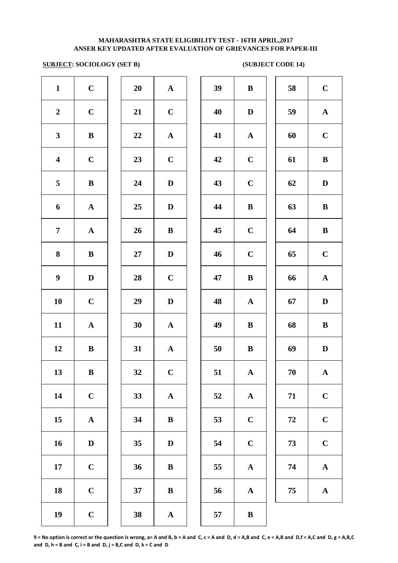### **SUBJECT: SOCIOLOGY (SET B)** (SUBJECT CODE 14)

| $\mathbf{1}$            | $\mathbf C$           | 20 | ${\bf A}$             | 39 | $\bf{B}$     |
|-------------------------|-----------------------|----|-----------------------|----|--------------|
| $\boldsymbol{2}$        | $\mathbf C$           | 21 | $\mathbf C$           | 40 | $\mathbf{D}$ |
| $\mathbf{3}$            | $\, {\bf B}$          | 22 | ${\bf A}$             | 41 | $\mathbf A$  |
| $\overline{\mathbf{4}}$ | $\mathbf C$           | 23 | $\mathbf C$           | 42 | $\mathbf C$  |
| 5                       | $\bf{B}$              | 24 | $\mathbf D$           | 43 | $\mathbf C$  |
| 6                       | $\boldsymbol{\rm{A}}$ | 25 | $\mathbf D$           | 44 | $\bf{B}$     |
| $\overline{7}$          | $\boldsymbol{\rm{A}}$ | 26 | $\, {\bf B}$          | 45 | $\mathbf C$  |
| 8                       | $\bf{B}$              | 27 | $\mathbf D$           | 46 | $\mathbf C$  |
| $\boldsymbol{9}$        | $\mathbf D$           | 28 | $\mathbf C$           | 47 | $\bf{B}$     |
| 10                      | $\mathbf C$           | 29 | $\mathbf D$           | 48 | $\mathbf A$  |
| 11                      | $\boldsymbol{\rm{A}}$ | 30 | $\boldsymbol{\rm{A}}$ | 49 | $\bf{B}$     |
| 12                      | $\, {\bf B}$          | 31 | $\boldsymbol{\rm{A}}$ | 50 | $\bf{B}$     |
| 13                      | $\, {\bf B}$          | 32 | $\mathbf C$           | 51 | $\mathbf A$  |
| 14                      | $\mathbf C$           | 33 | ${\bf A}$             | 52 | $\mathbf A$  |
| 15                      | $\boldsymbol{\rm{A}}$ | 34 | $\, {\bf B}$          | 53 | $\mathbf C$  |
| 16                      | $\mathbf D$           | 35 | $\mathbf D$           | 54 | $\mathbf C$  |
| 17                      | $\mathbf C$           | 36 | $\bf{B}$              | 55 | $\mathbf A$  |
| 18                      | $\mathbf C$           | 37 | $\bf{B}$              | 56 | $\mathbf A$  |
| 19                      | $\mathbf C$           | 38 | $\boldsymbol{\rm{A}}$ | 57 | $\bf{B}$     |
|                         |                       |    |                       |    |              |

| 20 | $\mathbf A$    |
|----|----------------|
| 21 | $\mathbf C$    |
| 22 | $\mathbf{A}$   |
| 23 | $\overline{C}$ |
| 24 | D              |
| 25 | $\mathbf D$    |
| 26 | B              |
| 27 | D              |
| 28 | $\mathbf C$    |
| 29 | D              |
| 30 | $\mathbf A$    |
| 31 | $\mathbf A$    |
| 32 | $\mathbf C$    |
| 33 | $\mathbf A$    |
| 34 | B              |
| 35 | $\mathbf D$    |
| 36 | B              |
| 37 | B              |
| 20 |                |

| $\mathbf{1}$            | $\mathbf C$  | 20 | ${\bf A}$    | 39 | $\, {\bf B}$ | 58 | $\mathbf C$           |
|-------------------------|--------------|----|--------------|----|--------------|----|-----------------------|
| $\overline{2}$          | $\mathbf C$  | 21 | $\mathbf C$  | 40 | $\mathbf D$  | 59 | ${\bf A}$             |
| $\mathbf{3}$            | $\, {\bf B}$ | 22 | ${\bf A}$    | 41 | ${\bf A}$    | 60 | $\mathbf C$           |
| $\overline{\mathbf{4}}$ | $\mathbf C$  | 23 | $\mathbf C$  | 42 | $\mathbf C$  | 61 | $\, {\bf B}$          |
| $5\phantom{.0}$         | $\bf{B}$     | 24 | D            | 43 | $\mathbf C$  | 62 | $\mathbf D$           |
| 6                       | $\mathbf{A}$ | 25 | D            | 44 | $\bf{B}$     | 63 | $\bf{B}$              |
| $\overline{7}$          | $\mathbf{A}$ | 26 | $\bf{B}$     | 45 | $\mathbf C$  | 64 | $\, {\bf B}$          |
| $\boldsymbol{8}$        | $\bf{B}$     | 27 | $\mathbf D$  | 46 | $\mathbf C$  | 65 | $\mathbf C$           |
| $\boldsymbol{9}$        | $\mathbf D$  | 28 | $\mathbf C$  | 47 | $\, {\bf B}$ | 66 | ${\bf A}$             |
| 10                      | $\mathbf C$  | 29 | $\mathbf D$  | 48 | $\mathbf{A}$ | 67 | $\mathbf D$           |
| 11                      | ${\bf A}$    | 30 | ${\bf A}$    | 49 | $\bf{B}$     | 68 | $\, {\bf B}$          |
| 12                      | $\, {\bf B}$ | 31 | ${\bf A}$    | 50 | $\bf{B}$     | 69 | $\mathbf D$           |
| 13                      | $\, {\bf B}$ | 32 | $\mathbf C$  | 51 | ${\bf A}$    | 70 | $\mathbf{A}$          |
| 14                      | $\mathbf C$  | 33 | $\mathbf A$  | 52 | ${\bf A}$    | 71 | $\mathbf C$           |
| 15                      | ${\bf A}$    | 34 | $\, {\bf B}$ | 53 | $\mathbf C$  | 72 | $\mathbf C$           |
| 16                      | $\mathbf D$  | 35 | $\mathbf D$  | 54 | $\mathbf C$  | 73 | $\mathbf C$           |
| 17                      | $\mathbf C$  | 36 | $\bf{B}$     | 55 | ${\bf A}$    | 74 | ${\bf A}$             |
| 18                      | $\mathbf C$  | 37 | ${\bf B}$    | 56 | $\mathbf A$  | 75 | $\boldsymbol{\rm{A}}$ |
| 19                      | $\mathbf C$  | 38 | ${\bf A}$    | 57 | $\bf{B}$     |    |                       |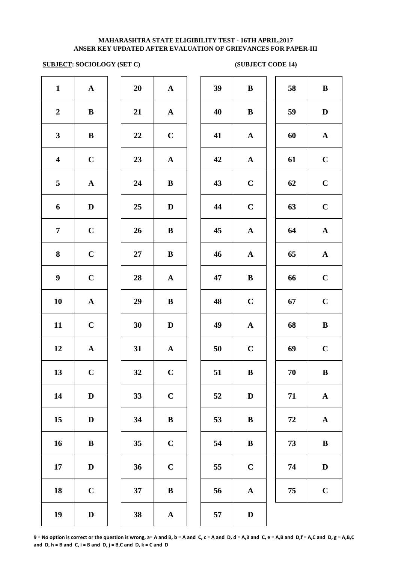### **SUBJECT: SOCIOLOGY (SET C)** (SUBJECT CODE 14)

| $\mathbf{1}$            | $\boldsymbol{\rm{A}}$ | 20 | $\mathbf A$           | 39 | $\bf{B}$     |
|-------------------------|-----------------------|----|-----------------------|----|--------------|
| $\boldsymbol{2}$        | $\bf{B}$              | 21 | ${\bf A}$             | 40 | $\bf{B}$     |
| $\mathbf{3}$            | $\bf{B}$              | 22 | $\mathbf C$           | 41 | $\mathbf A$  |
| $\overline{\mathbf{4}}$ | $\mathbf C$           | 23 | $\mathbf A$           | 42 | $\mathbf A$  |
| $\overline{\mathbf{5}}$ | ${\bf A}$             | 24 | $\bf{B}$              | 43 | $\mathbf C$  |
| 6                       | $\mathbf D$           | 25 | $\mathbf D$           | 44 | $\mathbf C$  |
| $\overline{7}$          | $\mathbf C$           | 26 | $\, {\bf B}$          | 45 | $\mathbf A$  |
| 8                       | $\mathbf C$           | 27 | $\, {\bf B}$          | 46 | $\mathbf A$  |
| $\boldsymbol{9}$        | $\mathbf C$           | 28 | $\mathbf A$           | 47 | $\bf{B}$     |
| ${\bf 10}$              | $\boldsymbol{\rm{A}}$ | 29 | $\, {\bf B}$          | 48 | $\mathbf C$  |
| 11                      | $\mathbf C$           | 30 | $\mathbf D$           | 49 | $\mathbf A$  |
| 12                      | $\boldsymbol{\rm{A}}$ | 31 | $\mathbf A$           | 50 | $\mathbf C$  |
| 13                      | $\mathbf C$           | 32 | $\mathbf C$           | 51 | $\bf{B}$     |
| 14                      | $\mathbf D$           | 33 | $\mathbf C$           | 52 | $\bf{D}$     |
| 15                      | $\mathbf D$           | 34 | $\, {\bf B}$          | 53 | $\bf{B}$     |
| 16                      | $\bf{B}$              | 35 | $\mathbf C$           | 54 | $\bf{B}$     |
| 17                      | $\mathbf D$           | 36 | $\mathbf C$           | 55 | $\mathbf C$  |
| 18                      | $\mathbf C$           | 37 | $\, {\bf B}$          | 56 | $\mathbf A$  |
| 19                      | $\mathbf D$           | 38 | $\boldsymbol{\rm{A}}$ | 57 | $\mathbf{D}$ |
|                         |                       |    |                       |    |              |

| 20 | $\mathbf A$    |
|----|----------------|
| 21 | $\mathbf A$    |
| 22 | $\mathbf C$    |
| 23 | $\mathbf{A}$   |
| 24 | B              |
| 25 | D              |
| 26 | B              |
| 27 | B              |
| 28 | $\mathbf A$    |
| 29 | B              |
| 30 | D              |
| 31 | $\mathbf A$    |
| 32 | $\mathbf C$    |
| 33 | $\overline{C}$ |
| 34 | B              |
| 35 | $\mathbf C$    |
| 36 | $\mathbf C$    |
| 37 | B              |
|    |                |

| $\mathbf{1}$            | ${\bf A}$    | 20 | ${\bf A}$               | 39 | $\bf{B}$     | 58 | $\, {\bf B}$ |
|-------------------------|--------------|----|-------------------------|----|--------------|----|--------------|
| $\boldsymbol{2}$        | $\bf{B}$     | 21 | ${\bf A}$               | 40 | $\bf{B}$     | 59 | $\mathbf D$  |
| $\mathbf{3}$            | $\, {\bf B}$ | 22 | $\mathbf C$             | 41 | ${\bf A}$    | 60 | ${\bf A}$    |
| $\overline{\mathbf{4}}$ | $\mathbf C$  | 23 | ${\bf A}$               | 42 | ${\bf A}$    | 61 | $\mathbf C$  |
| 5                       | ${\bf A}$    | 24 | $\, {\bf B}$            | 43 | $\mathbf C$  | 62 | $\mathbf C$  |
| 6                       | $\mathbf D$  | 25 | $\mathbf D$             | 44 | $\mathbf C$  | 63 | $\mathbf C$  |
| $\overline{7}$          | $\mathbf C$  | 26 | $\, {\bf B}$            | 45 | ${\bf A}$    | 64 | ${\bf A}$    |
| 8                       | $\mathbf C$  | 27 | $\, {\bf B}$            | 46 | $\mathbf A$  | 65 | ${\bf A}$    |
| $\boldsymbol{9}$        | $\mathbf C$  | 28 | $\mathbf{A}$            | 47 | $\bf{B}$     | 66 | $\mathbf C$  |
| 10                      | ${\bf A}$    | 29 | $\bf{B}$                | 48 | $\mathbf C$  | 67 | $\mathbf C$  |
| 11                      | $\mathbf C$  | 30 | $\mathbf D$             | 49 | $\mathbf A$  | 68 | $\, {\bf B}$ |
| 12                      | $\mathbf{A}$ | 31 | ${\bf A}$               | 50 | $\mathbf C$  | 69 | $\mathbf C$  |
| 13                      | $\mathbf C$  | 32 | $\mathbf C$             | 51 | $\bf{B}$     | 70 | $\bf{B}$     |
| 14                      | $\mathbf D$  | 33 | $\mathbf C$             | 52 | D            | 71 | ${\bf A}$    |
| 15                      | $\mathbf D$  | 34 | $\bf{B}$                | 53 | $\, {\bf B}$ | 72 | ${\bf A}$    |
| 16                      | $\bf{B}$     | 35 | $\mathbf C$             | 54 | $\, {\bf B}$ | 73 | $\, {\bf B}$ |
| 17                      | D            | 36 | $\mathbf C$             | 55 | $\mathbf C$  | 74 | $\mathbf D$  |
| 18                      | $\mathbf C$  | 37 | $\bf{B}$                | 56 | ${\bf A}$    | 75 | $\mathbf C$  |
| 19                      | D            | 38 | $\overline{\mathbf{A}}$ | 57 | D            |    |              |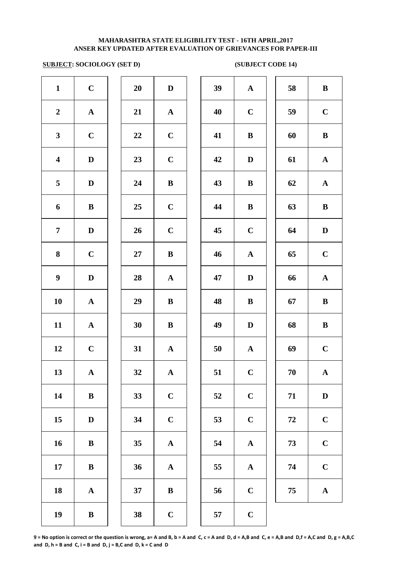### **SUBJECT: SOCIOLOGY (SET D) (SUBJECT CODE 14)**

| $\mathbf{1}$            | $\mathbf C$           | 20 | $\mathbf D$           | 39 | $\mathbf A$  |
|-------------------------|-----------------------|----|-----------------------|----|--------------|
| $\boldsymbol{2}$        | $\boldsymbol{\rm{A}}$ | 21 | ${\bf A}$             | 40 | $\mathbf C$  |
| $\mathbf{3}$            | $\mathbf C$           | 22 | $\mathbf C$           | 41 | $\bf{B}$     |
| $\overline{\mathbf{4}}$ | $\mathbf D$           | 23 | $\mathbf C$           | 42 | $\bf{D}$     |
| $\overline{\mathbf{5}}$ | $\mathbf D$           | 24 | $\bf{B}$              | 43 | $\bf{B}$     |
| 6                       | ${\bf B}$             | 25 | $\mathbf C$           | 44 | $\bf{B}$     |
| $\overline{7}$          | $\mathbf D$           | 26 | $\mathbf C$           | 45 | $\mathbf C$  |
| 8                       | $\mathbf C$           | 27 | $\, {\bf B}$          | 46 | $\mathbf A$  |
| $\boldsymbol{9}$        | $\mathbf D$           | 28 | ${\bf A}$             | 47 | $\mathbf{D}$ |
| 10                      | $\boldsymbol{\rm{A}}$ | 29 | $\, {\bf B}$          | 48 | $\bf{B}$     |
| 11                      | $\boldsymbol{\rm{A}}$ | 30 | $\, {\bf B}$          | 49 | $\mathbf{D}$ |
| 12                      | $\mathbf C$           | 31 | $\mathbf A$           | 50 | $\mathbf{A}$ |
| 13                      | ${\bf A}$             | 32 | $\mathbf{A}$          | 51 | $\mathbf C$  |
| 14                      | $\bf{B}$              | 33 | $\mathbf C$           | 52 | $\mathbf C$  |
| 15                      | $\mathbf D$           | 34 | $\mathbf C$           | 53 | $\mathbf C$  |
| 16                      | $\bf{B}$              | 35 | $\boldsymbol{\rm{A}}$ | 54 | $\mathbf A$  |
| 17                      | $\, {\bf B}$          | 36 | $\boldsymbol{\rm{A}}$ | 55 | $\mathbf A$  |
| 18                      | $\boldsymbol{\rm{A}}$ | 37 | $\, {\bf B}$          | 56 | $\mathbf C$  |
| 19                      | $\, {\bf B}$          | 38 | $\mathbf C$           | 57 | $\mathbf C$  |

| 20 | D                       |
|----|-------------------------|
| 21 | $\mathbf{A}$            |
| 22 | $\mathbf C$             |
| 23 | $\mathbf C$             |
| 24 | B                       |
| 25 | $\mathbf C$             |
| 26 | $\mathbf C$             |
| 27 | B                       |
| 28 | $\mathbf A$             |
| 29 | B                       |
| 30 | B                       |
| 31 | $\mathbf A$             |
| 32 | $\overline{\mathbf{A}}$ |
| 33 | $\mathbf C$             |
| 34 | $\mathbf C$             |
| 35 | A                       |
| 36 | A                       |
| 37 | в                       |
|    |                         |

| $\mathbf{1}$            | $\mathbf C$  | 20     | $\mathbf D$  | 39        | ${\bf A}$    | 58 | $\, {\bf B}$ |
|-------------------------|--------------|--------|--------------|-----------|--------------|----|--------------|
| $\overline{2}$          | ${\bf A}$    | 21     | ${\bf A}$    | 40        | $\mathbf C$  | 59 | $\mathbf C$  |
| $\mathbf{3}$            | $\mathbf C$  | 22     | $\mathbf C$  | 41        | $\bf{B}$     | 60 | $\, {\bf B}$ |
| $\overline{\mathbf{4}}$ | $\mathbf D$  | 23     | $\bf C$      | 42        | $\mathbf D$  | 61 | ${\bf A}$    |
| 5                       | $\mathbf D$  | 24     | $\, {\bf B}$ | 43        | $\, {\bf B}$ | 62 | ${\bf A}$    |
| 6                       | $\, {\bf B}$ | 25     | $\mathbf C$  | 44        | $\, {\bf B}$ | 63 | $\, {\bf B}$ |
| $\overline{7}$          | D            | 26     | $\mathbf C$  | 45        | $\mathbf C$  | 64 | $\mathbf D$  |
| $\boldsymbol{8}$        | $\mathbf C$  | $27\,$ | $\, {\bf B}$ | 46        | $\mathbf{A}$ | 65 | $\mathbf C$  |
| $\boldsymbol{9}$        | $\mathbf D$  | 28     | ${\bf A}$    | 47        | $\mathbf D$  | 66 | $\mathbf{A}$ |
| 10                      | ${\bf A}$    | 29     | $\bf{B}$     | 48        | $\bf{B}$     | 67 | $\, {\bf B}$ |
| 11                      | $\mathbf A$  | 30     | $\bf{B}$     | 49        | $\mathbf D$  | 68 | $\, {\bf B}$ |
| 12                      | $\mathbf C$  | 31     | $\mathbf{A}$ | 50        | $\mathbf{A}$ | 69 | $\mathbf C$  |
| 13                      | $\mathbf A$  | 32     | $\mathbf A$  | 51        | $\mathbf C$  | 70 | $\mathbf A$  |
| 14                      | $\bf{B}$     | 33     | $\mathbf C$  | 52        | $\mathbf C$  | 71 | $\mathbf D$  |
| 15                      | D            | 34     | $\mathbf C$  | 53        | $\mathbf C$  | 72 | $\mathbf C$  |
| 16                      | $\bf{B}$     | 35     | ${\bf A}$    | 54        | ${\bf A}$    | 73 | $\mathbf C$  |
| 17                      | $\bf{B}$     | 36     | $\mathbf{A}$ | 55        | ${\bf A}$    | 74 | $\mathbf C$  |
| 18                      | $\mathbf{A}$ | 37     | $\bf{B}$     | 56        | $\mathbf C$  | 75 | ${\bf A}$    |
| 10                      | $\mathbf{D}$ | 20     | $\mathbf{C}$ | $E^{\pi}$ | $\mathbf C$  |    |              |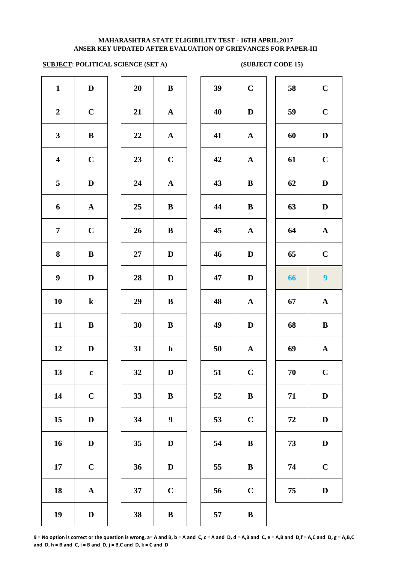### **ANSER KEY UPDATED AFTER EVALUATION OF GRIEVANCES FOR PAPER-III MAHARASHTRA STATE ELIGIBILITY TEST - 16TH APRIL,2017**

# **SUBJECT: POLITICAL SCIENCE (SET A) (SUBJECT CODE 15)**

| $\mathbf{1}$            | $\mathbf D$           | 20 | $\, {\bf B}$          | 39 | $\mathbf C$  |
|-------------------------|-----------------------|----|-----------------------|----|--------------|
| $\boldsymbol{2}$        | $\mathbf C$           | 21 | ${\bf A}$             | 40 | $\mathbf{D}$ |
| $\mathbf{3}$            | $\, {\bf B}$          | 22 | ${\bf A}$             | 41 | $\mathbf A$  |
| $\overline{\mathbf{4}}$ | $\mathbf C$           | 23 | $\mathbf C$           | 42 | $\mathbf A$  |
| 5                       | $\mathbf D$           | 24 | $\boldsymbol{\rm{A}}$ | 43 | $\bf{B}$     |
| 6                       | $\boldsymbol{\rm{A}}$ | 25 | $\bf{B}$              | 44 | $\bf{B}$     |
| $\overline{7}$          | $\mathbf C$           | 26 | $\bf{B}$              | 45 | $\mathbf A$  |
| 8                       | $\bf{B}$              | 27 | $\mathbf D$           | 46 | D            |
| $\boldsymbol{9}$        | $\mathbf D$           | 28 | $\mathbf D$           | 47 | $\bf{D}$     |
| 10                      | ${\bf k}$             | 29 | $\, {\bf B}$          | 48 | $\mathbf A$  |
| 11                      | $\, {\bf B}$          | 30 | $\, {\bf B}$          | 49 | $\mathbf{D}$ |
| 12                      | $\mathbf D$           | 31 | $\mathbf h$           | 50 | $\mathbf A$  |
| 13                      | $\mathbf c$           | 32 | $\mathbf D$           | 51 | $\mathbf C$  |
| 14                      | $\mathbf C$           | 33 | $\, {\bf B}$          | 52 | $\bf{B}$     |
| 15                      | $\mathbf D$           | 34 | $\boldsymbol{9}$      | 53 | $\mathbf C$  |
| 16                      | $\mathbf D$           | 35 | $\mathbf D$           | 54 | $\bf{B}$     |
| 17                      | $\mathbf C$           | 36 | $\mathbf D$           | 55 | $\bf{B}$     |
| 18                      | ${\bf A}$             | 37 | $\mathbf C$           | 56 | $\mathbf C$  |
| 19                      | $\mathbf D$           | 38 | $\, {\bf B}$          | 57 | $\bf{B}$     |
|                         |                       |    |                       |    |              |

| 20 | B            |  |
|----|--------------|--|
| 21 | $\mathbf{A}$ |  |
| 22 | $\mathbf A$  |  |
| 23 | $\mathbf C$  |  |
| 24 | $\mathbf A$  |  |
| 25 | B            |  |
| 26 | B            |  |
| 27 | D            |  |
| 28 | D            |  |
| 29 | B            |  |
| 30 | B            |  |
| 31 | h            |  |
| 32 | D            |  |
| 33 | B            |  |
| 34 | 9            |  |
| 35 | D            |  |
| 36 | D            |  |
| 37 | $\mathbf C$  |  |
|    |              |  |

| $\mathbf{1}$            | $\mathbf D$  | 20 | ${\bf B}$        | 39             | $\mathbf C$  | 58 | $\mathbf C$             |
|-------------------------|--------------|----|------------------|----------------|--------------|----|-------------------------|
| $\overline{2}$          | $\mathbf C$  | 21 | ${\bf A}$        | 40             | $\mathbf D$  | 59 | $\mathbf C$             |
| $\mathbf{3}$            | $\bf{B}$     | 22 | ${\bf A}$        | 41             | ${\bf A}$    | 60 | $\mathbf D$             |
| $\overline{\mathbf{4}}$ | $\mathbf C$  | 23 | $\mathbf C$      | 42             | $\mathbf{A}$ | 61 | $\mathbf C$             |
| $5\overline{)}$         | $\mathbf D$  | 24 | ${\bf A}$        | 43             | $\, {\bf B}$ | 62 | $\mathbf D$             |
| 6                       | ${\bf A}$    | 25 | $\bf{B}$         | 44             | $\, {\bf B}$ | 63 | $\mathbf D$             |
| $\overline{7}$          | $\mathbf C$  | 26 | ${\bf B}$        | 45             | ${\bf A}$    | 64 | ${\bf A}$               |
| 8                       | $\bf{B}$     | 27 | $\mathbf D$      | 46             | $\mathbf D$  | 65 | $\mathbf C$             |
| $\boldsymbol{9}$        | D            | 28 | $\mathbf D$      | 47             | $\mathbf D$  | 66 | $\overline{\mathbf{9}}$ |
| 10                      | ${\bf k}$    | 29 | $\bf{B}$         | 48             | $\mathbf{A}$ | 67 | ${\bf A}$               |
| 11                      | ${\bf B}$    | 30 | $\bf{B}$         | 49             | $\mathbf D$  | 68 | $\, {\bf B}$            |
| 12                      | D            | 31 | $\mathbf h$      | 50             | $\mathbf{A}$ | 69 | $\mathbf A$             |
| 13                      | $\mathbf c$  | 32 | D                | 51             | $\mathbf C$  | 70 | $\mathbf C$             |
| 14                      | $\mathbf C$  | 33 | ${\bf B}$        | 52             | $\, {\bf B}$ | 71 | $\mathbf D$             |
| 15                      | $\mathbf D$  | 34 | $\boldsymbol{9}$ | 53             | $\mathbf C$  | 72 | $\mathbf D$             |
| 16                      | $\mathbf D$  | 35 | $\mathbf D$      | 54             | $\, {\bf B}$ | 73 | $\mathbf D$             |
| 17                      | $\mathbf C$  | 36 | $\mathbf D$      | 55             | $\, {\bf B}$ | 74 | $\mathbf C$             |
| 18                      | ${\bf A}$    | 37 | $\mathbf C$      | 56             | $\mathbf C$  | 75 | $\mathbf D$             |
| 10                      | $\mathbf{r}$ | 20 | $\mathbf{D}$     | E <sub>H</sub> | $\mathbf{D}$ |    |                         |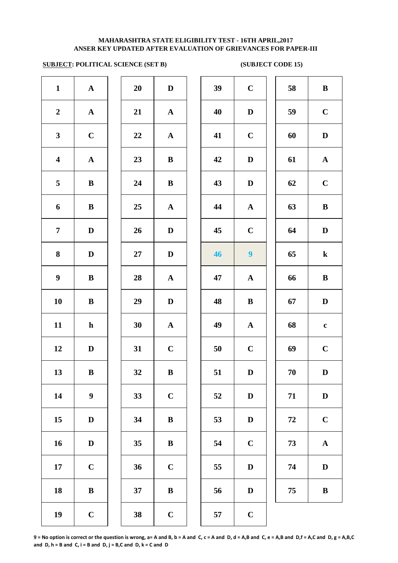# **SUBJECT: POLITICAL SCIENCE (SET B) (SUBJECT CODE 15)**

| $\mathbf{1}$            | $\boldsymbol{\rm{A}}$ | 20     | $\mathbf D$  | 39 | $\mathbf C$    |
|-------------------------|-----------------------|--------|--------------|----|----------------|
| $\boldsymbol{2}$        | $\boldsymbol{\rm{A}}$ | 21     | $\mathbf A$  | 40 | $\mathbf{D}$   |
| $\mathbf{3}$            | $\mathbf C$           | 22     | $\mathbf A$  | 41 | $\mathbf C$    |
| $\overline{\mathbf{4}}$ | $\mathbf A$           | 23     | $\, {\bf B}$ | 42 | $\mathbf{D}$   |
| 5                       | $\, {\bf B}$          | 24     | $\bf{B}$     | 43 | $\mathbf{D}$   |
| 6                       | ${\bf B}$             | 25     | ${\bf A}$    | 44 | $\mathbf{A}$   |
| $\overline{7}$          | $\mathbf D$           | 26     | $\mathbf D$  | 45 | $\mathbf C$    |
| ${\bf 8}$               | $\mathbf D$           | $27\,$ | $\mathbf D$  | 46 | $\overline{9}$ |
| $\boldsymbol{9}$        | $\, {\bf B}$          | 28     | ${\bf A}$    | 47 | $\mathbf A$    |
| 10                      | $\, {\bf B}$          | 29     | $\mathbf D$  | 48 | $\bf{B}$       |
| 11                      | $\mathbf h$           | 30     | ${\bf A}$    | 49 | $\mathbf A$    |
| 12                      | $\mathbf D$           | 31     | $\mathbf C$  | 50 | $\mathbf C$    |
| 13                      | $\, {\bf B}$          | 32     | $\, {\bf B}$ | 51 | $\bf{D}$       |
| 14                      | $\boldsymbol{9}$      | 33     | $\mathbf C$  | 52 | $\mathbf{D}$   |
| 15                      | $\mathbf D$           | 34     | $\, {\bf B}$ | 53 | $\mathbf{D}$   |
| 16                      | $\mathbf D$           | 35     | $\, {\bf B}$ | 54 | $\mathbf C$    |
| 17                      | $\mathbf C$           | 36     | $\mathbf C$  | 55 | $\mathbf{D}$   |
| 18                      | $\, {\bf B}$          | 37     | $\, {\bf B}$ | 56 | $\mathbf{D}$   |
| 19                      | $\mathbf C$           | 38     | $\mathbf C$  | 57 | $\mathbf C$    |
|                         |                       |        |              |    |                |

| $\mathbf{1}$            | ${\bf A}$        | 20     | D            | 39 | $\mathbf C$      | 58 | $\bf{B}$     |
|-------------------------|------------------|--------|--------------|----|------------------|----|--------------|
| $\overline{2}$          | ${\bf A}$        | 21     | $\mathbf{A}$ | 40 | D                | 59 | $\mathbf C$  |
| $\mathbf{3}$            | $\mathbf C$      | 22     | ${\bf A}$    | 41 | $\mathbf C$      | 60 | $\mathbf D$  |
| $\overline{\mathbf{4}}$ | ${\bf A}$        | 23     | $\bf{B}$     | 42 | $\mathbf D$      | 61 | ${\bf A}$    |
| 5                       | $\bf{B}$         | 24     | $\bf{B}$     | 43 | D                | 62 | $\bf C$      |
| 6                       | $\bf{B}$         | 25     | ${\bf A}$    | 44 | ${\bf A}$        | 63 | $\, {\bf B}$ |
| $\overline{7}$          | $\mathbf D$      | 26     | $\mathbf D$  | 45 | $\mathbf C$      | 64 | $\mathbf D$  |
| $\boldsymbol{8}$        | $\mathbf D$      | $27\,$ | $\mathbf D$  | 46 | $\boldsymbol{9}$ | 65 | $\bf k$      |
| $\boldsymbol{9}$        | $\bf{B}$         | 28     | $\mathbf{A}$ | 47 | $\mathbf{A}$     | 66 | $\bf{B}$     |
| 10                      | $\bf{B}$         | 29     | $\mathbf D$  | 48 | $\bf{B}$         | 67 | $\mathbf D$  |
| 11                      | $\mathbf{h}$     | 30     | ${\bf A}$    | 49 | ${\bf A}$        | 68 | $\mathbf c$  |
| 12                      | D                | 31     | $\mathbf C$  | 50 | $\mathbf C$      | 69 | $\mathbf C$  |
| 13                      | $\bf{B}$         | 32     | $\bf{B}$     | 51 | D                | 70 | D            |
| 14                      | $\boldsymbol{9}$ | 33     | $\mathbf C$  | 52 | $\mathbf D$      | 71 | $\mathbf D$  |
| 15                      | $\mathbf D$      | 34     | $\bf{B}$     | 53 | $\mathbf D$      | 72 | $\mathbf C$  |
| 16                      | $\mathbf D$      | 35     | $\bf{B}$     | 54 | $\mathbf C$      | 73 | ${\bf A}$    |
| 17                      | $\mathbf C$      | 36     | $\mathbf C$  | 55 | D                | 74 | $\mathbf D$  |
| 18                      | $\, {\bf B}$     | 37     | $\, {\bf B}$ | 56 | $\mathbf D$      | 75 | $\, {\bf B}$ |
| 19                      | $\mathbf C$      | 38     | $\mathbf C$  | 57 | $\mathbf C$      |    |              |
|                         |                  |        |              |    |                  |    |              |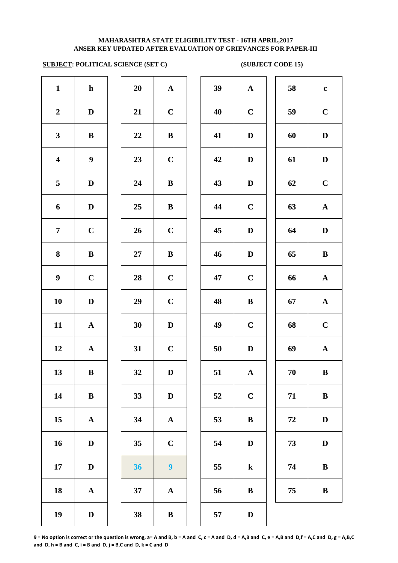# **SUBJECT: POLITICAL SCIENCE (SET C) (SUBJECT CODE 15)**

| $\mathbf{1}$            | $\mathbf h$           | 20 | ${\bf A}$             | 39 | $\mathbf A$  |
|-------------------------|-----------------------|----|-----------------------|----|--------------|
| $\boldsymbol{2}$        | $\mathbf D$           | 21 | $\mathbf C$           | 40 | $\mathbf C$  |
| $\mathbf{3}$            | ${\bf B}$             | 22 | $\bf{B}$              | 41 | $\mathbf{D}$ |
| $\overline{\mathbf{4}}$ | 9                     | 23 | $\mathbf C$           | 42 | $\mathbf{D}$ |
| 5                       | $\mathbf D$           | 24 | $\, {\bf B}$          | 43 | $\bf{D}$     |
| 6                       | $\mathbf D$           | 25 | $\bf{B}$              | 44 | $\mathbf C$  |
| $\overline{7}$          | $\mathbf C$           | 26 | $\mathbf C$           | 45 | $\mathbf{D}$ |
| $\bf{8}$                | $\, {\bf B}$          | 27 | $\, {\bf B}$          | 46 | $\mathbf{D}$ |
| $\boldsymbol{9}$        | $\mathbf C$           | 28 | $\mathbf C$           | 47 | $\mathbf C$  |
| 10                      | $\mathbf D$           | 29 | $\mathbf C$           | 48 | $\bf{B}$     |
| 11                      | $\boldsymbol{\rm{A}}$ | 30 | $\mathbf D$           | 49 | $\mathbf C$  |
| 12                      | $\boldsymbol{\rm{A}}$ | 31 | $\mathbf C$           | 50 | $\mathbf{D}$ |
| 13                      | $\bf{B}$              | 32 | D                     | 51 | $\mathbf A$  |
| 14                      | $\, {\bf B}$          | 33 | $\mathbf D$           | 52 | $\mathbf C$  |
| 15                      | ${\bf A}$             | 34 | $\boldsymbol{\rm{A}}$ | 53 | $\bf{B}$     |
| 16                      | $\mathbf D$           | 35 | $\mathbf C$           | 54 | $\mathbf{D}$ |
| 17                      | $\mathbf D$           | 36 | 9                     | 55 | $\bf k$      |
| 18                      | $\boldsymbol{\rm{A}}$ | 37 | $\mathbf A$           | 56 | $\bf{B}$     |
| 19                      | $\mathbf D$           | 38 | $\, {\bf B}$          | 57 | $\mathbf{D}$ |
|                         |                       |    |                       |    |              |

| 20 | $\mathbf A$ |
|----|-------------|
| 21 | $\mathbf C$ |
| 22 | B           |
| 23 | $\mathbf C$ |
| 24 | B           |
| 25 | B           |
| 26 | $\mathbf C$ |
| 27 | B           |
| 28 | $\mathbf C$ |
| 29 | $\mathbf C$ |
| 30 | D           |
| 31 | $\mathbf C$ |
| 32 | $\bf{D}$    |
| 33 | D           |
| 34 | A           |
| 35 | $\mathbf C$ |
| 36 | 9           |
| 37 | A           |
| 38 | R           |

| $\mathbf{1}$            | $\mathbf{h}$              | 20 | ${\bf A}$        | 39 | ${\bf A}$    | 58 | $\mathbf c$  |
|-------------------------|---------------------------|----|------------------|----|--------------|----|--------------|
| $\boldsymbol{2}$        | $\mathbf D$               | 21 | $\mathbf C$      | 40 | $\mathbf C$  | 59 | $\mathbf C$  |
| $\mathbf{3}$            | $\, {\bf B}$              | 22 | $\, {\bf B}$     | 41 | $\mathbf D$  | 60 | $\mathbf D$  |
| $\overline{\mathbf{4}}$ | $\boldsymbol{9}$          | 23 | $\mathbf C$      | 42 | $\mathbf D$  | 61 | $\mathbf D$  |
| 5                       | $\mathbf D$               | 24 | $\, {\bf B}$     | 43 | $\mathbf D$  | 62 | $\mathbf C$  |
| $\boldsymbol{6}$        | $\mathbf D$               | 25 | $\, {\bf B}$     | 44 | $\mathbf C$  | 63 | $\mathbf A$  |
| $\overline{7}$          | $\mathbf C$               | 26 | $\mathbf C$      | 45 | $\mathbf D$  | 64 | $\mathbf D$  |
| $\boldsymbol{8}$        | $\, {\bf B}$              | 27 | $\, {\bf B}$     | 46 | D            | 65 | $\, {\bf B}$ |
| $\boldsymbol{9}$        | $\mathbf C$               | 28 | $\mathbf C$      | 47 | $\mathbf C$  | 66 | ${\bf A}$    |
| 10                      | D                         | 29 | $\mathbf C$      | 48 | $\bf{B}$     | 67 | ${\bf A}$    |
| 11                      | $\mathbf{A}$              | 30 | $\mathbf D$      | 49 | $\mathbf C$  | 68 | $\mathbf C$  |
| 12                      | $\mathbf{A}$              | 31 | $\mathbf C$      | 50 | $\mathbf D$  | 69 | $\mathbf A$  |
| 13                      | $\, {\bf B}$              | 32 | $\mathbf D$      | 51 | $\mathbf{A}$ | 70 | $\, {\bf B}$ |
| 14                      | ${\bf B}$                 | 33 | $\mathbf D$      | 52 | $\mathbf C$  | 71 | $\bf{B}$     |
| 15                      | ${\bf A}$                 | 34 | $\mathbf{A}$     | 53 | $\bf{B}$     | 72 | $\mathbf D$  |
| 16                      | $\mathbf D$               | 35 | $\mathbf C$      | 54 | D            | 73 | D            |
| 17                      | $\mathbf D$               | 36 | $\boldsymbol{9}$ | 55 | ${\bf k}$    | 74 | $\, {\bf B}$ |
| 18                      | $\boldsymbol{\mathbf{A}}$ | 37 | $\mathbf A$      | 56 | $\bf{B}$     | 75 | $\, {\bf B}$ |
| 19                      | $\mathbf D$               | 38 | $\bf{B}$         | 57 | $\mathbf D$  |    |              |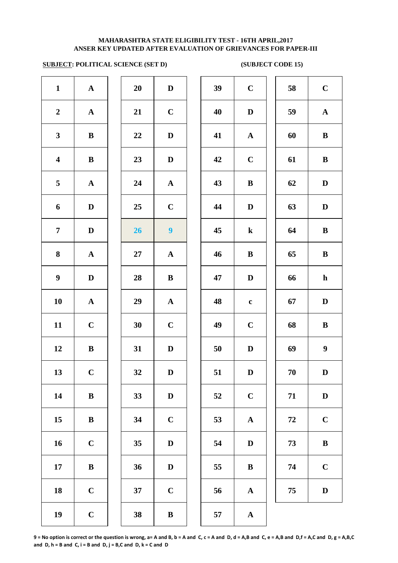# **SUBJECT: POLITICAL SCIENCE (SET D) (SUBJECT CODE 15)**

| $\mathbf C$<br>$\mathbf{D}$<br>$\mathbf A$<br>$\mathbf C$<br>$\bf{B}$ |
|-----------------------------------------------------------------------|
|                                                                       |
|                                                                       |
|                                                                       |
|                                                                       |
|                                                                       |
| $\mathbf{D}$                                                          |
| $\bf k$                                                               |
| $\bf{B}$                                                              |
| $\mathbf{D}$                                                          |
| $\mathbf c$                                                           |
| $\mathbf C$                                                           |
| $\mathbf{D}$                                                          |
| $\mathbf{D}$                                                          |
| $\mathbf C$                                                           |
| $\mathbf A$                                                           |
| $\mathbf{D}$                                                          |
| $\bf{B}$                                                              |
|                                                                       |
| $\mathbf A$                                                           |
|                                                                       |

| 20 | D                       |
|----|-------------------------|
| 21 | $\mathbf C$             |
| 22 | D                       |
| 23 | D                       |
| 24 | $\mathbf A$             |
| 25 | $\mathbf C$             |
| 26 | 9                       |
| 27 | $\mathbf A$             |
| 28 | B                       |
| 29 | $\mathbf{A}$            |
| 30 | $\mathbf C$             |
| 31 | D                       |
| 32 | D                       |
| 33 | D                       |
| 34 | $\mathbf C$             |
| 35 | D                       |
| 36 | D                       |
| 37 | $\overline{\mathbf{C}}$ |
|    |                         |

| $\mathbf{1}$            | ${\bf A}$    | 20 | $\mathbf D$    | 39 | $\mathbf C$  | 58 | $\mathbf C$      |
|-------------------------|--------------|----|----------------|----|--------------|----|------------------|
| $\overline{2}$          | ${\bf A}$    | 21 | $\mathbf C$    | 40 | D            | 59 | ${\bf A}$        |
| $\mathbf{3}$            | $\bf{B}$     | 22 | D              | 41 | $\mathbf{A}$ | 60 | $\bf{B}$         |
| $\overline{\mathbf{4}}$ | $\bf{B}$     | 23 | D              | 42 | $\mathbf C$  | 61 | $\bf{B}$         |
| $\overline{5}$          | ${\bf A}$    | 24 | ${\bf A}$      | 43 | $\bf{B}$     | 62 | $\mathbf D$      |
| 6                       | $\mathbf D$  | 25 | $\mathbf C$    | 44 | D            | 63 | $\mathbf D$      |
| $\overline{7}$          | $\mathbf{D}$ | 26 | 9 <sup>°</sup> | 45 | $\bf k$      | 64 | $\bf{B}$         |
| 8                       | ${\bf A}$    | 27 | ${\bf A}$      | 46 | $\bf{B}$     | 65 | $\bf{B}$         |
| $\boldsymbol{9}$        | $\mathbf D$  | 28 | $\bf{B}$       | 47 | D            | 66 | $\mathbf{h}$     |
| 10                      | ${\bf A}$    | 29 | ${\bf A}$      | 48 | $\mathbf c$  | 67 | $\mathbf D$      |
| 11                      | $\mathbf C$  | 30 | $\mathbf C$    | 49 | $\mathbf C$  | 68 | $\bf{B}$         |
| 12                      | $\bf{B}$     | 31 | D              | 50 | D            | 69 | $\boldsymbol{9}$ |
| 13                      | $\mathbf C$  | 32 | $\mathbf{D}$   | 51 | $\mathbf D$  | 70 | $\mathbf D$      |
| 14                      | $\bf{B}$     | 33 | $\mathbf D$    | 52 | $\mathbf C$  | 71 | $\mathbf D$      |
| 15                      | $\bf{B}$     | 34 | $\mathbf C$    | 53 | ${\bf A}$    | 72 | $\mathbf C$      |
| 16                      | $\mathbf C$  | 35 | D              | 54 | D            | 73 | $\bf{B}$         |
| 17                      | $\, {\bf B}$ | 36 | D              | 55 | $\bf{B}$     | 74 | $\mathbf C$      |
| 18                      | $\mathbf C$  | 37 | $\mathbf C$    | 56 | ${\bf A}$    | 75 | $\mathbf D$      |
| 10                      | $\mathbf C$  | 38 | $\mathbf{p}$   | 57 |              |    |                  |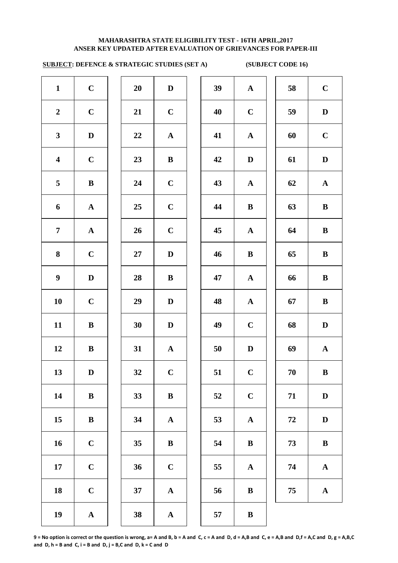# **SUBJECT: DEFENCE & STRATEGIC STUDIES (SET A) (SUBJECT CODE 16)**

| $\mathbf{1}$            | $\mathbf C$  | 20 | $\mathbf D$  | 39 | ${\bf A}$    | 58 | $\mathbf C$  |
|-------------------------|--------------|----|--------------|----|--------------|----|--------------|
| $\boldsymbol{2}$        | $\mathbf C$  | 21 | $\mathbf C$  | 40 | $\mathbf C$  | 59 | $\mathbf{D}$ |
| $\mathbf{3}$            | $\mathbf D$  | 22 | ${\bf A}$    | 41 | $\mathbf{A}$ | 60 | $\mathbf C$  |
| $\overline{\mathbf{4}}$ | $\mathbf C$  | 23 | $\bf{B}$     | 42 | $\mathbf D$  | 61 | $\mathbf{D}$ |
| 5                       | $\bf{B}$     | 24 | $\mathbf C$  | 43 | $\mathbf{A}$ | 62 | $\mathbf A$  |
| $\boldsymbol{6}$        | ${\bf A}$    | 25 | $\mathbf C$  | 44 | $\bf{B}$     | 63 | $\bf{B}$     |
| $\overline{7}$          | $\mathbf{A}$ | 26 | $\mathbf C$  | 45 | ${\bf A}$    | 64 | $\bf{B}$     |
| 8                       | $\mathbf C$  | 27 | $\mathbf{D}$ | 46 | $\, {\bf B}$ | 65 | $\bf{B}$     |
| $\boldsymbol{9}$        | $\mathbf D$  | 28 | $\bf{B}$     | 47 | ${\bf A}$    | 66 | $\bf{B}$     |
| 10                      | $\mathbf C$  | 29 | $\mathbf{D}$ | 48 | ${\bf A}$    | 67 | $\bf{B}$     |
| 11                      | $\bf{B}$     | 30 | $\mathbf{D}$ | 49 | $\mathbf C$  | 68 | $\mathbf D$  |
| 12                      | $\bf{B}$     | 31 | ${\bf A}$    | 50 | $\mathbf D$  | 69 | $\mathbf A$  |
| 13                      | $\mathbf D$  | 32 | $\mathbf C$  | 51 | $\mathbf C$  | 70 | $\bf{B}$     |
| 14                      | $\, {\bf B}$ | 33 | ${\bf B}$    | 52 | $\mathbf C$  | 71 | $\mathbf{D}$ |
| 15                      | $\bf{B}$     | 34 | ${\bf A}$    | 53 | ${\bf A}$    | 72 | $\mathbf{D}$ |
| 16                      | $\mathbf C$  | 35 | $\bf{B}$     | 54 | $\, {\bf B}$ | 73 | $\bf{B}$     |
| 17                      | $\mathbf C$  | 36 | $\mathbf C$  | 55 | ${\bf A}$    | 74 | $\mathbf A$  |
| 18                      | $\bf C$      | 37 | ${\bf A}$    | 56 | $\, {\bf B}$ | 75 | $\mathbf A$  |
| 19                      | $\mathbf{A}$ | 38 | $\mathbf{A}$ | 57 | $\, {\bf B}$ |    |              |

| 39 | ${\bf A}$             | 58 | $\mathbf C$ |
|----|-----------------------|----|-------------|
| 40 | $\mathbf C$           | 59 | D           |
| 41 | $\mathbf A$           | 60 | $\mathbf C$ |
| 42 | D                     | 61 | $\mathbf D$ |
| 43 | ${\bf A}$             | 62 | $\mathbf A$ |
| 44 | B                     | 63 | B           |
| 45 | $\mathbf A$           | 64 | B           |
| 46 | $\bf{B}$              | 65 | B           |
| 47 | $\boldsymbol{\rm{A}}$ | 66 | B           |
| 48 | ${\bf A}$             | 67 | $\bf{B}$    |
| 49 | $\mathbf C$           | 68 | D           |
| 50 | D                     | 69 | ${\bf A}$   |
| 51 | $\mathbf C$           | 70 | B           |
| 52 | $\mathbf C$           | 71 | $\mathbf D$ |
| 53 | $\mathbf A$           | 72 | $\mathbf D$ |
| 54 | B                     | 73 | B           |
| 55 | $\mathbf A$           | 74 | $\mathbf A$ |
| 56 | B                     | 75 | $\mathbf A$ |
| 57 | $\bf{B}$              |    |             |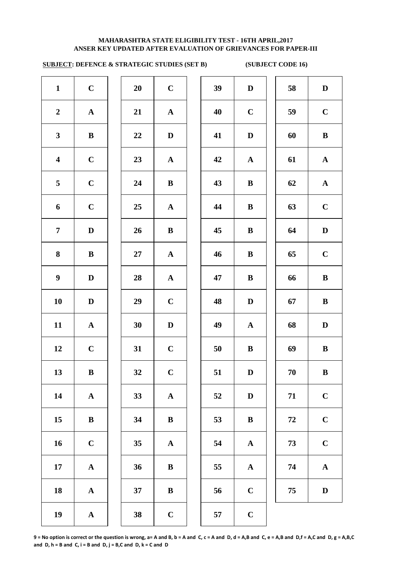## **ANSER KEY UPDATED AFTER EVALUATION OF GRIEVANCES FOR PAPER-III MAHARASHTRA STATE ELIGIBILITY TEST - 16TH APRIL,2017**

# **SUBJECT: DEFENCE & STRATEGIC STUDIES (SET B) (SUBJECT CODE 16)**

| 58<br>$\mathbf D$<br>$\mathbf D$<br>$\mathbf C$<br>$\mathbf C$<br>59<br>60<br>$\bf{B}$<br>$\mathbf D$                                                                     |
|---------------------------------------------------------------------------------------------------------------------------------------------------------------------------|
|                                                                                                                                                                           |
|                                                                                                                                                                           |
|                                                                                                                                                                           |
| 61<br>${\bf A}$                                                                                                                                                           |
| 62<br>${\bf A}$                                                                                                                                                           |
| $\mathbf C$<br>63                                                                                                                                                         |
| 64<br>$\mathbf D$                                                                                                                                                         |
| $\bf C$<br>65                                                                                                                                                             |
| 66<br>$\, {\bf B}$                                                                                                                                                        |
| $\bf{B}$<br>67                                                                                                                                                            |
| $\mathbf D$<br>${\bf A}$<br>68                                                                                                                                            |
| $\bf{B}$<br>69                                                                                                                                                            |
| $70\,$<br>$\bf{B}$                                                                                                                                                        |
| $\mathbf C$<br>71                                                                                                                                                         |
| $\mathbf C$<br>72                                                                                                                                                         |
| $\mathbf C$<br>73<br>${\bf A}$                                                                                                                                            |
| ${\bf A}$<br>${\bf A}$<br>74                                                                                                                                              |
| 75<br>$\mathbf D$                                                                                                                                                         |
|                                                                                                                                                                           |
| ${\bf A}$<br>$\bf{B}$<br>$\bf{B}$<br>$\bf{B}$<br>$\bf{B}$<br>$\bf{B}$<br>$\mathbf{D}$<br>$\bf{B}$<br>$\mathbf D$<br>$\mathbf D$<br>$\bf{B}$<br>$\mathbf C$<br>$\mathbf C$ |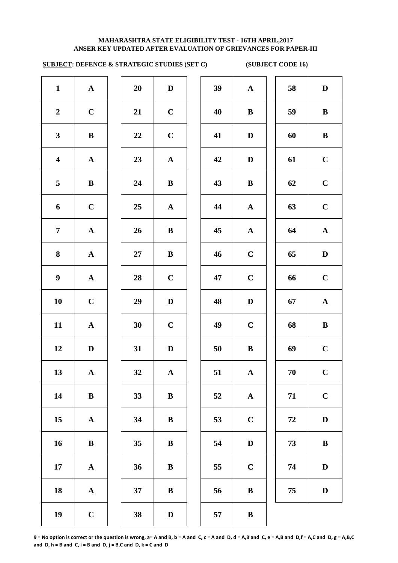# **SUBJECT: DEFENCE & STRATEGIC STUDIES (SET C) (SUBJECT CODE 16)**

| $\mathbf{1}$            | ${\bf A}$    | 20     | $\mathbf D$  | 39 | ${\bf A}$    | 58     | D            |
|-------------------------|--------------|--------|--------------|----|--------------|--------|--------------|
| $\boldsymbol{2}$        | $\mathbf C$  | 21     | $\mathbf C$  | 40 | $\, {\bf B}$ | 59     | $\bf{B}$     |
| $\mathbf{3}$            | $\bf{B}$     | 22     | $\mathbf C$  | 41 | $\mathbf D$  | 60     | $\bf{B}$     |
| $\overline{\mathbf{4}}$ | ${\bf A}$    | 23     | ${\bf A}$    | 42 | $\mathbf D$  | 61     | $\mathbf C$  |
| 5                       | $\bf{B}$     | 24     | $\bf{B}$     | 43 | $\, {\bf B}$ | 62     | $\mathbf C$  |
| 6                       | $\mathbf C$  | 25     | ${\bf A}$    | 44 | $\mathbf{A}$ | 63     | $\mathbf C$  |
| $\overline{7}$          | ${\bf A}$    | 26     | $\, {\bf B}$ | 45 | ${\bf A}$    | 64     | $\mathbf A$  |
| 8                       | ${\bf A}$    | $27\,$ | $\, {\bf B}$ | 46 | $\mathbf C$  | 65     | $\mathbf D$  |
| $\boldsymbol{9}$        | ${\bf A}$    | 28     | $\mathbf C$  | 47 | $\mathbf C$  | 66     | $\mathbf C$  |
| ${\bf 10}$              | $\mathbf C$  | 29     | $\mathbf D$  | 48 | $\mathbf D$  | 67     | $\mathbf A$  |
| 11                      | ${\bf A}$    | 30     | $\mathbf C$  | 49 | $\mathbf C$  | 68     | $\bf{B}$     |
| 12                      | $\mathbf D$  | 31     | $\mathbf D$  | 50 | $\, {\bf B}$ | 69     | $\mathbf C$  |
| 13                      | ${\bf A}$    | 32     | ${\bf A}$    | 51 | ${\bf A}$    | $70\,$ | $\mathbf C$  |
| 14                      | $\, {\bf B}$ | 33     | $\, {\bf B}$ | 52 | ${\bf A}$    | 71     | $\mathbf C$  |
| 15                      | ${\bf A}$    | 34     | $\bf{B}$     | 53 | $\mathbf C$  | 72     | $\mathbf D$  |
| 16                      | $\bf{B}$     | 35     | $\bf{B}$     | 54 | $\mathbf D$  | 73     | $\bf{B}$     |
| 17                      | ${\bf A}$    | 36     | $\bf{B}$     | 55 | $\mathbf C$  | 74     | $\mathbf{D}$ |
| 18                      | ${\bf A}$    | 37     | $\, {\bf B}$ | 56 | $\, {\bf B}$ | 75     | $\mathbf{D}$ |
| 19                      | $\mathbf C$  | 38     | $\mathbf D$  | 57 | $\bf{B}$     |        |              |
|                         |              |        |              |    |              |        |              |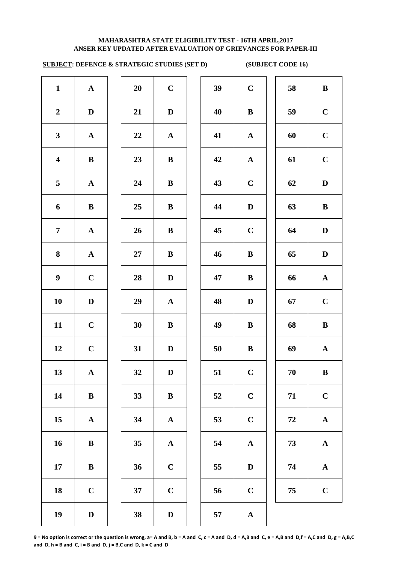# **SUBJECT: DEFENCE & STRATEGIC STUDIES (SET D) (SUBJECT CODE 16)**

| $\mathbf{1}$            | $\mathbf{A}$ | 20 | $\mathbf C$  | 39 | $\mathbf C$  | 58 | $\bf{B}$     |
|-------------------------|--------------|----|--------------|----|--------------|----|--------------|
| $\boldsymbol{2}$        | $\mathbf D$  | 21 | $\mathbf D$  | 40 | $\bf{B}$     | 59 | $\mathbf C$  |
| $\mathbf{3}$            | ${\bf A}$    | 22 | ${\bf A}$    | 41 | $\mathbf{A}$ | 60 | $\mathbf C$  |
| $\overline{\mathbf{4}}$ | ${\bf B}$    | 23 | $\, {\bf B}$ | 42 | $\mathbf{A}$ | 61 | $\mathbf C$  |
| $5\phantom{.0}$         | ${\bf A}$    | 24 | $\, {\bf B}$ | 43 | $\mathbf C$  | 62 | $\mathbf D$  |
| 6                       | ${\bf B}$    | 25 | $\, {\bf B}$ | 44 | $\mathbf D$  | 63 | $\bf{B}$     |
| $\overline{7}$          | ${\bf A}$    | 26 | $\, {\bf B}$ | 45 | $\mathbf C$  | 64 | $\mathbf{D}$ |
| 8                       | ${\bf A}$    | 27 | $\, {\bf B}$ | 46 | $\bf{B}$     | 65 | $\mathbf{D}$ |
| $\boldsymbol{9}$        | $\mathbf C$  | 28 | $\mathbf D$  | 47 | $\bf{B}$     | 66 | $\mathbf A$  |
| 10                      | $\mathbf D$  | 29 | ${\bf A}$    | 48 | $\mathbf D$  | 67 | $\mathbf C$  |
| 11                      | $\mathbf C$  | 30 | $\bf{B}$     | 49 | $\bf{B}$     | 68 | $\bf{B}$     |
| 12                      | $\mathbf C$  | 31 | $\mathbf D$  | 50 | $\bf{B}$     | 69 | $\mathbf A$  |
| 13                      | $\mathbf A$  | 32 | $\mathbf D$  | 51 | $\mathbf C$  | 70 | $\bf{B}$     |
| 14                      | ${\bf B}$    | 33 | $\, {\bf B}$ | 52 | $\mathbf C$  | 71 | $\mathbf C$  |
| 15                      | ${\bf A}$    | 34 | ${\bf A}$    | 53 | $\bf C$      | 72 | $\mathbf A$  |
| 16                      | ${\bf B}$    | 35 | ${\bf A}$    | 54 | ${\bf A}$    | 73 | $\mathbf A$  |
| 17                      | $\, {\bf B}$ | 36 | $\mathbf C$  | 55 | $\mathbf D$  | 74 | $\mathbf A$  |
| 18                      | $\mathbf C$  | 37 | $\mathbf C$  | 56 | $\mathbf C$  | 75 | $\mathbf C$  |
| 19                      | $\mathbf D$  | 38 | $\mathbf D$  | 57 | ${\bf A}$    |    |              |
|                         |              |    |              |    |              |    |              |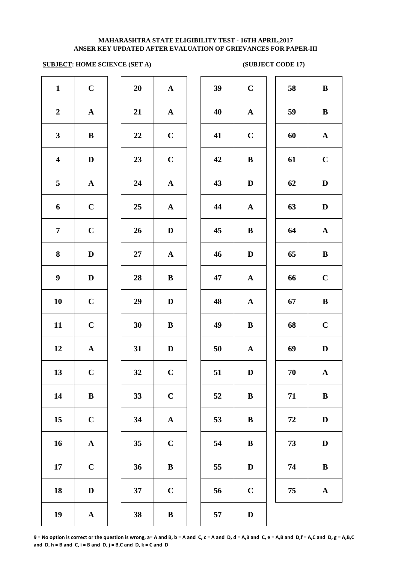# **SUBJECT: HOME SCIENCE (SET A)** (SUBJECT CODE 17)

| $\mathbf{1}$            | $\mathbf C$           | 20 | ${\bf A}$             | 39 | $\mathbf C$  |
|-------------------------|-----------------------|----|-----------------------|----|--------------|
| $\boldsymbol{2}$        | $\boldsymbol{\rm{A}}$ | 21 | ${\bf A}$             | 40 | $\mathbf A$  |
| $\mathbf{3}$            | $\bf{B}$              | 22 | $\mathbf C$           | 41 | $\mathbf C$  |
| $\overline{\mathbf{4}}$ | $\mathbf D$           | 23 | $\mathbf C$           | 42 | $\bf{B}$     |
| 5                       | ${\bf A}$             | 24 | ${\bf A}$             | 43 | $\mathbf{D}$ |
| 6                       | $\mathbf C$           | 25 | ${\bf A}$             | 44 | $\mathbf A$  |
| $\overline{7}$          | $\mathbf C$           | 26 | $\mathbf D$           | 45 | $\bf{B}$     |
| 8                       | $\mathbf D$           | 27 | ${\bf A}$             | 46 | $\mathbf{D}$ |
| $\boldsymbol{9}$        | $\mathbf D$           | 28 | $\, {\bf B}$          | 47 | $\mathbf A$  |
| ${\bf 10}$              | $\mathbf C$           | 29 | $\mathbf D$           | 48 | $\mathbf{A}$ |
| 11                      | $\mathbf C$           | 30 | $\, {\bf B}$          | 49 | $\bf{B}$     |
| 12                      | $\boldsymbol{\rm{A}}$ | 31 | $\mathbf D$           | 50 | $\mathbf A$  |
| 13                      | $\mathbf C$           | 32 | $\mathbf C$           | 51 | $\mathbf{D}$ |
| 14                      | $\, {\bf B}$          | 33 | $\mathbf C$           | 52 | $\bf{B}$     |
| 15                      | $\mathbf C$           | 34 | $\boldsymbol{\rm{A}}$ | 53 | $\bf{B}$     |
| 16                      | $\boldsymbol{\rm{A}}$ | 35 | $\mathbf C$           | 54 | $\bf{B}$     |
| 17                      | $\mathbf C$           | 36 | $\, {\bf B}$          | 55 | $\mathbf{D}$ |
| 18                      | $\mathbf D$           | 37 | $\mathbf C$           | 56 | $\mathbf C$  |
| 19                      | $\boldsymbol{\rm{A}}$ | 38 | $\, {\bf B}$          | 57 | $\mathbf{D}$ |
|                         |                       |    |                       |    |              |

| 20        | $\mathbf A$  |
|-----------|--------------|
| 21        | $\mathbf A$  |
| 22        | $\mathbf C$  |
| 23        | $\mathbf C$  |
| 24        | $\mathbf{A}$ |
| 25        | $\mathbf A$  |
| 26        | D            |
| <b>27</b> | $\mathbf{A}$ |
| 28        | B            |
| 29        | D            |
| 30        | B            |
| 31        | D            |
| 32        | $\mathbf C$  |
| 33        | $\mathbf C$  |
| 34        | $\mathbf A$  |
| 35        | $\mathbf C$  |
| 36        | B            |
|           |              |
| 37        | $\mathbf C$  |

| $\mathbf{1}$            | $\mathbf C$  | 20             | ${\bf A}$    | 39 | $\mathbf C$  | 58 | $\, {\bf B}$ |
|-------------------------|--------------|----------------|--------------|----|--------------|----|--------------|
| $\overline{2}$          | ${\bf A}$    | 21             | ${\bf A}$    | 40 | ${\bf A}$    | 59 | $\, {\bf B}$ |
| $\mathbf{3}$            | $\bf{B}$     | 22             | $\mathbf C$  | 41 | $\mathbf C$  | 60 | ${\bf A}$    |
| $\overline{\mathbf{4}}$ | $\mathbf D$  | 23             | $\mathbf C$  | 42 | $\, {\bf B}$ | 61 | $\mathbf C$  |
| 5                       | ${\bf A}$    | 24             | ${\bf A}$    | 43 | $\mathbf D$  | 62 | $\mathbf D$  |
| 6                       | $\mathbf C$  | 25             | ${\bf A}$    | 44 | ${\bf A}$    | 63 | $\mathbf D$  |
| $\overline{7}$          | $\mathbf C$  | 26             | $\mathbf D$  | 45 | $\, {\bf B}$ | 64 | $\mathbf A$  |
| 8                       | $\mathbf D$  | $27\,$         | ${\bf A}$    | 46 | $\mathbf D$  | 65 | $\, {\bf B}$ |
| $\boldsymbol{9}$        | D            | 28             | $\bf{B}$     | 47 | $\mathbf{A}$ | 66 | $\mathbf C$  |
| 10                      | $\mathbf C$  | 29             | $\mathbf{D}$ | 48 | $\mathbf A$  | 67 | $\, {\bf B}$ |
| 11                      | $\mathbf C$  | 30             | $\bf{B}$     | 49 | $\, {\bf B}$ | 68 | $\mathbf C$  |
| 12                      | $\mathbf{A}$ | 31             | $\mathbf{D}$ | 50 | $\mathbf{A}$ | 69 | $\mathbf D$  |
| 13                      | $\mathbf C$  | 32             | $\mathbf C$  | 51 | D            | 70 | $\mathbf A$  |
| 14                      | ${\bf B}$    | 33             | $\mathbf C$  | 52 | $\bf{B}$     | 71 | $\bf{B}$     |
| 15                      | $\mathbf C$  | 34             | $\mathbf A$  | 53 | ${\bf B}$    | 72 | $\mathbf D$  |
| 16                      | ${\bf A}$    | 35             | $\bf C$      | 54 | $\, {\bf B}$ | 73 | $\mathbf D$  |
| 17                      | $\mathbf C$  | 36             | $\, {\bf B}$ | 55 | $\mathbf D$  | 74 | $\, {\bf B}$ |
| 18                      | $\mathbf D$  | 37             | $\mathbf C$  | 56 | $\mathbf C$  | 75 | ${\bf A}$    |
| 10                      |              | 2 <sub>Q</sub> | $\mathbf{p}$ | 57 | $\mathbf{D}$ |    |              |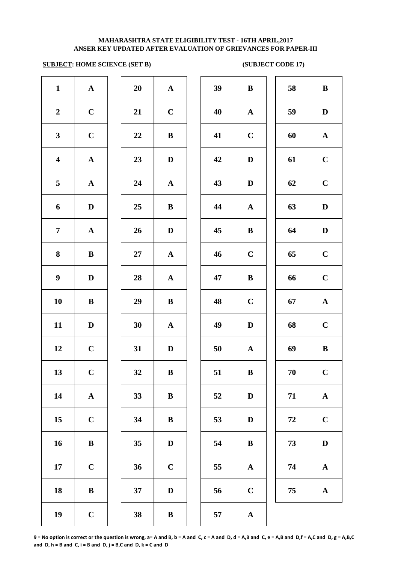# **SUBJECT: HOME SCIENCE (SET B)** (SUBJECT CODE 17)

| $\mathbf{1}$            | $\mathbf{A}$ | 20       | ${\bf A}$    | 39 | $\bf{B}$     | 58         | $\bf{B}$     |
|-------------------------|--------------|----------|--------------|----|--------------|------------|--------------|
| $\boldsymbol{2}$        | $\mathbf C$  | 21       | $\mathbf C$  | 40 | $\mathbf{A}$ | 59         | $\mathbf{D}$ |
| $\mathbf{3}$            | $\mathbf C$  | $\bf 22$ | $\bf{B}$     | 41 | $\mathbf C$  | 60         | $\mathbf A$  |
| $\overline{\mathbf{4}}$ | ${\bf A}$    | 23       | $\mathbf D$  | 42 | $\mathbf D$  | 61         | $\mathbf C$  |
| 5                       | $\mathbf{A}$ | 24       | $\mathbf{A}$ | 43 | $\mathbf D$  | 62         | $\mathbf C$  |
| 6                       | $\mathbf D$  | 25       | $\bf{B}$     | 44 | $\mathbf{A}$ | 63         | $\mathbf{D}$ |
| $\overline{7}$          | $\mathbf A$  | 26       | $\mathbf D$  | 45 | $\bf{B}$     | 64         | $\mathbf{D}$ |
| $\bf{8}$                | $\bf{B}$     | 27       | $\mathbf{A}$ | 46 | $\mathbf C$  | 65         | $\mathbf C$  |
| $\boldsymbol{9}$        | $\mathbf D$  | 28       | ${\bf A}$    | 47 | $\, {\bf B}$ | 66         | $\mathbf C$  |
| 10                      | $\bf{B}$     | 29       | $\mathbf{B}$ | 48 | $\mathbf C$  | 67         | $\mathbf A$  |
| 11                      | $\mathbf D$  | 30       | $\mathbf{A}$ | 49 | $\mathbf D$  | 68         | $\mathbf C$  |
| 12                      | $\mathbf C$  | 31       | $\mathbf{D}$ | 50 | $\mathbf{A}$ | 69         | $\bf{B}$     |
| 13                      | $\mathbf C$  | 32       | B            | 51 | B            | 70         | $\mathbf C$  |
| 14                      | ${\bf A}$    | 33       | $\bf{B}$     | 52 | $\mathbf D$  | 71         | $\mathbf A$  |
| 15                      | $\mathbf C$  | 34       | $\bf{B}$     | 53 | $\mathbf D$  | ${\bf 72}$ | $\mathbf C$  |
| 16                      | $\, {\bf B}$ | 35       | $\mathbf D$  | 54 | $\bf{B}$     | 73         | $\mathbf{D}$ |
| 17                      | $\mathbf C$  | 36       | $\bf C$      | 55 | ${\bf A}$    | 74         | $\mathbf A$  |
| 18                      | $\, {\bf B}$ | 37       | $\mathbf D$  | 56 | $\bf C$      | 75         | $\mathbf A$  |
| 19                      | $\mathbf C$  | 38       | $\bf{B}$     | 57 | ${\bf A}$    |            |              |

| 39 | $\bf{B}$              | 58 | $\bf{B}$    |
|----|-----------------------|----|-------------|
| 40 | $\mathbf A$           | 59 | $\mathbf D$ |
| 41 | $\mathbf C$           | 60 | ${\bf A}$   |
| 42 | $\mathbf D$           | 61 | $\mathbf C$ |
| 43 | $\mathbf D$           | 62 | $\mathbf C$ |
| 44 | $\mathbf A$           | 63 | D           |
| 45 | B                     | 64 | D           |
| 46 | $\mathbf C$           | 65 | $\mathbf C$ |
| 47 | B                     | 66 | $\mathbf C$ |
| 48 | $\mathbf C$           | 67 | $\mathbf A$ |
| 49 | $\mathbf D$           | 68 | $\mathbf C$ |
| 50 | $\boldsymbol{\rm{A}}$ | 69 | $\bf{B}$    |
| 51 | B                     | 70 | $\mathbf C$ |
| 52 | D                     | 71 | $\mathbf A$ |
| 53 | D                     | 72 | $\mathbf C$ |
| 54 | B                     | 73 | D           |
| 55 | $\boldsymbol{\rm{A}}$ | 74 | $\mathbf A$ |
| 56 | $\mathbf C$           | 75 | $\mathbf A$ |
| EΠ |                       |    |             |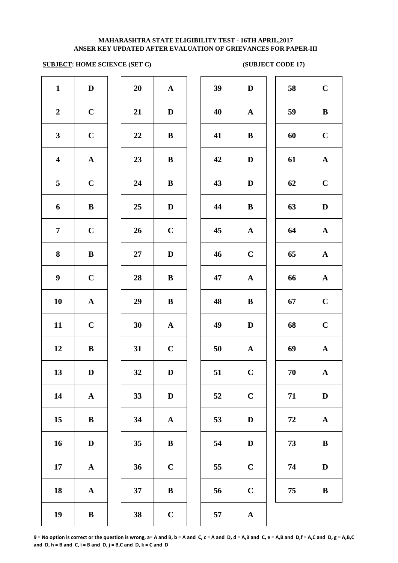### **ANSER KEY UPDATED AFTER EVALUATION OF GRIEVANCES FOR PAPER-III MAHARASHTRA STATE ELIGIBILITY TEST - 16TH APRIL,2017**

# **SUBJECT: HOME SCIENCE (SET C)** (SUBJECT CODE 17)

| $\mathbf{1}$            | $\mathbf D$  | 20        | ${\bf A}$   | 39 | $\mathbf D$  | 58 | $\mathbf C$  |
|-------------------------|--------------|-----------|-------------|----|--------------|----|--------------|
| $\boldsymbol{2}$        | $\mathbf C$  | 21        | D           | 40 | $\mathbf{A}$ | 59 | $\bf{B}$     |
| $\mathbf{3}$            | $\mathbf C$  | 22        | ${\bf B}$   | 41 | $\bf{B}$     | 60 | $\mathbf C$  |
| $\overline{\mathbf{4}}$ | ${\bf A}$    | 23        | ${\bf B}$   | 42 | $\mathbf D$  | 61 | $\mathbf A$  |
| 5                       | $\mathbf C$  | 24        | $\bf{B}$    | 43 | $\mathbf D$  | 62 | $\mathbf C$  |
| 6                       | $\bf{B}$     | 25        | $\mathbf D$ | 44 | $\, {\bf B}$ | 63 | $\mathbf{D}$ |
| $\overline{7}$          | $\mathbf C$  | 26        | $\mathbf C$ | 45 | $\mathbf{A}$ | 64 | $\mathbf A$  |
| 8                       | $\bf{B}$     | $27\,$    | $\mathbf D$ | 46 | $\mathbf C$  | 65 | $\mathbf A$  |
| $\boldsymbol{9}$        | $\mathbf C$  | 28        | $\bf{B}$    | 47 | $\mathbf{A}$ | 66 | $\mathbf A$  |
| 10                      | ${\bf A}$    | 29        | $\bf{B}$    | 48 | $\, {\bf B}$ | 67 | $\mathbf C$  |
| 11                      | $\mathbf C$  | 30        | ${\bf A}$   | 49 | $\mathbf D$  | 68 | $\mathbf C$  |
| 12                      | $\bf{B}$     | 31        | $\mathbf C$ | 50 | $\mathbf{A}$ | 69 | $\mathbf A$  |
| 13                      | D            | <b>32</b> | D           | 51 | $\mathbf C$  | 70 | $\mathbf{A}$ |
| 14                      | ${\bf A}$    | 33        | $\mathbf D$ | 52 | $\mathbf C$  | 71 | $\mathbf{D}$ |
| 15                      | $\bf{B}$     | 34        | ${\bf A}$   | 53 | $\mathbf D$  | 72 | $\mathbf A$  |
| 16                      | $\mathbf D$  | 35        | $\bf{B}$    | 54 | $\mathbf D$  | 73 | $\bf{B}$     |
| 17                      | ${\bf A}$    | 36        | $\bf C$     | 55 | $\mathbf C$  | 74 | $\mathbf D$  |
| 18                      | ${\bf A}$    | 37        | ${\bf B}$   | 56 | $\mathbf C$  | 75 | $\bf{B}$     |
| 19                      | $\, {\bf B}$ | 38        | $\mathbf C$ | 57 | $\mathbf{A}$ |    |              |
|                         |              |           |             |    |              |    |              |

| 39 | $\mathbf D$ | 58 | $\mathbf C$           |
|----|-------------|----|-----------------------|
| 40 | ${\bf A}$   | 59 | $\bf{B}$              |
| 41 | $\bf{B}$    | 60 | $\mathbf C$           |
| 42 | D           | 61 | $\mathbf A$           |
| 43 | $\mathbf D$ | 62 | $\mathbf C$           |
| 44 | $\bf{B}$    | 63 | $\mathbf D$           |
| 45 | $\mathbf A$ | 64 | $\mathbf A$           |
| 46 | $\mathbf C$ | 65 | $\mathbf A$           |
| 47 | $\mathbf A$ | 66 | $\boldsymbol{\rm{A}}$ |
| 48 | B           | 67 | $\mathbf C$           |
| 49 | $\mathbf D$ | 68 | $\mathbf C$           |
| 50 | ${\bf A}$   | 69 | ${\bf A}$             |
| 51 | $\mathbf C$ | 70 | $\mathbf A$           |
| 52 | $\mathbf C$ | 71 | $\mathbf D$           |
| 53 | ${\bf D}$   | 72 | $\mathbf A$           |
| 54 | $\mathbf D$ | 73 | $\bf{B}$              |
| 55 | $\mathbf C$ | 74 | $\mathbf D$           |
| 56 | $\mathbf C$ | 75 | B                     |
|    |             |    |                       |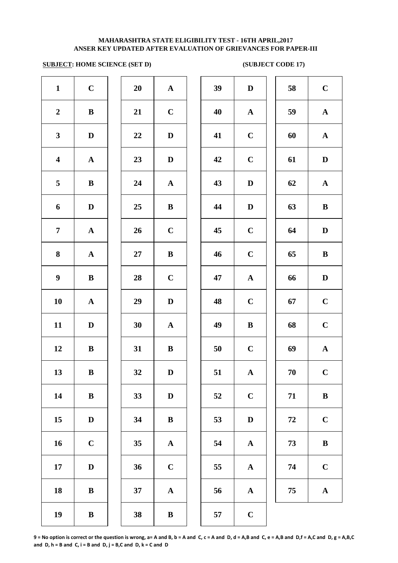### **SUBJECT: HOME SCIENCE (SET D)** (SUBJECT CODE 17)

| $\mathbf{1}$            | $\mathbf C$           | 20 | $\mathbf A$           | 39 | $\mathbf{D}$ |
|-------------------------|-----------------------|----|-----------------------|----|--------------|
| $\boldsymbol{2}$        | $\bf{B}$              | 21 | $\mathbf C$           | 40 | $\mathbf A$  |
| $\mathbf{3}$            | $\mathbf D$           | 22 | $\mathbf D$           | 41 | $\mathbf C$  |
| $\overline{\mathbf{4}}$ | ${\bf A}$             | 23 | ${\bf D}$             | 42 | $\mathbf C$  |
| $\overline{\mathbf{5}}$ | $\, {\bf B}$          | 24 | $\mathbf A$           | 43 | $\mathbf{D}$ |
| 6                       | $\mathbf D$           | 25 | $\, {\bf B}$          | 44 | $\mathbf{D}$ |
| $\overline{7}$          | ${\bf A}$             | 26 | $\mathbf C$           | 45 | $\mathbf C$  |
| ${\bf 8}$               | $\boldsymbol{\rm{A}}$ | 27 | $\, {\bf B}$          | 46 | $\mathbf C$  |
| $\boldsymbol{9}$        | $\, {\bf B}$          | 28 | $\mathbf C$           | 47 | $\mathbf A$  |
| 10                      | ${\bf A}$             | 29 | $\mathbf D$           | 48 | $\mathbf C$  |
| 11                      | $\mathbf D$           | 30 | $\mathbf A$           | 49 | $\bf{B}$     |
| 12                      | $\, {\bf B}$          | 31 | $\, {\bf B}$          | 50 | $\mathbf C$  |
| 13                      | $\bf{B}$              | 32 | $\mathbf D$           | 51 | A            |
| 14                      | ${\bf B}$             | 33 | $\mathbf D$           | 52 | $\mathbf C$  |
| 15                      | $\mathbf D$           | 34 | $\bf{B}$              | 53 | $\mathbf{D}$ |
| 16                      | $\mathbf C$           | 35 | $\boldsymbol{\rm{A}}$ | 54 | $\mathbf A$  |
| 17                      | $\mathbf D$           | 36 | $\mathbf C$           | 55 | $\mathbf A$  |
| 18                      | $\, {\bf B}$          | 37 | $\boldsymbol{\rm{A}}$ | 56 | $\mathbf A$  |
| 19                      | $\, {\bf B}$          | 38 | $\, {\bf B}$          | 57 | $\mathbf C$  |

| 20     | $\mathbf{A}$            |  |
|--------|-------------------------|--|
| 21     | $\mathbf C$             |  |
| 22     | D                       |  |
| 23     | D                       |  |
| 24     | $\mathbf{A}$            |  |
| 25     | B                       |  |
| 26     | $\mathbf C$             |  |
| $27\,$ | B                       |  |
| 28     | $\mathbf C$             |  |
| 29     | D                       |  |
| 30     | $\mathbf A$             |  |
| 31     | $\bf{B}$                |  |
| 32     | D                       |  |
| 33     | D                       |  |
| 34     | B                       |  |
| 35     | $\mathbf A$             |  |
| 36     | $\mathbf C$             |  |
| 37     | $\overline{\mathbf{A}}$ |  |
| 38     | R                       |  |

| $\mathbf{1}$            | $\mathbf C$  | 20 | ${\bf A}$    | 39 | $\mathbf D$  | 58 | $\mathbf C$  |
|-------------------------|--------------|----|--------------|----|--------------|----|--------------|
| $\overline{2}$          | $\, {\bf B}$ | 21 | $\mathbf C$  | 40 | $\mathbf{A}$ | 59 | ${\bf A}$    |
| $\mathbf{3}$            | D            | 22 | $\mathbf D$  | 41 | $\mathbf C$  | 60 | ${\bf A}$    |
| $\overline{\mathbf{4}}$ | $\mathbf A$  | 23 | D            | 42 | $\mathbf C$  | 61 | $\mathbf D$  |
| $\overline{5}$          | $\bf{B}$     | 24 | $\mathbf{A}$ | 43 | $\mathbf D$  | 62 | $\mathbf{A}$ |
| 6                       | $\mathbf D$  | 25 | $\bf{B}$     | 44 | $\mathbf D$  | 63 | $\bf{B}$     |
| $\overline{7}$          | $\mathbf A$  | 26 | $\mathbf C$  | 45 | $\mathbf C$  | 64 | $\mathbf{D}$ |
| 8                       | $\mathbf{A}$ | 27 | $\bf{B}$     | 46 | $\mathbf C$  | 65 | $\bf{B}$     |
| $\boldsymbol{9}$        | $\bf{B}$     | 28 | $\mathbf C$  | 47 | $\mathbf{A}$ | 66 | $\mathbf D$  |
| 10                      | $\mathbf A$  | 29 | $\mathbf D$  | 48 | $\mathbf C$  | 67 | $\mathbf C$  |
| 11                      | D            | 30 | $\mathbf{A}$ | 49 | $\, {\bf B}$ | 68 | $\mathbf C$  |
| 12                      | $\bf{B}$     | 31 | $\bf{B}$     | 50 | $\mathbf C$  | 69 | ${\bf A}$    |
| 13                      | ${\bf B}$    | 32 | $\mathbf D$  | 51 | $\mathbf{A}$ | 70 | $\mathbf C$  |
| 14                      | $\bf{B}$     | 33 | $\mathbf D$  | 52 | $\mathbf C$  | 71 | $\, {\bf B}$ |
| 15                      | D            | 34 | $\bf{B}$     | 53 | D            | 72 | $\mathbf C$  |
| 16                      | $\mathbf C$  | 35 | ${\bf A}$    | 54 | $\mathbf A$  | 73 | $\, {\bf B}$ |
| 17                      | D            | 36 | $\mathbf C$  | 55 | $\mathbf A$  | 74 | $\mathbf C$  |
| 18                      | $\bf{B}$     | 37 | $\mathbf A$  | 56 | $\mathbf{A}$ | 75 | ${\bf A}$    |
| 19                      | $\bf{B}$     | 38 | $\, {\bf B}$ | 57 | $\mathbf C$  |    |              |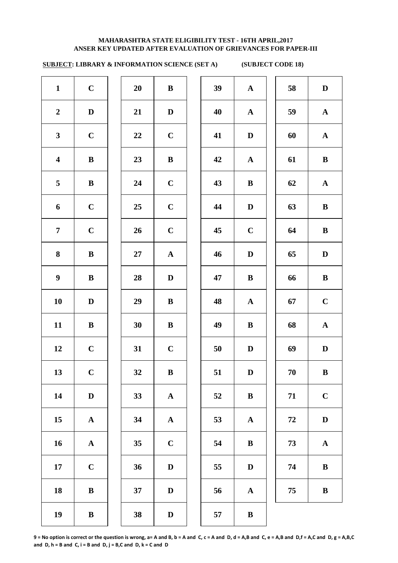# **SUBJECT: LIBRARY & INFORMATION SCIENCE (SET A) (SUBJECT CODE 18)**

| $\mathbf{1}$     | $\mathbf C$ | 20 | $\bf{B}$     | 39 | $\mathbf{A}$ | 58         | $\mathbf{D}$ |
|------------------|-------------|----|--------------|----|--------------|------------|--------------|
| $\boldsymbol{2}$ | $\mathbf D$ | 21 | $\mathbf D$  | 40 | $\mathbf{A}$ | 59         | $\mathbf A$  |
| $\mathbf{3}$     | $\mathbf C$ | 22 | $\mathbf C$  | 41 | $\mathbf D$  | 60         | $\mathbf A$  |
| $\boldsymbol{4}$ | $\bf{B}$    | 23 | $\bf{B}$     | 42 | $\mathbf{A}$ | 61         | $\bf{B}$     |
| $5\overline{)}$  | $\bf{B}$    | 24 | $\mathbf C$  | 43 | $\bf{B}$     | 62         | $\mathbf A$  |
| 6                | $\mathbf C$ | 25 | $\mathbf C$  | 44 | $\mathbf D$  | 63         | $\bf{B}$     |
| $7\overline{ }$  | $\mathbf C$ | 26 | $\mathbf C$  | 45 | $\mathbf C$  | 64         | $\bf{B}$     |
| 8                | $\bf{B}$    | 27 | ${\bf A}$    | 46 | $\mathbf D$  | 65         | D            |
| $\boldsymbol{9}$ | $\bf{B}$    | 28 | $\mathbf D$  | 47 | $\bf{B}$     | 66         | $\bf{B}$     |
| 10               | $\mathbf D$ | 29 | $\bf{B}$     | 48 | ${\bf A}$    | 67         | $\mathbf C$  |
| 11               | $\bf{B}$    | 30 | $\bf{B}$     | 49 | $\bf{B}$     | 68         | $\mathbf A$  |
| 12               | $\mathbf C$ | 31 | $\mathbf C$  | 50 | $\mathbf D$  | 69         | $\mathbf D$  |
| 13               | $\mathbf C$ | 32 | $\, {\bf B}$ | 51 | $\mathbf D$  | $70\,$     | $\bf{B}$     |
| 14               | $\mathbf D$ | 33 | ${\bf A}$    | 52 | $\bf{B}$     | 71         | $\mathbf C$  |
| 15               | ${\bf A}$   | 34 | ${\bf A}$    | 53 | ${\bf A}$    | ${\bf 72}$ | $\mathbf{D}$ |
| 16               | ${\bf A}$   | 35 | $\mathbf C$  | 54 | $\bf{B}$     | 73         | $\mathbf A$  |
| 17               | $\mathbf C$ | 36 | $\mathbf D$  | 55 | $\mathbf D$  | 74         | $\bf{B}$     |
| 18               | $\bf{B}$    | 37 | $\mathbf D$  | 56 | ${\bf A}$    | 75         | $\bf{B}$     |
| 19               | $\bf{B}$    | 38 | $\mathbf D$  | 57 | $\bf{B}$     |            |              |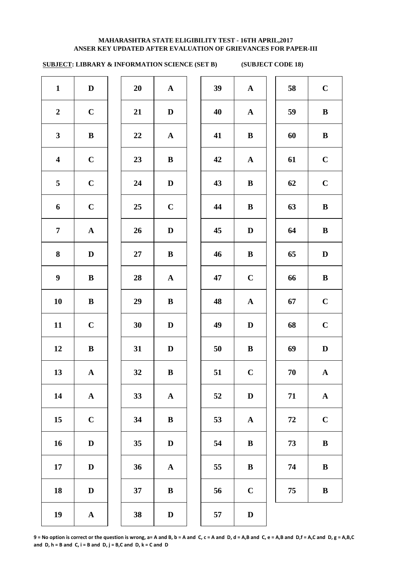# **SUBJECT: LIBRARY & INFORMATION SCIENCE (SET B) (SUBJECT CODE 18)**

| $\mathbf{1}$            | $\mathbf D$  | 20     | ${\bf A}$   | 39 | ${\bf A}$   | 58 | $\mathbf C$  |
|-------------------------|--------------|--------|-------------|----|-------------|----|--------------|
| $\boldsymbol{2}$        | $\mathbf C$  | 21     | $\mathbf D$ | 40 | ${\bf A}$   | 59 | $\bf{B}$     |
| $\mathbf{3}$            | $\, {\bf B}$ | 22     | ${\bf A}$   | 41 | $\bf{B}$    | 60 | $\bf{B}$     |
| $\overline{\mathbf{4}}$ | $\mathbf C$  | 23     | $\bf{B}$    | 42 | ${\bf A}$   | 61 | $\mathbf C$  |
| 5                       | $\mathbf C$  | 24     | $\mathbf D$ | 43 | $\bf{B}$    | 62 | $\mathbf C$  |
| 6                       | $\mathbf C$  | 25     | $\mathbf C$ | 44 | $\bf{B}$    | 63 | $\bf{B}$     |
| $\overline{7}$          | ${\bf A}$    | 26     | $\mathbf D$ | 45 | $\mathbf D$ | 64 | $\bf{B}$     |
| 8                       | $\mathbf D$  | $27\,$ | $\bf{B}$    | 46 | $\bf{B}$    | 65 | $\mathbf{D}$ |
| $\boldsymbol{9}$        | ${\bf B}$    | 28     | ${\bf A}$   | 47 | $\mathbf C$ | 66 | $\bf{B}$     |
| 10                      | $\bf{B}$     | 29     | $\bf{B}$    | 48 | ${\bf A}$   | 67 | $\mathbf C$  |
| 11                      | $\mathbf C$  | 30     | $\mathbf D$ | 49 | $\mathbf D$ | 68 | $\mathbf C$  |
| 12                      | $\bf{B}$     | 31     | $\mathbf D$ | 50 | $\bf{B}$    | 69 | $\mathbf D$  |
| 13                      | ${\bf A}$    | 32     | $\bf{B}$    | 51 | $\mathbf C$ | 70 | $\mathbf A$  |
| 14                      | ${\bf A}$    | 33     | ${\bf A}$   | 52 | $\mathbf D$ | 71 | $\mathbf A$  |
| 15                      | $\mathbf C$  | 34     | $\bf{B}$    | 53 | ${\bf A}$   | 72 | $\mathbf C$  |
| 16                      | $\mathbf D$  | 35     | $\mathbf D$ | 54 | $\bf{B}$    | 73 | $\bf{B}$     |
| 17                      | $\mathbf D$  | 36     | ${\bf A}$   | 55 | $\bf{B}$    | 74 | $\bf{B}$     |
| 18                      | $\mathbf D$  | 37     | ${\bf B}$   | 56 | $\mathbf C$ | 75 | $\bf{B}$     |
| 19                      | ${\bf A}$    | 38     | $\mathbf D$ | 57 | $\mathbf D$ |    |              |
|                         |              |        |             |    |             |    |              |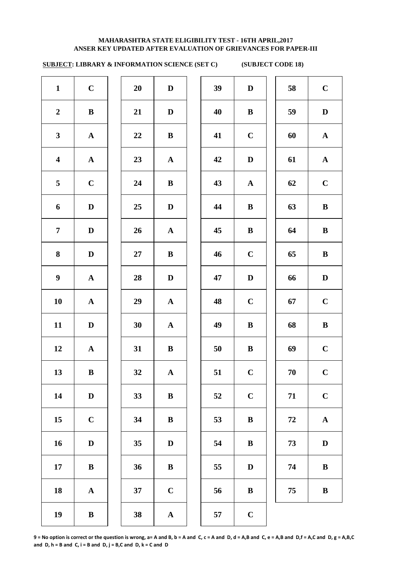# **SUBJECT: LIBRARY & INFORMATION SCIENCE (SET C) (SUBJECT CODE 18)**

| $\mathbf{1}$            | $\mathbf C$  | 20     | $\mathbf D$  | 39 | $\mathbf D$ | 58         | $\mathbf C$  |
|-------------------------|--------------|--------|--------------|----|-------------|------------|--------------|
| $\boldsymbol{2}$        | ${\bf B}$    | 21     | $\mathbf D$  | 40 | $\bf{B}$    | 59         | $\mathbf{D}$ |
| $\mathbf{3}$            | ${\bf A}$    | 22     | $\bf{B}$     | 41 | $\mathbf C$ | 60         | $\mathbf A$  |
| $\overline{\mathbf{4}}$ | ${\bf A}$    | 23     | ${\bf A}$    | 42 | $\mathbf D$ | 61         | $\mathbf A$  |
| $5\overline{)}$         | $\mathbf C$  | 24     | $\bf{B}$     | 43 | ${\bf A}$   | 62         | $\mathbf C$  |
| 6                       | $\mathbf D$  | 25     | $\mathbf D$  | 44 | $\bf{B}$    | 63         | $\bf{B}$     |
| $\overline{7}$          | $\mathbf D$  | 26     | ${\bf A}$    | 45 | $\bf{B}$    | 64         | $\bf{B}$     |
| 8                       | $\mathbf D$  | $27\,$ | $\bf{B}$     | 46 | $\mathbf C$ | 65         | $\bf{B}$     |
| $\boldsymbol{9}$        | ${\bf A}$    | 28     | $\mathbf D$  | 47 | $\mathbf D$ | 66         | $\mathbf{D}$ |
| 10                      | ${\bf A}$    | 29     | ${\bf A}$    | 48 | $\mathbf C$ | 67         | $\mathbf C$  |
| 11                      | $\mathbf D$  | 30     | ${\bf A}$    | 49 | $\bf{B}$    | 68         | $\bf{B}$     |
| 12                      | ${\bf A}$    | 31     | $\bf{B}$     | 50 | $\bf{B}$    | 69         | $\mathbf C$  |
| 13                      | $\, {\bf B}$ | 32     | $\mathbf A$  | 51 | $\mathbf C$ | $70\,$     | $\mathbf C$  |
| 14                      | $\mathbf D$  | 33     | $\, {\bf B}$ | 52 | $\mathbf C$ | 71         | $\mathbf C$  |
| 15                      | $\mathbf C$  | 34     | $\, {\bf B}$ | 53 | $\bf{B}$    | ${\bf 72}$ | $\mathbf A$  |
| 16                      | $\mathbf D$  | 35     | $\mathbf D$  | 54 | $\bf{B}$    | 73         | $\mathbf{D}$ |
| 17                      | $\bf{B}$     | 36     | $\bf{B}$     | 55 | $\mathbf D$ | 74         | $\bf{B}$     |
| 18                      | ${\bf A}$    | 37     | $\mathbf C$  | 56 | $\bf{B}$    | 75         | $\bf{B}$     |
| 19                      | $\, {\bf B}$ | 38     | ${\bf A}$    | 57 | $\mathbf C$ |            |              |
|                         |              |        |              |    |             |            |              |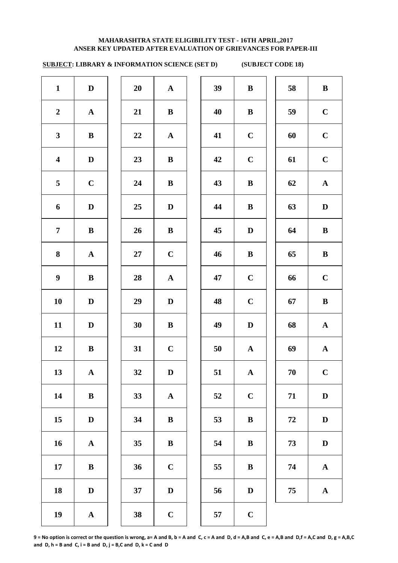## **ANSER KEY UPDATED AFTER EVALUATION OF GRIEVANCES FOR PAPER-III MAHARASHTRA STATE ELIGIBILITY TEST - 16TH APRIL,2017**

# **SUBJECT: LIBRARY & INFORMATION SCIENCE (SET D) (SUBJECT CODE 18)**

| $\mathbf{1}$            | $\mathbf D$  | 20     | $\mathbf{A}$ | 39 | $\bf{B}$    | 58 | $\bf{B}$     |
|-------------------------|--------------|--------|--------------|----|-------------|----|--------------|
| $\boldsymbol{2}$        | ${\bf A}$    | 21     | $\bf{B}$     | 40 | $\bf{B}$    | 59 | $\mathbf C$  |
| $\mathbf{3}$            | $\mathbf{B}$ | 22     | ${\bf A}$    | 41 | $\bf C$     | 60 | $\mathbf C$  |
| $\overline{\mathbf{4}}$ | $\mathbf D$  | 23     | $\bf{B}$     | 42 | $\mathbf C$ | 61 | $\mathbf C$  |
| 5                       | $\mathbf C$  | 24     | $\bf{B}$     | 43 | $\bf{B}$    | 62 | $\mathbf A$  |
| 6                       | $\mathbf D$  | 25     | $\mathbf D$  | 44 | $\bf{B}$    | 63 | D            |
| $\overline{7}$          | $\bf{B}$     | 26     | $\bf{B}$     | 45 | $\mathbf D$ | 64 | $\bf{B}$     |
| 8                       | ${\bf A}$    | $27\,$ | $\mathbf C$  | 46 | $\bf{B}$    | 65 | $\bf{B}$     |
| $\boldsymbol{9}$        | ${\bf B}$    | 28     | ${\bf A}$    | 47 | $\mathbf C$ | 66 | $\mathbf C$  |
| 10                      | $\mathbf D$  | 29     | $\mathbf{D}$ | 48 | $\bf C$     | 67 | $\bf{B}$     |
| 11                      | $\mathbf D$  | 30     | $\bf{B}$     | 49 | $\mathbf D$ | 68 | $\mathbf A$  |
| 12                      | ${\bf B}$    | 31     | $\mathbf C$  | 50 | ${\bf A}$   | 69 | $\mathbf A$  |
| 13                      | ${\bf A}$    | 32     | $\mathbf D$  | 51 | $\mathbf A$ | 70 | $\mathbf C$  |
| 14                      | $\, {\bf B}$ | 33     | ${\bf A}$    | 52 | $\mathbf C$ | 71 | $\mathbf{D}$ |
| 15                      | $\mathbf D$  | 34     | $\bf{B}$     | 53 | $\bf{B}$    | 72 | $\mathbf{D}$ |
| 16                      | ${\bf A}$    | 35     | $\bf{B}$     | 54 | $\bf{B}$    | 73 | $\mathbf{D}$ |
| 17                      | $\bf{B}$     | 36     | $\mathbf C$  | 55 | $\bf{B}$    | 74 | $\mathbf A$  |
| 18                      | $\mathbf D$  | 37     | $\mathbf D$  | 56 | $\mathbf D$ | 75 | $\mathbf A$  |
| 19                      | ${\bf A}$    | 38     | $\mathbf C$  | 57 | $\mathbf C$ |    |              |
|                         |              |        |              |    |             |    |              |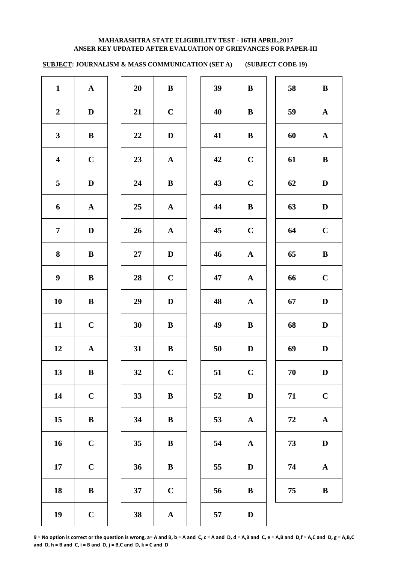**SUBJECT: JOURNALISM & MASS COMMUNICATION (SET A) (SUBJECT CODE 19)** 

| $\mathbf{1}$            | ${\bf A}$    | 20     | ${\bf B}$    | 39 | $\, {\bf B}$ | 58     | $\, {\bf B}$ |
|-------------------------|--------------|--------|--------------|----|--------------|--------|--------------|
| $\overline{2}$          | $\mathbf D$  | 21     | $\bf C$      | 40 | $\, {\bf B}$ | 59     | ${\bf A}$    |
| $\mathbf{3}$            | $\, {\bf B}$ | 22     | $\mathbf D$  | 41 | $\, {\bf B}$ | 60     | $\mathbf{A}$ |
| $\overline{\mathbf{4}}$ | $\mathbf C$  | 23     | ${\bf A}$    | 42 | $\mathbf C$  | 61     | $\, {\bf B}$ |
| $5\phantom{.0}$         | $\mathbf D$  | 24     | $\mathbf{B}$ | 43 | $\mathbf C$  | 62     | $\mathbf D$  |
| $\boldsymbol{6}$        | ${\bf A}$    | 25     | ${\bf A}$    | 44 | $\, {\bf B}$ | 63     | $\mathbf D$  |
| $\overline{7}$          | $\mathbf D$  | 26     | ${\bf A}$    | 45 | $\mathbf C$  | 64     | $\mathbf C$  |
| $\bf{8}$                | $\, {\bf B}$ | $27\,$ | $\mathbf D$  | 46 | $\mathbf A$  | 65     | $\, {\bf B}$ |
| $\boldsymbol{9}$        | $\, {\bf B}$ | 28     | $\mathbf C$  | 47 | $\mathbf A$  | 66     | $\mathbf C$  |
| 10                      | $\bf{B}$     | 29     | $\mathbf D$  | 48 | $\mathbf{A}$ | 67     | $\mathbf D$  |
| 11                      | $\mathbf C$  | 30     | $\bf{B}$     | 49 | $\, {\bf B}$ | 68     | $\mathbf D$  |
| 12                      | ${\bf A}$    | 31     | $\bf{B}$     | 50 | $\mathbf D$  | 69     | $\mathbf D$  |
| 13                      | $\bf{B}$     | 32     | $\mathbf C$  | 51 | $\mathbf C$  | 70     | D            |
| 14                      | $\mathbf C$  | 33     | $\bf{B}$     | 52 | $\mathbf D$  | 71     | $\mathbf C$  |
| 15                      | $\, {\bf B}$ | 34     | ${\bf B}$    | 53 | $\mathbf{A}$ | $72\,$ | ${\bf A}$    |
| 16                      | $\mathbf C$  | 35     | $\, {\bf B}$ | 54 | $\mathbf A$  | 73     | $\mathbf D$  |
| $17\,$                  | $\mathbf C$  | 36     | $\, {\bf B}$ | 55 | $\mathbf D$  | 74     | ${\bf A}$    |
| 18                      | $\, {\bf B}$ | 37     | $\mathbf C$  | 56 | $\, {\bf B}$ | 75     | $\bf{B}$     |
| 19                      | $\mathbf C$  | 38     | $\mathbf A$  | 57 | $\mathbf D$  |        |              |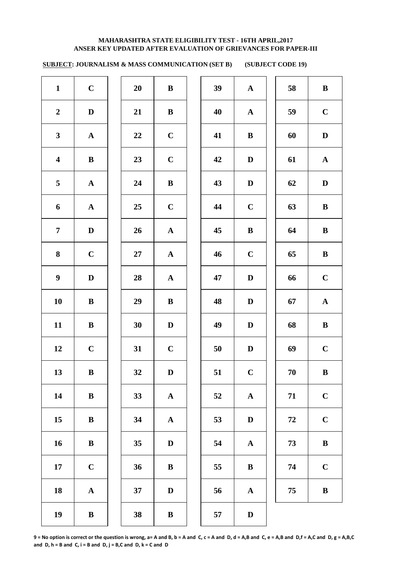**SUBJECT: JOURNALISM & MASS COMMUNICATION (SET B) (SUBJECT CODE 19)** 

| $\mathbf{1}$            | $\mathbf C$  | 20     | ${\bf B}$    | 39 | ${\bf A}$    | 58     | ${\bf B}$    |
|-------------------------|--------------|--------|--------------|----|--------------|--------|--------------|
| $\overline{2}$          | $\mathbf D$  | 21     | $\bf{B}$     | 40 | ${\bf A}$    | 59     | $\mathbf C$  |
| $\mathbf{3}$            | ${\bf A}$    | 22     | $\mathbf C$  | 41 | $\, {\bf B}$ | 60     | $\mathbf D$  |
| $\overline{\mathbf{4}}$ | $\mathbf{B}$ | 23     | $\mathbf C$  | 42 | $\mathbf D$  | 61     | ${\bf A}$    |
| $5\phantom{.0}$         | ${\bf A}$    | 24     | $\mathbf{B}$ | 43 | $\mathbf D$  | 62     | $\mathbf D$  |
| $\boldsymbol{6}$        | ${\bf A}$    | 25     | $\bf C$      | 44 | $\mathbf C$  | 63     | $\, {\bf B}$ |
| $\overline{7}$          | $\mathbf D$  | 26     | ${\bf A}$    | 45 | $\, {\bf B}$ | 64     | $\bf{B}$     |
| 8                       | $\mathbf C$  | $27\,$ | ${\bf A}$    | 46 | $\mathbf C$  | 65     | $\, {\bf B}$ |
| $\boldsymbol{9}$        | $\mathbf D$  | 28     | ${\bf A}$    | 47 | $\mathbf D$  | 66     | $\mathbf C$  |
| 10                      | $\bf{B}$     | 29     | $\bf{B}$     | 48 | $\mathbf D$  | 67     | ${\bf A}$    |
| 11                      | $\, {\bf B}$ | 30     | $\mathbf D$  | 49 | $\mathbf D$  | 68     | ${\bf B}$    |
| 12                      | $\mathbf C$  | 31     | $\mathbf C$  | 50 | $\mathbf D$  | 69     | $\mathbf C$  |
| 13                      | $\bf{B}$     | 32     | D            | 51 | $\mathbf C$  | 70     | $\bf{B}$     |
| 14                      | $\, {\bf B}$ | 33     | ${\bf A}$    | 52 | $\mathbf{A}$ | 71     | $\mathbf C$  |
| 15                      | $\, {\bf B}$ | 34     | ${\bf A}$    | 53 | $\mathbf D$  | $72\,$ | $\mathbf C$  |
| 16                      | $\, {\bf B}$ | 35     | $\mathbf D$  | 54 | $\mathbf A$  | 73     | $\, {\bf B}$ |
| $17\,$                  | $\mathbf C$  | 36     | $\, {\bf B}$ | 55 | $\, {\bf B}$ | 74     | $\mathbf C$  |
| 18                      | $\mathbf A$  | 37     | $\mathbf D$  | 56 | $\mathbf A$  | 75     | $\, {\bf B}$ |
| 19                      | $\bf{B}$     | 38     | $\bf{B}$     | 57 | $\mathbf D$  |        |              |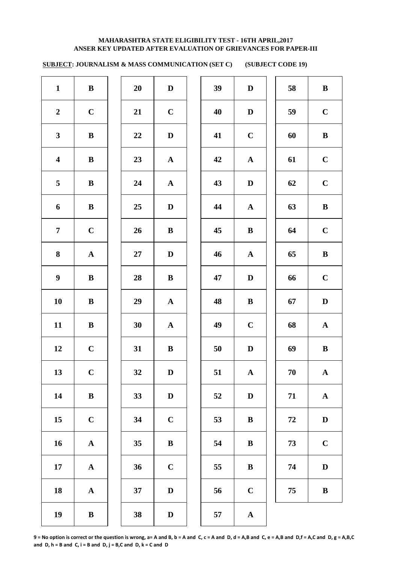**SUBJECT: JOURNALISM & MASS COMMUNICATION (SET C) (SUBJECT CODE 19)** 

| $\mathbf{1}$            | $\, {\bf B}$ | 20     | $\mathbf D$  | 39 | $\mathbf D$  | 58 | $\, {\bf B}$ |
|-------------------------|--------------|--------|--------------|----|--------------|----|--------------|
| $\boldsymbol{2}$        | $\mathbf C$  | 21     | $\mathbf C$  | 40 | $\mathbf D$  | 59 | $\mathbf C$  |
| $\mathbf{3}$            | ${\bf B}$    | 22     | D            | 41 | $\mathbf C$  | 60 | $\, {\bf B}$ |
| $\overline{\mathbf{4}}$ | $\bf{B}$     | 23     | ${\bf A}$    | 42 | ${\bf A}$    | 61 | $\mathbf C$  |
| $5\overline{)}$         | $\bf{B}$     | 24     | ${\bf A}$    | 43 | $\mathbf D$  | 62 | $\mathbf C$  |
| 6                       | ${\bf B}$    | 25     | $\mathbf D$  | 44 | $\mathbf{A}$ | 63 | $\, {\bf B}$ |
| $\overline{7}$          | $\mathbf C$  | 26     | ${\bf B}$    | 45 | $\bf{B}$     | 64 | $\mathbf C$  |
| $\bf{8}$                | ${\bf A}$    | $27\,$ | $\mathbf D$  | 46 | $\mathbf{A}$ | 65 | $\, {\bf B}$ |
| $\boldsymbol{9}$        | ${\bf B}$    | 28     | ${\bf B}$    | 47 | $\mathbf D$  | 66 | $\mathbf C$  |
| 10                      | $\bf{B}$     | 29     | ${\bf A}$    | 48 | $\, {\bf B}$ | 67 | $\mathbf D$  |
| 11                      | ${\bf B}$    | 30     | ${\bf A}$    | 49 | $\mathbf C$  | 68 | ${\bf A}$    |
| 12                      | $\mathbf C$  | 31     | $\bf{B}$     | 50 | $\mathbf D$  | 69 | $\, {\bf B}$ |
| 13                      | $\mathbf C$  | 32     | $\mathbf D$  | 51 | $\mathbf{A}$ | 70 | $\mathbf{A}$ |
| 14                      | ${\bf B}$    | 33     | $\mathbf D$  | 52 | $\mathbf D$  | 71 | ${\bf A}$    |
| 15                      | $\mathbf C$  | 34     | $\mathbf C$  | 53 | $\, {\bf B}$ | 72 | $\mathbf D$  |
| 16                      | ${\bf A}$    | 35     | $\, {\bf B}$ | 54 | $\, {\bf B}$ | 73 | $\mathbf C$  |
| 17                      | ${\bf A}$    | 36     | $\mathbf C$  | 55 | $\, {\bf B}$ | 74 | $\mathbf D$  |
| 18                      | ${\bf A}$    | 37     | $\mathbf D$  | 56 | $\mathbf C$  | 75 | $\, {\bf B}$ |
| 19                      | $\, {\bf B}$ | 38     | $\mathbf D$  | 57 | ${\bf A}$    |    |              |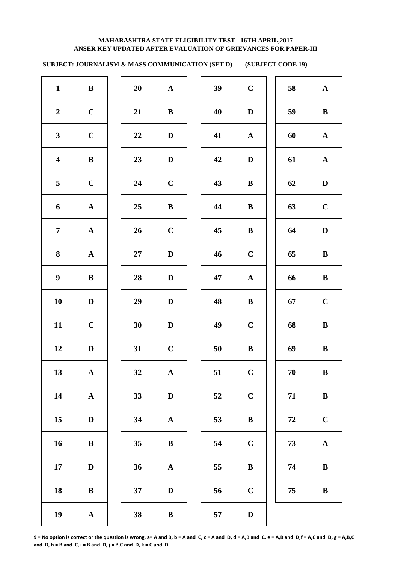**SUBJECT: JOURNALISM & MASS COMMUNICATION (SET D) (SUBJECT CODE 19)** 

| $\mathbf{1}$            | $\bf{B}$     | 20     | ${\bf A}$    | 39 | $\mathbf C$  | 58     | $\mathbf{A}$ |
|-------------------------|--------------|--------|--------------|----|--------------|--------|--------------|
| $\overline{2}$          | $\mathbf C$  | 21     | $\bf{B}$     | 40 | $\mathbf D$  | 59     | $\bf{B}$     |
| $\mathbf{3}$            | $\mathbf C$  | 22     | $\mathbf D$  | 41 | ${\bf A}$    | 60     | ${\bf A}$    |
| $\overline{\mathbf{4}}$ | $\, {\bf B}$ | 23     | $\mathbf D$  | 42 | $\mathbf D$  | 61     | ${\bf A}$    |
| $5\phantom{.0}$         | $\mathbf C$  | 24     | $\mathbf C$  | 43 | $\, {\bf B}$ | 62     | $\mathbf D$  |
| $\boldsymbol{6}$        | ${\bf A}$    | 25     | $\, {\bf B}$ | 44 | $\, {\bf B}$ | 63     | $\mathbf C$  |
| $\overline{7}$          | ${\bf A}$    | 26     | $\mathbf C$  | 45 | $\, {\bf B}$ | 64     | $\mathbf D$  |
| $\bf{8}$                | ${\bf A}$    | $27\,$ | $\mathbf D$  | 46 | $\mathbf C$  | 65     | $\, {\bf B}$ |
| $\boldsymbol{9}$        | $\, {\bf B}$ | 28     | $\mathbf D$  | 47 | $\mathbf A$  | 66     | $\, {\bf B}$ |
| 10                      | $\mathbf D$  | 29     | $\mathbf D$  | 48 | $\, {\bf B}$ | 67     | $\mathbf C$  |
| 11                      | $\mathbf C$  | 30     | $\mathbf D$  | 49 | $\mathbf C$  | 68     | ${\bf B}$    |
| 12                      | $\mathbf D$  | 31     | $\mathbf C$  | 50 | $\, {\bf B}$ | 69     | ${\bf B}$    |
| 13                      | $\mathbf{A}$ | 32     | $\mathbf{A}$ | 51 | $\mathbf C$  | 70     | $\bf{B}$     |
| 14                      | ${\bf A}$    | 33     | $\mathbf D$  | 52 | $\mathbf C$  | 71     | $\, {\bf B}$ |
| 15                      | $\mathbf D$  | 34     | ${\bf A}$    | 53 | $\, {\bf B}$ | $72\,$ | $\mathbf C$  |
| 16                      | $\, {\bf B}$ | 35     | $\, {\bf B}$ | 54 | $\mathbf C$  | 73     | ${\bf A}$    |
| $17\,$                  | $\mathbf D$  | 36     | ${\bf A}$    | 55 | $\, {\bf B}$ | 74     | $\, {\bf B}$ |
| 18                      | $\, {\bf B}$ | 37     | $\mathbf D$  | 56 | $\mathbf C$  | 75     | $\, {\bf B}$ |
| 19                      | $\mathbf A$  | 38     | $\bf{B}$     | 57 | $\mathbf D$  |        |              |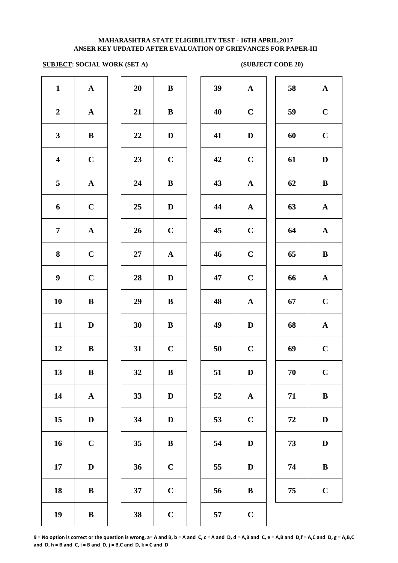### **ANSER KEY UPDATED AFTER EVALUATION OF GRIEVANCES FOR PAPER-III MAHARASHTRA STATE ELIGIBILITY TEST - 16TH APRIL,2017**

### **SUBJECT: SOCIAL WORK (SET A)** (SUBJECT CODE 20)

| $\mathbf{1}$            | $\mathbf A$           | 20 | $\, {\bf B}$ | 39 | $\mathbf A$  |
|-------------------------|-----------------------|----|--------------|----|--------------|
| $\boldsymbol{2}$        | ${\bf A}$             | 21 | $\, {\bf B}$ | 40 | $\mathbf C$  |
| $\mathbf{3}$            | $\, {\bf B}$          | 22 | $\mathbf D$  | 41 | $\mathbf{D}$ |
| $\overline{\mathbf{4}}$ | $\mathbf C$           | 23 | $\mathbf C$  | 42 | $\mathbf C$  |
| 5                       | $\boldsymbol{\rm{A}}$ | 24 | $\, {\bf B}$ | 43 | $\mathbf A$  |
| 6                       | $\mathbf C$           | 25 | $\mathbf D$  | 44 | $\mathbf A$  |
| $\overline{7}$          | $\boldsymbol{\rm{A}}$ | 26 | $\mathbf C$  | 45 | $\mathbf C$  |
| 8                       | $\mathbf C$           | 27 | ${\bf A}$    | 46 | $\mathbf C$  |
| $\boldsymbol{9}$        | $\mathbf C$           | 28 | $\mathbf D$  | 47 | $\mathbf C$  |
| 10                      | $\bf{B}$              | 29 | $\, {\bf B}$ | 48 | $\mathbf A$  |
| 11                      | $\mathbf D$           | 30 | $\, {\bf B}$ | 49 | $\mathbf{D}$ |
| 12                      | $\bf{B}$              | 31 | $\mathbf C$  | 50 | $\mathbf C$  |
| 13                      | $\, {\bf B}$          | 32 | $\bf{B}$     | 51 | $\mathbf{D}$ |
| 14                      | ${\bf A}$             | 33 | $\mathbf D$  | 52 | $\mathbf A$  |
| 15                      | $\mathbf D$           | 34 | $\mathbf D$  | 53 | $\mathbf C$  |
| 16                      | $\mathbf C$           | 35 | $\, {\bf B}$ | 54 | $\mathbf{D}$ |
| 17                      | $\mathbf D$           | 36 | $\mathbf C$  | 55 | $\bf{D}$     |
| 18                      | $\bf{B}$              | 37 | $\mathbf C$  | 56 | $\bf{B}$     |
| 19                      | $\bf{B}$              | 38 | $\mathbf C$  | 57 | $\mathbf C$  |
|                         |                       |    |              |    |              |

| 20 | B                       |  |
|----|-------------------------|--|
| 21 | B                       |  |
| 22 | D                       |  |
| 23 | $\mathbf C$             |  |
| 24 | B                       |  |
| 25 | D                       |  |
| 26 | $\mathbf C$             |  |
| 27 | $\mathbf A$             |  |
| 28 | D                       |  |
| 29 | B                       |  |
| 30 | B                       |  |
| 31 | $\mathbf C$             |  |
| 32 | B                       |  |
| 33 | D                       |  |
| 34 | D                       |  |
| 35 | B                       |  |
| 36 | $\mathbf C$             |  |
| 37 | $\overline{\mathbf{C}}$ |  |
|    |                         |  |

| $\mathbf{1}$            | ${\bf A}$    | 20 | $\, {\bf B}$ | 39 | ${\bf A}$   | 58 | ${\bf A}$    |
|-------------------------|--------------|----|--------------|----|-------------|----|--------------|
| $\overline{2}$          | ${\bf A}$    | 21 | $\bf{B}$     | 40 | $\mathbf C$ | 59 | $\mathbf C$  |
| $\mathbf{3}$            | $\bf{B}$     | 22 | $\mathbf D$  | 41 | $\mathbf D$ | 60 | $\mathbf C$  |
| $\overline{\mathbf{4}}$ | $\mathbf C$  | 23 | $\mathbf C$  | 42 | $\mathbf C$ | 61 | $\mathbf D$  |
| $\overline{5}$          | ${\bf A}$    | 24 | $\bf{B}$     | 43 | ${\bf A}$   | 62 | $\bf{B}$     |
| 6                       | $\mathbf C$  | 25 | $\mathbf D$  | 44 | ${\bf A}$   | 63 | ${\bf A}$    |
| $\overline{7}$          | ${\bf A}$    | 26 | $\mathbf C$  | 45 | $\mathbf C$ | 64 | ${\bf A}$    |
| 8                       | $\mathbf C$  | 27 | ${\bf A}$    | 46 | $\mathbf C$ | 65 | $\, {\bf B}$ |
| $\boldsymbol{9}$        | $\mathbf C$  | 28 | $\mathbf D$  | 47 | $\mathbf C$ | 66 | ${\bf A}$    |
| 10                      | $\bf{B}$     | 29 | $\, {\bf B}$ | 48 | ${\bf A}$   | 67 | $\mathbf C$  |
| 11                      | $\mathbf D$  | 30 | $\bf{B}$     | 49 | $\mathbf D$ | 68 | ${\bf A}$    |
| 12                      | $\bf{B}$     | 31 | $\mathbf C$  | 50 | $\mathbf C$ | 69 | $\mathbf C$  |
| 13                      | $\bf{B}$     | 32 | $\bf{B}$     | 51 | D           | 70 | $\mathbf C$  |
| 14                      | ${\bf A}$    | 33 | $\mathbf D$  | 52 | ${\bf A}$   | 71 | $\, {\bf B}$ |
| 15                      | $\mathbf D$  | 34 | $\mathbf D$  | 53 | $\mathbf C$ | 72 | D            |
| 16                      | $\mathbf C$  | 35 | $\bf{B}$     | 54 | D           | 73 | $\mathbf D$  |
| 17                      | $\mathbf D$  | 36 | $\mathbf C$  | 55 | $\mathbf D$ | 74 | $\, {\bf B}$ |
| 18                      | ${\bf B}$    | 37 | $\mathbf C$  | 56 | $\bf{B}$    | 75 | $\mathbf C$  |
| 10                      | $\mathbf{R}$ | 38 | $\mathbf C$  | 57 | $\mathbf C$ |    |              |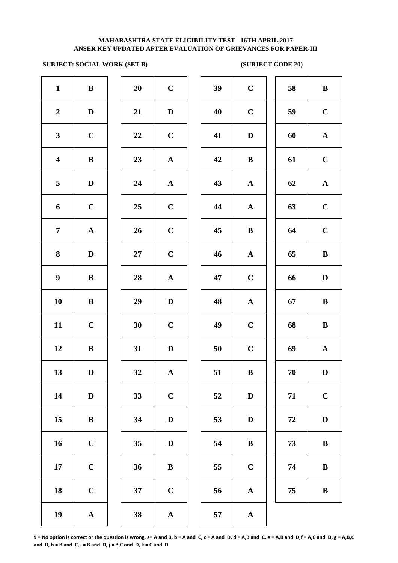### **SUBJECT: SOCIAL WORK (SET B)** (SUBJECT CODE 20)

| $\mathbf{1}$            | $\, {\bf B}$          | 20 | $\mathbf C$           | 39     | $\mathbf C$  |
|-------------------------|-----------------------|----|-----------------------|--------|--------------|
| $\boldsymbol{2}$        | $\mathbf D$           | 21 | $\mathbf D$           | 40     | $\mathbf C$  |
| $\mathbf{3}$            | $\mathbf C$           | 22 | $\mathbf C$           | 41     | $\mathbf{D}$ |
| $\overline{\mathbf{4}}$ | $\, {\bf B}$          | 23 | $\boldsymbol{\rm{A}}$ | 42     | $\bf{B}$     |
| 5                       | $\mathbf D$           | 24 | $\boldsymbol{\rm{A}}$ | 43     | $\mathbf A$  |
| 6                       | $\mathbf C$           | 25 | $\mathbf C$           | 44     | $\mathbf A$  |
| $\overline{7}$          | ${\bf A}$             | 26 | $\mathbf C$           | 45     | $\bf{B}$     |
| 8                       | $\mathbf D$           | 27 | $\mathbf C$           | 46     | $\mathbf A$  |
| $\boldsymbol{9}$        | $\, {\bf B}$          | 28 | $\mathbf A$           | 47     | $\mathbf C$  |
| 10                      | $\, {\bf B}$          | 29 | $\mathbf{D}%$         | 48     | $\mathbf{A}$ |
| 11                      | $\mathbf C$           | 30 | $\mathbf C$           | 49     | $\mathbf C$  |
| 12                      | $\, {\bf B}$          | 31 | $\mathbf D$           | $50\,$ | $\mathbf C$  |
| 13                      | $\mathbf D$           | 32 | ${\bf A}$             | 51     | $\bf{B}$     |
| 14                      | $\mathbf D$           | 33 | $\mathbf C$           | 52     | $\mathbf{D}$ |
| 15                      | $\, {\bf B}$          | 34 | $\mathbf D$           | 53     | $\mathbf{D}$ |
| 16                      | $\mathbf C$           | 35 | $\mathbf D$           | 54     | $\bf{B}$     |
| 17                      | $\mathbf C$           | 36 | $\bf{B}$              | 55     | $\mathbf C$  |
| 18                      | $\mathbf C$           | 37 | $\mathbf C$           | 56     | $\mathbf A$  |
| 19                      | $\boldsymbol{\rm{A}}$ | 38 | $\boldsymbol{\rm{A}}$ | 57     | $\mathbf A$  |
|                         |                       |    |                       |        |              |

| $\boldsymbol{0}$        | $\mathbf C$    |  |
|-------------------------|----------------|--|
| $\mathbf{1}$            | D              |  |
| $\overline{2}$          | $\mathbf C$    |  |
| $\ddot{\textbf{3}}$     | $\mathbf A$    |  |
| $\frac{1}{4}$           | $\mathbf{A}$   |  |
| $\mathbf{5}$            | $\mathbf C$    |  |
| $\boldsymbol{\delta}$   | $\mathbf C$    |  |
| $\mathbf{7}$            | $\mathbf C$    |  |
| $\boldsymbol{8}$        | $\mathbf{A}$   |  |
| $\mathbf{9}$            | D              |  |
| $\overline{\mathbf{0}}$ | $\mathbf C$    |  |
| $\mathbf{1}$            | D              |  |
| $\overline{2}$          | $\mathbf{A}$   |  |
| $\mathbf{3}$            | $\mathbf C$    |  |
| $\frac{1}{4}$           | $\mathbf D$    |  |
| $\overline{5}$          | $\mathbf D$    |  |
| $6\,$                   | $\bf{B}$       |  |
| $7^{\circ}$             | $\overline{C}$ |  |
| ₿.                      |                |  |

| $\mathbf{1}$            | $\, {\bf B}$ | 20     | $\mathbf C$  | 39 | $\mathbf C$  | 58 | $\, {\bf B}$ |
|-------------------------|--------------|--------|--------------|----|--------------|----|--------------|
| $\overline{2}$          | D            | 21     | $\mathbf D$  | 40 | $\mathbf C$  | 59 | $\mathbf C$  |
| $\mathbf{3}$            | $\mathbf C$  | $22\,$ | $\mathbf C$  | 41 | $\mathbf D$  | 60 | ${\bf A}$    |
| $\overline{\mathbf{4}}$ | $\, {\bf B}$ | 23     | $\mathbf{A}$ | 42 | $\, {\bf B}$ | 61 | $\mathbf C$  |
| $\overline{5}$          | $\mathbf D$  | 24     | ${\bf A}$    | 43 | $\mathbf A$  | 62 | ${\bf A}$    |
| 6                       | $\mathbf C$  | 25     | $\mathbf C$  | 44 | $\mathbf{A}$ | 63 | $\mathbf C$  |
| $\overline{7}$          | $\mathbf A$  | 26     | $\mathbf C$  | 45 | $\bf{B}$     | 64 | $\mathbf C$  |
| 8                       | D            | 27     | $\mathbf C$  | 46 | $\mathbf{A}$ | 65 | $\, {\bf B}$ |
| $\boldsymbol{9}$        | $\, {\bf B}$ | 28     | ${\bf A}$    | 47 | $\mathbf C$  | 66 | ${\bf D}$    |
| 10                      | ${\bf B}$    | 29     | $\mathbf D$  | 48 | ${\bf A}$    | 67 | $\, {\bf B}$ |
| 11                      | $\mathbf C$  | 30     | $\mathbf C$  | 49 | $\mathbf C$  | 68 | $\, {\bf B}$ |
| 12                      | $\bf{B}$     | 31     | $\mathbf D$  | 50 | $\mathbf C$  | 69 | ${\bf A}$    |
| 13                      | $\mathbf D$  | 32     | ${\bf A}$    | 51 | $\, {\bf B}$ | 70 | $\mathbf D$  |
| 14                      | D            | 33     | $\mathbf C$  | 52 | D            | 71 | $\mathbf C$  |
| 15                      | $\, {\bf B}$ | 34     | D            | 53 | D            | 72 | ${\bf D}$    |
| 16                      | $\mathbf C$  | 35     | $\mathbf D$  | 54 | $\bf{B}$     | 73 | $\bf{B}$     |
| 17                      | $\mathbf C$  | 36     | $\bf{B}$     | 55 | $\mathbf C$  | 74 | $\bf{B}$     |
| 18                      | $\mathbf C$  | 37     | $\mathbf C$  | 56 | $\mathbf A$  | 75 | $\bf{B}$     |
| 19                      | $\mathbf{A}$ | 38     | $\mathbf A$  | 57 | $\mathbf{A}$ |    |              |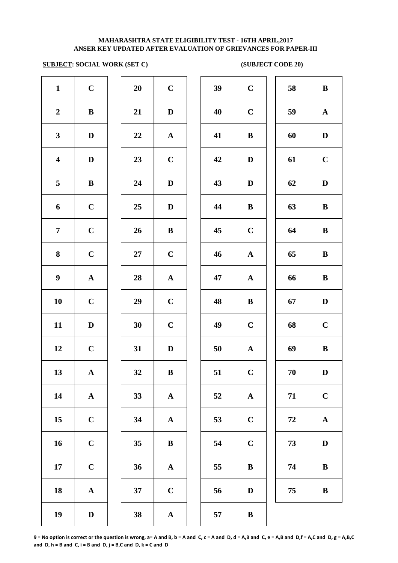### **SUBJECT: SOCIAL WORK (SET C)** (SUBJECT CODE 20)

| $\mathbf{1}$            | $\mathbf C$  | 20     | $\mathbf C$  | 39 | $\bf C$      | 58         | $\bf{B}$     |
|-------------------------|--------------|--------|--------------|----|--------------|------------|--------------|
| $\boldsymbol{2}$        | ${\bf B}$    | 21     | $\mathbf D$  | 40 | $\mathbf C$  | 59         | $\mathbf A$  |
| $\mathbf{3}$            | $\mathbf D$  | 22     | ${\bf A}$    | 41 | $\bf{B}$     | 60         | $\mathbf D$  |
| $\overline{\mathbf{4}}$ | $\mathbf D$  | 23     | $\bf C$      | 42 | $\mathbf D$  | 61         | $\mathbf C$  |
| 5                       | $\mathbf{B}$ | 24     | $\mathbf{D}$ | 43 | $\mathbf D$  | 62         | D            |
| 6                       | $\mathbf C$  | 25     | $\mathbf{D}$ | 44 | $\bf{B}$     | 63         | $\bf{B}$     |
| $\overline{7}$          | $\mathbf C$  | 26     | $\bf{B}$     | 45 | $\mathbf C$  | 64         | $\bf{B}$     |
| 8                       | $\mathbf C$  | $27\,$ | $\mathbf C$  | 46 | $\mathbf{A}$ | 65         | $\bf{B}$     |
| $\boldsymbol{9}$        | ${\bf A}$    | 28     | ${\bf A}$    | 47 | $\mathbf{A}$ | 66         | $\bf{B}$     |
| 10                      | $\mathbf C$  | 29     | $\mathbf C$  | 48 | $\bf{B}$     | 67         | $\mathbf{D}$ |
| 11                      | $\mathbf D$  | 30     | $\mathbf C$  | 49 | $\bf C$      | 68         | $\mathbf C$  |
| 12                      | $\mathbf C$  | 31     | $\mathbf{D}$ | 50 | $\mathbf{A}$ | 69         | $\bf{B}$     |
| 13                      | ${\bf A}$    | 32     | $\, {\bf B}$ | 51 | $\mathbf C$  | 70         | $\mathbf{D}$ |
| 14                      | ${\bf A}$    | 33     | ${\bf A}$    | 52 | ${\bf A}$    | 71         | $\mathbf C$  |
| 15                      | $\mathbf C$  | 34     | ${\bf A}$    | 53 | $\mathbf C$  | ${\bf 72}$ | $\mathbf A$  |
| 16                      | $\mathbf C$  | 35     | $\bf{B}$     | 54 | $\mathbf C$  | 73         | $\mathbf{D}$ |
| 17                      | $\mathbf C$  | 36     | $\mathbf{A}$ | 55 | $\, {\bf B}$ | 74         | $\bf{B}$     |
| 18                      | ${\bf A}$    | 37     | $\mathbf C$  | 56 | $\mathbf D$  | 75         | $\bf{B}$     |
| 19                      | $\mathbf D$  | 38     | ${\bf A}$    | 57 | $\bf{B}$     |            |              |
|                         |              |        |              |    |              |            |              |

| 39 | $\mathbf C$           | 58 | B           |
|----|-----------------------|----|-------------|
| 40 | $\mathbf C$           | 59 | $\mathbf A$ |
| 41 | $\bf{B}$              | 60 | D           |
| 42 | D                     | 61 | $\mathbf C$ |
| 43 | D                     | 62 | D           |
| 44 | B                     | 63 | $\bf{B}$    |
| 45 | $\mathbf C$           | 64 | $\bf{B}$    |
| 46 | $\mathbf A$           | 65 | B           |
| 47 | $\boldsymbol{\rm{A}}$ | 66 | $\bf{B}$    |
| 48 | $\bf{B}$              | 67 | D           |
| 49 | $\mathbf C$           | 68 | $\mathbf C$ |
| 50 | ${\bf A}$             | 69 | B           |
| 51 | <sup>-</sup> C        | 70 | D           |
| 52 | ${\bf A}$             | 71 | $\mathbf C$ |
| 53 | $\mathbf C$           | 72 | ${\bf A}$   |
| 54 | $\mathbf C$           | 73 | D           |
| 55 | B                     | 74 | $\bf{B}$    |
| 56 | $\mathbf D$           | 75 | $\bf{B}$    |
| 57 | $\bf{B}$              |    |             |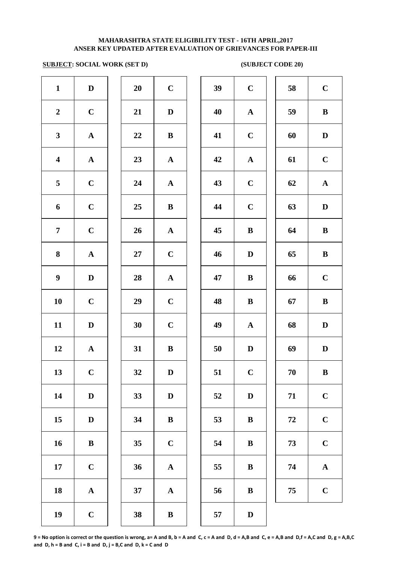### **SUBJECT: SOCIAL WORK (SET D) (SUBJECT CODE 20)**

| $\mathbf{1}$            | $\mathbf D$ | 20        | $\mathbf C$ | 39 | $\mathbf C$  | 58 | $\mathbf C$  |
|-------------------------|-------------|-----------|-------------|----|--------------|----|--------------|
| $\boldsymbol{2}$        | $\mathbf C$ | 21        | $\mathbf D$ | 40 | ${\bf A}$    | 59 | $\bf{B}$     |
| $\mathbf{3}$            | ${\bf A}$   | 22        | $\bf{B}$    | 41 | $\mathbf C$  | 60 | $\mathbf{D}$ |
| $\overline{\mathbf{4}}$ | ${\bf A}$   | 23        | ${\bf A}$   | 42 | ${\bf A}$    | 61 | $\mathbf C$  |
| 5                       | $\mathbf C$ | 24        | ${\bf A}$   | 43 | $\bf C$      | 62 | $\mathbf A$  |
| 6                       | $\mathbf C$ | 25        | $\bf{B}$    | 44 | $\bf C$      | 63 | $\mathbf{D}$ |
| $\overline{7}$          | $\bf C$     | 26        | ${\bf A}$   | 45 | $\bf{B}$     | 64 | $\bf{B}$     |
| 8                       | ${\bf A}$   | $27\,$    | $\mathbf C$ | 46 | $\mathbf D$  | 65 | $\bf{B}$     |
| $\boldsymbol{9}$        | $\mathbf D$ | 28        | ${\bf A}$   | 47 | $\bf{B}$     | 66 | $\mathbf C$  |
| 10                      | $\mathbf C$ | 29        | $\mathbf C$ | 48 | $\bf{B}$     | 67 | $\bf{B}$     |
| 11                      | $\mathbf D$ | 30        | $\mathbf C$ | 49 | $\mathbf{A}$ | 68 | D            |
| 12                      | ${\bf A}$   | 31        | $\bf{B}$    | 50 | $\mathbf D$  | 69 | D            |
| 13                      | $\mathbf C$ | <b>32</b> | D           | 51 | $\mathbf C$  | 70 | $\bf{B}$     |
| 14                      | $\mathbf D$ | 33        | $\mathbf D$ | 52 | $\mathbf D$  | 71 | $\mathbf C$  |
| 15                      | $\mathbf D$ | 34        | ${\bf B}$   | 53 | $\bf{B}$     | 72 | $\mathbf C$  |
| 16                      | ${\bf B}$   | 35        | $\mathbf C$ | 54 | $\bf{B}$     | 73 | $\mathbf C$  |
| 17                      | $\mathbf C$ | 36        | ${\bf A}$   | 55 | $\bf{B}$     | 74 | $\mathbf A$  |
| 18                      | ${\bf A}$   | 37        | ${\bf A}$   | 56 | $\bf{B}$     | 75 | $\mathbf C$  |
| 19                      | $\mathbf C$ | 38        | $\bf{B}$    | 57 | $\mathbf D$  |    |              |
|                         |             |           |             |    |              |    |              |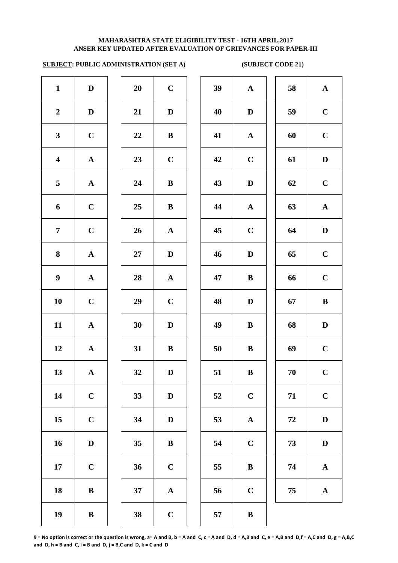# **SUBJECT: PUBLIC ADMINISTRATION (SET A) (SUBJECT CODE 21)**

| $\mathbf{1}$            | $\mathbf D$           | 20 | $\mathbf C$           | 39 | $\boldsymbol{\mathsf{A}}$ |
|-------------------------|-----------------------|----|-----------------------|----|---------------------------|
| $\boldsymbol{2}$        | $\mathbf D$           | 21 | $\mathbf D$           | 40 | $\mathbf{D}$              |
| $\mathbf{3}$            | $\mathbf C$           | 22 | $\, {\bf B}$          | 41 | $\mathbf A$               |
| $\overline{\mathbf{4}}$ | $\boldsymbol{\rm{A}}$ | 23 | $\mathbf C$           | 42 | $\mathbf C$               |
| 5                       | $\boldsymbol{\rm{A}}$ | 24 | $\bf{B}$              | 43 | $\bf{D}$                  |
| 6                       | $\mathbf C$           | 25 | $\bf{B}$              | 44 | $\mathbf A$               |
| $\overline{7}$          | $\mathbf C$           | 26 | ${\bf A}$             | 45 | $\mathbf C$               |
| 8                       | $\boldsymbol{\rm{A}}$ | 27 | $\mathbf D$           | 46 | $\mathbf{D}$              |
| $\boldsymbol{9}$        | ${\bf A}$             | 28 | ${\bf A}$             | 47 | $\bf{B}$                  |
| 10                      | $\mathbf C$           | 29 | $\mathbf C$           | 48 | $\mathbf D$               |
| 11                      | $\boldsymbol{\rm{A}}$ | 30 | $\mathbf D$           | 49 | $\bf{B}$                  |
| 12                      | $\boldsymbol{\rm{A}}$ | 31 | $\, {\bf B}$          | 50 | $\bf{B}$                  |
| 13                      | ${\bf A}$             | 32 | $\mathbf D$           | 51 | $\bf{B}$                  |
| 14                      | $\mathbf C$           | 33 | $\mathbf D$           | 52 | $\mathbf C$               |
| 15                      | $\mathbf C$           | 34 | $\mathbf D$           | 53 | $\mathbf A$               |
| 16                      | $\mathbf D$           | 35 | $\bf{B}$              | 54 | $\mathbf C$               |
| 17                      | $\mathbf C$           | 36 | $\mathbf C$           | 55 | $\bf{B}$                  |
| 18                      | $\, {\bf B}$          | 37 | $\boldsymbol{\rm{A}}$ | 56 | $\mathbf C$               |
| 19                      | $\, {\bf B}$          | 38 | $\mathbf C$           | 57 | $\bf{B}$                  |
|                         |                       |    |                       |    |                           |

| 20 | $\mathbf C$             |  |
|----|-------------------------|--|
| 21 | D                       |  |
| 22 | B                       |  |
| 23 | $\mathbf C$             |  |
| 24 | B                       |  |
| 25 | B                       |  |
| 26 | $\mathbf A$             |  |
| 27 | D                       |  |
| 28 | $\mathbf A$             |  |
| 29 | $\mathbf C$             |  |
| 30 | D                       |  |
| 31 | B                       |  |
| 32 | $\bf{D}$                |  |
| 33 | D                       |  |
| 34 | D                       |  |
| 35 | B                       |  |
| 36 | $\overline{\mathbf{C}}$ |  |
| 37 | A                       |  |
|    |                         |  |

| $\mathbf{1}$            | $\mathbf D$  | 20 | $\bf C$     | 39 | $\mathbf A$  | 58         | ${\bf A}$    |
|-------------------------|--------------|----|-------------|----|--------------|------------|--------------|
| $\overline{2}$          | $\mathbf D$  | 21 | $\mathbf D$ | 40 | $\mathbf D$  | 59         | $\mathbf C$  |
| $\mathbf{3}$            | $\mathbf C$  | 22 | $\bf{B}$    | 41 | $\mathbf{A}$ | 60         | $\mathbf C$  |
| $\overline{\mathbf{4}}$ | ${\bf A}$    | 23 | $\mathbf C$ | 42 | $\mathbf C$  | 61         | ${\bf D}$    |
| $\overline{\mathbf{5}}$ | ${\bf A}$    | 24 | ${\bf B}$   | 43 | $\mathbf D$  | 62         | $\mathbf C$  |
| 6                       | $\mathbf C$  | 25 | ${\bf B}$   | 44 | ${\bf A}$    | 63         | ${\bf A}$    |
| $\overline{7}$          | $\mathbf C$  | 26 | ${\bf A}$   | 45 | $\mathbf C$  | 64         | $\mathbf D$  |
| 8                       | ${\bf A}$    | 27 | $\mathbf D$ | 46 | $\mathbf D$  | 65         | $\mathbf C$  |
| $\boldsymbol{9}$        | ${\bf A}$    | 28 | ${\bf A}$   | 47 | $\, {\bf B}$ | 66         | $\mathbf C$  |
| 10                      | $\mathbf C$  | 29 | $\bf C$     | 48 | $\mathbf D$  | 67         | $\, {\bf B}$ |
| 11                      | ${\bf A}$    | 30 | $\mathbf D$ | 49 | $\bf{B}$     | 68         | $\mathbf D$  |
| 12                      | ${\bf A}$    | 31 | ${\bf B}$   | 50 | $\bf{B}$     | 69         | $\mathbf C$  |
| 13                      | $\mathbf{A}$ | 32 | $\mathbf D$ | 51 | $\, {\bf B}$ | 70         | $\mathbf C$  |
| 14                      | $\mathbf C$  | 33 | $\mathbf D$ | 52 | $\mathbf C$  | 71         | $\mathbf C$  |
| 15                      | $\mathbf C$  | 34 | $\mathbf D$ | 53 | ${\bf A}$    | ${\bf 72}$ | $\mathbf D$  |
| 16                      | $\mathbf D$  | 35 | $\bf{B}$    | 54 | $\mathbf C$  | 73         | $\mathbf D$  |
| 17                      | $\mathbf C$  | 36 | $\mathbf C$ | 55 | $\, {\bf B}$ | 74         | ${\bf A}$    |
| 18                      | $\bf{B}$     | 37 | ${\bf A}$   | 56 | $\mathbf C$  | 75         | ${\bf A}$    |
| 10                      | $\mathbf{R}$ | 38 | $\mathbf C$ | 57 | $\mathbf{R}$ |            |              |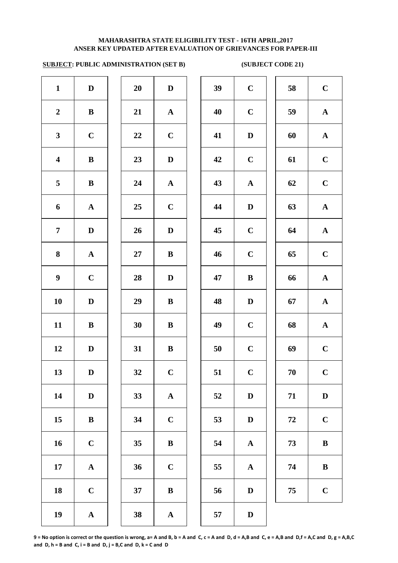### **ANSER KEY UPDATED AFTER EVALUATION OF GRIEVANCES FOR PAPER-III MAHARASHTRA STATE ELIGIBILITY TEST - 16TH APRIL,2017**

# **SUBJECT: PUBLIC ADMINISTRATION (SET B) (SUBJECT CODE 21)**

| $\mathbf{1}$            | $\mathbf D$           | 20        | $\mathbf D$           | 39 | $\mathbf C$  |
|-------------------------|-----------------------|-----------|-----------------------|----|--------------|
| $\boldsymbol{2}$        | $\bf{B}$              | 21        | ${\bf A}$             | 40 | $\mathbf C$  |
| $\mathbf{3}$            | $\mathbf C$           | 22        | $\mathbf C$           | 41 | $\mathbf{D}$ |
| $\overline{\mathbf{4}}$ | $\bf{B}$              | 23        | $\mathbf D$           | 42 | $\mathbf C$  |
| 5                       | $\bf{B}$              | 24        | ${\bf A}$             | 43 | $\mathbf A$  |
| 6                       | ${\bf A}$             | 25        | $\mathbf C$           | 44 | $\mathbf{D}$ |
| $\overline{7}$          | $\mathbf D$           | 26        | $\mathbf D$           | 45 | $\mathbf C$  |
| 8                       | $\boldsymbol{\rm{A}}$ | <b>27</b> | $\, {\bf B}$          | 46 | $\mathbf C$  |
| $\boldsymbol{9}$        | $\mathbf C$           | 28        | $\mathbf D$           | 47 | $\bf{B}$     |
| 10                      | $\mathbf D$           | 29        | $\, {\bf B}$          | 48 | $\mathbf{D}$ |
| 11                      | $\, {\bf B}$          | 30        | $\, {\bf B}$          | 49 | $\mathbf C$  |
| 12                      | $\mathbf D$           | 31        | $\bf{B}$              | 50 | $\mathbf C$  |
| 13                      | D                     | 32        | $\mathbf C$           | 51 | $\mathbf C$  |
| 14                      | $\mathbf D$           | 33        | $\boldsymbol{\rm{A}}$ | 52 | $\mathbf{D}$ |
| 15                      | $\bf{B}$              | 34        | $\mathbf C$           | 53 | $\mathbf{D}$ |
| 16                      | $\mathbf C$           | 35        | $\, {\bf B}$          | 54 | $\mathbf A$  |
| 17                      | $\boldsymbol{\rm{A}}$ | 36        | $\mathbf C$           | 55 | $\mathbf A$  |
| 18                      | $\mathbf C$           | 37        | $\, {\bf B}$          | 56 | $\bf{D}$     |
| 19                      | $\boldsymbol{\rm{A}}$ | 38        | $\boldsymbol{\rm{A}}$ | 57 | $\mathbf{D}$ |
|                         |                       |           |                       |    |              |

| 20 | $\bf{D}$    |
|----|-------------|
| 21 | $\mathbf A$ |
| 22 | $\mathbf C$ |
| 23 | D           |
| 24 | A           |
| 25 | $\mathbf C$ |
| 26 | D           |
| 27 | B           |
| 28 | D           |
| 29 | B           |
| 30 | B           |
| 31 | B           |
| 32 | $\mathbf C$ |
| 33 | A           |
| 34 | $\mathbf C$ |
| 35 | B           |
| 36 | $\mathbf C$ |
| 37 | B           |
|    |             |

| $\mathbf{1}$            | $\mathbf D$  | 20 | $\mathbf D$  | 39 | $\mathbf C$  | 58 | $\mathbf C$  |
|-------------------------|--------------|----|--------------|----|--------------|----|--------------|
| $\overline{2}$          | $\bf{B}$     | 21 | ${\bf A}$    | 40 | $\mathbf C$  | 59 | ${\bf A}$    |
| $\mathbf{3}$            | $\mathbf C$  | 22 | $\mathbf C$  | 41 | $\mathbf D$  | 60 | ${\bf A}$    |
| $\overline{\mathbf{4}}$ | $\, {\bf B}$ | 23 | $\mathbf D$  | 42 | $\mathbf C$  | 61 | $\mathbf C$  |
| $5\phantom{.0}$         | $\bf{B}$     | 24 | ${\bf A}$    | 43 | ${\bf A}$    | 62 | $\mathbf C$  |
| 6                       | $\mathbf{A}$ | 25 | $\mathbf C$  | 44 | $\mathbf D$  | 63 | ${\bf A}$    |
| $\overline{7}$          | $\mathbf D$  | 26 | $\mathbf D$  | 45 | $\mathbf C$  | 64 | ${\bf A}$    |
| 8                       | ${\bf A}$    | 27 | ${\bf B}$    | 46 | $\mathbf C$  | 65 | $\mathbf C$  |
| $\boldsymbol{9}$        | $\mathbf C$  | 28 | $\mathbf D$  | 47 | $\bf{B}$     | 66 | ${\bf A}$    |
| 10                      | $\mathbf D$  | 29 | ${\bf B}$    | 48 | $\mathbf D$  | 67 | ${\bf A}$    |
| 11                      | ${\bf B}$    | 30 | $\bf{B}$     | 49 | $\mathbf C$  | 68 | ${\bf A}$    |
| 12                      | D            | 31 | $\bf{B}$     | 50 | $\mathbf C$  | 69 | $\mathbf C$  |
| 13                      | $\mathbf{D}$ | 32 | $\mathbf C$  | 51 | $\mathbf C$  | 70 | $\mathbf C$  |
| 14                      | $\mathbf D$  | 33 | ${\bf A}$    | 52 | $\mathbf D$  | 71 | $\mathbf D$  |
| 15                      | $\, {\bf B}$ | 34 | $\mathbf C$  | 53 | $\mathbf D$  | 72 | $\mathbf C$  |
| 16                      | $\mathbf C$  | 35 | $\bf{B}$     | 54 | ${\bf A}$    | 73 | $\, {\bf B}$ |
| 17                      | ${\bf A}$    | 36 | $\mathbf C$  | 55 | ${\bf A}$    | 74 | $\bf{B}$     |
| 18                      | $\mathbf C$  | 37 | $\, {\bf B}$ | 56 | $\mathbf D$  | 75 | $\mathbf C$  |
| 10                      |              | 38 |              | 57 | $\mathbf{D}$ |    |              |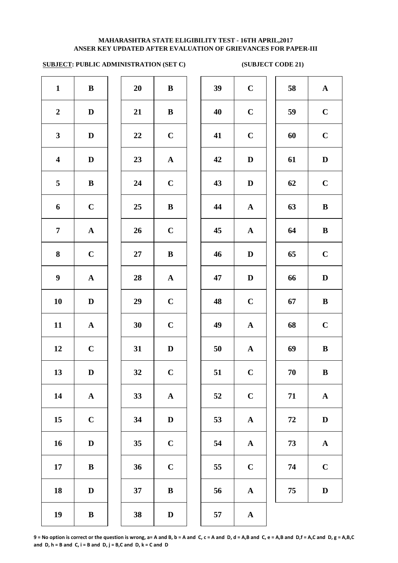# **SUBJECT: PUBLIC ADMINISTRATION (SET C) (SUBJECT CODE 21)**

| $\mathbf{1}$            | $\, {\bf B}$          | 20 | $\, {\bf B}$ | 39 | $\mathbf C$  |
|-------------------------|-----------------------|----|--------------|----|--------------|
| $\boldsymbol{2}$        | $\mathbf D$           | 21 | $\bf{B}$     | 40 | $\mathbf C$  |
| $\mathbf{3}$            | $\mathbf D$           | 22 | $\mathbf C$  | 41 | $\mathbf C$  |
| $\overline{\mathbf{4}}$ | $\mathbf D$           | 23 | $\mathbf A$  | 42 | $\mathbf{D}$ |
| 5                       | $\bf{B}$              | 24 | $\mathbf C$  | 43 | $\bf{D}$     |
| 6                       | $\mathbf C$           | 25 | $\bf{B}$     | 44 | $\mathbf A$  |
| $\overline{7}$          | ${\bf A}$             | 26 | $\mathbf C$  | 45 | $\mathbf A$  |
| $\bf{8}$                | $\mathbf C$           | 27 | $\, {\bf B}$ | 46 | $\mathbf{D}$ |
| $\boldsymbol{9}$        | ${\bf A}$             | 28 | $\mathbf A$  | 47 | $\mathbf{D}$ |
| 10                      | $\mathbf D$           | 29 | $\mathbf C$  | 48 | $\mathbf C$  |
| 11                      | $\boldsymbol{\rm{A}}$ | 30 | $\mathbf C$  | 49 | $\mathbf{A}$ |
| 12                      | $\mathbf C$           | 31 | $\mathbf D$  | 50 | $\mathbf{A}$ |
| 13                      | $\mathbf D$           | 32 | $\mathbf C$  | 51 | $\mathbf C$  |
| 14                      | $\boldsymbol{\rm{A}}$ | 33 | $\mathbf A$  | 52 | $\mathbf C$  |
| 15                      | $\mathbf C$           | 34 | $\mathbf D$  | 53 | $\mathbf A$  |
| 16                      | $\mathbf D$           | 35 | $\mathbf C$  | 54 | $\mathbf A$  |
| 17                      | $\, {\bf B}$          | 36 | $\mathbf C$  | 55 | $\mathbf C$  |
| 18                      | $\mathbf D$           | 37 | $\, {\bf B}$ | 56 | $\mathbf A$  |
| 19                      | $\, {\bf B}$          | 38 | $\mathbf D$  | 57 | $\mathbf A$  |

| 20 | B                       |
|----|-------------------------|
| 21 | B                       |
| 22 | $\mathbf C$             |
| 23 | $\mathbf A$             |
| 24 | $\mathbf C$             |
| 25 | B                       |
| 26 | $\mathbf C$             |
| 27 | B                       |
| 28 | $\mathbf A$             |
| 29 | $\overline{C}$          |
| 30 | $\overline{C}$          |
| 31 | D                       |
| 32 | $\overline{\mathbf{C}}$ |
| 33 | A                       |
| 34 | D                       |
| 35 | $\mathbf C$             |
| 36 | $\mathbf C$             |
| 37 | B                       |
|    |                         |

| $\mathbf{1}$            | $\bf{B}$     | 20             | $\bf{B}$     | 39 | $\mathbf C$  | 58 | $\mathbf{A}$ |
|-------------------------|--------------|----------------|--------------|----|--------------|----|--------------|
| $\overline{2}$          | D            | 21             | $\bf{B}$     | 40 | $\mathbf C$  | 59 | $\mathbf C$  |
| $\mathbf{3}$            | $\mathbf D$  | 22             | $\mathbf C$  | 41 | $\mathbf C$  | 60 | $\mathbf C$  |
| $\overline{\mathbf{4}}$ | $\mathbf D$  | 23             | ${\bf A}$    | 42 | $\mathbf D$  | 61 | $\mathbf D$  |
| $\overline{\mathbf{5}}$ | $\, {\bf B}$ | 24             | $\mathbf C$  | 43 | $\mathbf D$  | 62 | $\mathbf C$  |
| 6                       | $\mathbf C$  | 25             | $\bf{B}$     | 44 | ${\bf A}$    | 63 | $\bf{B}$     |
| $\overline{7}$          | ${\bf A}$    | 26             | $\mathbf C$  | 45 | $\mathbf{A}$ | 64 | $\bf{B}$     |
| 8                       | $\mathbf C$  | 27             | $\bf{B}$     | 46 | $\mathbf D$  | 65 | $\mathbf C$  |
| $\boldsymbol{9}$        | ${\bf A}$    | 28             | ${\bf A}$    | 47 | $\mathbf D$  | 66 | $\mathbf D$  |
| 10                      | $\mathbf D$  | 29             | $\mathbf C$  | 48 | $\mathbf C$  | 67 | $\bf{B}$     |
| 11                      | $\mathbf{A}$ | 30             | $\mathbf C$  | 49 | ${\bf A}$    | 68 | $\mathbf C$  |
| 12                      | $\mathbf C$  | 31             | $\mathbf D$  | 50 | ${\bf A}$    | 69 | $\, {\bf B}$ |
| 13                      | $\mathbf D$  | 32             | $\mathbf C$  | 51 | $\mathbf C$  | 70 | $\, {\bf B}$ |
| 14                      | ${\bf A}$    | 33             | ${\bf A}$    | 52 | $\mathbf C$  | 71 | ${\bf A}$    |
| 15                      | $\mathbf C$  | 34             | $\mathbf D$  | 53 | ${\bf A}$    | 72 | $\mathbf D$  |
| 16                      | $\mathbf D$  | 35             | $\mathbf C$  | 54 | ${\bf A}$    | 73 | ${\bf A}$    |
| 17                      | $\bf{B}$     | 36             | $\mathbf C$  | 55 | $\mathbf C$  | 74 | $\mathbf C$  |
| 18                      | $\mathbf D$  | 37             | $\bf{B}$     | 56 | ${\bf A}$    | 75 | D            |
| 10                      | $\mathbf{p}$ | 2 <sub>Q</sub> | $\mathbf{D}$ | 57 |              |    |              |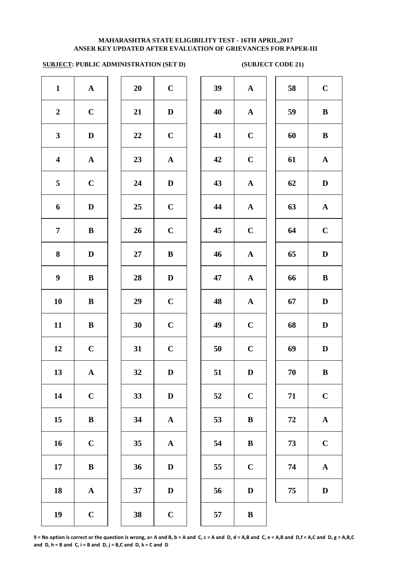# **SUBJECT: PUBLIC ADMINISTRATION (SET D) (SUBJECT CODE 21)**

| $\mathbf{1}$            | $\boldsymbol{\rm{A}}$ | 20 | $\mathbf C$           | 39 | $\mathbf A$               |
|-------------------------|-----------------------|----|-----------------------|----|---------------------------|
| $\boldsymbol{2}$        | $\mathbf C$           | 21 | $\mathbf D$           | 40 | $\boldsymbol{\mathsf{A}}$ |
| $\mathbf{3}$            | $\mathbf D$           | 22 | $\mathbf C$           | 41 | $\mathbf C$               |
| $\overline{\mathbf{4}}$ | ${\bf A}$             | 23 | $\mathbf A$           | 42 | $\mathbf C$               |
| 5                       | $\mathbf C$           | 24 | $\mathbf D$           | 43 | $\mathbf A$               |
| 6                       | $\mathbf D$           | 25 | $\mathbf C$           | 44 | $\mathbf{A}$              |
| $\overline{7}$          | $\bf{B}$              | 26 | $\mathbf C$           | 45 | $\mathbf C$               |
| 8                       | $\mathbf D$           | 27 | $\bf{B}$              | 46 | $\mathbf{A}$              |
| $\boldsymbol{9}$        | $\bf{B}$              | 28 | $\mathbf D$           | 47 | $\mathbf A$               |
| 10                      | $\, {\bf B}$          | 29 | $\mathbf C$           | 48 | $\mathbf A$               |
| 11                      | $\, {\bf B}$          | 30 | $\mathbf C$           | 49 | $\mathbf C$               |
| 12                      | $\mathbf C$           | 31 | $\mathbf C$           | 50 | $\mathbf C$               |
| 13                      | ${\bf A}$             | 32 | $\mathbf D$           | 51 | $\bf{D}$                  |
| 14                      | $\mathbf C$           | 33 | $\mathbf D$           | 52 | $\mathbf C$               |
| 15                      | $\, {\bf B}$          | 34 | ${\bf A}$             | 53 | $\bf{B}$                  |
| 16                      | $\mathbf C$           | 35 | $\boldsymbol{\rm{A}}$ | 54 | $\bf{B}$                  |
| 17                      | $\bf{B}$              | 36 | $\mathbf D$           | 55 | $\mathbf C$               |
| 18                      | ${\bf A}$             | 37 | $\mathbf D$           | 56 | $\bf{D}$                  |
| 19                      | $\mathbf C$           | 38 | $\mathbf C$           | 57 | $\bf{B}$                  |
|                         |                       |    |                       |    |                           |

| 20 | $\mathbf C$             |
|----|-------------------------|
| 21 | $\mathbf D$             |
| 22 | $\mathbf C$             |
| 23 | $\overline{\mathbf{A}}$ |
| 24 | D                       |
| 25 | $\mathbf C$             |
| 26 | $\mathbf C$             |
| 27 | B                       |
| 28 | D                       |
| 29 | $\mathbf C$             |
| 30 | $\mathbf C$             |
| 31 | $\mathbf C$             |
| 32 | $\bf{D}$                |
| 33 | D                       |
| 34 | A                       |
| 35 | $\overline{\mathbf{A}}$ |
| 36 | D                       |
| 37 | D                       |
|    |                         |

| $\mathbf{1}$            | ${\bf A}$    | 20     | $\mathbf C$ | 39 | ${\bf A}$    | 58 | $\mathbf C$  |
|-------------------------|--------------|--------|-------------|----|--------------|----|--------------|
| $\boldsymbol{2}$        | $\mathbf C$  | 21     | $\mathbf D$ | 40 | ${\bf A}$    | 59 | $\bf{B}$     |
| $\mathbf{3}$            | $\mathbf D$  | 22     | $\mathbf C$ | 41 | $\mathbf C$  | 60 | $\bf{B}$     |
| $\overline{\mathbf{4}}$ | ${\bf A}$    | 23     | ${\bf A}$   | 42 | $\mathbf C$  | 61 | ${\bf A}$    |
| $\overline{5}$          | $\mathbf C$  | 24     | $\mathbf D$ | 43 | ${\bf A}$    | 62 | $\mathbf D$  |
| 6                       | $\mathbf D$  | 25     | $\mathbf C$ | 44 | ${\bf A}$    | 63 | ${\bf A}$    |
| $\overline{7}$          | $\bf{B}$     | 26     | $\mathbf C$ | 45 | $\mathbf C$  | 64 | $\mathbf C$  |
| 8                       | $\mathbf D$  | $27\,$ | $\bf{B}$    | 46 | $\mathbf{A}$ | 65 | $\mathbf D$  |
| $\boldsymbol{9}$        | $\bf{B}$     | 28     | $\mathbf D$ | 47 | ${\bf A}$    | 66 | $\, {\bf B}$ |
| 10                      | $\, {\bf B}$ | 29     | $\mathbf C$ | 48 | ${\bf A}$    | 67 | $\mathbf D$  |
| 11                      | $\, {\bf B}$ | 30     | $\mathbf C$ | 49 | $\mathbf C$  | 68 | $\mathbf D$  |
| 12                      | $\mathbf C$  | 31     | $\mathbf C$ | 50 | $\mathbf C$  | 69 | $\mathbf D$  |
| 13                      | ${\bf A}$    | 32     | $\mathbf D$ | 51 | $\mathbf D$  | 70 | $\bf{B}$     |
| 14                      | $\mathbf C$  | 33     | $\mathbf D$ | 52 | $\mathbf C$  | 71 | $\mathbf C$  |
| 15                      | ${\bf B}$    | 34     | ${\bf A}$   | 53 | $\, {\bf B}$ | 72 | $\mathbf A$  |
| 16                      | $\mathbf C$  | 35     | ${\bf A}$   | 54 | $\bf{B}$     | 73 | $\mathbf C$  |
| 17                      | $\, {\bf B}$ | 36     | $\mathbf D$ | 55 | $\mathbf C$  | 74 | $\mathbf A$  |
| 18                      | ${\bf A}$    | 37     | $\mathbf D$ | 56 | $\mathbf D$  | 75 | $\mathbf D$  |
| 19                      | $\mathbf C$  | 38     | $\mathbf C$ | 57 | $\mathbf{R}$ |    |              |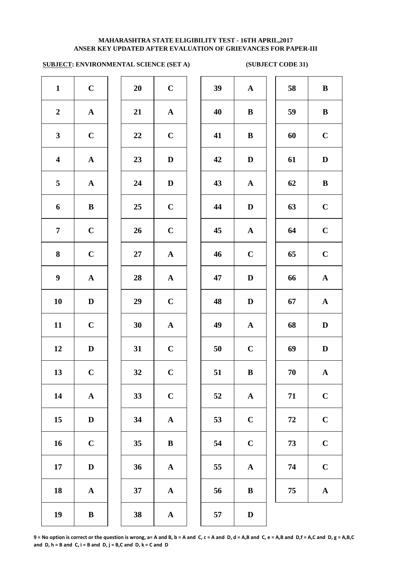# **SUBJECT: ENVIRONMENTAL SCIENCE (SET A) (SUBJECT CODE 31)**

| $\mathbf{1}$            | $\mathbf C$           | 20     | $\mathbf C$           | 39 | $\mathbf A$  |
|-------------------------|-----------------------|--------|-----------------------|----|--------------|
| $\boldsymbol{2}$        | ${\bf A}$             | 21     | ${\bf A}$             | 40 | $\bf{B}$     |
| $\mathbf{3}$            | $\mathbf C$           | 22     | $\mathbf C$           | 41 | $\bf{B}$     |
| $\overline{\mathbf{4}}$ | $\mathbf A$           | 23     | $\mathbf D$           | 42 | $\mathbf{D}$ |
| $\overline{\mathbf{5}}$ | ${\bf A}$             | 24     | $\mathbf D$           | 43 | $\mathbf A$  |
| 6                       | $\, {\bf B}$          | 25     | $\mathbf C$           | 44 | $\mathbf{D}$ |
| $\overline{7}$          | $\mathbf C$           | 26     | $\mathbf C$           | 45 | $\mathbf A$  |
| 8                       | $\mathbf C$           | $27\,$ | $\boldsymbol{\rm{A}}$ | 46 | $\mathbf C$  |
| $\boldsymbol{9}$        | $\boldsymbol{\rm{A}}$ | 28     | $\mathbf A$           | 47 | $\mathbf{D}$ |
| 10                      | $\mathbf D$           | 29     | $\mathbf C$           | 48 | $\mathbf{D}$ |
| 11                      | $\mathbf C$           | 30     | $\boldsymbol{\rm{A}}$ | 49 | $\mathbf A$  |
| 12                      | $\mathbf D$           | 31     | $\mathbf C$           | 50 | $\mathbf C$  |
| 13                      | $\mathbf C$           | 32     | $\mathbf C$           | 51 | $\bf{B}$     |
| 14                      | $\boldsymbol{\rm{A}}$ | 33     | $\mathbf C$           | 52 | $\mathbf A$  |
| 15                      | $\mathbf D$           | 34     | $\boldsymbol{\rm{A}}$ | 53 | $\mathbf C$  |
| 16                      | $\mathbf C$           | 35     | $\bf{B}$              | 54 | $\mathbf C$  |
| $17\phantom{.}$         | $\mathbf D$           | 36     | ${\bf A}$             | 55 | $\mathbf A$  |
| 18                      | ${\bf A}$             | 37     | ${\bf A}$             | 56 | $\bf{B}$     |
| 19                      | $\, {\bf B}$          | 38     | $\mathbf A$           | 57 | $\bf{D}$     |

| 20 | $\mathbf C$             |  |
|----|-------------------------|--|
| 21 | $\mathbf A$             |  |
| 22 | $\overline{\mathbf{C}}$ |  |
| 23 | D                       |  |
| 24 | D                       |  |
| 25 | $\mathbf C$             |  |
| 26 | $\mathbf C$             |  |
| 27 | $\mathbf{A}$            |  |
| 28 | $\mathbf{A}$            |  |
| 29 | $\mathbf C$             |  |
| 30 | $\mathbf A$             |  |
| 31 | $\overline{\mathbf{C}}$ |  |
| 32 | $\mathbf C$             |  |
| 33 | $\mathbf C$             |  |
| 34 | A                       |  |
| 35 | B                       |  |
| 36 | $\mathbf A$             |  |
| 37 | $\mathbf A$             |  |
|    |                         |  |

| $\mathbf{1}$            | $\mathbf C$  | 20     | $\mathbf C$ | 39 | ${\bf A}$    | 58     | $\bf{B}$     |
|-------------------------|--------------|--------|-------------|----|--------------|--------|--------------|
| $\overline{2}$          | ${\bf A}$    | 21     | ${\bf A}$   | 40 | $\bf{B}$     | 59     | $\, {\bf B}$ |
| $\mathbf{3}$            | $\mathbf C$  | 22     | $\mathbf C$ | 41 | $\bf{B}$     | 60     | $\mathbf C$  |
| $\overline{\mathbf{4}}$ | ${\bf A}$    | 23     | $\mathbf D$ | 42 | $\mathbf D$  | 61     | $\mathbf D$  |
| 5                       | ${\bf A}$    | 24     | $\mathbf D$ | 43 | ${\bf A}$    | 62     | $\, {\bf B}$ |
| 6                       | $\, {\bf B}$ | 25     | $\mathbf C$ | 44 | $\mathbf D$  | 63     | $\mathbf C$  |
| $\overline{7}$          | $\mathbf C$  | 26     | $\mathbf C$ | 45 | $\mathbf{A}$ | 64     | $\mathbf C$  |
| $\boldsymbol{8}$        | $\mathbf C$  | $27\,$ | ${\bf A}$   | 46 | $\mathbf C$  | 65     | $\mathbf C$  |
| $\boldsymbol{9}$        | $\mathbf{A}$ | 28     | ${\bf A}$   | 47 | $\mathbf D$  | 66     | ${\bf A}$    |
| 10                      | D            | 29     | $\mathbf C$ | 48 | $\mathbf D$  | 67     | ${\bf A}$    |
| 11                      | $\mathbf C$  | 30     | ${\bf A}$   | 49 | ${\bf A}$    | 68     | $\mathbf D$  |
| 12                      | D            | 31     | $\mathbf C$ | 50 | $\mathbf C$  | 69     | $\mathbf D$  |
| 13                      | $\mathbf C$  | 32     | $\mathbf C$ | 51 | $\, {\bf B}$ | $70\,$ | $\mathbf A$  |
| 14                      | ${\bf A}$    | 33     | $\bf C$     | 52 | ${\bf A}$    | 71     | $\mathbf C$  |
| 15                      | $\mathbf D$  | 34     | ${\bf A}$   | 53 | $\mathbf C$  | 72     | $\mathbf C$  |
| 16                      | $\mathbf C$  | 35     | $\bf{B}$    | 54 | $\mathbf C$  | 73     | $\mathbf C$  |
| 17                      | $\mathbf D$  | 36     | ${\bf A}$   | 55 | $\mathbf{A}$ | 74     | $\mathbf C$  |
| 18                      | $\mathbf A$  | 37     | ${\bf A}$   | 56 | $\, {\bf B}$ | 75     | $\mathbf A$  |
| 19                      | $\bf{B}$     | 38     | $\mathbf A$ | 57 | D            |        |              |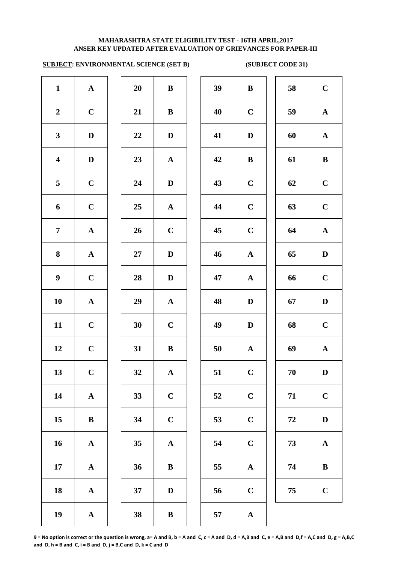## **SUBJECT: ENVIRONMENTAL SCIENCE (SET B) (SUBJECT CODE 31)**

| $\mathbf{1}$            | ${\bf A}$             | 20     |                       |    |              |
|-------------------------|-----------------------|--------|-----------------------|----|--------------|
|                         |                       |        | $\, {\bf B}$          | 39 | $\bf{B}$     |
| $\boldsymbol{2}$        | $\mathbf C$           | 21     | $\, {\bf B}$          | 40 | $\mathbf C$  |
| $\mathbf{3}$            | $\mathbf D$           | 22     | $\mathbf D$           | 41 | $\mathbf D$  |
| $\overline{\mathbf{4}}$ | $\mathbf D$           | 23     | $\mathbf A$           | 42 | $\bf{B}$     |
| 5                       | $\mathbf C$           | 24     | $\mathbf D$           | 43 | $\mathbf C$  |
| 6                       | $\mathbf C$           | 25     | $\boldsymbol{\rm{A}}$ | 44 | $\mathbf C$  |
| $\overline{7}$          | ${\bf A}$             | 26     | $\mathbf C$           | 45 | $\mathbf C$  |
| $\bf{8}$                | $\boldsymbol{\rm{A}}$ | $27\,$ | $\mathbf D$           | 46 | $\mathbf A$  |
| $\boldsymbol{9}$        | $\mathbf C$           | 28     | $\mathbf D$           | 47 | $\mathbf A$  |
| 10                      | $\boldsymbol{\rm{A}}$ | 29     | $\boldsymbol{\rm{A}}$ | 48 | $\mathbf{D}$ |
| 11                      | $\mathbf C$           | 30     | $\mathbf C$           | 49 | $\mathbf{D}$ |
| 12                      | $\mathbf C$           | 31     | $\, {\bf B}$          | 50 | $\mathbf A$  |
| 13                      | $\mathbf C$           | 32     | ${\bf A}$             | 51 | $\mathbf C$  |
| 14                      | $\boldsymbol{\rm{A}}$ | 33     | $\mathbf C$           | 52 | $\mathbf C$  |
| 15                      | $\, {\bf B}$          | 34     | $\mathbf C$           | 53 | $\mathbf C$  |
| 16                      | $\boldsymbol{\rm{A}}$ | 35     | $\boldsymbol{\rm{A}}$ | 54 | $\mathbf C$  |
| 17                      | ${\bf A}$             | 36     | $\, {\bf B}$          | 55 | $\mathbf A$  |
| 18                      | $\boldsymbol{\rm{A}}$ | 37     | $\mathbf D$           | 56 | $\mathbf C$  |
| 19                      | ${\bf A}$             | 38     | $\, {\bf B}$          | 57 | $\mathbf A$  |

| $\mathbf{1}$            | $\mathbf A$ | 20 | $\bf{B}$     | 39 | $\bf{B}$     | 58       | $\mathbf C$  |
|-------------------------|-------------|----|--------------|----|--------------|----------|--------------|
| $\overline{2}$          | $\mathbf C$ | 21 | ${\bf B}$    | 40 | $\mathbf C$  | 59       | $\mathbf{A}$ |
| $\mathbf{3}$            | $\mathbf D$ | 22 | $\mathbf D$  | 41 | $\mathbf D$  | 60       | $\mathbf A$  |
| $\overline{\mathbf{4}}$ | $\mathbf D$ | 23 | $\mathbf{A}$ | 42 | $\bf{B}$     | 61       | $\bf{B}$     |
| $\overline{5}$          | $\mathbf C$ | 24 | $\mathbf D$  | 43 | $\mathbf C$  | 62       | $\mathbf C$  |
| 6                       | $\mathbf C$ | 25 | $\mathbf{A}$ | 44 | $\mathbf C$  | 63       | $\mathbf C$  |
| $\overline{7}$          | ${\bf A}$   | 26 | $\mathbf C$  | 45 | $\mathbf C$  | 64       | ${\bf A}$    |
| 8                       | ${\bf A}$   | 27 | D            | 46 | ${\bf A}$    | 65       | $\mathbf{D}$ |
| $\boldsymbol{9}$        | $\mathbf C$ | 28 | D            | 47 | $\mathbf{A}$ | 66       | $\mathbf C$  |
| 10                      | ${\bf A}$   | 29 | $\mathbf{A}$ | 48 | D            | 67       | $\mathbf D$  |
| 11                      | $\mathbf C$ | 30 | $\mathbf C$  | 49 | $\mathbf D$  | 68       | $\mathbf C$  |
| 12                      | $\mathbf C$ | 31 | $\bf{B}$     | 50 | $\mathbf A$  | 69       | ${\bf A}$    |
| 13                      | $\mathbf C$ | 32 | ${\bf A}$    | 51 | $\mathbf C$  | $70\,$   | $\mathbf D$  |
| 14                      | ${\bf A}$   | 33 | $\mathbf C$  | 52 | $\mathbf C$  | 71       | $\mathbf C$  |
| 15                      | $\bf{B}$    | 34 | $\mathbf C$  | 53 | $\mathbf C$  | $\bf 72$ | $\mathbf D$  |
| 16                      | ${\bf A}$   | 35 | ${\bf A}$    | 54 | $\bf C$      | 73       | ${\bf A}$    |
| 17                      | ${\bf A}$   | 36 | $\bf{B}$     | 55 | ${\bf A}$    | 74       | $\, {\bf B}$ |
| 18                      | ${\bf A}$   | 37 | $\mathbf D$  | 56 | $\mathbf C$  | 75       | $\mathbf C$  |
| 19                      | ${\bf A}$   | 38 | ${\bf B}$    | 57 | ${\bf A}$    |          |              |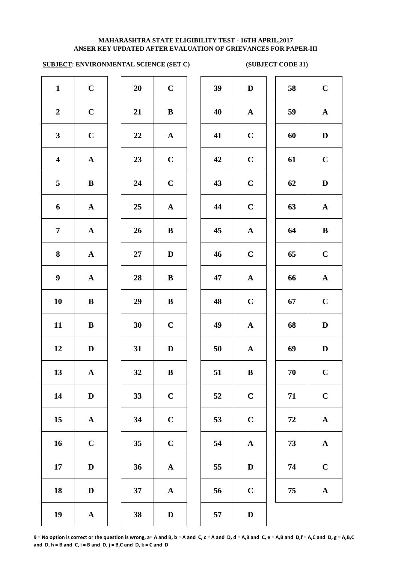# **SUBJECT: ENVIRONMENTAL SCIENCE (SET C) (SUBJECT CODE 31)**

| $\mathbf{1}$            | $\mathbf C$           | 20     | $\mathbf C$           | 39 | $\mathbf{D}$ |
|-------------------------|-----------------------|--------|-----------------------|----|--------------|
| $\boldsymbol{2}$        | $\mathbf C$           | 21     | $\, {\bf B}$          | 40 | $\mathbf A$  |
| $\mathbf{3}$            | $\mathbf C$           | $22\,$ | ${\bf A}$             | 41 | $\mathbf C$  |
| $\overline{\mathbf{4}}$ | ${\bf A}$             | 23     | $\mathbf C$           | 42 | $\mathbf C$  |
| 5                       | $\, {\bf B}$          | 24     | $\mathbf C$           | 43 | $\mathbf C$  |
| 6                       | $\boldsymbol{\rm{A}}$ | 25     | $\boldsymbol{\rm{A}}$ | 44 | $\mathbf C$  |
| $\overline{7}$          | $\boldsymbol{\rm{A}}$ | 26     | $\bf{B}$              | 45 | $\mathbf A$  |
| 8                       | $\boldsymbol{\rm{A}}$ | 27     | $\mathbf D$           | 46 | $\mathbf C$  |
| $\boldsymbol{9}$        | ${\bf A}$             | 28     | $\, {\bf B}$          | 47 | $\mathbf A$  |
| 10                      | $\bf{B}$              | 29     | $\, {\bf B}$          | 48 | $\mathbf C$  |
| 11                      | $\, {\bf B}$          | 30     | $\mathbf C$           | 49 | $\mathbf A$  |
| 12                      | $\mathbf D$           | 31     | $\mathbf{D}%$         | 50 | $\mathbf A$  |
| 13                      | $\mathbf A$           | 32     | $\bf{B}$              | 51 | $\bf{B}$     |
| 14                      | $\mathbf D$           | 33     | $\mathbf C$           | 52 | $\mathbf C$  |
| 15                      | ${\bf A}$             | 34     | $\mathbf C$           | 53 | $\mathbf C$  |
| 16                      | $\mathbf C$           | 35     | $\mathbf C$           | 54 | $\mathbf A$  |
| 17                      | $\mathbf D$           | 36     | $\mathbf A$           | 55 | $\bf{D}$     |
| 18                      | $\mathbf D$           | 37     | ${\bf A}$             | 56 | $\mathbf C$  |
| 19                      | ${\bf A}$             | 38     | $\mathbf D$           | 57 | $\mathbf{D}$ |
|                         |                       |        |                       |    |              |

| 20 | $\mathbf C$  |  |
|----|--------------|--|
| 21 | B            |  |
| 22 | $\mathbf{A}$ |  |
| 23 | $\mathbf C$  |  |
| 24 | $\mathbf C$  |  |
| 25 | $\mathbf{A}$ |  |
| 26 | B            |  |
| 27 | D            |  |
| 28 | B            |  |
| 29 | B            |  |
| 30 | $\mathbf C$  |  |
| 31 | D            |  |
| 32 | B            |  |
| 33 | $\mathbf C$  |  |
| 34 | $\mathbf C$  |  |
| 35 | $\mathbf C$  |  |
| 36 | $\mathbf A$  |  |
| 37 | $\mathbf A$  |  |
|    |              |  |

| $\mathbf{1}$            | $\mathbf C$  | 20 | $\mathbf C$  | 39 | $\mathbf D$  | 58 | $\mathbf C$ |
|-------------------------|--------------|----|--------------|----|--------------|----|-------------|
| $\overline{2}$          | $\mathbf C$  | 21 | $\bf{B}$     | 40 | ${\bf A}$    | 59 | ${\bf A}$   |
| $\mathbf{3}$            | $\mathbf C$  | 22 | ${\bf A}$    | 41 | $\mathbf C$  | 60 | D           |
| $\overline{\mathbf{4}}$ | ${\bf A}$    | 23 | $\mathbf C$  | 42 | $\mathbf C$  | 61 | $\mathbf C$ |
| $5\overline{)}$         | $\bf{B}$     | 24 | $\mathbf C$  | 43 | $\mathbf C$  | 62 | D           |
| 6                       | $\mathbf{A}$ | 25 | $\mathbf{A}$ | 44 | $\mathbf C$  | 63 | ${\bf A}$   |
| $\overline{7}$          | ${\bf A}$    | 26 | $\bf{B}$     | 45 | ${\bf A}$    | 64 | $\bf{B}$    |
| 8                       | ${\bf A}$    | 27 | $\mathbf D$  | 46 | $\mathbf C$  | 65 | $\mathbf C$ |
| $\boldsymbol{9}$        | ${\bf A}$    | 28 | $\bf{B}$     | 47 | ${\bf A}$    | 66 | ${\bf A}$   |
| 10                      | $\bf{B}$     | 29 | $\bf{B}$     | 48 | $\mathbf C$  | 67 | $\mathbf C$ |
| 11                      | $\, {\bf B}$ | 30 | $\mathbf C$  | 49 | ${\bf A}$    | 68 | $\mathbf D$ |
| 12                      | D            | 31 | D            | 50 | $\mathbf{A}$ | 69 | $\mathbf D$ |
| 13                      | ${\bf A}$    | 32 | $\bf{B}$     | 51 | $\bf{B}$     | 70 | $\mathbf C$ |
| 14                      | $\mathbf D$  | 33 | $\mathbf C$  | 52 | $\mathbf C$  | 71 | $\mathbf C$ |
| 15                      | ${\bf A}$    | 34 | $\mathbf C$  | 53 | $\mathbf C$  | 72 | ${\bf A}$   |
| 16                      | $\mathbf C$  | 35 | $\mathbf C$  | 54 | ${\bf A}$    | 73 | ${\bf A}$   |
| 17                      | $\mathbf D$  | 36 | ${\bf A}$    | 55 | $\mathbf D$  | 74 | $\mathbf C$ |
| 18                      | $\mathbf D$  | 37 | ${\bf A}$    | 56 | $\mathbf C$  | 75 | ${\bf A}$   |
| 19                      | $\mathbf A$  | 38 | $\mathbf{D}$ | 57 | $\mathbf{D}$ |    |             |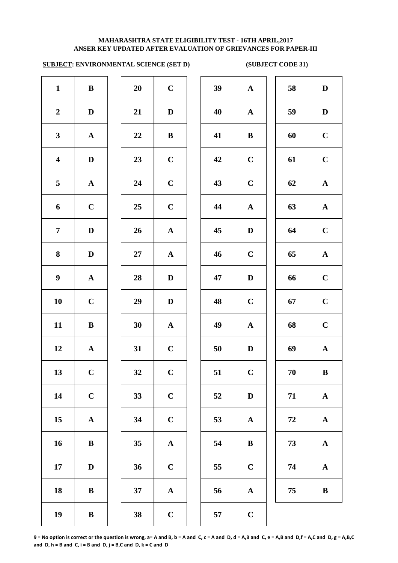### **ANSER KEY UPDATED AFTER EVALUATION OF GRIEVANCES FOR PAPER-III MAHARASHTRA STATE ELIGIBILITY TEST - 16TH APRIL,2017**

# **SUBJECT: ENVIRONMENTAL SCIENCE (SET D) (SUBJECT CODE 31)**

| $\mathbf C$<br>39<br>$\mathbf{1}$<br>$\, {\bf B}$<br>20<br>40<br>$\boldsymbol{2}$<br>$\mathbf D$<br>$\mathbf D$<br>21<br>$\mathbf{3}$<br>22<br>$\, {\bf B}$<br>41<br>${\bf A}$<br>$\overline{\mathbf{4}}$<br>42<br>$\mathbf D$<br>23<br>$\mathbf C$<br>5<br>24<br>$\mathbf C$<br>43<br>${\bf A}$<br>$\mathbf C$<br>44<br>6<br>$\mathbf C$<br>25<br>$\overline{7}$<br>26<br>$\mathbf D$<br>$\boldsymbol{\rm{A}}$<br>45<br>8<br>$\mathbf D$<br>$27\,$<br>$\mathbf A$<br>46<br>$\boldsymbol{9}$<br>$\boldsymbol{\rm{A}}$<br>28<br>47<br>$\mathbf D$<br>$\mathbf C$<br>10<br>48<br>29<br>$\mathbf D$<br>11<br>30<br>${\bf A}$<br>49<br>$\bf{B}$<br>12<br>$\boldsymbol{\rm{A}}$<br>31<br>$\mathbf C$<br>50<br>13<br>32<br>$\mathbf C$<br>51<br>$\mathbf C$<br>14<br>$\mathbf C$<br>33<br>$\mathbf C$<br>52<br>34<br>15<br>$\boldsymbol{\rm{A}}$<br>$\mathbf C$<br>53<br>16<br>$\, {\bf B}$<br>35<br>${\bf A}$<br>54<br>36<br>17<br>$\mathbf C$<br>$\mathbf D$<br>55<br>37<br>$\boldsymbol{\rm{A}}$<br>18<br>$\bf{B}$<br>56<br>19<br>$\bf{B}$<br>38<br>$\mathbf C$<br>57 |  |  |  |              |
|--------------------------------------------------------------------------------------------------------------------------------------------------------------------------------------------------------------------------------------------------------------------------------------------------------------------------------------------------------------------------------------------------------------------------------------------------------------------------------------------------------------------------------------------------------------------------------------------------------------------------------------------------------------------------------------------------------------------------------------------------------------------------------------------------------------------------------------------------------------------------------------------------------------------------------------------------------------------------------------------------------------------------------------------------------------------|--|--|--|--------------|
|                                                                                                                                                                                                                                                                                                                                                                                                                                                                                                                                                                                                                                                                                                                                                                                                                                                                                                                                                                                                                                                                    |  |  |  | $\mathbf A$  |
|                                                                                                                                                                                                                                                                                                                                                                                                                                                                                                                                                                                                                                                                                                                                                                                                                                                                                                                                                                                                                                                                    |  |  |  | $\mathbf A$  |
|                                                                                                                                                                                                                                                                                                                                                                                                                                                                                                                                                                                                                                                                                                                                                                                                                                                                                                                                                                                                                                                                    |  |  |  | $\bf{B}$     |
|                                                                                                                                                                                                                                                                                                                                                                                                                                                                                                                                                                                                                                                                                                                                                                                                                                                                                                                                                                                                                                                                    |  |  |  | $\mathbf C$  |
|                                                                                                                                                                                                                                                                                                                                                                                                                                                                                                                                                                                                                                                                                                                                                                                                                                                                                                                                                                                                                                                                    |  |  |  | $\mathbf C$  |
|                                                                                                                                                                                                                                                                                                                                                                                                                                                                                                                                                                                                                                                                                                                                                                                                                                                                                                                                                                                                                                                                    |  |  |  | $\mathbf A$  |
|                                                                                                                                                                                                                                                                                                                                                                                                                                                                                                                                                                                                                                                                                                                                                                                                                                                                                                                                                                                                                                                                    |  |  |  | $\mathbf{D}$ |
|                                                                                                                                                                                                                                                                                                                                                                                                                                                                                                                                                                                                                                                                                                                                                                                                                                                                                                                                                                                                                                                                    |  |  |  | $\mathbf C$  |
|                                                                                                                                                                                                                                                                                                                                                                                                                                                                                                                                                                                                                                                                                                                                                                                                                                                                                                                                                                                                                                                                    |  |  |  | $\mathbf{D}$ |
|                                                                                                                                                                                                                                                                                                                                                                                                                                                                                                                                                                                                                                                                                                                                                                                                                                                                                                                                                                                                                                                                    |  |  |  | $\mathbf C$  |
|                                                                                                                                                                                                                                                                                                                                                                                                                                                                                                                                                                                                                                                                                                                                                                                                                                                                                                                                                                                                                                                                    |  |  |  | $\mathbf A$  |
|                                                                                                                                                                                                                                                                                                                                                                                                                                                                                                                                                                                                                                                                                                                                                                                                                                                                                                                                                                                                                                                                    |  |  |  | $\mathbf{D}$ |
|                                                                                                                                                                                                                                                                                                                                                                                                                                                                                                                                                                                                                                                                                                                                                                                                                                                                                                                                                                                                                                                                    |  |  |  | $\mathbf C$  |
|                                                                                                                                                                                                                                                                                                                                                                                                                                                                                                                                                                                                                                                                                                                                                                                                                                                                                                                                                                                                                                                                    |  |  |  | $\mathbf{D}$ |
|                                                                                                                                                                                                                                                                                                                                                                                                                                                                                                                                                                                                                                                                                                                                                                                                                                                                                                                                                                                                                                                                    |  |  |  | $\mathbf A$  |
|                                                                                                                                                                                                                                                                                                                                                                                                                                                                                                                                                                                                                                                                                                                                                                                                                                                                                                                                                                                                                                                                    |  |  |  | $\bf{B}$     |
|                                                                                                                                                                                                                                                                                                                                                                                                                                                                                                                                                                                                                                                                                                                                                                                                                                                                                                                                                                                                                                                                    |  |  |  | $\mathbf C$  |
|                                                                                                                                                                                                                                                                                                                                                                                                                                                                                                                                                                                                                                                                                                                                                                                                                                                                                                                                                                                                                                                                    |  |  |  | $\mathbf A$  |
|                                                                                                                                                                                                                                                                                                                                                                                                                                                                                                                                                                                                                                                                                                                                                                                                                                                                                                                                                                                                                                                                    |  |  |  | $\mathbf C$  |

| 20 | $\mathbf C$  |  |
|----|--------------|--|
| 21 | D            |  |
| 22 | B            |  |
| 23 | $\mathbf C$  |  |
| 24 | $\mathbf C$  |  |
| 25 | $\mathbf C$  |  |
| 26 | $\mathbf{A}$ |  |
| 27 | $\mathbf A$  |  |
| 28 | D            |  |
| 29 | D            |  |
| 30 | $\mathbf A$  |  |
| 31 | $\mathbf C$  |  |
| 32 | $\mathbf C$  |  |
| 33 | $\mathbf C$  |  |
| 34 | $\mathbf C$  |  |
| 35 | $\mathbf A$  |  |
| 36 | $\mathbf C$  |  |
| 37 | A            |  |
| 38 | $\mathbf C$  |  |

| $\mathbf{1}$            | ${\bf B}$    | 20 | $\mathbf C$  | 39 | ${\bf A}$    | 58         | $\mathbf D$  |
|-------------------------|--------------|----|--------------|----|--------------|------------|--------------|
| $\overline{2}$          | $\mathbf D$  | 21 | $\mathbf D$  | 40 | ${\bf A}$    | 59         | $\mathbf D$  |
| $\mathbf{3}$            | ${\bf A}$    | 22 | $\, {\bf B}$ | 41 | $\, {\bf B}$ | 60         | $\mathbf C$  |
| $\overline{\mathbf{4}}$ | $\mathbf D$  | 23 | $\mathbf C$  | 42 | $\mathbf C$  | 61         | $\mathbf C$  |
| $\overline{\mathbf{5}}$ | ${\bf A}$    | 24 | $\mathbf C$  | 43 | $\mathbf C$  | 62         | ${\bf A}$    |
| 6                       | $\mathbf C$  | 25 | $\mathbf C$  | 44 | $\mathbf A$  | 63         | $\mathbf{A}$ |
| $\overline{7}$          | $\mathbf D$  | 26 | $\mathbf{A}$ | 45 | $\mathbf D$  | 64         | $\mathbf C$  |
| 8                       | $\mathbf D$  | 27 | $\mathbf{A}$ | 46 | $\mathbf C$  | 65         | $\mathbf A$  |
| $\boldsymbol{9}$        | $\mathbf A$  | 28 | D            | 47 | $\mathbf D$  | 66         | $\mathbf C$  |
| 10                      | $\mathbf C$  | 29 | D            | 48 | $\mathbf C$  | 67         | $\mathbf C$  |
| 11                      | $\, {\bf B}$ | 30 | $\mathbf{A}$ | 49 | ${\bf A}$    | 68         | $\mathbf C$  |
| 12                      | ${\bf A}$    | 31 | $\mathbf C$  | 50 | $\mathbf D$  | 69         | $\mathbf A$  |
| 13                      | $\mathbf C$  | 32 | $\mathbf C$  | 51 | $\mathbf C$  | ${\bf 70}$ | $\, {\bf B}$ |
| 14                      | $\mathbf C$  | 33 | $\mathbf C$  | 52 | D            | 71         | $\mathbf{A}$ |
| 15                      | $\mathbf A$  | 34 | $\mathbf C$  | 53 | ${\bf A}$    | 72         | ${\bf A}$    |
| 16                      | $\, {\bf B}$ | 35 | ${\bf A}$    | 54 | $\bf{B}$     | 73         | $\mathbf{A}$ |
| 17                      | $\mathbf D$  | 36 | $\mathbf C$  | 55 | $\mathbf C$  | 74         | $\mathbf A$  |
| 18                      | $\bf{B}$     | 37 | ${\bf A}$    | 56 | ${\bf A}$    | 75         | $\, {\bf B}$ |
| 19                      | $\bf{B}$     | 38 | $\mathbf C$  | 57 | $\mathbf C$  |            |              |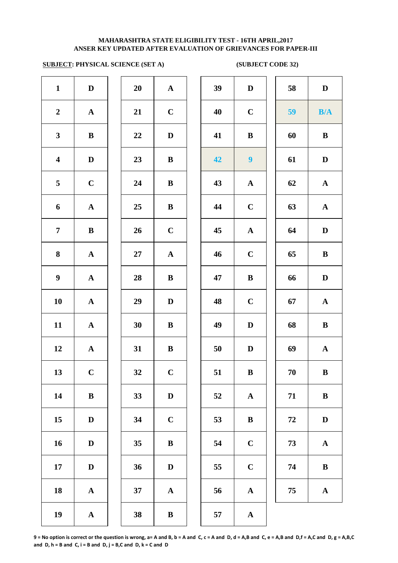# **SUBJECT: PHYSICAL SCIENCE (SET A) (SUBJECT CODE 32)**

| $\mathbf{1}$            | $\mathbf D$           | 20     | ${\bf A}$             | 39 | $\mathbf{D}$     |
|-------------------------|-----------------------|--------|-----------------------|----|------------------|
| $\boldsymbol{2}$        | $\mathbf A$           | 21     | $\mathbf C$           | 40 | $\mathbf C$      |
| $\mathbf{3}$            | $\bf{B}$              | 22     | $\mathbf D$           | 41 | $\bf{B}$         |
| $\overline{\mathbf{4}}$ | $\mathbf D$           | 23     | $\, {\bf B}$          | 42 | $\boldsymbol{9}$ |
| 5                       | $\mathbf C$           | 24     | $\, {\bf B}$          | 43 | $\mathbf A$      |
| 6                       | ${\bf A}$             | 25     | $\bf{B}$              | 44 | $\mathbf C$      |
| $\overline{7}$          | $\, {\bf B}$          | 26     | $\mathbf C$           | 45 | $\mathbf A$      |
| 8                       | $\boldsymbol{\rm{A}}$ | $27\,$ | $\boldsymbol{\rm{A}}$ | 46 | $\mathbf C$      |
| $\boldsymbol{9}$        | $\boldsymbol{\rm{A}}$ | 28     | $\, {\bf B}$          | 47 | $\bf{B}$         |
| 10                      | $\boldsymbol{\rm{A}}$ | 29     | $\mathbf D$           | 48 | $\mathbf C$      |
| 11                      | ${\bf A}$             | 30     | $\, {\bf B}$          | 49 | $\mathbf D$      |
| 12                      | ${\bf A}$             | 31     | $\, {\bf B}$          | 50 | $\mathbf{D}$     |
| 13                      | $\mathbf C$           | 32     | $\mathbf C$           | 51 | $\bf{B}$         |
| 14                      | $\, {\bf B}$          | 33     | $\mathbf D$           | 52 | $\mathbf A$      |
| 15                      | $\mathbf D$           | 34     | $\mathbf C$           | 53 | $\bf{B}$         |
| 16                      | $\mathbf D$           | 35     | $\, {\bf B}$          | 54 | $\mathbf C$      |
| 17                      | $\mathbf D$           | 36     | $\mathbf D$           | 55 | $\mathbf C$      |
| 18                      | $\boldsymbol{\rm{A}}$ | 37     | $\mathbf A$           | 56 | $\mathbf A$      |
| 19                      | $\boldsymbol{\rm{A}}$ | 38     | $\, {\bf B}$          | 57 | $\mathbf A$      |
|                         |                       |        |                       |    |                  |

| 20 | $\mathbf A$  |  |
|----|--------------|--|
| 21 | $\mathbf C$  |  |
| 22 | D            |  |
| 23 | B            |  |
| 24 | B            |  |
| 25 | B            |  |
| 26 | $\mathbf C$  |  |
| 27 | $\mathbf{A}$ |  |
| 28 | B            |  |
| 29 | D            |  |
| 30 | B            |  |
| 31 | B            |  |
| 32 | $\mathbf C$  |  |
| 33 | D            |  |
| 34 | $\mathbf C$  |  |
| 35 | $\bf{B}$     |  |
| 36 | D            |  |
| 37 | A            |  |
|    |              |  |

| $\mathbf{1}$            | $\mathbf D$  | 20 | ${\bf A}$    | 39 | $\mathbf D$      | 58 | $\mathbf D$  |
|-------------------------|--------------|----|--------------|----|------------------|----|--------------|
| $\overline{2}$          | $\mathbf{A}$ | 21 | $\mathbf C$  | 40 | $\mathbf C$      | 59 | B/A          |
| $\mathbf{3}$            | $\bf{B}$     | 22 | D            | 41 | $\bf{B}$         | 60 | $\bf{B}$     |
| $\overline{\mathbf{4}}$ | $\mathbf D$  | 23 | $\bf{B}$     | 42 | $\boldsymbol{9}$ | 61 | $\mathbf D$  |
| $\overline{5}$          | $\mathbf C$  | 24 | B            | 43 | $\mathbf{A}$     | 62 | ${\bf A}$    |
| 6                       | ${\bf A}$    | 25 | $\bf{B}$     | 44 | $\mathbf C$      | 63 | $\mathbf{A}$ |
| $\overline{7}$          | $\bf{B}$     | 26 | $\mathbf C$  | 45 | $\mathbf{A}$     | 64 | $\mathbf D$  |
| 8                       | $\mathbf{A}$ | 27 | $\mathbf{A}$ | 46 | $\mathbf C$      | 65 | $\bf{B}$     |
| $\boldsymbol{9}$        | ${\bf A}$    | 28 | ${\bf B}$    | 47 | $\bf{B}$         | 66 | $\mathbf{D}$ |
| 10                      | ${\bf A}$    | 29 | $\mathbf{D}$ | 48 | $\mathbf C$      | 67 | ${\bf A}$    |
| 11                      | ${\bf A}$    | 30 | $\bf{B}$     | 49 | D                | 68 | $\bf{B}$     |
| 12                      | ${\bf A}$    | 31 | $\bf{B}$     | 50 | D                | 69 | ${\bf A}$    |
| 13                      | $\mathbf C$  | 32 | $\mathbf C$  | 51 | $\bf{B}$         | 70 | $\bf{B}$     |
| 14                      | $\bf{B}$     | 33 | $\mathbf D$  | 52 | $\mathbf{A}$     | 71 | $\bf{B}$     |
| 15                      | $\mathbf D$  | 34 | $\mathbf C$  | 53 | $\bf{B}$         | 72 | $\mathbf D$  |
| 16                      | $\mathbf D$  | 35 | $\bf{B}$     | 54 | $\mathbf C$      | 73 | ${\bf A}$    |
| 17                      | $\mathbf D$  | 36 | $\mathbf{D}$ | 55 | $\mathbf C$      | 74 | $\bf{B}$     |
| 18                      | $\mathbf{A}$ | 37 | ${\bf A}$    | 56 | ${\bf A}$        | 75 | $\mathbf{A}$ |
| 10                      |              | 38 | $\mathbf{R}$ | 57 |                  |    |              |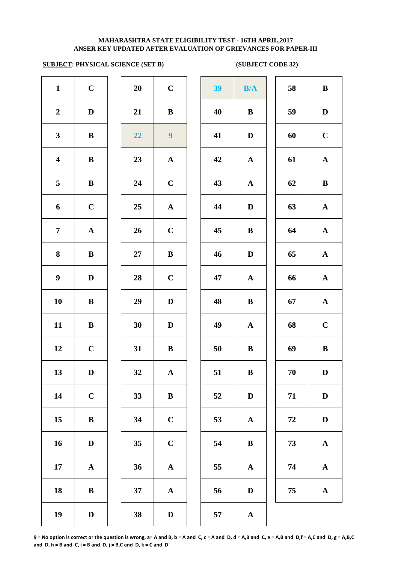# **SUBJECT: PHYSICAL SCIENCE (SET B) (SUBJECT CODE 32)**

|                         |              | $\mathbf{u}$ |                |    |              | $\sim$ $\sim$ $\sim$ $\sim$ $\sim$ $\sim$ $\sim$ |              |
|-------------------------|--------------|--------------|----------------|----|--------------|--------------------------------------------------|--------------|
| $\mathbf{1}$            | $\mathbf C$  | 20           | $\mathbf C$    | 39 | B/A          | 58                                               | $\bf{B}$     |
| $\boldsymbol{2}$        | $\mathbf D$  | 21           | $\bf{B}$       | 40 | $\bf{B}$     | 59                                               | D            |
| 3 <sup>1</sup>          | $\bf{B}$     | 22           | $\overline{9}$ | 41 | $\mathbf D$  | 60                                               | $\mathbf C$  |
| $\overline{\mathbf{4}}$ | $\bf{B}$     | 23           | ${\bf A}$      | 42 | ${\bf A}$    | 61                                               | $\mathbf A$  |
| $5\overline{)}$         | $\, {\bf B}$ | 24           | $\mathbf C$    | 43 | ${\bf A}$    | 62                                               | $\bf{B}$     |
| 6                       | $\mathbf C$  | 25           | ${\bf A}$      | 44 | $\mathbf D$  | 63                                               | $\mathbf A$  |
| $\overline{7}$          | ${\bf A}$    | 26           | $\mathbf C$    | 45 | $\bf{B}$     | 64                                               | $\mathbf A$  |
| 8                       | $\bf{B}$     | $27\,$       | ${\bf B}$      | 46 | $\mathbf D$  | 65                                               | $\mathbf A$  |
| $\boldsymbol{9}$        | $\mathbf D$  | 28           | $\mathbf C$    | 47 | ${\bf A}$    | 66                                               | $\mathbf A$  |
| 10                      | $\bf{B}$     | 29           | $\mathbf D$    | 48 | $\bf{B}$     | 67                                               | $\mathbf A$  |
| 11                      | $\bf{B}$     | 30           | $\mathbf D$    | 49 | $\mathbf A$  | 68                                               | $\mathbf C$  |
| 12                      | $\mathbf C$  | 31           | $\, {\bf B}$   | 50 | $\, {\bf B}$ | 69                                               | $\bf{B}$     |
| 13                      | $\mathbf D$  | 32           | ${\bf A}$      | 51 | $\bf{B}$     | $70\,$                                           | $\bf{D}$     |
| 14                      | $\bf C$      | 33           | $\bf{B}$       | 52 | $\mathbf D$  | 71                                               | $\mathbf{D}$ |
| 15                      | $\, {\bf B}$ | 34           | $\mathbf C$    | 53 | ${\bf A}$    | ${\bf 72}$                                       | $\mathbf{D}$ |
| 16                      | $\mathbf D$  | 35           | $\mathbf C$    | 54 | $\bf{B}$     | 73                                               | $\mathbf A$  |
| 17                      | ${\bf A}$    | 36           | ${\bf A}$      | 55 | ${\bf A}$    | 74                                               | $\mathbf A$  |
| 18                      | $\, {\bf B}$ | 37           | ${\bf A}$      | 56 | $\mathbf D$  | 75                                               | $\mathbf A$  |
| 19                      | $\mathbf D$  | 38           | $\mathbf D$    | 57 | ${\bf A}$    |                                                  |              |
|                         |              |              |                |    |              |                                                  |              |

| 39 | B/A                   | 58 | $\bf{B}$    |
|----|-----------------------|----|-------------|
| 40 | $\bf{B}$              | 59 | D           |
| 41 | $\mathbf D$           | 60 | $\mathbf C$ |
| 42 | $\mathbf A$           | 61 | $\mathbf A$ |
| 43 | ${\bf A}$             | 62 | $\bf{B}$    |
| 44 | D                     | 63 | ${\bf A}$   |
| 45 | $\bf{B}$              | 64 | ${\bf A}$   |
| 46 | $\mathbf D$           | 65 | ${\bf A}$   |
| 47 | ${\bf A}$             | 66 | ${\bf A}$   |
| 48 | $\bf{B}$              | 67 | ${\bf A}$   |
| 49 | ${\bf A}$             | 68 | $\mathbf C$ |
| 50 | $\bf{B}$              | 69 | B           |
| 51 | $\bf{B}$              | 70 | $\mathbf D$ |
| 52 | $\mathbf D$           | 71 | ${\bf D}$   |
| 53 | $\boldsymbol{\rm{A}}$ | 72 | $\mathbf D$ |
| 54 | $\bf{B}$              | 73 | $\mathbf A$ |
| 55 | $\mathbf A$           | 74 | ${\bf A}$   |
| 56 | D                     | 75 | $\mathbf A$ |
|    |                       |    |             |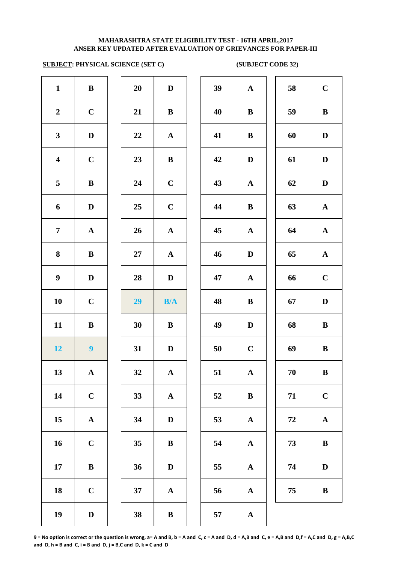# **SUBJECT: PHYSICAL SCIENCE (SET C) (SUBJECT CODE 32)**

| 39<br>$\mathbf D$<br>$\mathbf A$        |
|-----------------------------------------|
| $\bf{B}$<br>40<br>$\bf{B}$              |
| 41<br>$\bf{B}$<br>$\mathbf A$           |
| 42<br>$\bf{B}$<br>$\bf{D}$              |
| $\mathbf C$<br>43<br>$\mathbf A$        |
| $\bf{B}$<br>$\mathbf C$<br>44           |
| 45<br>$\mathbf A$<br>$\mathbf A$        |
| $\mathbf{D}$<br>46<br>${\bf A}$         |
| $\mathbf D$<br>47<br>$\mathbf A$        |
| $\bf{B}$<br>B/A<br>48                   |
| $\mathbf{D}$<br>$\, {\bf B}$<br>49      |
| $\mathbf C$<br>$\mathbf{D}%$<br>50      |
| 51<br>$\mathbf A$<br>$\mathbf{A}$       |
| $\bf{B}$<br>$\boldsymbol{\rm{A}}$<br>52 |
| $\mathbf D$<br>53<br>$\mathbf A$        |
| $\, {\bf B}$<br>$\mathbf A$<br>54       |
| $\mathbf D$<br>55<br>$\mathbf A$        |
| $\mathbf A$<br>56<br>$\mathbf A$        |
| $\, {\bf B}$<br>$\mathbf{A}$<br>57      |
|                                         |

| 20 | D                       |
|----|-------------------------|
| 21 | B                       |
| 22 | $\mathbf{A}$            |
| 23 | B                       |
| 24 | $\mathbf C$             |
| 25 | $\mathbf C$             |
| 26 | $\mathbf A$             |
| 27 | $\mathbf A$             |
| 28 | D                       |
| 29 | B/A                     |
| 30 | B                       |
| 31 |                         |
|    | D                       |
| 32 | $\mathbf A$             |
| 33 | $\overline{\mathbf{A}}$ |
| 34 | D                       |
| 35 | B                       |
| 36 | D                       |
| 37 | A                       |

| $\mathbf{1}$            | ${\bf B}$        | 20       | $\mathbf D$  | 39 | $\mathbf{A}$ | 58         | $\mathbf C$  |
|-------------------------|------------------|----------|--------------|----|--------------|------------|--------------|
| $\overline{2}$          | $\mathbf C$      | 21       | $\bf{B}$     | 40 | $\bf{B}$     | 59         | $\, {\bf B}$ |
| $\mathbf{3}$            | $\mathbf D$      | $\bf 22$ | ${\bf A}$    | 41 | $\, {\bf B}$ | 60         | $\mathbf D$  |
| $\overline{\mathbf{4}}$ | $\mathbf C$      | 23       | $\, {\bf B}$ | 42 | $\mathbf D$  | 61         | $\mathbf D$  |
| $\overline{\mathbf{5}}$ | $\, {\bf B}$     | 24       | $\mathbf C$  | 43 | $\mathbf A$  | 62         | $\mathbf D$  |
| $\boldsymbol{6}$        | D                | 25       | $\mathbf C$  | 44 | $\, {\bf B}$ | 63         | ${\bf A}$    |
| $\overline{7}$          | ${\bf A}$        | 26       | ${\bf A}$    | 45 | $\mathbf A$  | 64         | $\mathbf A$  |
| 8                       | $\bf{B}$         | 27       | $\mathbf{A}$ | 46 | $\mathbf D$  | 65         | ${\bf A}$    |
| $\boldsymbol{9}$        | D                | 28       | D            | 47 | ${\bf A}$    | 66         | $\mathbf C$  |
| 10                      | $\mathbf C$      | 29       | B/A          | 48 | $\bf{B}$     | 67         | ${\bf D}$    |
| 11                      | $\, {\bf B}$     | 30       | $\bf{B}$     | 49 | $\mathbf D$  | 68         | $\, {\bf B}$ |
| 12 <sub>2</sub>         | $\boldsymbol{9}$ | 31       | $\mathbf D$  | 50 | $\mathbf C$  | 69         | $\, {\bf B}$ |
| 13                      | $\mathbf A$      | 32       | $\mathbf{A}$ | 51 | $\mathbf A$  | 70         | $\bf{B}$     |
| 14                      | $\mathbf C$      | 33       | ${\bf A}$    | 52 | $\bf{B}$     | 71         | $\mathbf C$  |
| 15                      | $\mathbf A$      | 34       | $\mathbf D$  | 53 | ${\bf A}$    | ${\bf 72}$ | $\mathbf A$  |
| 16                      | $\mathbf C$      | 35       | $\, {\bf B}$ | 54 | $\mathbf A$  | 73         | $\, {\bf B}$ |
| 17                      | $\, {\bf B}$     | 36       | $\mathbf D$  | 55 | $\mathbf A$  | 74         | $\mathbf D$  |
| 18                      | $\mathbf C$      | 37       | ${\bf A}$    | 56 | $\mathbf A$  | 75         | $\bf{B}$     |
| 19                      | D                | 38       | $\bf{B}$     | 57 | $\mathbf{A}$ |            |              |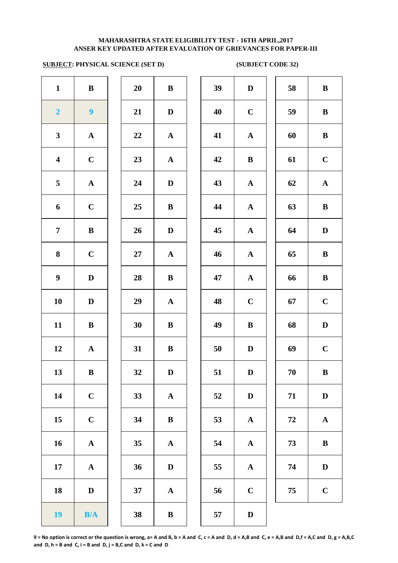# **SUBJECT: PHYSICAL SCIENCE (SET D) (SUBJECT CODE 32)**

| $\mathbf{1}$            | ${\bf B}$             | 20     | $\, {\bf B}$          | 39 | $\mathbf{D}$ |
|-------------------------|-----------------------|--------|-----------------------|----|--------------|
| $\overline{2}$          | $\boldsymbol{9}$      | 21     | $\mathbf D$           | 40 | $\mathbf C$  |
| $\mathbf{3}$            | $\boldsymbol{\rm{A}}$ | 22     | $\mathbf A$           | 41 | $\mathbf A$  |
| $\overline{\mathbf{4}}$ | $\mathbf C$           | 23     | $\mathbf A$           | 42 | $\bf{B}$     |
| 5                       | $\boldsymbol{\rm{A}}$ | 24     | $\mathbf D$           | 43 | $\mathbf A$  |
| 6                       | $\mathbf C$           | 25     | $\, {\bf B}$          | 44 | $\mathbf A$  |
| $\overline{7}$          | $\bf{B}$              | 26     | $\mathbf D$           | 45 | $\mathbf A$  |
| 8                       | $\mathbf C$           | $27\,$ | ${\bf A}$             | 46 | $\mathbf A$  |
| $\boldsymbol{9}$        | $\mathbf D$           | 28     | $\bf{B}$              | 47 | $\mathbf A$  |
| 10                      | $\mathbf D$           | 29     | ${\bf A}$             | 48 | $\mathbf C$  |
| 11                      | $\bf{B}$              | 30     | $\, {\bf B}$          | 49 | $\bf{B}$     |
| 12                      | $\boldsymbol{\rm{A}}$ | 31     | $\, {\bf B}$          | 50 | $\mathbf{D}$ |
| 13                      | $\bf{B}$              | 32     | $\mathbf D$           | 51 | $\mathbf{D}$ |
| 14                      | $\mathbf C$           | 33     | $\boldsymbol{\rm{A}}$ | 52 | $\mathbf{D}$ |
| 15                      | $\mathbf C$           | 34     | $\, {\bf B}$          | 53 | $\mathbf A$  |
| 16                      | $\boldsymbol{\rm{A}}$ | 35     | $\boldsymbol{\rm{A}}$ | 54 | $\mathbf A$  |
| 17                      | $\boldsymbol{\rm{A}}$ | 36     | $\mathbf D$           | 55 | $\mathbf A$  |
| 18                      | $\mathbf D$           | 37     | ${\bf A}$             | 56 | $\mathbf C$  |
| 19                      | B/A                   | 38     | $\, {\bf B}$          | 57 | $\mathbf{D}$ |

| 20 | B            |
|----|--------------|
| 21 | D            |
| 22 | $\mathbf A$  |
| 23 | $\mathbf{A}$ |
| 24 | D            |
| 25 | B            |
| 26 | D            |
| 27 | $\mathbf{A}$ |
| 28 | B            |
| 29 | $\mathbf{A}$ |
| 30 | B            |
| 31 | B            |
| 32 | $\bf{D}$     |
| 33 | A            |
| 34 | B            |
| 35 | $\mathbf A$  |
| 36 | D            |
| 37 | $\mathbf{A}$ |
|    |              |

| $\mathbf{1}$            | $\bf{B}$         | 20     | $\, {\bf B}$ | 39 | $\mathbf D$  | 58         | $\, {\bf B}$ |
|-------------------------|------------------|--------|--------------|----|--------------|------------|--------------|
| $\overline{\mathbf{2}}$ | $\boldsymbol{9}$ | 21     | $\mathbf D$  | 40 | $\mathbf C$  | 59         | $\, {\bf B}$ |
| $\mathbf{3}$            | ${\bf A}$        | 22     | ${\bf A}$    | 41 | ${\bf A}$    | 60         | $\, {\bf B}$ |
| $\overline{\mathbf{4}}$ | $\mathbf C$      | 23     | ${\bf A}$    | 42 | $\bf{B}$     | 61         | $\mathbf C$  |
| $\overline{5}$          | ${\bf A}$        | 24     | $\mathbf D$  | 43 | ${\bf A}$    | 62         | ${\bf A}$    |
| 6                       | $\mathbf C$      | 25     | $\bf{B}$     | 44 | ${\bf A}$    | 63         | $\bf{B}$     |
| $\overline{7}$          | $\bf{B}$         | 26     | $\mathbf D$  | 45 | $\mathbf{A}$ | 64         | $\mathbf D$  |
| 8                       | $\mathbf C$      | $27\,$ | ${\bf A}$    | 46 | ${\bf A}$    | 65         | $\bf{B}$     |
| $\boldsymbol{9}$        | $\mathbf D$      | 28     | $\bf{B}$     | 47 | ${\bf A}$    | 66         | $\, {\bf B}$ |
| 10                      | $\mathbf D$      | 29     | ${\bf A}$    | 48 | $\mathbf C$  | 67         | $\mathbf C$  |
| 11                      | $\bf{B}$         | 30     | $\bf{B}$     | 49 | $\bf{B}$     | 68         | $\mathbf D$  |
| 12                      | ${\bf A}$        | 31     | $\bf{B}$     | 50 | D            | 69         | $\mathbf C$  |
| 13                      | $\bf{B}$         | 32     | $\mathbf D$  | 51 | ${\bf D}$    | 70         | $\mathbf{B}$ |
| 14                      | $\mathbf C$      | 33     | ${\bf A}$    | 52 | $\mathbf D$  | 71         | $\mathbf D$  |
| 15                      | $\mathbf C$      | 34     | $\, {\bf B}$ | 53 | $\mathbf{A}$ | ${\bf 72}$ | ${\bf A}$    |
| 16                      | ${\bf A}$        | 35     | ${\bf A}$    | 54 | $\mathbf{A}$ | 73         | $\bf{B}$     |
| 17                      | ${\bf A}$        | 36     | $\mathbf D$  | 55 | ${\bf A}$    | 74         | $\mathbf D$  |
| 18                      | $\mathbf D$      | 37     | ${\bf A}$    | 56 | $\mathbf C$  | 75         | $\mathbf C$  |
| 19 <sup>°</sup>         | B/A              | 38     | $\, {\bf B}$ | 57 | $\mathbf D$  |            |              |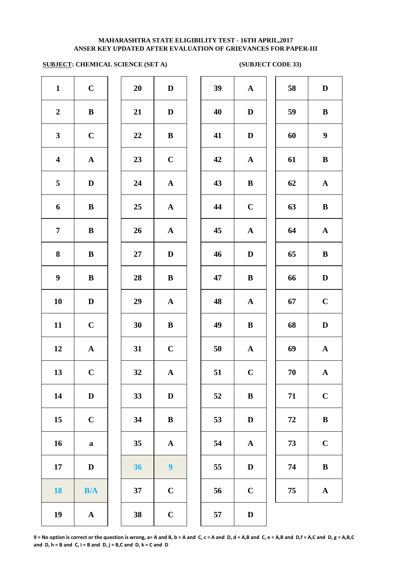# **ANSER KEY UPDATED AFTER EVALUATION OF GRIEVANCES FOR PAPER-III MAHARASHTRA STATE ELIGIBILITY TEST - 16TH APRIL,2017**

# **SUBJECT: CHEMICAL SCIENCE (SET A)** (SUBJECT CODE 33)

| $\mathbf{1}$            | $\mathbf C$           | 20 | $\mathbf D$           | 39 | $\mathbf A$  |
|-------------------------|-----------------------|----|-----------------------|----|--------------|
| $\boldsymbol{2}$        | $\bf{B}$              | 21 | $\mathbf D$           | 40 | $\mathbf{D}$ |
| $\mathbf{3}$            | $\mathbf C$           | 22 | $\, {\bf B}$          | 41 | $\mathbf{D}$ |
| $\overline{\mathbf{4}}$ | $\boldsymbol{\rm{A}}$ | 23 | $\mathbf C$           | 42 | $\mathbf A$  |
| 5                       | $\mathbf D$           | 24 | $\boldsymbol{\rm{A}}$ | 43 | $\bf{B}$     |
| 6                       | $\bf{B}$              | 25 | ${\bf A}$             | 44 | $\mathbf C$  |
| $\overline{7}$          | $\bf{B}$              | 26 | ${\bf A}$             | 45 | $\mathbf A$  |
| 8                       | $\bf{B}$              | 27 | $\mathbf D$           | 46 | $\mathbf{D}$ |
| $\boldsymbol{9}$        | $\bf{B}$              | 28 | $\bf{B}$              | 47 | $\bf{B}$     |
| ${\bf 10}$              | $\mathbf D$           | 29 | $\mathbf A$           | 48 | $\mathbf A$  |
| 11                      | $\mathbf C$           | 30 | $\, {\bf B}$          | 49 | $\bf{B}$     |
| 12                      | $\boldsymbol{\rm{A}}$ | 31 | $\mathbf C$           | 50 | $\mathbf A$  |
| 13                      | $\mathbf C$           | 32 | $\mathbf A$           | 51 | $\mathbf C$  |
| 14                      | $\mathbf D$           | 33 | $\mathbf D$           | 52 | $\bf{B}$     |
| 15                      | $\mathbf C$           | 34 | $\, {\bf B}$          | 53 | $\bf{D}$     |
| 16                      | $\mathbf a$           | 35 | $\boldsymbol{\rm{A}}$ | 54 | $\mathbf A$  |
| 17                      | $\mathbf D$           | 36 | $\boldsymbol{9}$      | 55 | $\bf{D}$     |
| <b>18</b>               | B/A                   | 37 | $\mathbf C$           | 56 | $\mathbf C$  |
| 19                      | $\boldsymbol{\rm{A}}$ | 38 | $\mathbf C$           | 57 | $\mathbf{D}$ |
|                         |                       |    |                       |    |              |

| 20 | D                       |  |
|----|-------------------------|--|
| 21 | D                       |  |
| 22 | B                       |  |
| 23 | $\mathbf C$             |  |
| 24 | $\mathbf A$             |  |
| 25 | $\mathbf A$             |  |
| 26 | $\mathbf{A}$            |  |
| 27 | D                       |  |
| 28 | B                       |  |
| 29 | $\mathbf{A}$            |  |
| 30 | B                       |  |
| 31 | $\mathbf C$             |  |
| 32 | Ą                       |  |
| 33 | D                       |  |
| 34 | B                       |  |
| 35 | A                       |  |
| 36 | 9                       |  |
| 37 | $\overline{\mathbf{C}}$ |  |
| 38 | C                       |  |

| $\mathbf{1}$            | $\mathbf C$  | 20 | $\mathbf D$      | 39 | $\mathbf A$  | 58       | $\mathbf D$      |
|-------------------------|--------------|----|------------------|----|--------------|----------|------------------|
| $\overline{2}$          | $\, {\bf B}$ | 21 | $\mathbf D$      | 40 | $\mathbf D$  | 59       | $\, {\bf B}$     |
| $\mathbf{3}$            | $\mathbf C$  | 22 | $\bf{B}$         | 41 | D            | 60       | $\boldsymbol{9}$ |
| $\overline{\mathbf{4}}$ | ${\bf A}$    | 23 | $\mathbf C$      | 42 | $\mathbf{A}$ | 61       | $\bf{B}$         |
| $\overline{5}$          | D            | 24 | ${\bf A}$        | 43 | $\, {\bf B}$ | 62       | ${\bf A}$        |
| $\boldsymbol{6}$        | $\bf{B}$     | 25 | $\mathbf{A}$     | 44 | $\mathbf C$  | 63       | $\bf{B}$         |
| $\overline{7}$          | $\bf{B}$     | 26 | $\mathbf{A}$     | 45 | $\mathbf A$  | 64       | ${\bf A}$        |
| 8                       | $\bf{B}$     | 27 | D                | 46 | D            | 65       | $\bf{B}$         |
| $\boldsymbol{9}$        | $\bf{B}$     | 28 | $\bf{B}$         | 47 | $\bf{B}$     | 66       | $\mathbf D$      |
| 10                      | $\mathbf D$  | 29 | $\mathbf{A}$     | 48 | $\mathbf{A}$ | 67       | $\mathbf C$      |
| 11                      | $\mathbf C$  | 30 | $\bf{B}$         | 49 | $\bf{B}$     | 68       | $\mathbf D$      |
| 12                      | ${\bf A}$    | 31 | $\mathbf C$      | 50 | ${\bf A}$    | 69       | ${\bf A}$        |
| 13                      | $\mathbf C$  | 32 | $\mathbf{A}$     | 51 | $\mathbf C$  | $70\,$   | $\mathbf A$      |
| 14                      | $\mathbf D$  | 33 | D                | 52 | $\bf{B}$     | 71       | $\mathbf C$      |
| 15                      | $\mathbf C$  | 34 | $\, {\bf B}$     | 53 | D            | $\bf 72$ | $\, {\bf B}$     |
| 16                      | $\bf a$      | 35 | $\mathbf A$      | 54 | $\mathbf{A}$ | 73       | $\mathbf C$      |
| 17                      | D            | 36 | $\boldsymbol{9}$ | 55 | D            | 74       | $\bf{B}$         |
| 18                      | B/A          | 37 | $\mathbf C$      | 56 | $\mathbf C$  | 75       | ${\bf A}$        |
| 19                      | $\mathbf A$  | 38 | $\mathbf C$      | 57 | $\mathbf D$  |          |                  |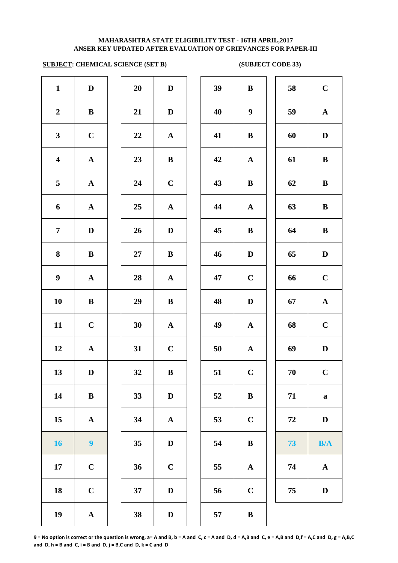# **SUBJECT: CHEMICAL SCIENCE (SET B) (SUBJECT CODE 33)**

| $\mathbf{1}$            | $\mathbf D$      | 20     | $\mathbf D$  | 39 | $\bf{B}$         | 58 | $\mathbf C$  |
|-------------------------|------------------|--------|--------------|----|------------------|----|--------------|
| $\boldsymbol{2}$        | $\bf{B}$         | 21     | $\mathbf{D}$ | 40 | $\boldsymbol{9}$ | 59 | $\mathbf{A}$ |
| $\mathbf{3}$            | $\mathbf C$      | 22     | ${\bf A}$    | 41 | $\bf{B}$         | 60 | $\mathbf D$  |
| $\overline{\mathbf{4}}$ | ${\bf A}$        | 23     | $\bf{B}$     | 42 | ${\bf A}$        | 61 | $\, {\bf B}$ |
| 5                       | ${\bf A}$        | 24     | $\mathbf C$  | 43 | $\bf{B}$         | 62 | $\bf{B}$     |
| 6                       | ${\bf A}$        | 25     | ${\bf A}$    | 44 | ${\bf A}$        | 63 | $\bf{B}$     |
| $\overline{7}$          | $\mathbf D$      | 26     | $\mathbf D$  | 45 | $\bf{B}$         | 64 | $\bf{B}$     |
| $\boldsymbol{8}$        | $\bf{B}$         | $27\,$ | $\bf{B}$     | 46 | $\mathbf D$      | 65 | $\mathbf D$  |
| $\boldsymbol{9}$        | ${\bf A}$        | 28     | ${\bf A}$    | 47 | $\mathbf C$      | 66 | $\mathbf C$  |
| 10                      | $\bf{B}$         | 29     | $\bf{B}$     | 48 | D                | 67 | ${\bf A}$    |
| 11                      | $\mathbf C$      | 30     | ${\bf A}$    | 49 | ${\bf A}$        | 68 | $\mathbf C$  |
| 12                      | $\mathbf{A}$     | 31     | $\mathbf C$  | 50 | $\mathbf{A}$     | 69 | $\mathbf D$  |
| 13                      | $\mathbf D$      | 32     | $\, {\bf B}$ | 51 | $\mathbf C$      | 70 | $\mathbf C$  |
| 14                      | ${\bf B}$        | 33     | $\mathbf D$  | 52 | $\bf{B}$         | 71 | $\mathbf a$  |
| 15                      | ${\bf A}$        | 34     | ${\bf A}$    | 53 | $\mathbf C$      | 72 | $\mathbf D$  |
| 16                      | $\boldsymbol{9}$ | 35     | $\mathbf D$  | 54 | $\bf{B}$         | 73 | B/A          |
| 17                      | $\mathbf C$      | 36     | $\mathbf C$  | 55 | $\mathbf{A}$     | 74 | ${\bf A}$    |
| 18                      | $\mathbf C$      | 37     | $\mathbf D$  | 56 | $\mathbf C$      | 75 | $\mathbf D$  |
| 19                      | ${\bf A}$        | 38     | $\mathbf{D}$ | 57 | $\bf{B}$         |    |              |
|                         |                  |        |              |    |                  |    |              |

| $\bf{B}$              | 58 | $\mathbf C$ |
|-----------------------|----|-------------|
| 9                     | 59 | $\mathbf A$ |
| $\bf{B}$              | 60 | D           |
| $\mathbf{A}$          | 61 | $\bf{B}$    |
| $\bf{B}$              | 62 | $\bf{B}$    |
| $\boldsymbol{\rm{A}}$ | 63 | $\bf{B}$    |
| $\bf{B}$              | 64 | B           |
| $\mathbf D$           | 65 | $\mathbf D$ |
| $\mathbf C$           | 66 | $\mathbf C$ |
| $\mathbf D$           | 67 | ${\bf A}$   |
| $\boldsymbol{\rm{A}}$ | 68 | $\mathbf C$ |
| $\boldsymbol{\rm{A}}$ | 69 | D           |
| $\mathbf C$           | 70 | $\bf C$     |
| $\bf{B}$              | 71 | $\mathbf a$ |
| $\mathbf C$           | 72 | $\mathbf D$ |
| $\bf{B}$              | 73 | B/A         |
| $\boldsymbol{\rm{A}}$ | 74 | $\mathbf A$ |
| $\mathbf C$           | 75 | $\mathbf D$ |
| $\bf{B}$              |    |             |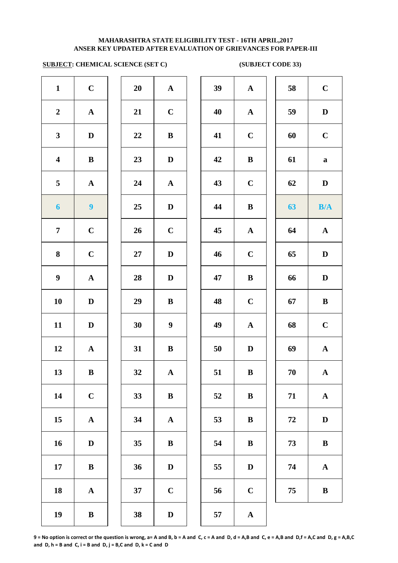# **SUBJECT: CHEMICAL SCIENCE (SET C)** (SUBJECT CODE 33)

| $\mathbf{1}$            | $\mathbf C$           | 20 | ${\bf A}$             | 39     | $\mathbf A$  |
|-------------------------|-----------------------|----|-----------------------|--------|--------------|
| $\boldsymbol{2}$        | $\boldsymbol{\rm{A}}$ | 21 | $\mathbf C$           | 40     | $\mathbf A$  |
| $\mathbf{3}$            | $\mathbf D$           | 22 | $\, {\bf B}$          | 41     | $\mathbf C$  |
| $\overline{\mathbf{4}}$ | $\bf{B}$              | 23 | $\mathbf D$           | 42     | $\bf{B}$     |
| 5                       | ${\bf A}$             | 24 | ${\bf A}$             | 43     | $\mathbf C$  |
| $\boldsymbol{6}$        | $\boldsymbol{9}$      | 25 | $\mathbf D$           | 44     | $\bf{B}$     |
| $\overline{7}$          | $\mathbf C$           | 26 | $\mathbf C$           | 45     | $\mathbf A$  |
| 8                       | $\mathbf C$           | 27 | $\mathbf D$           | 46     | $\mathbf C$  |
| $\boldsymbol{9}$        | ${\bf A}$             | 28 | $\mathbf D$           | 47     | $\bf{B}$     |
| 10                      | $\mathbf D$           | 29 | $\, {\bf B}$          | 48     | $\mathbf C$  |
| 11                      | $\mathbf D$           | 30 | $\boldsymbol{9}$      | 49     | $\mathbf A$  |
| 12                      | $\boldsymbol{\rm{A}}$ | 31 | $\, {\bf B}$          | $50\,$ | $\mathbf{D}$ |
| 13                      | $\bf{B}$              | 32 | ${\bf A}$             | 51     | $\bf{B}$     |
| 14                      | $\mathbf C$           | 33 | $\, {\bf B}$          | 52     | $\bf{B}$     |
| 15                      | $\boldsymbol{\rm{A}}$ | 34 | $\boldsymbol{\rm{A}}$ | 53     | $\bf{B}$     |
| 16                      | $\mathbf D$           | 35 | $\, {\bf B}$          | 54     | $\bf{B}$     |
| 17                      | $\bf{B}$              | 36 | $\mathbf D$           | 55     | $\mathbf{D}$ |
| 18                      | ${\bf A}$             | 37 | $\mathbf C$           | 56     | $\mathbf C$  |
| 19                      | $\, {\bf B}$          | 38 | $\mathbf D$           | 57     | $\mathbf{A}$ |

| 20 | $\mathbf A$ |
|----|-------------|
| 21 | $\mathbf C$ |
| 22 | B           |
| 23 | D           |
| 24 | $\mathbf A$ |
| 25 | D           |
| 26 | $\mathbf C$ |
| 27 | D           |
| 28 | D           |
| 29 | B           |
| 30 | 9           |
| 31 | B           |
| 32 | $\mathbf A$ |
| 33 | B           |
| 34 | A           |
| 35 | B           |
| 36 | D           |
| 37 | $\mathbf C$ |
|    |             |

| $\mathbf{1}$            | $\mathbf C$      | 20     | ${\bf A}$        | 39 | ${\bf A}$    | 58       | $\mathbf C$  |
|-------------------------|------------------|--------|------------------|----|--------------|----------|--------------|
| $\boldsymbol{2}$        | ${\bf A}$        | 21     | $\bf C$          | 40 | ${\bf A}$    | 59       | $\mathbf D$  |
| $\mathbf{3}$            | $\mathbf D$      | $22\,$ | $\bf{B}$         | 41 | $\mathbf C$  | 60       | $\mathbf C$  |
| $\overline{\mathbf{4}}$ | $\, {\bf B}$     | 23     | $\mathbf D$      | 42 | $\, {\bf B}$ | 61       | $\bf a$      |
| $\overline{\mathbf{5}}$ | ${\bf A}$        | 24     | $\mathbf A$      | 43 | $\mathbf C$  | 62       | $\mathbf D$  |
| $\boldsymbol{6}$        | $\boldsymbol{9}$ | 25     | $\mathbf D$      | 44 | $\, {\bf B}$ | 63       | B/A          |
| $\overline{7}$          | $\mathbf C$      | 26     | $\mathbf C$      | 45 | ${\bf A}$    | 64       | $\mathbf A$  |
| 8                       | $\mathbf C$      | 27     | $\mathbf D$      | 46 | $\mathbf C$  | 65       | $\mathbf D$  |
| $\boldsymbol{9}$        | $\mathbf A$      | 28     | $\mathbf{D}$     | 47 | $\, {\bf B}$ | 66       | D            |
| 10                      | $\mathbf D$      | 29     | $\bf{B}$         | 48 | $\mathbf C$  | 67       | $\, {\bf B}$ |
| 11                      | $\mathbf D$      | 30     | $\boldsymbol{9}$ | 49 | $\mathbf A$  | 68       | $\mathbf C$  |
| 12                      | ${\bf A}$        | 31     | $\bf{B}$         | 50 | $\mathbf D$  | 69       | $\mathbf A$  |
| 13                      | $\, {\bf B}$     | 32     | $\mathbf A$      | 51 | $\, {\bf B}$ | 70       | ${\bf A}$    |
| 14                      | $\mathbf C$      | 33     | $\, {\bf B}$     | 52 | $\bf{B}$     | 71       | ${\bf A}$    |
| 15                      | $\mathbf A$      | 34     | ${\bf A}$        | 53 | $\bf{B}$     | $\bf 72$ | $\mathbf D$  |
| 16                      | D                | 35     | $\bf{B}$         | 54 | $\bf{B}$     | 73       | $\, {\bf B}$ |
| 17                      | $\, {\bf B}$     | 36     | $\mathbf D$      | 55 | $\mathbf D$  | 74       | $\mathbf A$  |
| 18                      | $\mathbf{A}$     | 37     | $\mathbf C$      | 56 | $\mathbf C$  | 75       | $\, {\bf B}$ |
| 19                      | $\, {\bf B}$     | 38     | $\mathbf D$      | 57 | ${\bf A}$    |          |              |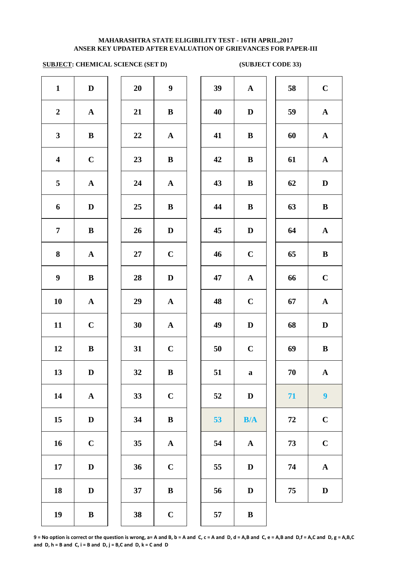# **SUBJECT: CHEMICAL SCIENCE (SET D) (SUBJECT CODE 33)**

| $\mathbf{1}$            | $\mathbf D$           | 20 | $\boldsymbol{9}$      | 39 | $\mathbf A$  |
|-------------------------|-----------------------|----|-----------------------|----|--------------|
| $\boldsymbol{2}$        | ${\bf A}$             | 21 | $\, {\bf B}$          | 40 | $\mathbf D$  |
| $\mathbf{3}$            | $\, {\bf B}$          | 22 | ${\bf A}$             | 41 | $\bf{B}$     |
| $\overline{\mathbf{4}}$ | $\mathbf C$           | 23 | $\bf{B}$              | 42 | $\bf{B}$     |
| 5                       | $\boldsymbol{\rm{A}}$ | 24 | $\boldsymbol{\rm{A}}$ | 43 | $\bf{B}$     |
| 6                       | $\mathbf D$           | 25 | $\bf{B}$              | 44 | $\bf{B}$     |
| $\overline{7}$          | $\bf{B}$              | 26 | $\mathbf D$           | 45 | $\bf{D}$     |
| 8                       | ${\bf A}$             | 27 | $\mathbf C$           | 46 | $\mathbf C$  |
| $\boldsymbol{9}$        | $\, {\bf B}$          | 28 | $\mathbf D$           | 47 | $\mathbf{A}$ |
| 10                      | $\boldsymbol{\rm{A}}$ | 29 | $\boldsymbol{\rm{A}}$ | 48 | $\mathbf C$  |
| 11                      | $\mathbf C$           | 30 | $\boldsymbol{\rm{A}}$ | 49 | $\mathbf D$  |
| 12                      | $\, {\bf B}$          | 31 | $\mathbf C$           | 50 | $\mathbf C$  |
| 13                      | $\mathbf D$           | 32 | $\bf{B}$              | 51 | a            |
| 14                      | $\boldsymbol{\rm{A}}$ | 33 | $\mathbf C$           | 52 | $\bf{D}$     |
| 15                      | $\mathbf D$           | 34 | $\, {\bf B}$          | 53 | B/           |
| 16                      | $\mathbf C$           | 35 | $\boldsymbol{\rm{A}}$ | 54 | $\mathbf A$  |
| 17                      | $\mathbf D$           | 36 | $\mathbf C$           | 55 | $\bf{D}$     |
| 18                      | $\mathbf D$           | 37 | $\, {\bf B}$          | 56 | $\bf{D}$     |
| 19                      | $\, {\bf B}$          | 38 | $\mathbf C$           | 57 | $\bf{B}$     |
|                         |                       |    |                       |    |              |

| 20 | 9            |  |
|----|--------------|--|
| 21 | B            |  |
| 22 | $\mathbf{A}$ |  |
| 23 | B            |  |
| 24 | $\mathbf{A}$ |  |
| 25 | B            |  |
| 26 | D            |  |
| 27 | $\mathbf C$  |  |
| 28 | D            |  |
| 29 | $\mathbf A$  |  |
| 30 | $\mathbf A$  |  |
| 31 | $\mathbf C$  |  |
| 32 | B            |  |
| 33 | $\mathbf C$  |  |
| 34 | B            |  |
| 35 | $\mathbf A$  |  |
| 36 | $\mathbf C$  |  |
| 37 | B            |  |
|    |              |  |

| $\mathbf{1}$            | $\mathbf D$  | 20 | $\boldsymbol{9}$ | 39 | ${\bf A}$    | 58 | $\mathbf C$      |
|-------------------------|--------------|----|------------------|----|--------------|----|------------------|
| $\overline{2}$          | ${\bf A}$    | 21 | ${\bf B}$        | 40 | $\mathbf D$  | 59 | ${\bf A}$        |
| $\mathbf{3}$            | ${\bf B}$    | 22 | ${\bf A}$        | 41 | $\, {\bf B}$ | 60 | ${\bf A}$        |
| $\overline{\mathbf{4}}$ | $\mathbf C$  | 23 | $\bf{B}$         | 42 | $\, {\bf B}$ | 61 | ${\bf A}$        |
| $5\phantom{.0}$         | ${\bf A}$    | 24 | ${\bf A}$        | 43 | $\, {\bf B}$ | 62 | $\mathbf D$      |
| $\boldsymbol{6}$        | $\mathbf D$  | 25 | $\bf{B}$         | 44 | $\, {\bf B}$ | 63 | $\, {\bf B}$     |
| $\overline{7}$          | $\, {\bf B}$ | 26 | $\mathbf D$      | 45 | $\mathbf D$  | 64 | ${\bf A}$        |
| 8                       | $\mathbf{A}$ | 27 | $\mathbf C$      | 46 | $\mathbf C$  | 65 | $\, {\bf B}$     |
| $\boldsymbol{9}$        | ${\bf B}$    | 28 | $\mathbf D$      | 47 | $\mathbf{A}$ | 66 | $\mathbf C$      |
| 10                      | $\mathbf{A}$ | 29 | ${\bf A}$        | 48 | $\mathbf C$  | 67 | ${\bf A}$        |
| 11                      | $\mathbf C$  | 30 | $\mathbf{A}$     | 49 | $\mathbf D$  | 68 | $\mathbf D$      |
| 12                      | $\, {\bf B}$ | 31 | $\mathbf C$      | 50 | $\mathbf C$  | 69 | $\, {\bf B}$     |
| 13                      | $\mathbf D$  | 32 | $\, {\bf B}$     | 51 | $\mathbf a$  | 70 | $\mathbf{A}$     |
| 14                      | ${\bf A}$    | 33 | $\mathbf C$      | 52 | $\mathbf D$  | 71 | $\boldsymbol{9}$ |
| 15                      | $\mathbf D$  | 34 | $\, {\bf B}$     | 53 | B/A          | 72 | $\mathbf C$      |
| 16                      | $\mathbf C$  | 35 | ${\bf A}$        | 54 | $\mathbf A$  | 73 | $\mathbf C$      |
| 17                      | $\mathbf{D}$ | 36 | $\mathbf C$      | 55 | D            | 74 | $\mathbf A$      |
| 18                      | $\mathbf D$  | 37 | $\, {\bf B}$     | 56 | $\mathbf D$  | 75 | $\mathbf D$      |
| 19                      | $\, {\bf B}$ | 38 | $\mathbf C$      | 57 | $\, {\bf B}$ |    |                  |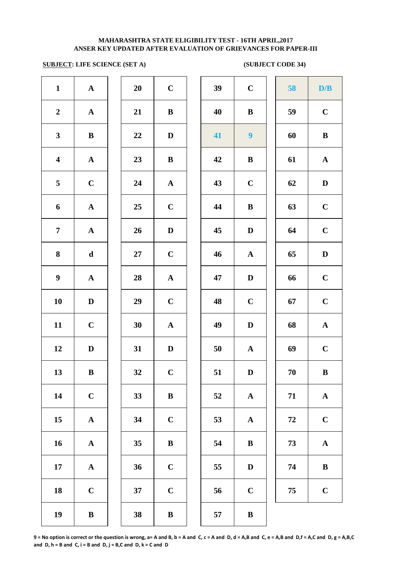# **SUBJECT: LIFE SCIENCE (SET A)** (SUBJECT CODE 34)

| $\mathbf{1}$            | ${\bf A}$    | 20     | $\mathbf C$  | 39 | $\mathbf C$      | 58 | D/B          |
|-------------------------|--------------|--------|--------------|----|------------------|----|--------------|
| $\boldsymbol{2}$        | ${\bf A}$    | 21     | $\, {\bf B}$ | 40 | $\bf{B}$         | 59 | $\mathbf C$  |
| $\mathbf{3}$            | $\, {\bf B}$ | 22     | $\mathbf D$  | 41 | $\boldsymbol{9}$ | 60 | $\bf{B}$     |
| $\overline{\mathbf{4}}$ | ${\bf A}$    | 23     | $\, {\bf B}$ | 42 | $\bf{B}$         | 61 | $\mathbf{A}$ |
| 5                       | $\mathbf C$  | 24     | ${\bf A}$    | 43 | $\mathbf C$      | 62 | D            |
| 6                       | $\mathbf A$  | 25     | $\mathbf C$  | 44 | $\bf{B}$         | 63 | $\mathbf C$  |
| $\overline{7}$          | ${\bf A}$    | 26     | $\mathbf D$  | 45 | $\mathbf D$      | 64 | $\mathbf C$  |
| 8                       | $\mathbf d$  | $27\,$ | $\mathbf C$  | 46 | $\mathbf{A}$     | 65 | $\mathbf D$  |
| $\boldsymbol{9}$        | ${\bf A}$    | 28     | ${\bf A}$    | 47 | $\mathbf D$      | 66 | $\mathbf C$  |
| 10                      | $\mathbf D$  | 29     | $\mathbf C$  | 48 | $\mathbf C$      | 67 | $\mathbf C$  |
| 11                      | $\mathbf C$  | 30     | $\mathbf{A}$ | 49 | $\mathbf D$      | 68 | ${\bf A}$    |
| 12                      | $\mathbf D$  | 31     | $\mathbf D$  | 50 | $\mathbf{A}$     | 69 | $\mathbf C$  |
| 13                      | $\bf{B}$     | 32     | $\mathbf C$  | 51 | D                | 70 | ${\bf B}$    |
| 14                      | $\mathbf C$  | 33     | $\, {\bf B}$ | 52 | ${\bf A}$        | 71 | ${\bf A}$    |
| 15                      | ${\bf A}$    | 34     | $\mathbf C$  | 53 | ${\bf A}$        | 72 | $\mathbf C$  |
| 16                      | ${\bf A}$    | 35     | ${\bf B}$    | 54 | $\bf{B}$         | 73 | $\mathbf{A}$ |
| 17                      | ${\bf A}$    | 36     | $\mathbf C$  | 55 | $\mathbf D$      | 74 | $\bf{B}$     |
| 18                      | $\mathbf C$  | 37     | $\mathbf C$  | 56 | $\bf C$          | 75 | $\mathbf C$  |
| 19                      | $\, {\bf B}$ | 38     | $\, {\bf B}$ | 57 | $\, {\bf B}$     |    |              |

| 39 | $\mathbf C$           | 58 | D/B                   |
|----|-----------------------|----|-----------------------|
| 40 | B                     | 59 | $\mathbf C$           |
| 41 | $\boldsymbol{9}$      | 60 | $\bf{B}$              |
| 42 | B                     | 61 | $\mathbf A$           |
| 43 | $\mathbf C$           | 62 | $\mathbf D$           |
| 44 | B                     | 63 | $\mathbf C$           |
| 45 | $\mathbf D$           | 64 | $\mathbf C$           |
| 46 | $\boldsymbol{\rm{A}}$ | 65 | $\mathbf D$           |
| 47 | D                     | 66 | $\mathbf C$           |
| 48 | $\mathbf C$           | 67 | $\mathbf C$           |
| 49 | D                     | 68 | ${\bf A}$             |
| 50 | $\mathbf A$           | 69 | $\mathbf C$           |
| 51 | D                     | 70 | $\, {\bf B}$          |
| 52 | $\boldsymbol{\rm{A}}$ | 71 | $\boldsymbol{\rm{A}}$ |
| 53 | $\boldsymbol{\rm{A}}$ | 72 | $\mathbf C$           |
| 54 | $\bf{B}$              | 73 | $\mathbf A$           |
| 55 | $\mathbf D$           | 74 | $\bf{B}$              |
| 56 | $\mathbf C$           | 75 | $\mathbf C$           |
|    |                       |    |                       |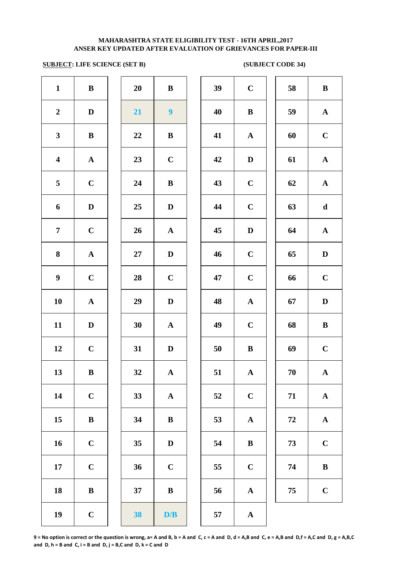# **ANSER KEY UPDATED AFTER EVALUATION OF GRIEVANCES FOR PAPER-III MAHARASHTRA STATE ELIGIBILITY TEST - 16TH APRIL,2017**

# **SUBJECT: LIFE SCIENCE (SET B)** (SUBJECT CODE 34)

| $\mathbf{1}$            | $\, {\bf B}$          | 20 | $\, {\bf B}$            | 39 | $\mathbf C$  |
|-------------------------|-----------------------|----|-------------------------|----|--------------|
| $\boldsymbol{2}$        | $\mathbf D$           | 21 | $\overline{\mathbf{9}}$ | 40 | $\bf{B}$     |
| $\mathbf{3}$            | $\, {\bf B}$          | 22 | $\, {\bf B}$            | 41 | $\mathbf A$  |
| $\overline{\mathbf{4}}$ | $\boldsymbol{\rm{A}}$ | 23 | $\mathbf C$             | 42 | $\mathbf{D}$ |
| 5                       | $\mathbf C$           | 24 | $\, {\bf B}$            | 43 | $\mathbf C$  |
| 6                       | $\mathbf D$           | 25 | $\mathbf D$             | 44 | $\mathbf C$  |
| $\overline{7}$          | $\mathbf C$           | 26 | ${\bf A}$               | 45 | $\mathbf{D}$ |
| 8                       | $\boldsymbol{\rm{A}}$ | 27 | $\mathbf D$             | 46 | $\mathbf C$  |
| $\boldsymbol{9}$        | $\mathbf C$           | 28 | $\mathbf C$             | 47 | $\mathbf C$  |
| 10                      | $\boldsymbol{\rm{A}}$ | 29 | $\mathbf D$             | 48 | $\mathbf{A}$ |
| 11                      | $\mathbf D$           | 30 | $\mathbf A$             | 49 | $\mathbf C$  |
| 12                      | $\mathbf C$           | 31 | $\mathbf D$             | 50 | $\bf{B}$     |
| 13                      | $\bf{B}$              | 32 | ${\bf A}$               | 51 | $\mathbf A$  |
| 14                      | $\mathbf C$           | 33 | $\boldsymbol{\rm{A}}$   | 52 | $\mathbf C$  |
| 15                      | $\, {\bf B}$          | 34 | $\bf{B}$                | 53 | $\mathbf A$  |
| 16                      | $\mathbf C$           | 35 | $\mathbf D$             | 54 | $\bf{B}$     |
| 17                      | $\mathbf C$           | 36 | $\mathbf C$             | 55 | $\mathbf C$  |
| 18                      | $\, {\bf B}$          | 37 | $\, {\bf B}$            | 56 | $\mathbf A$  |
| 19                      | $\mathbf C$           | 38 | $\mathbf{D}/\mathbf{B}$ | 57 | $\mathbf A$  |
|                         |                       |    |                         |    |              |

| 20 | B           |  |
|----|-------------|--|
| 21 | 9           |  |
| 22 | B           |  |
| 23 | $\mathbf C$ |  |
| 24 | B           |  |
| 25 | D           |  |
| 26 | $\mathbf A$ |  |
| 27 | D           |  |
| 28 | $\mathbf C$ |  |
| 29 | D           |  |
| 30 | $\mathbf A$ |  |
| 31 | D           |  |
| 32 | A           |  |
| 33 | $\mathbf A$ |  |
| 34 | B           |  |
| 35 | D           |  |
| 36 | $\mathbf C$ |  |
| 37 | B           |  |
|    |             |  |

| $\mathbf{1}$            | $\bf{B}$     | 20              | $\bf{B}$         | 39 | $\mathbf C$  | 58 | $\bf{B}$     |
|-------------------------|--------------|-----------------|------------------|----|--------------|----|--------------|
| $\overline{2}$          | $\mathbf D$  | 21              | $\boldsymbol{9}$ | 40 | $\bf{B}$     | 59 | ${\bf A}$    |
| $\mathbf{3}$            | $\bf{B}$     | 22              | $\, {\bf B}$     | 41 | ${\bf A}$    | 60 | $\mathbf C$  |
| $\overline{\mathbf{4}}$ | ${\bf A}$    | 23              | $\mathbf C$      | 42 | $\mathbf D$  | 61 | ${\bf A}$    |
| $\overline{5}$          | $\mathbf C$  | 24              | $\, {\bf B}$     | 43 | $\mathbf C$  | 62 | ${\bf A}$    |
| 6                       | $\mathbf D$  | 25              | $\mathbf D$      | 44 | $\mathbf C$  | 63 | $\mathbf d$  |
| $\overline{7}$          | $\mathbf C$  | $26\phantom{.}$ | ${\bf A}$        | 45 | $\mathbf D$  | 64 | ${\bf A}$    |
| $\boldsymbol{8}$        | ${\bf A}$    | $27\,$          | $\mathbf D$      | 46 | $\mathbf C$  | 65 | $\mathbf D$  |
| $\boldsymbol{9}$        | $\mathbf C$  | 28              | $\mathbf C$      | 47 | $\mathbf C$  | 66 | $\mathbf C$  |
| 10                      | $\mathbf{A}$ | 29              | $\mathbf{D}$     | 48 | $\mathbf{A}$ | 67 | $\mathbf D$  |
| 11                      | D            | 30              | ${\bf A}$        | 49 | $\mathbf C$  | 68 | $\, {\bf B}$ |
| 12                      | $\mathbf C$  | 31              | $\mathbf D$      | 50 | $\bf{B}$     | 69 | $\mathbf C$  |
| 13                      | $\bf{B}$     | 32              | $\mathbf{A}$     | 51 | $\mathbf{A}$ | 70 | $\mathbf A$  |
| 14                      | $\mathbf C$  | 33              | $\mathbf{A}$     | 52 | $\mathbf C$  | 71 | ${\bf A}$    |
| 15                      | $\, {\bf B}$ | 34              | $\bf{B}$         | 53 | ${\bf A}$    | 72 | ${\bf A}$    |
| 16                      | $\mathbf C$  | 35              | $\mathbf D$      | 54 | $\bf{B}$     | 73 | $\mathbf C$  |
| 17                      | $\mathbf C$  | 36              | $\mathbf C$      | 55 | $\mathbf C$  | 74 | $\, {\bf B}$ |
| 18                      | $\, {\bf B}$ | 37              | $\, {\bf B}$     | 56 | ${\bf A}$    | 75 | $\mathbf C$  |
| 19                      | $\mathbf C$  | 38              | D/B              | 57 | $\mathbf{A}$ |    |              |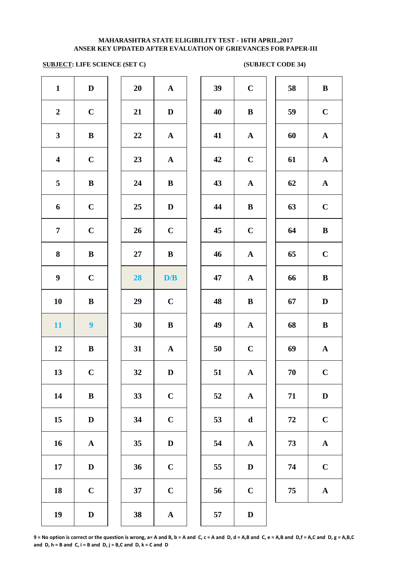# **SUBJECT: LIFE SCIENCE (SET C)** (SUBJECT CODE 34)

| $\mathbf{1}$            | ${\bf D}$        | 20     | $\mathbf A$           | 39 | $\mathbf C$  |
|-------------------------|------------------|--------|-----------------------|----|--------------|
| $\boldsymbol{2}$        | $\mathbf C$      | 21     | $\mathbf D$           | 40 | $\bf{B}$     |
| $\mathbf{3}$            | $\, {\bf B}$     | 22     | ${\bf A}$             | 41 | $\mathbf A$  |
| $\overline{\mathbf{4}}$ | $\mathbf C$      | 23     | ${\bf A}$             | 42 | $\mathbf C$  |
| 5                       | $\, {\bf B}$     | 24     | $\, {\bf B}$          | 43 | $\mathbf{A}$ |
| 6                       | $\mathbf C$      | 25     | $\mathbf D$           | 44 | $\bf{B}$     |
| $\boldsymbol{7}$        | $\mathbf C$      | 26     | $\mathbf C$           | 45 | $\mathbf C$  |
| $\bf{8}$                | $\, {\bf B}$     | $27\,$ | $\, {\bf B}$          | 46 | $\mathbf A$  |
| $\boldsymbol{9}$        | $\mathbf C$      | 28     | D/B                   | 47 | $\mathbf A$  |
| 10                      | $\, {\bf B}$     | 29     | $\mathbf C$           | 48 | $\bf{B}$     |
| 11                      | $\boldsymbol{9}$ | 30     | $\, {\bf B}$          | 49 | $\mathbf A$  |
| 12                      | $\bf{B}$         | 31     | ${\bf A}$             | 50 | $\mathbf C$  |
| 13                      | $\mathbf C$      | 32     | D                     | 51 | $\mathbf A$  |
| 14                      | ${\bf B}$        | 33     | $\mathbf C$           | 52 | $\mathbf A$  |
| 15                      | $\mathbf D$      | 34     | $\mathbf C$           | 53 | $\mathbf d$  |
| 16                      | ${\bf A}$        | 35     | $\mathbf D$           | 54 | $\mathbf A$  |
| 17                      | $\mathbf D$      | 36     | $\mathbf C$           | 55 | $\mathbf{D}$ |
| 18                      | $\mathbf C$      | 37     | $\mathbf C$           | 56 | $\mathbf C$  |
| 19                      | ${\bf D}$        | 38     | $\boldsymbol{\rm{A}}$ | 57 | $\mathbf{D}$ |
|                         |                  |        |                       |    |              |

| 20 | $\mathbf A$             |  |
|----|-------------------------|--|
| 21 | D                       |  |
| 22 | $\mathbf A$             |  |
| 23 | $\mathbf{A}$            |  |
| 24 | B                       |  |
| 25 | D                       |  |
| 26 | $\mathbf C$             |  |
| 27 | B                       |  |
| 28 | D/B                     |  |
|    |                         |  |
| 29 | $\mathbf C$             |  |
| 30 | B                       |  |
| 31 | $\overline{\mathbf{A}}$ |  |
| 32 | D                       |  |
| 33 | $\mathbf C$             |  |
| 34 | $\mathbf C$             |  |
| 35 | D                       |  |
| 36 | $\mathbf C$             |  |
| 37 | $\overline{\mathbf{C}}$ |  |

| $\mathbf{1}$            | $\mathbf D$      | 20       | ${\bf A}$    | 39 | $\mathbf C$  | 58     | $\bf{B}$     |
|-------------------------|------------------|----------|--------------|----|--------------|--------|--------------|
| $\overline{2}$          | $\mathbf C$      | 21       | $\mathbf D$  | 40 | $\bf{B}$     | 59     | $\mathbf C$  |
| $\mathbf{3}$            | $\, {\bf B}$     | $\bf 22$ | ${\bf A}$    | 41 | ${\bf A}$    | 60     | ${\bf A}$    |
| $\overline{\mathbf{4}}$ | $\mathbf C$      | 23       | ${\bf A}$    | 42 | $\mathbf C$  | 61     | ${\bf A}$    |
| $\overline{\mathbf{5}}$ | $\, {\bf B}$     | 24       | $\, {\bf B}$ | 43 | ${\bf A}$    | 62     | ${\bf A}$    |
| 6                       | $\mathbf C$      | 25       | $\mathbf{D}$ | 44 | $\bf{B}$     | 63     | $\mathbf C$  |
| $\overline{7}$          | $\mathbf C$      | 26       | $\mathbf C$  | 45 | $\mathbf C$  | 64     | $\, {\bf B}$ |
| 8                       | $\bf{B}$         | 27       | $\bf{B}$     | 46 | $\mathbf{A}$ | 65     | $\mathbf C$  |
| $\boldsymbol{9}$        | $\mathbf C$      | 28       | D/B          | 47 | ${\bf A}$    | 66     | $\bf{B}$     |
| 10                      | $\bf{B}$         | 29       | $\mathbf C$  | 48 | $\bf{B}$     | 67     | $\mathbf D$  |
| 11                      | $\boldsymbol{9}$ | 30       | ${\bf B}$    | 49 | $\mathbf{A}$ | 68     | $\, {\bf B}$ |
| 12                      | $\bf{B}$         | 31       | $\mathbf A$  | 50 | $\mathbf C$  | 69     | ${\bf A}$    |
| 13                      | $\mathbf C$      | 32       | $\mathbf D$  | 51 | ${\bf A}$    | $70\,$ | $\mathbf C$  |
| 14                      | $\bf{B}$         | 33       | $\mathbf C$  | 52 | $\mathbf{A}$ | 71     | $\mathbf D$  |
| 15                      | D                | 34       | $\mathbf C$  | 53 | $\mathbf d$  | 72     | $\mathbf C$  |
| 16                      | $\mathbf A$      | 35       | $\mathbf D$  | 54 | ${\bf A}$    | 73     | ${\bf A}$    |
| 17                      | D                | 36       | $\mathbf C$  | 55 | $\mathbf D$  | 74     | $\mathbf C$  |
| 18                      | $\mathbf C$      | 37       | $\mathbf C$  | 56 | $\mathbf C$  | 75     | ${\bf A}$    |
| 19                      | $\mathbf{D}$     | 38       | $\Delta$     | 57 | $\mathbf{D}$ |        |              |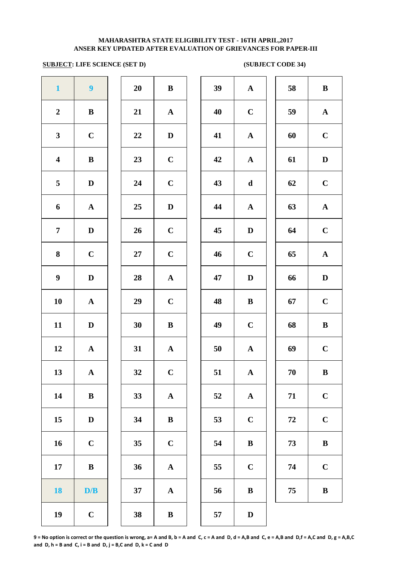# **SUBJECT: LIFE SCIENCE (SET D)** (SUBJECT CODE 34)

| $\mathbf{1}$            | $\boldsymbol{9}$      | 20 | $\, {\bf B}$          | 39 | $\mathbf A$  |
|-------------------------|-----------------------|----|-----------------------|----|--------------|
| $\boldsymbol{2}$        | $\bf{B}$              | 21 | ${\bf A}$             | 40 | $\mathbf C$  |
| $\mathbf{3}$            | $\mathbf C$           | 22 | $\mathbf D$           | 41 | $\mathbf A$  |
| $\overline{\mathbf{4}}$ | $\bf{B}$              | 23 | $\mathbf C$           | 42 | $\mathbf A$  |
| 5                       | $\mathbf D$           | 24 | $\mathbf C$           | 43 | $\mathbf d$  |
| 6                       | ${\bf A}$             | 25 | $\mathbf D$           | 44 | $\mathbf A$  |
| $\overline{7}$          | $\mathbf D$           | 26 | $\mathbf C$           | 45 | $\mathbf{D}$ |
| $\bf{8}$                | $\mathbf C$           | 27 | $\mathbf C$           | 46 | $\mathbf C$  |
| $\boldsymbol{9}$        | $\mathbf D$           | 28 | $\mathbf A$           | 47 | $\mathbf{D}$ |
| 10                      | $\boldsymbol{\rm{A}}$ | 29 | $\mathbf C$           | 48 | $\bf{B}$     |
| 11                      | $\mathbf D$           | 30 | $\, {\bf B}$          | 49 | $\mathbf C$  |
| 12                      | $\boldsymbol{\rm{A}}$ | 31 | $\boldsymbol{\rm{A}}$ | 50 | $\mathbf{A}$ |
| 13                      | ${\bf A}$             | 32 | $\mathbf C$           | 51 | $\mathbf A$  |
| 14                      | $\, {\bf B}$          | 33 | $\mathbf A$           | 52 | $\mathbf A$  |
| 15                      | $\mathbf D$           | 34 | $\, {\bf B}$          | 53 | $\mathbf C$  |
| 16                      | $\mathbf C$           | 35 | $\mathbf C$           | 54 | $\bf{B}$     |
| 17                      | $\, {\bf B}$          | 36 | $\boldsymbol{\rm{A}}$ | 55 | $\mathbf C$  |
| <b>18</b>               | D/B                   | 37 | $\boldsymbol{\rm{A}}$ | 56 | $\bf{B}$     |
| 19                      | $\mathbf C$           | 38 | $\, {\bf B}$          | 57 | $\mathbf{D}$ |
|                         |                       |    |                       |    |              |

| 20 | B                       |
|----|-------------------------|
| 21 | $\mathbf A$             |
| 22 | D                       |
| 23 | $\mathbf C$             |
| 24 | $\mathbf C$             |
| 25 | D                       |
| 26 | $\mathbf C$             |
| 27 | $\mathbf C$             |
| 28 | $\mathbf A$             |
| 29 | $\mathbf C$             |
| 30 | B                       |
| 31 | $\mathbf A$             |
| 32 | $\overline{\mathbf{C}}$ |
| 33 | $\mathbf{A}$            |
| 34 | B                       |
| 35 | $\mathbf C$             |
| 36 | A                       |
| 37 | $\overline{\mathbf{A}}$ |
|    |                         |

| $\mathbf{1}$            | $\boldsymbol{9}$ | 20     | ${\bf B}$    | 39 | ${\bf A}$   | 58 | $\, {\bf B}$ |
|-------------------------|------------------|--------|--------------|----|-------------|----|--------------|
| $\overline{2}$          | $\, {\bf B}$     | 21     | ${\bf A}$    | 40 | $\mathbf C$ | 59 | ${\bf A}$    |
| $\mathbf{3}$            | $\mathbf C$      | $22\,$ | $\mathbf D$  | 41 | $\mathbf A$ | 60 | $\mathbf C$  |
| $\overline{\mathbf{4}}$ | $\, {\bf B}$     | 23     | $\mathbf C$  | 42 | $\mathbf A$ | 61 | $\mathbf D$  |
| $\overline{\mathbf{5}}$ | D                | 24     | $\mathbf C$  | 43 | $\mathbf d$ | 62 | $\mathbf C$  |
| 6                       | $\mathbf{A}$     | 25     | $\mathbf D$  | 44 | $\mathbf A$ | 63 | ${\bf A}$    |
| $\overline{7}$          | D                | 26     | $\mathbf C$  | 45 | $\mathbf D$ | 64 | $\mathbf C$  |
| 8                       | $\mathbf C$      | 27     | $\mathbf C$  | 46 | $\mathbf C$ | 65 | ${\bf A}$    |
| $\boldsymbol{9}$        | D                | 28     | ${\bf A}$    | 47 | $\mathbf D$ | 66 | $\mathbf D$  |
| 10                      | $\mathbf A$      | 29     | $\mathbf C$  | 48 | $\bf{B}$    | 67 | $\mathbf C$  |
| 11                      | $\mathbf D$      | 30     | $\bf{B}$     | 49 | $\mathbf C$ | 68 | $\, {\bf B}$ |
| 12                      | ${\bf A}$        | 31     | ${\bf A}$    | 50 | ${\bf A}$   | 69 | $\mathbf C$  |
| 13                      | ${\bf A}$        | 32     | $\mathbf C$  | 51 | ${\bf A}$   | 70 | $\, {\bf B}$ |
| 14                      | $\bf{B}$         | 33     | ${\bf A}$    | 52 | $\mathbf A$ | 71 | $\mathbf C$  |
| 15                      | D                | 34     | $\, {\bf B}$ | 53 | $\mathbf C$ | 72 | $\mathbf C$  |
| 16                      | $\mathbf C$      | 35     | $\mathbf C$  | 54 | $\bf{B}$    | 73 | $\, {\bf B}$ |
| 17                      | $\bf{B}$         | 36     | ${\bf A}$    | 55 | $\mathbf C$ | 74 | $\mathbf C$  |
| 18                      | D/B              | 37     | $\mathbf A$  | 56 | $\bf{B}$    | 75 | $\, {\bf B}$ |
| 19                      | $\mathbf C$      | 38     | $\bf{B}$     | 57 | D           |    |              |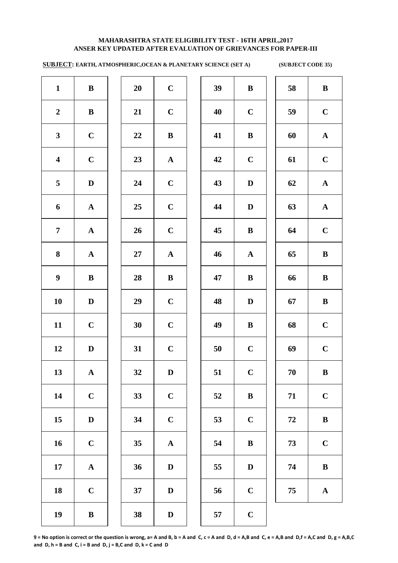**SUBJECT: EARTH, ATMOSPHERIC,OCEAN & PLANETARY SCIENCE (SET A) (SUBJECT CODE 35)** 

| $\mathbf{1}$            | $\bf{B}$     | 20              | $\mathbf C$  | 39 | $\bf{B}$     | 58 | $\bf{B}$    |
|-------------------------|--------------|-----------------|--------------|----|--------------|----|-------------|
| $\boldsymbol{2}$        | $\bf{B}$     | 21              | $\mathbf C$  | 40 | $\bf C$      | 59 | $\mathbf C$ |
| $\mathbf{3}$            | $\mathbf C$  | 22              | $\, {\bf B}$ | 41 | $\bf{B}$     | 60 | $\mathbf A$ |
| $\overline{\mathbf{4}}$ | $\mathbf C$  | 23              | $\mathbf{A}$ | 42 | $\mathbf C$  | 61 | $\mathbf C$ |
| 5                       | $\mathbf D$  | 24              | $\bf C$      | 43 | $\mathbf D$  | 62 | $\mathbf A$ |
| 6                       | ${\bf A}$    | 25              | $\mathbf C$  | 44 | $\mathbf D$  | 63 | $\mathbf A$ |
| $\overline{7}$          | ${\bf A}$    | 26              | $\mathbf C$  | 45 | $\bf{B}$     | 64 | $\mathbf C$ |
| 8                       | ${\bf A}$    | $27\,$          | ${\bf A}$    | 46 | $\mathbf{A}$ | 65 | $\bf{B}$    |
| $\boldsymbol{9}$        | $\bf{B}$     | 28              | $\, {\bf B}$ | 47 | $\bf{B}$     | 66 | $\bf{B}$    |
| 10                      | $\mathbf{D}$ | 29              | $\mathbf C$  | 48 | $\mathbf D$  | 67 | $\bf{B}$    |
| 11                      | $\mathbf C$  | 30              | $\mathbf C$  | 49 | $\bf{B}$     | 68 | $\mathbf C$ |
| 12                      | $\mathbf{D}$ | 31              | $\mathbf C$  | 50 | $\mathbf C$  | 69 | $\mathbf C$ |
| 13                      | ${\bf A}$    | 32              | $\mathbf D$  | 51 | $\mathbf C$  | 70 | $\bf{B}$    |
| 14                      | $\mathbf C$  | 33              | $\bf C$      | 52 | $\bf{B}$     | 71 | $\mathbf C$ |
| 15                      | $\mathbf D$  | 34              | $\mathbf C$  | 53 | $\mathbf C$  | 72 | $\bf{B}$    |
| 16                      | $\mathbf C$  | 35 <sub>5</sub> | ${\bf A}$    | 54 | $\, {\bf B}$ | 73 | $\mathbf C$ |
| 17                      | ${\bf A}$    | 36              | $\mathbf D$  | 55 | $\mathbf D$  | 74 | $\bf{B}$    |
| 18                      | $\mathbf C$  | 37              | $\mathbf D$  | 56 | $\bf C$      | 75 | $\mathbf A$ |
| 19                      | $\bf{B}$     | 38              | $\mathbf D$  | 57 | $\mathbf C$  |    |             |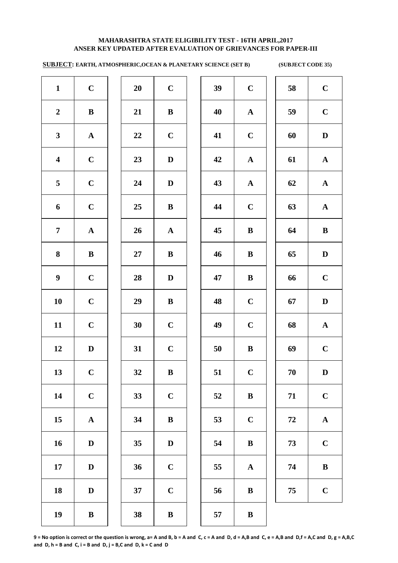**SUBJECT: EARTH, ATMOSPHERIC,OCEAN & PLANETARY SCIENCE (SET B) (SUBJECT CODE 35)** 

| $\mathbf{1}$            | $\mathbf C$  | 20 | $\mathbf C$  | 39 | $\mathbf C$  | 58         | $\mathbf C$  |
|-------------------------|--------------|----|--------------|----|--------------|------------|--------------|
| $\boldsymbol{2}$        | $\bf{B}$     | 21 | $\bf{B}$     | 40 | ${\bf A}$    | 59         | $\mathbf C$  |
| $\mathbf{3}$            | ${\bf A}$    | 22 | $\mathbf C$  | 41 | $\mathbf C$  | 60         | D            |
| $\overline{\mathbf{4}}$ | $\mathbf C$  | 23 | $\mathbf D$  | 42 | ${\bf A}$    | 61         | ${\bf A}$    |
| 5                       | $\mathbf C$  | 24 | $\mathbf D$  | 43 | ${\bf A}$    | 62         | $\mathbf{A}$ |
| 6                       | $\mathbf C$  | 25 | $\bf{B}$     | 44 | $\mathbf C$  | 63         | $\mathbf{A}$ |
| $\overline{7}$          | ${\bf A}$    | 26 | ${\bf A}$    | 45 | $\bf{B}$     | 64         | $\bf{B}$     |
| 8                       | $\bf{B}$     | 27 | $\bf{B}$     | 46 | $\, {\bf B}$ | 65         | $\mathbf D$  |
| $\boldsymbol{9}$        | $\mathbf C$  | 28 | $\mathbf D$  | 47 | $\, {\bf B}$ | 66         | $\mathbf C$  |
| 10                      | $\mathbf C$  | 29 | ${\bf B}$    | 48 | $\mathbf C$  | 67         | $\mathbf D$  |
| 11                      | $\mathbf C$  | 30 | $\mathbf C$  | 49 | $\mathbf C$  | 68         | ${\bf A}$    |
| 12                      | $\mathbf D$  | 31 | $\mathbf C$  | 50 | $\, {\bf B}$ | 69         | $\mathbf C$  |
| 13                      | $\mathbf C$  | 32 | $\bf{B}$     | 51 | $\mathbf C$  | 70         | D            |
| 14                      | $\mathbf C$  | 33 | $\mathbf C$  | 52 | $\bf{B}$     | 71         | $\mathbf C$  |
| 15                      | ${\bf A}$    | 34 | ${\bf B}$    | 53 | $\mathbf C$  | ${\bf 72}$ | ${\bf A}$    |
| 16                      | $\mathbf D$  | 35 | $\mathbf D$  | 54 | $\bf{B}$     | 73         | $\mathbf C$  |
| 17                      | $\mathbf D$  | 36 | $\mathbf C$  | 55 | ${\bf A}$    | 74         | $\, {\bf B}$ |
| 18                      | $\mathbf D$  | 37 | $\mathbf C$  | 56 | $\, {\bf B}$ | 75         | $\mathbf C$  |
| 19                      | $\, {\bf B}$ | 38 | $\, {\bf B}$ | 57 | $\, {\bf B}$ |            |              |
|                         |              |    |              |    |              |            |              |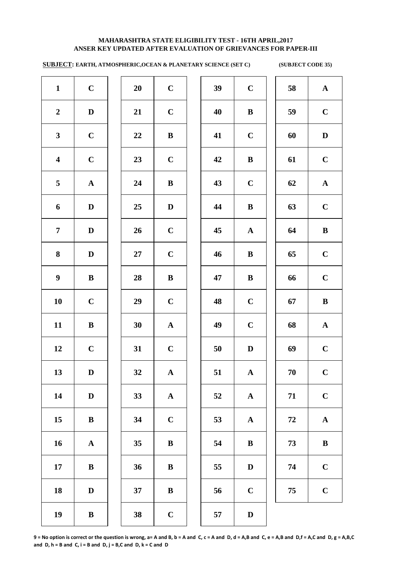# **ANSER KEY UPDATED AFTER EVALUATION OF GRIEVANCES FOR PAPER-III MAHARASHTRA STATE ELIGIBILITY TEST - 16TH APRIL,2017**

**SUBJECT: EARTH, ATMOSPHERIC,OCEAN & PLANETARY SCIENCE (SET C) (SUBJECT CODE 35)** 

| $\mathbf{1}$            | $\mathbf C$  | 20     | $\mathbf C$ | 39 | $\mathbf C$  | 58         | $\mathbf A$  |
|-------------------------|--------------|--------|-------------|----|--------------|------------|--------------|
| $\boldsymbol{2}$        | $\mathbf D$  | 21     | $\mathbf C$ | 40 | $\bf{B}$     | 59         | $\mathbf C$  |
| $\mathbf{3}$            | $\mathbf C$  | 22     | $\bf{B}$    | 41 | $\mathbf C$  | 60         | $\mathbf{D}$ |
| $\overline{\mathbf{4}}$ | $\mathbf C$  | 23     | $\mathbf C$ | 42 | $\, {\bf B}$ | 61         | $\mathbf C$  |
| 5                       | ${\bf A}$    | 24     | $\bf{B}$    | 43 | $\bf C$      | 62         | $\mathbf A$  |
| 6                       | $\mathbf D$  | 25     | $\mathbf D$ | 44 | $\, {\bf B}$ | 63         | $\mathbf C$  |
| $\overline{7}$          | $\mathbf D$  | 26     | $\mathbf C$ | 45 | ${\bf A}$    | 64         | $\bf{B}$     |
| 8                       | $\mathbf D$  | $27\,$ | $\mathbf C$ | 46 | $\, {\bf B}$ | 65         | $\mathbf C$  |
| $\boldsymbol{9}$        | $\, {\bf B}$ | 28     | $\bf{B}$    | 47 | $\, {\bf B}$ | 66         | $\mathbf C$  |
| 10                      | $\mathbf C$  | 29     | $\mathbf C$ | 48 | $\mathbf C$  | 67         | $\bf{B}$     |
| 11                      | $\bf{B}$     | 30     | ${\bf A}$   | 49 | $\mathbf C$  | 68         | $\mathbf A$  |
| 12                      | $\mathbf C$  | 31     | $\mathbf C$ | 50 | $\mathbf D$  | 69         | $\mathbf C$  |
| 13                      | D            | 32     | ${\bf A}$   | 51 | $\mathbf{A}$ | $70\,$     | $\mathbf C$  |
| 14                      | $\mathbf D$  | 33     | ${\bf A}$   | 52 | $\mathbf{A}$ | 71         | $\mathbf C$  |
| 15                      | $\, {\bf B}$ | 34     | $\mathbf C$ | 53 | ${\bf A}$    | ${\bf 72}$ | $\mathbf A$  |
| 16                      | ${\bf A}$    | 35     | ${\bf B}$   | 54 | $\, {\bf B}$ | 73         | $\bf{B}$     |
| 17                      | $\bf{B}$     | 36     | ${\bf B}$   | 55 | $\mathbf D$  | 74         | $\mathbf C$  |
| 18                      | $\mathbf D$  | 37     | ${\bf B}$   | 56 | $\mathbf C$  | 75         | $\mathbf C$  |
| 19                      | $\, {\bf B}$ | 38     | $\mathbf C$ | 57 | $\mathbf D$  |            |              |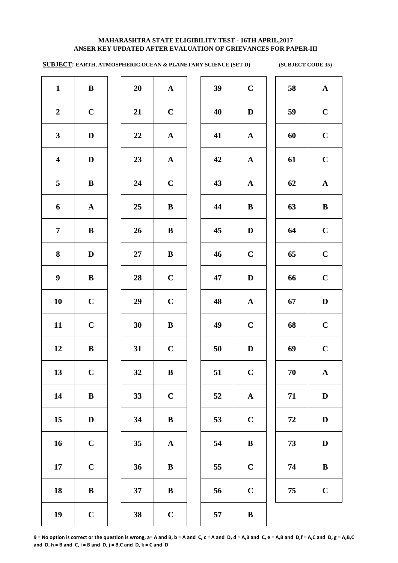**SUBJECT: EARTH, ATMOSPHERIC,OCEAN & PLANETARY SCIENCE (SET D) (SUBJECT CODE 35)** 

| $\mathbf{1}$            | $\bf{B}$     | 20        | ${\bf A}$    | 39 | $\mathbf C$  | 58         | $\mathbf A$  |
|-------------------------|--------------|-----------|--------------|----|--------------|------------|--------------|
| $\boldsymbol{2}$        | $\mathbf C$  | 21        | $\mathbf C$  | 40 | $\mathbf D$  | 59         | $\mathbf C$  |
| $\mathbf{3}$            | $\mathbf D$  | 22        | ${\bf A}$    | 41 | ${\bf A}$    | 60         | $\mathbf C$  |
| $\overline{\mathbf{4}}$ | $\mathbf{D}$ | 23        | $\mathbf{A}$ | 42 | $\mathbf{A}$ | 61         | $\mathbf C$  |
| 5                       | $\bf{B}$     | 24        | $\mathbf C$  | 43 | ${\bf A}$    | 62         | $\mathbf A$  |
| 6                       | ${\bf A}$    | 25        | $\bf{B}$     | 44 | $\bf{B}$     | 63         | $\bf{B}$     |
| $\overline{7}$          | $\mathbf{B}$ | 26        | $\bf{B}$     | 45 | $\mathbf D$  | 64         | $\mathbf C$  |
| 8                       | $\mathbf D$  | $27\,$    | $\bf{B}$     | 46 | $\bf C$      | 65         | $\mathbf C$  |
| $\boldsymbol{9}$        | $\mathbf{B}$ | 28        | $\mathbf C$  | 47 | $\mathbf D$  | 66         | $\mathbf C$  |
| 10                      | $\mathbf C$  | 29        | $\bf C$      | 48 | ${\bf A}$    | 67         | $\mathbf D$  |
| 11                      | $\mathbf C$  | 30        | $\bf{B}$     | 49 | $\mathbf C$  | 68         | $\mathbf C$  |
| 12                      | $\bf{B}$     | 31        | $\mathbf C$  | 50 | $\mathbf D$  | 69         | $\mathbf C$  |
| 13                      | $\mathbf C$  | <b>32</b> | B            | 51 | $\mathbf C$  | 70         | $\mathbf A$  |
| 14                      | $\bf{B}$     | 33        | $\mathbf C$  | 52 | ${\bf A}$    | 71         | $\mathbf{D}$ |
| 15                      | $\mathbf D$  | 34        | $\bf{B}$     | 53 | $\mathbf C$  | ${\bf 72}$ | $\mathbf{D}$ |
| 16                      | $\mathbf C$  | 35        | ${\bf A}$    | 54 | $\, {\bf B}$ | 73         | $\mathbf{D}$ |
| 17                      | $\mathbf C$  | 36        | ${\bf B}$    | 55 | $\bf C$      | 74         | $\bf{B}$     |
| 18                      | ${\bf B}$    | 37        | $\bf{B}$     | 56 | $\mathbf C$  | 75         | $\mathbf C$  |
| 19                      | $\mathbf C$  | 38        | $\mathbf C$  | 57 | $\bf{B}$     |            |              |
|                         |              |           |              |    |              |            |              |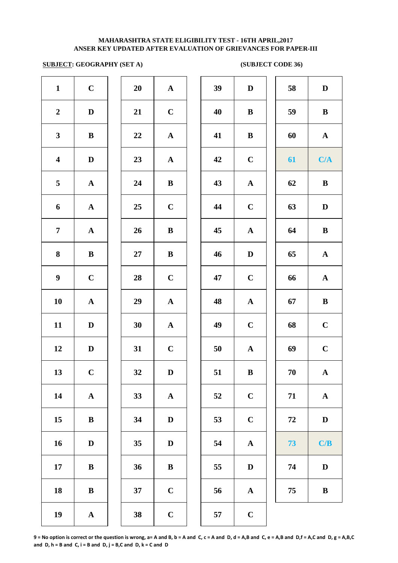# **SUBJECT: GEOGRAPHY (SET A) (SUBJECT CODE 36)**

| $\mathbf{1}$            | $\mathbf C$  | 20     | ${\bf A}$   | 39 | $\mathbf D$  | 58 | $\mathbf D$  |
|-------------------------|--------------|--------|-------------|----|--------------|----|--------------|
| $\boldsymbol{2}$        | $\mathbf D$  | 21     | $\bf C$     | 40 | $\, {\bf B}$ | 59 | $\, {\bf B}$ |
| $\mathbf{3}$            | ${\bf B}$    | 22     | ${\bf A}$   | 41 | $\, {\bf B}$ | 60 | $\mathbf{A}$ |
| $\overline{\mathbf{4}}$ | $\mathbf D$  | 23     | ${\bf A}$   | 42 | $\mathbf C$  | 61 | C/A          |
| 5                       | ${\bf A}$    | 24     | $\bf{B}$    | 43 | ${\bf A}$    | 62 | $\bf{B}$     |
| $\boldsymbol{6}$        | ${\bf A}$    | 25     | $\mathbf C$ | 44 | $\mathbf C$  | 63 | $\mathbf D$  |
| $\overline{7}$          | ${\bf A}$    | 26     | $\bf{B}$    | 45 | ${\bf A}$    | 64 | $\bf{B}$     |
| 8                       | $\mathbf{B}$ | $27\,$ | $\bf{B}$    | 46 | $\mathbf D$  | 65 | ${\bf A}$    |
| $\boldsymbol{9}$        | $\mathbf C$  | 28     | $\mathbf C$ | 47 | $\mathbf C$  | 66 | ${\bf A}$    |
| ${\bf 10}$              | ${\bf A}$    | 29     | ${\bf A}$   | 48 | ${\bf A}$    | 67 | $\bf{B}$     |
| 11                      | $\mathbf D$  | 30     | ${\bf A}$   | 49 | $\mathbf C$  | 68 | $\bf C$      |
| 12                      | $\mathbf D$  | 31     | $\mathbf C$ | 50 | ${\bf A}$    | 69 | $\mathbf C$  |
| 13                      | $\mathbf C$  | 32     | $\mathbf D$ | 51 | $\, {\bf B}$ | 70 | ${\bf A}$    |
| 14                      | ${\bf A}$    | 33     | ${\bf A}$   | 52 | $\mathbf C$  | 71 | ${\bf A}$    |
| 15 <sup>15</sup>        | $\mathbf{B}$ | 34     | $\mathbf D$ | 53 | $\mathbf C$  | 72 | $\mathbf D$  |
| 16                      | $\mathbf D$  | 35     | $\mathbf D$ | 54 | ${\bf A}$    | 73 | C/B          |
| 17                      | $\mathbf{B}$ | 36     | $\bf{B}$    | 55 | $\mathbf D$  | 74 | $\mathbf D$  |
| 18                      | $\mathbf{B}$ | 37     | $\mathbf C$ | 56 | $\mathbf{A}$ | 75 | $\bf{B}$     |
| 19                      | ${\bf A}$    | 38     | $\mathbf C$ | 57 | $\mathbf C$  |    |              |
|                         |              |        |             |    |              |    |              |

| 39 | $\mathbf D$           | 58 | $\mathbf D$           |
|----|-----------------------|----|-----------------------|
| 40 | $\bf{B}$              | 59 | B                     |
| 41 | $\bf{B}$              | 60 | $\mathbf A$           |
| 42 | $\mathbf C$           | 61 | C/A                   |
| 43 | ${\bf A}$             | 62 | $\bf{B}$              |
| 44 | $\mathbf C$           | 63 | D                     |
| 45 | $\mathbf A$           | 64 | $\bf{B}$              |
| 46 | D                     | 65 | $\mathbf A$           |
| 47 | $\mathbf C$           | 66 | $\boldsymbol{\rm{A}}$ |
| 48 | $\boldsymbol{\rm{A}}$ | 67 | $\bf{B}$              |
| 49 | $\mathbf C$           | 68 | $\mathbf C$           |
| 50 | $\boldsymbol{\rm{A}}$ | 69 | $\mathbf C$           |
| 51 | ${\bf B}$             | 70 | $\mathbf A$           |
| 52 | $\mathbf C$           | 71 | $\mathbf{A}$          |
| 53 | $\mathbf C$           | 72 | $\mathbf D$           |
| 54 | $\mathbf A$           | 73 | C/B                   |
| 55 | $\mathbf D$           | 74 | $\mathbf D$           |
| 56 | ${\bf A}$             | 75 | $\, {\bf B}$          |
| 57 | $\mathbf C$           |    |                       |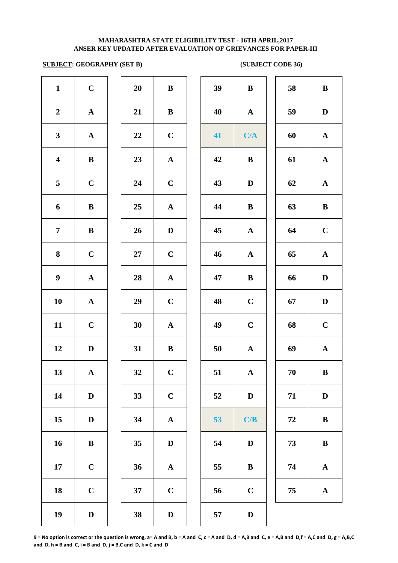# **SUBJECT: GEOGRAPHY (SET B) (SUBJECT CODE 36)**

| $\mathbf{1}$            | $\mathbf C$ | 20 | $\bf{B}$    | 39 | $\, {\bf B}$ | 58 | $\bf{B}$     |
|-------------------------|-------------|----|-------------|----|--------------|----|--------------|
| $\boldsymbol{2}$        | ${\bf A}$   | 21 | $\bf{B}$    | 40 | ${\bf A}$    | 59 | $\mathbf{D}$ |
| $\mathbf{3}$            | ${\bf A}$   | 22 | $\bf C$     | 41 | C/A          | 60 | $\mathbf A$  |
| $\overline{\mathbf{4}}$ | $\bf{B}$    | 23 | ${\bf A}$   | 42 | $\, {\bf B}$ | 61 | $\mathbf A$  |
| 5                       | $\mathbf C$ | 24 | $\mathbf C$ | 43 | $\mathbf D$  | 62 | $\mathbf A$  |
| 6                       | $\bf{B}$    | 25 | ${\bf A}$   | 44 | $\, {\bf B}$ | 63 | $\bf{B}$     |
| $\overline{7}$          | $\bf{B}$    | 26 | $\mathbf D$ | 45 | ${\bf A}$    | 64 | $\mathbf C$  |
| $\bf{8}$                | $\mathbf C$ | 27 | $\mathbf C$ | 46 | ${\bf A}$    | 65 | $\mathbf A$  |
| $\boldsymbol{9}$        | ${\bf A}$   | 28 | ${\bf A}$   | 47 | $\, {\bf B}$ | 66 | $\mathbf{D}$ |
| 10                      | ${\bf A}$   | 29 | $\mathbf C$ | 48 | $\mathbf C$  | 67 | D            |
| 11                      | $\mathbf C$ | 30 | ${\bf A}$   | 49 | $\mathbf C$  | 68 | $\mathbf C$  |
| 12                      | $\mathbf D$ | 31 | $\bf{B}$    | 50 | ${\bf A}$    | 69 | $\mathbf A$  |
| 13                      | ${\bf A}$   | 32 | $\mathbf C$ | 51 | $\mathbf{A}$ | 70 | $\bf{B}$     |
| 14                      | $\mathbf D$ | 33 | $\bf C$     | 52 | $\mathbf D$  | 71 | $\mathbf{D}$ |
| 15                      | $\mathbf D$ | 34 | ${\bf A}$   | 53 | C/B          | 72 | $\bf{B}$     |
| 16                      | $\bf{B}$    | 35 | $\mathbf D$ | 54 | $\mathbf D$  | 73 | $\bf{B}$     |
| 17                      | $\mathbf C$ | 36 | ${\bf A}$   | 55 | $\bf{B}$     | 74 | $\mathbf A$  |
| 18                      | $\mathbf C$ | 37 | $\mathbf C$ | 56 | $\bf C$      | 75 | $\mathbf A$  |
| 19                      | $\mathbf D$ | 38 | $\mathbf D$ | 57 | $\mathbf D$  |    |              |

| 39 | $\bf{B}$              | 58 | $\bf{B}$              |
|----|-----------------------|----|-----------------------|
| 40 | $\mathbf{A}$          | 59 | D                     |
| 41 | C/A                   | 60 | ${\bf A}$             |
| 42 | $\bf{B}$              | 61 | $\mathbf A$           |
| 43 | $\mathbf D$           | 62 | $\boldsymbol{\rm{A}}$ |
| 44 | $\bf{B}$              | 63 | $\bf{B}$              |
| 45 | $\mathbf A$           | 64 | $\mathbf C$           |
| 46 | $\mathbf A$           | 65 | $\mathbf A$           |
| 47 | $\bf{B}$              | 66 | $\mathbf D$           |
| 48 | $\mathbf C$           | 67 | D                     |
| 49 | $\mathbf C$           | 68 | $\mathbf C$           |
| 50 | $\boldsymbol{\rm{A}}$ | 69 | ${\bf A}$             |
| 51 | $\mathbf{A}$          | 70 | B                     |
| 52 | $\mathbf D$           | 71 | D                     |
| 53 | C/B                   | 72 | $\bf{B}$              |
| 54 | $\mathbf D$           | 73 | $\bf{B}$              |
| 55 | B                     | 74 | $\mathbf A$           |
| 56 | $\mathbf C$           | 75 | ${\bf A}$             |
| 57 | D                     |    |                       |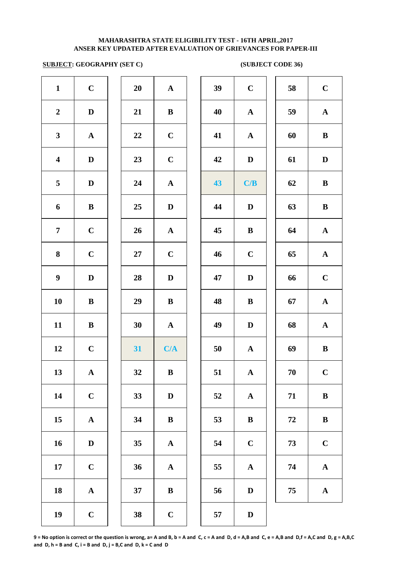# **SUBJECT: GEOGRAPHY (SET C) (SUBJECT CODE 36)**

| $\mathbf{1}$            | $\mathbf C$  | 20     | ${\bf A}$    | 39 | $\mathbf C$ | 58         | $\mathbf C$  |
|-------------------------|--------------|--------|--------------|----|-------------|------------|--------------|
| $\boldsymbol{2}$        | $\mathbf D$  | 21     | $\bf{B}$     | 40 | ${\bf A}$   | 59         | $\mathbf A$  |
| $\mathbf{3}$            | ${\bf A}$    | 22     | $\mathbf C$  | 41 | ${\bf A}$   | 60         | $\bf{B}$     |
| $\overline{\mathbf{4}}$ | $\mathbf D$  | 23     | $\mathbf C$  | 42 | $\mathbf D$ | 61         | $\mathbf{D}$ |
| $\overline{\mathbf{5}}$ | $\mathbf{D}$ | 24     | ${\bf A}$    | 43 | C/B         | 62         | $\bf{B}$     |
| 6                       | $\mathbf{B}$ | 25     | $\mathbf D$  | 44 | $\mathbf D$ | 63         | $\bf{B}$     |
| $7\phantom{.}$          | $\mathbf C$  | 26     | ${\bf A}$    | 45 | $\bf{B}$    | 64         | $\mathbf A$  |
| 8                       | $\mathbf C$  | $27\,$ | $\mathbf C$  | 46 | $\mathbf C$ | 65         | $\mathbf A$  |
| $\boldsymbol{9}$        | $\mathbf{D}$ | 28     | $\mathbf D$  | 47 | $\mathbf D$ | 66         | $\mathbf C$  |
| 10                      | $\bf{B}$     | 29     | $\bf{B}$     | 48 | $\bf{B}$    | 67         | $\mathbf A$  |
| 11                      | $\bf{B}$     | 30     | ${\bf A}$    | 49 | $\mathbf D$ | 68         | $\mathbf A$  |
| 12                      | $\mathbf C$  | 31     | C/A          | 50 | ${\bf A}$   | 69         | $\bf{B}$     |
| 13                      | ${\bf A}$    | 32     | $\, {\bf B}$ | 51 | ${\bf A}$   | 70         | $\mathbf C$  |
| 14                      | $\mathbf C$  | 33     | $\mathbf D$  | 52 | ${\bf A}$   | 71         | $\bf{B}$     |
| 15                      | ${\bf A}$    | 34     | ${\bf B}$    | 53 | $\bf{B}$    | ${\bf 72}$ | $\bf{B}$     |
| 16                      | $\mathbf D$  | 35     | ${\bf A}$    | 54 | $\mathbf C$ | 73         | $\mathbf C$  |
| $17\,$                  | $\mathbf C$  | 36     | ${\bf A}$    | 55 | ${\bf A}$   | 74         | $\mathbf A$  |
| 18                      | ${\bf A}$    | 37     | $\bf{B}$     | 56 | D           | 75         | $\mathbf A$  |
| 19                      | $\mathbf C$  | 38     | $\mathbf C$  | 57 | $\mathbf D$ |            |              |

| J                        | $\mathbf A$             | 3 <sup>0</sup>            |
|--------------------------|-------------------------|---------------------------|
| $\overline{\mathsf{L}}$  | B                       | $\overline{4}$            |
| $\overline{\phantom{a}}$ | $\mathbf C$             | $\overline{\mathbf{4}}$   |
| ,                        | $\mathbf C$             | $\ddot{ }$                |
| ļ                        | $\mathbf{A}$            | $\ddot{\mathbf{4}}$       |
| 5                        | D                       | $\overline{4}$            |
| í                        | ${\bf A}$               | $\overline{4}$            |
| 7                        | $\overline{\mathbf{C}}$ | $\overline{4}$            |
| $\overline{\phantom{a}}$ | D                       | $\boldsymbol{4}^{\prime}$ |
| $\blacksquare$           | $\bf{B}$                | $\overline{4}$            |
| $\blacksquare$           | ${\bf A}$               | $\overline{4}$            |
| $\overline{\phantom{a}}$ | C/A                     | 5 <sub>0</sub>            |
| ļ                        | B                       | 5 <sup>2</sup>            |
| ļ                        | D                       | 5 <sup>′</sup>            |
| ļ                        | $\bf{B}$                | 5.                        |
| 5                        | $\overline{\mathbf{A}}$ | 5 <sup>′</sup>            |
| í                        | $\mathbf{A}$            | 5.                        |
| 7                        | B                       | 5 <sub>0</sub>            |
| ì                        | $\mathbf C$             | $5^{\prime}$              |

| $\mathbf C$           | 58 | $\mathbf C$           |
|-----------------------|----|-----------------------|
| $\mathbf{A}$          | 59 | $\mathbf A$           |
| $\mathbf A$           | 60 | B                     |
| $\mathbf D$           | 61 | $\mathbf D$           |
| C/B                   | 62 | B                     |
| $\mathbf D$           | 63 | $\bf{B}$              |
| $\bf{B}$              | 64 | ${\bf A}$             |
| $\mathbf C$           | 65 | $\mathbf A$           |
| $\mathbf D$           | 66 | $\mathbf C$           |
| B                     | 67 | $\mathbf A$           |
| D                     | 68 | $\mathbf A$           |
| $\boldsymbol{\rm{A}}$ | 69 | B                     |
| $\mathbf A$           | 70 | $\mathbf C$           |
| $\mathbf A$           | 71 | $\bf{B}$              |
| B                     | 72 | B                     |
| $\mathbf C$           | 73 | $\mathbf C$           |
| ${\bf A}$             | 74 | $\boldsymbol{\rm{A}}$ |
| D                     | 75 | ${\bf A}$             |
| ${\bf D}$             |    |                       |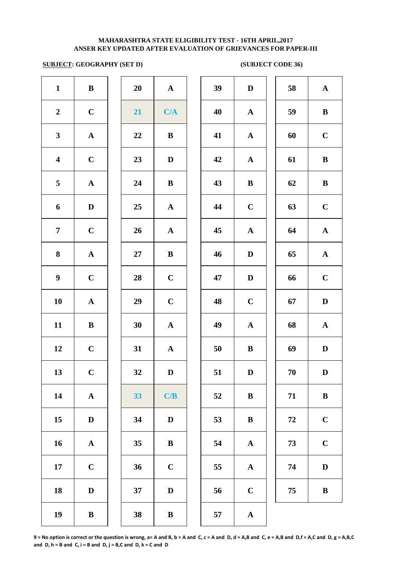## **ANSER KEY UPDATED AFTER EVALUATION OF GRIEVANCES FOR PAPER-III MAHARASHTRA STATE ELIGIBILITY TEST - 16TH APRIL,2017**

# **SUBJECT: GEOGRAPHY (SET D) (SUBJECT CODE 36)**

| $\mathbf{1}$            | $\, {\bf B}$          | 20 | ${\bf A}$             | 39 | $\mathbf{D}$ |
|-------------------------|-----------------------|----|-----------------------|----|--------------|
| $\boldsymbol{2}$        | $\mathbf C$           | 21 | C/A                   | 40 | $\mathbf A$  |
| $\mathbf{3}$            | $\boldsymbol{\rm{A}}$ | 22 | $\bf{B}$              | 41 | $\mathbf A$  |
| $\overline{\mathbf{4}}$ | $\mathbf C$           | 23 | $\mathbf D$           | 42 | $\mathbf A$  |
| 5                       | ${\bf A}$             | 24 | $\bf{B}$              | 43 | $\bf{B}$     |
| 6                       | $\mathbf D$           | 25 | ${\bf A}$             | 44 | $\mathbf C$  |
| $\overline{7}$          | $\mathbf C$           | 26 | $\mathbf A$           | 45 | $\mathbf A$  |
| $\bf{8}$                | ${\bf A}$             | 27 | $\, {\bf B}$          | 46 | $\mathbf{D}$ |
| $\boldsymbol{9}$        | $\mathbf C$           | 28 | $\mathbf C$           | 47 | $\mathbf{D}$ |
| ${\bf 10}$              | $\boldsymbol{\rm{A}}$ | 29 | $\mathbf C$           | 48 | $\mathbf C$  |
| 11                      | $\, {\bf B}$          | 30 | $\boldsymbol{\rm{A}}$ | 49 | $\mathbf{A}$ |
| 12                      | $\mathbf C$           | 31 | $\boldsymbol{\rm{A}}$ | 50 | $\bf{B}$     |
| 13                      | $\mathbf C$           | 32 | $\mathbf D$           | 51 | $\mathbf{D}$ |
| 14                      | $\boldsymbol{\rm{A}}$ | 33 | C/B                   | 52 | $\bf{B}$     |
| $15\,$                  | $\mathbf D$           | 34 | $\mathbf D$           | 53 | $\bf{B}$     |
| 16                      | $\boldsymbol{\rm{A}}$ | 35 | $\, {\bf B}$          | 54 | $\mathbf A$  |
| 17                      | $\mathbf C$           | 36 | $\mathbf C$           | 55 | $\mathbf A$  |
| 18                      | $\mathbf D$           | 37 | $\mathbf{D}%$         | 56 | $\mathbf C$  |
| 19                      | $\, {\bf B}$          | 38 | $\, {\bf B}$          | 57 | $\mathbf A$  |
|                         |                       |    |                       |    |              |

| 20 | A                       |
|----|-------------------------|
| 21 | C/A                     |
| 22 | B                       |
| 23 | D                       |
| 24 | B                       |
| 25 | $\mathbf A$             |
| 26 | $\mathbf A$             |
| 27 | B                       |
| 28 | $\mathbf C$             |
| 29 | $\mathbf C$             |
| 30 | $\mathbf A$             |
| 31 | $\overline{\mathbf{A}}$ |
| 32 | D                       |
| 33 | C/B                     |
| 34 | $\mathbf D$             |
| 35 | B                       |
| 36 | $\mathbf C$             |
| 37 | D                       |
| 38 | B                       |

| $\mathbf{1}$            | $\bf{B}$     | 20 | ${\bf A}$    | 39     | D            | 58 | ${\bf A}$   |
|-------------------------|--------------|----|--------------|--------|--------------|----|-------------|
| $\overline{2}$          | $\mathbf C$  | 21 | C/A          | 40     | $\mathbf{A}$ | 59 | $\bf{B}$    |
| $\mathbf{3}$            | $\mathbf A$  | 22 | $\, {\bf B}$ | 41     | $\mathbf{A}$ | 60 | $\mathbf C$ |
| $\overline{\mathbf{4}}$ | $\mathbf C$  | 23 | $\mathbf{D}$ | 42     | $\mathbf{A}$ | 61 | $\bf{B}$    |
| $\overline{\mathbf{5}}$ | $\mathbf A$  | 24 | $\bf{B}$     | 43     | $\, {\bf B}$ | 62 | $\bf{B}$    |
| 6                       | $\mathbf D$  | 25 | $\mathbf{A}$ | 44     | $\mathbf C$  | 63 | $\mathbf C$ |
| $\overline{7}$          | $\mathbf C$  | 26 | $\mathbf{A}$ | 45     | $\mathbf{A}$ | 64 | ${\bf A}$   |
| 8                       | $\mathbf A$  | 27 | $\bf{B}$     | 46     | $\mathbf D$  | 65 | ${\bf A}$   |
| $\boldsymbol{9}$        | $\mathbf C$  | 28 | $\mathbf C$  | 47     | $\mathbf D$  | 66 | $\mathbf C$ |
| 10                      | ${\bf A}$    | 29 | $\mathbf C$  | 48     | $\mathbf C$  | 67 | $\mathbf D$ |
| 11                      | $\bf{B}$     | 30 | ${\bf A}$    | 49     | ${\bf A}$    | 68 | ${\bf A}$   |
| 12                      | $\mathbf C$  | 31 | ${\bf A}$    | 50     | $\bf{B}$     | 69 | $\mathbf D$ |
| 13                      | $\mathbf C$  | 32 | $\mathbf D$  | 51     | $\mathbf D$  | 70 | $\mathbf D$ |
| 14                      | $\mathbf A$  | 33 | C/B          | 52     | B            | 71 | $\bf{B}$    |
| 15                      | D            | 34 | D            | 53     | $\bf{B}$     | 72 | $\mathbf C$ |
| 16                      | $\mathbf{A}$ | 35 | $\bf{B}$     | 54     | $\mathbf{A}$ | 73 | $\mathbf C$ |
| 17                      | $\mathbf C$  | 36 | $\mathbf C$  | 55     | $\mathbf{A}$ | 74 | $\mathbf D$ |
| 18                      | $\mathbf{D}$ | 37 | $\mathbf{D}$ | 56     | $\mathbf C$  | 75 | $\bf{B}$    |
| 19                      | $\bf{B}$     | 38 | $\, {\bf B}$ | $57\,$ | $\mathbf{A}$ |    |             |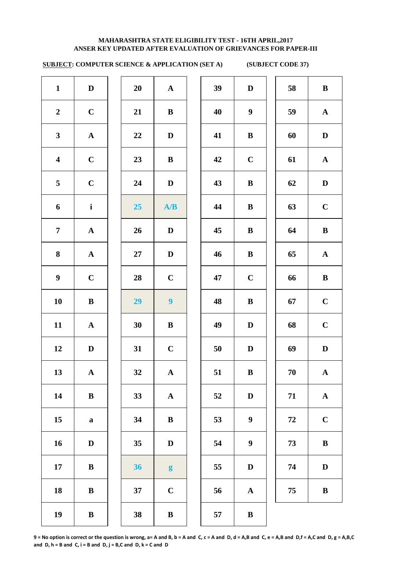# **SUBJECT: COMPUTER SCIENCE & APPLICATION (SET A) (SUBJECT CODE 37)**

| $\mathbf{1}$            | $\mathbf D$           | 20               | ${\bf A}$               | 39 | $\mathbf{D}$ |
|-------------------------|-----------------------|------------------|-------------------------|----|--------------|
| $\boldsymbol{2}$        | $\mathbf C$           | 21               | $\, {\bf B}$            | 40 | 9            |
| $\mathbf{3}$            | ${\bf A}$             | 22               | $\mathbf D$             | 41 | $\bf{B}$     |
| $\overline{\mathbf{4}}$ | $\mathbf C$           | 23               | $\, {\bf B}$            | 42 | $\mathbf C$  |
| 5                       | $\mathbf C$           | 24               | $\mathbf D$             | 43 | $\bf{B}$     |
| 6                       | $\mathbf{i}$          | $25\phantom{.0}$ | A/B                     | 44 | $\bf{B}$     |
| $\overline{7}$          | ${\bf A}$             | 26               | D                       | 45 | $\bf{B}$     |
| 8                       | ${\bf A}$             | 27               | $\mathbf D$             | 46 | $\bf{B}$     |
| $\boldsymbol{9}$        | $\mathbf C$           | 28               | $\mathbf C$             | 47 | $\mathbf C$  |
| 10                      | $\, {\bf B}$          | 29               | $\overline{\mathbf{9}}$ | 48 | $\bf{B}$     |
| 11                      | $\boldsymbol{\rm{A}}$ | 30               | $\, {\bf B}$            | 49 | $\mathbf{D}$ |
| 12                      | $\mathbf D$           | 31               | $\mathbf C$             | 50 | D            |
| 13                      | ${\bf A}$             | 32               | ${\bf A}$               | 51 | $\bf{B}$     |
| 14                      | $\, {\bf B}$          | 33               | $\boldsymbol{\rm{A}}$   | 52 | $\bf{D}$     |
| 15                      | $\bf{a}$              | 34               | $\bf{B}$                | 53 | 9            |
| 16                      | $\mathbf D$           | 35               | $\mathbf D$             | 54 | 9            |
| 17                      | $\bf{B}$              | 36               | $\boldsymbol{g}$        | 55 | D            |
| 18                      | $\bf{B}$              | 37               | $\mathbf C$             | 56 | $\mathbf A$  |
| 19                      | $\, {\bf B}$          | 38               | $\, {\bf B}$            | 57 | $\bf{B}$     |
|                         |                       |                  |                         |    |              |

| 20 | $\mathbf A$             |
|----|-------------------------|
| 21 | B                       |
| 22 | D                       |
| 23 | B                       |
| 24 | D                       |
| 25 | A/B                     |
| 26 | $\mathbf D$             |
| 27 | D                       |
| 28 | $\mathbf C$             |
| 29 | 9                       |
| 30 | B                       |
| 31 | $\overline{\mathbf{C}}$ |
| 32 | $\overline{\mathbf{A}}$ |
| 33 | A                       |
| 34 | B                       |
| 35 | D                       |
| 36 | g                       |
| 37 | $\overline{\mathbf{C}}$ |

| $\mathbf{1}$            | D            | 20 | $\mathbf{A}$            | 39 | D                | 58 | $\bf{B}$     |
|-------------------------|--------------|----|-------------------------|----|------------------|----|--------------|
| $\overline{2}$          | $\mathbf C$  | 21 | $\bf{B}$                | 40 | $\boldsymbol{9}$ | 59 | $\mathbf{A}$ |
| $\mathbf{3}$            | ${\bf A}$    | 22 | D                       | 41 | $\bf{B}$         | 60 | $\mathbf{D}$ |
| $\overline{\mathbf{4}}$ | $\mathbf C$  | 23 | $\bf{B}$                | 42 | $\mathbf C$      | 61 | $\mathbf{A}$ |
| 5                       | $\mathbf C$  | 24 | $\mathbf D$             | 43 | $\bf{B}$         | 62 | D            |
| 6                       | $\mathbf{i}$ | 25 | A/B                     | 44 | $\bf{B}$         | 63 | $\mathbf C$  |
| $\overline{7}$          | $\mathbf{A}$ | 26 | D                       | 45 | $\bf{B}$         | 64 | $\bf{B}$     |
| 8                       | $\mathbf{A}$ | 27 | D                       | 46 | $\bf{B}$         | 65 | $\mathbf{A}$ |
| 9                       | $\mathbf C$  | 28 | $\mathbf C$             | 47 | $\mathbf C$      | 66 | $\bf{B}$     |
| 10                      | $\, {\bf B}$ | 29 | $\overline{\mathbf{9}}$ | 48 | $\bf{B}$         | 67 | $\mathbf C$  |
| 11                      | $\mathbf A$  | 30 | $\bf{B}$                | 49 | D                | 68 | $\mathbf C$  |
| 12                      | $\mathbf{D}$ | 31 | $\mathbf C$             | 50 | $\mathbf{D}$     | 69 | $\mathbf D$  |
| 13                      | ${\bf A}$    | 32 | ${\bf A}$               | 51 | $\bf{B}$         | 70 | $\mathbf{A}$ |
| 14                      | $\, {\bf B}$ | 33 | ${\bf A}$               | 52 | $\mathbf D$      | 71 | ${\bf A}$    |
| 15                      | $\mathbf a$  | 34 | $\bf{B}$                | 53 | $\boldsymbol{9}$ | 72 | $\mathbf C$  |
| 16                      | D            | 35 | $\mathbf D$             | 54 | $\boldsymbol{9}$ | 73 | $\, {\bf B}$ |
| 17                      | $\bf{B}$     | 36 | $\boldsymbol{g}$        | 55 | $\mathbf{D}$     | 74 | D            |
| 18                      | $\bf{B}$     | 37 | $\mathbf C$             | 56 | $\mathbf A$      | 75 | $\bf{B}$     |
| 10                      | $\mathbf{D}$ | 20 | $\mathbf{D}$            | E7 | $\mathbf{D}$     |    |              |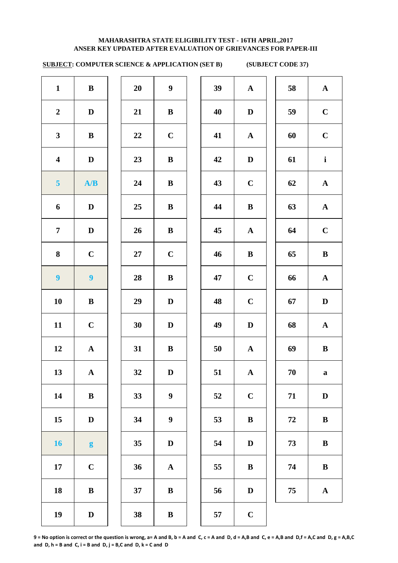# **SUBJECT: COMPUTER SCIENCE & APPLICATION (SET B) (SUBJECT CODE 37)**

| $\mathbf{1}$            | ${\bf B}$               | 20 | $\boldsymbol{9}$ | 39 | ${\bf A}$   | 58         | $\mathbf A$  |
|-------------------------|-------------------------|----|------------------|----|-------------|------------|--------------|
| $\boldsymbol{2}$        | $\mathbf D$             | 21 | $\bf{B}$         | 40 | $\mathbf D$ | 59         | $\mathbf C$  |
| $\mathbf{3}$            | $\mathbf{B}$            | 22 | $\mathbf C$      | 41 | ${\bf A}$   | 60         | $\mathbf C$  |
| $\overline{\mathbf{4}}$ | $\mathbf D$             | 23 | $\bf{B}$         | 42 | $\mathbf D$ | 61         | $\mathbf{i}$ |
| 5 <sup>5</sup>          | A/B                     | 24 | $\bf{B}$         | 43 | $\mathbf C$ | 62         | $\mathbf A$  |
| 6                       | $\mathbf D$             | 25 | $\bf{B}$         | 44 | $\bf{B}$    | 63         | $\mathbf A$  |
| $\overline{7}$          | $\mathbf D$             | 26 | $\bf{B}$         | 45 | ${\bf A}$   | 64         | $\mathbf C$  |
| 8                       | $\mathbf C$             | 27 | $\mathbf C$      | 46 | $\bf{B}$    | 65         | $\bf{B}$     |
| $\boldsymbol{9}$        | $\overline{\mathbf{9}}$ | 28 | $\bf{B}$         | 47 | $\mathbf C$ | 66         | $\mathbf A$  |
| 10                      | $\bf{B}$                | 29 | $\mathbf{D}$     | 48 | $\bf C$     | 67         | $\mathbf{D}$ |
| 11                      | $\mathbf C$             | 30 | $\mathbf{D}$     | 49 | $\mathbf D$ | 68         | $\mathbf A$  |
| 12                      | ${\bf A}$               | 31 | $\, {\bf B}$     | 50 | ${\bf A}$   | 69         | $\bf{B}$     |
| 13                      | ${\bf A}$               | 32 | $\mathbf D$      | 51 | ${\bf A}$   | 70         | $\mathbf a$  |
| 14                      | $\, {\bf B}$            | 33 | $\boldsymbol{9}$ | 52 | $\mathbf C$ | 71         | $\mathbf{D}$ |
| 15                      | $\mathbf D$             | 34 | $\boldsymbol{9}$ | 53 | $\bf{B}$    | ${\bf 72}$ | $\bf{B}$     |
| <b>16</b>               | $\boldsymbol{g}$        | 35 | $\mathbf D$      | 54 | $\mathbf D$ | 73         | $\bf{B}$     |
| 17                      | $\mathbf C$             | 36 | ${\bf A}$        | 55 | $\bf{B}$    | 74         | $\bf{B}$     |
| 18                      | $\bf{B}$                | 37 | $\bf{B}$         | 56 | D           | 75         | $\mathbf A$  |
| 19                      | $\mathbf D$             | 38 | $\, {\bf B}$     | 57 | $\mathbf C$ |            |              |
|                         |                         |    |                  |    |             |            |              |

| $\mathbf{1}$            | $\bf{B}$                | 20     | $\boldsymbol{9}$ | 39 | ${\bf A}$    | 58 | $\mathbf{A}$ |
|-------------------------|-------------------------|--------|------------------|----|--------------|----|--------------|
| $\overline{\mathbf{2}}$ | $\mathbf D$             | 21     | $\mathbf{B}$     | 40 | $\mathbf D$  | 59 | $\mathbf C$  |
| $\overline{\mathbf{3}}$ | $\bf{B}$                | 22     | $\mathbf C$      | 41 | $\mathbf{A}$ | 60 | $\mathbf C$  |
| $\overline{\mathbf{4}}$ | $\mathbf D$             | 23     | $\bf{B}$         | 42 | $\mathbf D$  | 61 | $\mathbf{i}$ |
| 5                       | A/B                     | 24     | $\bf{B}$         | 43 | $\mathbf C$  | 62 | ${\bf A}$    |
| 6                       | $\mathbf D$             | 25     | $\bf{B}$         | 44 | $\bf{B}$     | 63 | $\mathbf{A}$ |
| $\overline{7}$          | $\mathbf D$             | 26     | $\bf{B}$         | 45 | ${\bf A}$    | 64 | $\mathbf C$  |
| 8                       | $\mathbf C$             | $27\,$ | $\mathbf C$      | 46 | $\bf{B}$     | 65 | $\, {\bf B}$ |
| $\overline{9}$          | $\overline{\mathbf{9}}$ | 28     | $\, {\bf B}$     | 47 | $\mathbf C$  | 66 | ${\bf A}$    |
| $\overline{\mathbf{0}}$ | $\bf{B}$                | 29     | $\mathbf D$      | 48 | $\mathbf C$  | 67 | D            |
| $\overline{1}$          | $\mathbf C$             | 30     | $\mathbf D$      | 49 | $\mathbf D$  | 68 | ${\bf A}$    |
| $\overline{2}$          | $\mathbf{A}$            | 31     | $\bf{B}$         | 50 | $\mathbf{A}$ | 69 | $\bf{B}$     |
| $\overline{3}$          | $\mathbf{A}$            | 32     | D                | 51 | $\mathbf{A}$ | 70 | $\mathbf{a}$ |
| $\overline{14}$         | $\bf{B}$                | 33     | $\boldsymbol{9}$ | 52 | $\mathbf C$  | 71 | D            |
| 15 <sup>5</sup>         | $\mathbf D$             | 34     | $\boldsymbol{9}$ | 53 | $\bf{B}$     | 72 | $\bf{B}$     |
| $16 \,$                 | $\boldsymbol{g}$        | 35     | $\mathbf D$      | 54 | $\mathbf D$  | 73 | $\, {\bf B}$ |
| $\overline{17}$         | $\mathbf C$             | 36     | ${\bf A}$        | 55 | $\bf{B}$     | 74 | $\, {\bf B}$ |
| $\overline{8}$          | $\, {\bf B}$            | 37     | $\bf{B}$         | 56 | D            | 75 | $\mathbf A$  |
| $\overline{9}$          | $\mathbf{D}$            | 38     | $\mathbf{R}$     | 57 | $\mathbf C$  |    |              |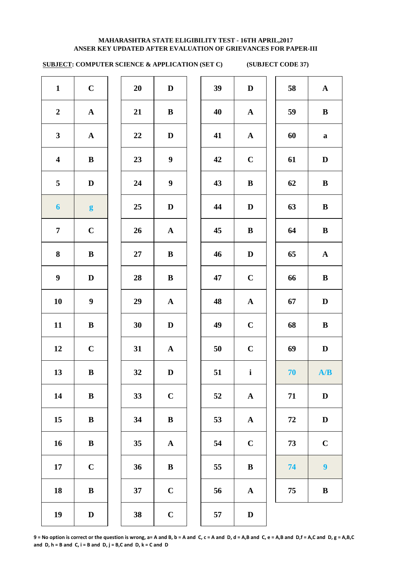# **SUBJECT: COMPUTER SCIENCE & APPLICATION (SET C) (SUBJECT CODE 37)**

| $\mathbf{1}$            | $\mathbf C$      | 20     | $\mathbf D$      | 39 | $\mathbf D$  | 58 | ${\bf A}$        |
|-------------------------|------------------|--------|------------------|----|--------------|----|------------------|
| $\boldsymbol{2}$        | ${\bf A}$        | 21     | $\, {\bf B}$     | 40 | ${\bf A}$    | 59 | $\bf{B}$         |
| $\mathbf{3}$            | ${\bf A}$        | 22     | $\mathbf D$      | 41 | ${\bf A}$    | 60 | $\mathbf a$      |
| $\overline{\mathbf{4}}$ | ${\bf B}$        | 23     | $\boldsymbol{9}$ | 42 | $\mathbf C$  | 61 | $\mathbf D$      |
| 5                       | $\mathbf D$      | 24     | $\boldsymbol{9}$ | 43 | $\bf{B}$     | 62 | $\bf{B}$         |
| $\boldsymbol{6}$        | g                | 25     | $\mathbf D$      | 44 | $\mathbf D$  | 63 | $\bf{B}$         |
| $\overline{7}$          | $\mathbf C$      | 26     | ${\bf A}$        | 45 | $\bf{B}$     | 64 | $\bf{B}$         |
| 8                       | ${\bf B}$        | $27\,$ | $\bf{B}$         | 46 | $\mathbf D$  | 65 | ${\bf A}$        |
| $\boldsymbol{9}$        | $\mathbf D$      | 28     | $\mathbf{B}$     | 47 | $\mathbf C$  | 66 | $\bf{B}$         |
| 10                      | $\boldsymbol{9}$ | 29     | ${\bf A}$        | 48 | ${\bf A}$    | 67 | $\mathbf D$      |
| 11                      | ${\bf B}$        | 30     | $\mathbf D$      | 49 | $\mathbf C$  | 68 | $\bf{B}$         |
| 12                      | $\mathbf C$      | 31     | ${\bf A}$        | 50 | $\mathbf C$  | 69 | $\mathbf D$      |
| 13                      | $\bf{B}$         | 32     | $\mathbf{D}$     | 51 | $\mathbf{i}$ | 70 | A/B              |
| 14                      | $\bf{B}$         | 33     | $\mathbf C$      | 52 | ${\bf A}$    | 71 | $\mathbf D$      |
| 15                      | $\bf{B}$         | 34     | $\, {\bf B}$     | 53 | ${\bf A}$    | 72 | $\mathbf D$      |
| 16                      | $\bf{B}$         | 35     | ${\bf A}$        | 54 | $\mathbf C$  | 73 | $\mathbf C$      |
| $17\,$                  | $\mathbf C$      | 36     | $\bf{B}$         | 55 | $\bf{B}$     | 74 | $\boldsymbol{9}$ |
| 18                      | $\bf{B}$         | 37     | $\mathbf C$      | 56 | ${\bf A}$    | 75 | $\bf{B}$         |
| 19                      | $\mathbf D$      | 38     | $\mathbf C$      | 57 | $\mathbf D$  |    |                  |
|                         |                  |        |                  |    |              |    |                  |

| 39 | $\mathbf D$           | 58         | ${\bf A}$               |
|----|-----------------------|------------|-------------------------|
| 40 | $\mathbf A$           | 59         | $\bf{B}$                |
| 41 | $\mathbf A$           | 60         | $\mathbf a$             |
| 42 | $\mathbf C$           | 61         | D                       |
| 43 | B                     | 62         | $\bf{B}$                |
| 44 | $\mathbf D$           | 63         | $\bf{B}$                |
| 45 | B                     | 64         | $\bf{B}$                |
| 46 | D                     | 65         | $\mathbf A$             |
| 47 | $\mathbf C$           | 66         | $\bf{B}$                |
| 48 | ${\bf A}$             | 67         | D                       |
| 49 | $\mathbf C$           | 68         | $\bf{B}$                |
| 50 | $\mathbf C$           | 69         | $\mathbf{D}$            |
| 51 | $\mathbf{i}$          | 70         | A/B                     |
| 52 | $\boldsymbol{\rm{A}}$ | 71         | $\mathbf{D}$            |
| 53 | ${\bf A}$             | ${\bf 72}$ | $\mathbf D$             |
| 54 | $\mathbf C$           | 73         | $\mathbf C$             |
| 55 | $\bf{B}$              | 74         | $\overline{\mathbf{9}}$ |
| 56 | $\mathbf A$           | 75         | $\bf{B}$                |
| 57 | D                     |            |                         |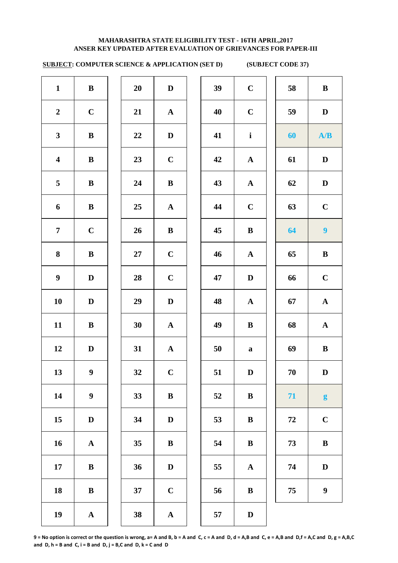# **SUBJECT: COMPUTER SCIENCE & APPLICATION (SET D) (SUBJECT CODE 37)**

| $\mathbf{1}$            | $\bf{B}$         | 20     | $\mathbf D$ | 39 | $\mathbf C$  | 58 | $\bf{B}$         |
|-------------------------|------------------|--------|-------------|----|--------------|----|------------------|
| $\boldsymbol{2}$        | $\mathbf C$      | 21     | ${\bf A}$   | 40 | $\mathbf C$  | 59 | $\mathbf D$      |
| $\mathbf{3}$            | $\, {\bf B}$     | 22     | $\mathbf D$ | 41 | $\mathbf{i}$ | 60 | A/B              |
| $\overline{\mathbf{4}}$ | ${\bf B}$        | 23     | $\bf C$     | 42 | $\mathbf{A}$ | 61 | $\mathbf D$      |
| 5                       | ${\bf B}$        | 24     | ${\bf B}$   | 43 | ${\bf A}$    | 62 | $\mathbf D$      |
| 6                       | $\bf{B}$         | 25     | ${\bf A}$   | 44 | $\mathbf C$  | 63 | $\bf C$          |
| $\overline{7}$          | $\mathbf C$      | 26     | $\bf{B}$    | 45 | $\bf{B}$     | 64 | $\boldsymbol{9}$ |
| 8                       | ${\bf B}$        | $27\,$ | $\mathbf C$ | 46 | $\mathbf{A}$ | 65 | $\bf{B}$         |
| $\boldsymbol{9}$        | $\mathbf D$      | 28     | $\mathbf C$ | 47 | $\mathbf D$  | 66 | $\mathbf C$      |
| 10                      | $\mathbf D$      | 29     | $\mathbf D$ | 48 | ${\bf A}$    | 67 | ${\bf A}$        |
| 11                      | $\bf{B}$         | 30     | ${\bf A}$   | 49 | $\bf{B}$     | 68 | ${\bf A}$        |
| 12                      | $\mathbf D$      | 31     | ${\bf A}$   | 50 | $\mathbf a$  | 69 | $\bf{B}$         |
| 13                      | 9 <sup>1</sup>   | 32     | $\mathbf C$ | 51 | $\mathbf D$  | 70 | $\mathbf{D}$     |
| 14                      | $\boldsymbol{9}$ | 33     | ${\bf B}$   | 52 | $\, {\bf B}$ | 71 | $\boldsymbol{g}$ |
| 15                      | $\mathbf D$      | 34     | $\mathbf D$ | 53 | $\bf{B}$     | 72 | $\mathbf C$      |
| 16                      | ${\bf A}$        | 35     | $\bf{B}$    | 54 | $\bf{B}$     | 73 | $\, {\bf B}$     |
| 17                      | $\, {\bf B}$     | 36     | $\mathbf D$ | 55 | ${\bf A}$    | 74 | $\mathbf D$      |
| 18                      | ${\bf B}$        | 37     | $\mathbf C$ | 56 | $\bf{B}$     | 75 | $\boldsymbol{9}$ |
| 19                      | ${\bf A}$        | 38     | ${\bf A}$   | 57 | D            |    |                  |

| $9^{\circ}$             | $\mathbf C$           | 58 | $\, {\bf B}$ |
|-------------------------|-----------------------|----|--------------|
| 10                      | $\mathbf C$           | 59 | $\mathbf D$  |
| $\mathbf{1}$            | $\mathbf i$           | 60 | A/B          |
| $\overline{2}$          | ${\bf A}$             | 61 | D            |
| $\overline{3}$          | ${\bf A}$             | 62 | D            |
| 4                       | $\mathbf C$           | 63 | $\mathbf C$  |
| 15                      | $\bf{B}$              | 64 | 9            |
| 16                      | $\boldsymbol{\rm{A}}$ | 65 | B            |
| 17                      | $\mathbf D$           | 66 | $\mathbf C$  |
| $\overline{\mathbf{8}}$ | ${\bf A}$             | 67 | $\mathbf A$  |
| 19                      | $\bf{B}$              | 68 | $\mathbf A$  |
| $\ddot{\bm{0}}$         | $\mathbf a$           | 69 | $\bf{B}$     |
| $\mathbf{1}$            | D                     | 70 | D            |
| $\mathbf{2}$            | $\bf{B}$              | 71 | g            |
| $\mathbf{3}$            | $\bf{B}$              | 72 | $\mathbf C$  |
| $\mathbf{54}$           | $\bf{B}$              | 73 | B            |
| $5\overline{5}$         | $\boldsymbol{\rm{A}}$ | 74 | $\mathbf D$  |
| $\mathbf{56}$           | $\bf{B}$              | 75 | 9            |
| $\overline{7}$          | $\mathbf D$           |    |              |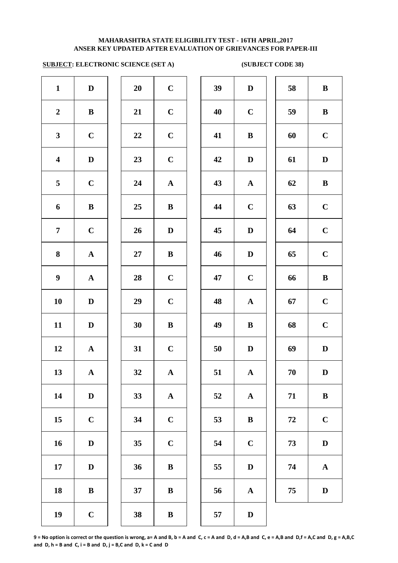# **ANSER KEY UPDATED AFTER EVALUATION OF GRIEVANCES FOR PAPER-III MAHARASHTRA STATE ELIGIBILITY TEST - 16TH APRIL,2017**

# **SUBJECT: ELECTRONIC SCIENCE (SET A) (SUBJECT CODE 38)**

| $\mathbf{1}$            | $\mathbf D$           | 20     | $\mathbf C$           | 39 | $\mathbf{D}$ |
|-------------------------|-----------------------|--------|-----------------------|----|--------------|
| $\boldsymbol{2}$        | $\, {\bf B}$          | 21     | $\mathbf C$           | 40 | $\mathbf C$  |
| $\mathbf{3}$            | $\mathbf C$           | 22     | $\mathbf C$           | 41 | $\bf{B}$     |
| $\overline{\mathbf{4}}$ | $\mathbf D$           | 23     | $\mathbf C$           | 42 | $\mathbf{D}$ |
| 5                       | $\mathbf C$           | 24     | $\mathbf A$           | 43 | $\mathbf A$  |
| 6                       | $\bf{B}$              | 25     | $\, {\bf B}$          | 44 | $\mathbf C$  |
| $\overline{7}$          | $\mathbf C$           | 26     | $\mathbf D$           | 45 | $\mathbf{D}$ |
| 8                       | $\boldsymbol{\rm{A}}$ | $27\,$ | $\bf{B}$              | 46 | $\mathbf{D}$ |
| $\boldsymbol{9}$        | $\boldsymbol{\rm{A}}$ | 28     | $\mathbf C$           | 47 | $\mathbf C$  |
| 10                      | $\mathbf D$           | 29     | $\mathbf C$           | 48 | $\mathbf A$  |
| 11                      | $\mathbf D$           | 30     | $\, {\bf B}$          | 49 | $\bf{B}$     |
| 12                      | $\boldsymbol{\rm{A}}$ | 31     | $\mathbf C$           | 50 | $\mathbf{D}$ |
| 13                      | ${\bf A}$             | 32     | ${\bf A}$             | 51 | $\mathbf A$  |
| 14                      | $\mathbf D$           | 33     | $\boldsymbol{\rm{A}}$ | 52 | $\mathbf A$  |
| 15                      | $\mathbf C$           | 34     | $\mathbf C$           | 53 | $\bf{B}$     |
| 16                      | $\mathbf D$           | 35     | $\mathbf C$           | 54 | $\mathbf C$  |
| 17                      | $\mathbf D$           | 36     | $\bf{B}$              | 55 | $\bf{D}$     |
| 18                      | $\bf{B}$              | 37     | $\, {\bf B}$          | 56 | $\mathbf A$  |
| 19                      | $\mathbf C$           | 38     | $\, {\bf B}$          | 57 | $\mathbf{D}$ |
|                         |                       |        |                       |    |              |

| 20 | $\mathbf C$             |  |
|----|-------------------------|--|
| 21 | $\mathbf C$             |  |
| 22 | $\mathbf C$             |  |
| 23 | $\mathbf C$             |  |
| 24 | $\mathbf A$             |  |
| 25 | B                       |  |
| 26 | D                       |  |
| 27 | B                       |  |
| 28 | $\mathbf C$             |  |
| 29 | $\mathbf C$             |  |
| 30 | B                       |  |
| 31 | $\overline{\mathbf{C}}$ |  |
| 32 | $\mathbf{A}$            |  |
| 33 | $\mathbf A$             |  |
| 34 | $\mathbf C$             |  |
| 35 | $\mathbf C$             |  |
| 36 | B                       |  |
| 37 | B                       |  |
| 20 | D                       |  |

| $\mathbf{1}$            | $\mathbf D$  | 20     | $\mathbf C$  | 39 | $\mathbf D$  | 58 | $\, {\bf B}$ |
|-------------------------|--------------|--------|--------------|----|--------------|----|--------------|
| $\boldsymbol{2}$        | $\bf{B}$     | 21     | $\mathbf C$  | 40 | $\mathbf C$  | 59 | $\, {\bf B}$ |
| $\mathbf{3}$            | $\mathbf C$  | 22     | $\mathbf C$  | 41 | $\bf{B}$     | 60 | $\mathbf C$  |
| $\overline{\mathbf{4}}$ | $\mathbf D$  | 23     | $\mathbf C$  | 42 | $\mathbf D$  | 61 | $\mathbf D$  |
| $\overline{5}$          | $\mathbf C$  | 24     | $\mathbf{A}$ | 43 | $\mathbf{A}$ | 62 | $\bf{B}$     |
| 6                       | ${\bf B}$    | 25     | $\bf{B}$     | 44 | $\mathbf C$  | 63 | $\mathbf C$  |
| $\overline{7}$          | $\mathbf C$  | 26     | $\mathbf{D}$ | 45 | $\mathbf D$  | 64 | $\mathbf C$  |
| 8                       | ${\bf A}$    | $27\,$ | ${\bf B}$    | 46 | $\mathbf D$  | 65 | $\mathbf C$  |
| $\boldsymbol{9}$        | ${\bf A}$    | 28     | $\mathbf C$  | 47 | $\mathbf C$  | 66 | $\, {\bf B}$ |
| 10                      | $\mathbf D$  | 29     | $\mathbf C$  | 48 | ${\bf A}$    | 67 | $\mathbf C$  |
| 11                      | $\mathbf D$  | 30     | $\bf{B}$     | 49 | $\bf{B}$     | 68 | $\mathbf C$  |
| 12                      | ${\bf A}$    | 31     | $\mathbf C$  | 50 | D            | 69 | $\mathbf D$  |
| 13                      | ${\bf A}$    | 32     | ${\bf A}$    | 51 | ${\bf A}$    | 70 | $\mathbf{D}$ |
| 14                      | $\mathbf D$  | 33     | ${\bf A}$    | 52 | ${\bf A}$    | 71 | $\bf{B}$     |
| 15                      | $\mathbf C$  | 34     | $\mathbf C$  | 53 | $\bf{B}$     | 72 | $\mathbf C$  |
| 16                      | $\mathbf D$  | 35     | $\mathbf C$  | 54 | $\mathbf C$  | 73 | $\mathbf D$  |
| 17                      | D            | 36     | $\, {\bf B}$ | 55 | $\mathbf D$  | 74 | ${\bf A}$    |
| 18                      | $\, {\bf B}$ | 37     | ${\bf B}$    | 56 | ${\bf A}$    | 75 | $\mathbf D$  |
| 19                      | $\mathbf C$  | 38     | $\bf{B}$     | 57 | D            |    |              |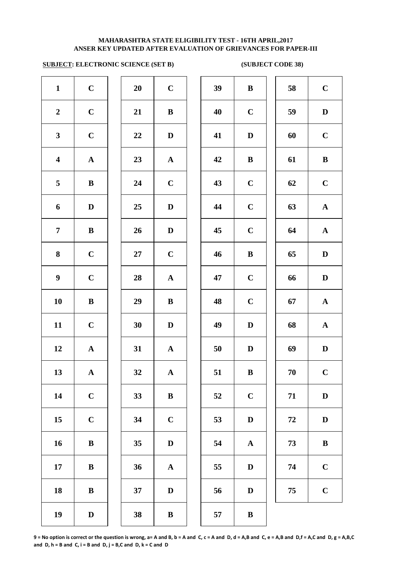# **SUBJECT: ELECTRONIC SCIENCE (SET B) (SUBJECT CODE 38)**

| $\mathbf{1}$            | $\mathbf C$           | 20     | $\mathbf C$           | 39         | $\bf{B}$     |
|-------------------------|-----------------------|--------|-----------------------|------------|--------------|
| $\boldsymbol{2}$        | $\mathbf C$           | 21     | $\, {\bf B}$          | 40         | $\mathbf C$  |
| $\mathbf{3}$            | $\mathbf C$           | 22     | $\mathbf D$           | 41         | $\bf{D}$     |
| $\overline{\mathbf{4}}$ | ${\bf A}$             | 23     | ${\bf A}$             | 42         | $\bf{B}$     |
| 5                       | ${\bf B}$             | 24     | $\mathbf C$           | 43         | $\mathbf C$  |
| 6                       | $\mathbf D$           | 25     | $\mathbf D$           | 44         | $\mathbf C$  |
| $\overline{7}$          | $\, {\bf B}$          | 26     | $\mathbf D$           | 45         | $\mathbf C$  |
| 8                       | $\mathbf C$           | $27\,$ | $\mathbf C$           | 46         | $\bf{B}$     |
| $\boldsymbol{9}$        | $\mathbf C$           | 28     | $\boldsymbol{\rm{A}}$ | 47         | $\mathbf C$  |
| 10                      | $\, {\bf B}$          | 29     | $\, {\bf B}$          | 48         | $\mathbf C$  |
| 11                      | $\mathbf C$           | 30     | $\mathbf{D}%$         | 49         | $\mathbf{D}$ |
| 12                      | $\boldsymbol{\rm{A}}$ | 31     | $\boldsymbol{\rm{A}}$ | 50         | $\mathbf{D}$ |
| 13                      | ${\bf A}$             | 32     | ${\bf A}$             | 51         | $\bf{B}$     |
| 14                      | $\mathbf C$           | 33     | $\bf{B}$              | 52         | $\mathbf C$  |
| 15                      | $\mathbf C$           | 34     | $\mathbf C$           | 53         | D            |
| 16                      | $\, {\bf B}$          | 35     | $\mathbf D$           | 54         | $\mathbf A$  |
| 17                      | $\, {\bf B}$          | 36     | ${\bf A}$             | 55         | D            |
| 18                      | $\, {\bf B}$          | 37     | $\mathbf{D}%$         | 56         | $\mathbf D$  |
| 19                      | $\mathbf D$           | 38     | $\, {\bf B}$          | ${\bf 57}$ | $\bf{B}$     |
|                         |                       |        |                       |            |              |

| 20 | $\mathbf C$             |
|----|-------------------------|
| 21 | B                       |
| 22 | D                       |
| 23 | $\mathbf A$             |
| 24 | $\overline{C}$          |
| 25 | $\mathbf D$             |
| 26 | $\mathbf D$             |
| 27 | $\mathbf C$             |
| 28 | $\mathbf A$             |
| 29 | B                       |
| 30 | $\mathbf D$             |
| 31 | $\mathbf A$             |
| 32 | $\mathbf A$             |
| 33 | B                       |
| 34 | $\overline{\mathbf{C}}$ |
| 35 | $\mathbf D$             |
| 36 | $\mathbf A$             |
| 37 | D                       |
|    |                         |

| $\mathbf{1}$            | $\mathbf C$  | 20     | $\mathbf C$  | 39 | $\, {\bf B}$ | 58 | $\mathbf C$           |
|-------------------------|--------------|--------|--------------|----|--------------|----|-----------------------|
| $\overline{2}$          | $\mathbf C$  | 21     | $\bf{B}$     | 40 | $\mathbf C$  | 59 | ${\bf D}$             |
| $\mathbf{3}$            | $\mathbf C$  | 22     | $\mathbf D$  | 41 | D            | 60 | $\mathbf C$           |
| $\overline{\mathbf{4}}$ | ${\bf A}$    | 23     | ${\bf A}$    | 42 | $\bf{B}$     | 61 | $\, {\bf B}$          |
| $\overline{5}$          | $\, {\bf B}$ | 24     | $\mathbf C$  | 43 | $\mathbf C$  | 62 | $\mathbf C$           |
| 6                       | $\mathbf D$  | 25     | $\mathbf D$  | 44 | $\mathbf C$  | 63 | $\boldsymbol{\rm{A}}$ |
| $\overline{7}$          | $\, {\bf B}$ | 26     | $\mathbf D$  | 45 | $\mathbf C$  | 64 | ${\bf A}$             |
| $\boldsymbol{8}$        | $\mathbf C$  | $27\,$ | $\mathbf C$  | 46 | $\, {\bf B}$ | 65 | $\mathbf D$           |
| $\boldsymbol{9}$        | $\mathbf C$  | 28     | ${\bf A}$    | 47 | $\mathbf C$  | 66 | $\mathbf D$           |
| 10                      | $\, {\bf B}$ | 29     | $\, {\bf B}$ | 48 | $\mathbf C$  | 67 | ${\bf A}$             |
| 11                      | $\mathbf C$  | 30     | $\mathbf D$  | 49 | $\mathbf D$  | 68 | $\mathbf{A}$          |
| 12                      | $\mathbf A$  | 31     | ${\bf A}$    | 50 | $\mathbf D$  | 69 | $\mathbf D$           |
| 13                      | $\mathbf A$  | 32     | $\mathbf{A}$ | 51 | B            | 70 | $\mathbf{C}$          |
| 14                      | $\mathbf C$  | 33     | $\bf{B}$     | 52 | $\mathbf C$  | 71 | $\mathbf D$           |
| 15                      | $\mathbf C$  | 34     | $\mathbf C$  | 53 | $\mathbf D$  | 72 | $\mathbf D$           |
| 16                      | $\, {\bf B}$ | 35     | $\mathbf D$  | 54 | $\mathbf{A}$ | 73 | $\, {\bf B}$          |
| 17                      | $\bf{B}$     | 36     | ${\bf A}$    | 55 | $\mathbf D$  | 74 | $\mathbf C$           |
| 18                      | $\, {\bf B}$ | 37     | $\mathbf D$  | 56 | $\mathbf D$  | 75 | $\mathbf C$           |
| 10                      | $\mathbf{D}$ | 38     | $\mathbf{R}$ | 57 | $\mathbf{R}$ |    |                       |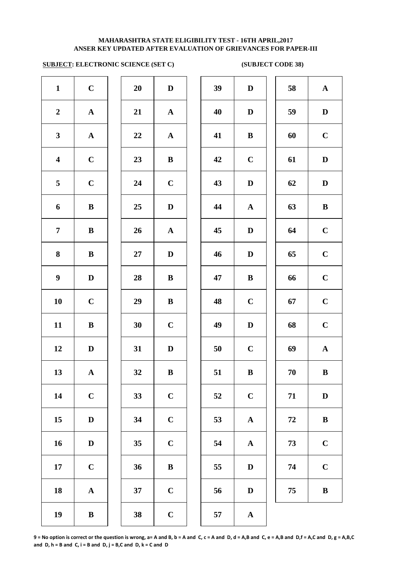# **SUBJECT: ELECTRONIC SCIENCE (SET C) (SUBJECT CODE 38)**

| $\mathbf{1}$            | $\mathbf C$           | 20     | $\mathbf D$           | 39 | $\mathbf{D}$ |
|-------------------------|-----------------------|--------|-----------------------|----|--------------|
| $\boldsymbol{2}$        | $\mathbf A$           | 21     | $\mathbf A$           | 40 | $\mathbf{D}$ |
| $\mathbf{3}$            | ${\bf A}$             | 22     | $\mathbf A$           | 41 | $\bf{B}$     |
| $\overline{\mathbf{4}}$ | $\mathbf C$           | 23     | $\, {\bf B}$          | 42 | $\mathbf C$  |
| 5                       | $\mathbf C$           | 24     | $\mathbf C$           | 43 | $\mathbf{D}$ |
| 6                       | $\, {\bf B}$          | 25     | $\mathbf D$           | 44 | $\mathbf A$  |
| $\overline{7}$          | $\, {\bf B}$          | 26     | $\boldsymbol{\rm{A}}$ | 45 | $\mathbf{D}$ |
| 8                       | $\bf{B}$              | $27\,$ | ${\bf D}$             | 46 | $\mathbf{D}$ |
| $\boldsymbol{9}$        | $\mathbf D$           | 28     | $\, {\bf B}$          | 47 | $\bf{B}$     |
| 10                      | $\mathbf C$           | 29     | $\, {\bf B}$          | 48 | $\mathbf C$  |
| 11                      | $\, {\bf B}$          | 30     | $\mathbf C$           | 49 | $\mathbf{D}$ |
| 12                      | $\mathbf D$           | 31     | $\mathbf D$           | 50 | $\mathbf C$  |
| 13                      | $\mathbf A$           | 32     | $\bf{B}$              | 51 | $\bf{B}$     |
| 14                      | $\mathbf C$           | 33     | $\mathbf C$           | 52 | $\mathbf C$  |
| 15                      | $\mathbf D$           | 34     | $\mathbf C$           | 53 | $\mathbf A$  |
| 16                      | $\mathbf D$           | 35     | $\mathbf C$           | 54 | $\mathbf A$  |
| 17                      | $\mathbf C$           | 36     | $\bf{B}$              | 55 | $\bf{D}$     |
| 18                      | $\boldsymbol{\rm{A}}$ | 37     | $\mathbf C$           | 56 | $\bf{D}$     |
| 19                      | $\bf{B}$              | 38     | $\mathbf C$           | 57 | $\mathbf A$  |
|                         |                       |        |                       |    |              |

| 20 | $\bf{D}$                |
|----|-------------------------|
| 21 | $\mathbf A$             |
| 22 | $\mathbf A$             |
| 23 | B                       |
| 24 | $\mathbf C$             |
| 25 | D                       |
| 26 | $\mathbf A$             |
| 27 | D                       |
| 28 | B                       |
| 29 | B                       |
| 30 | $\mathbf C$             |
| 31 | D                       |
| 32 | B                       |
| 33 | $\mathbf C$             |
| 34 | $\mathbf C$             |
| 35 | $\overline{\mathbf{C}}$ |
| 36 | B                       |
| 37 | $\mathbf C$             |
|    |                         |

| $\mathbf{1}$            | $\mathbf C$  | 20 | $\mathbf{D}$ | 39 | $\mathbf D$      | 58         | ${\bf A}$    |
|-------------------------|--------------|----|--------------|----|------------------|------------|--------------|
| $\overline{2}$          | ${\bf A}$    | 21 | ${\bf A}$    | 40 | $\mathbf D$      | 59         | $\mathbf D$  |
| $\mathbf{3}$            | ${\bf A}$    | 22 | ${\bf A}$    | 41 | $\bf{B}$         | 60         | $\mathbf C$  |
| $\overline{\mathbf{4}}$ | $\mathbf C$  | 23 | ${\bf B}$    | 42 | $\mathbf C$      | 61         | $\mathbf D$  |
| 5                       | $\mathbf C$  | 24 | $\mathbf C$  | 43 | $\mathbf D$      | 62         | $\mathbf D$  |
| 6                       | $\, {\bf B}$ | 25 | $\mathbf D$  | 44 | ${\bf A}$        | 63         | $\, {\bf B}$ |
| $\overline{7}$          | $\bf{B}$     | 26 | $\mathbf{A}$ | 45 | $\mathbf D$      | 64         | $\mathbf C$  |
| $\boldsymbol{8}$        | $\, {\bf B}$ | 27 | D            | 46 | $\mathbf D$      | 65         | $\mathbf C$  |
| $\boldsymbol{9}$        | D            | 28 | $\bf{B}$     | 47 | $\bf{B}$         | 66         | $\mathbf C$  |
| 10                      | $\mathbf C$  | 29 | $\bf{B}$     | 48 | $\mathbf C$      | 67         | $\mathbf C$  |
| 11                      | $\bf{B}$     | 30 | $\mathbf C$  | 49 | $\mathbf D$      | 68         | $\mathbf C$  |
| 12                      | D            | 31 | $\mathbf D$  | 50 | $\mathbf C$      | 69         | $\mathbf A$  |
| 13                      | $\mathbf A$  | 32 | $\, {\bf B}$ | 51 | $\, {\bf B}$     | 70         | $\, {\bf B}$ |
| 14                      | $\mathbf C$  | 33 | $\mathbf C$  | 52 | $\mathbf C$      | 71         | $\mathbf D$  |
| 15                      | D            | 34 | $\mathbf C$  | 53 | ${\bf A}$        | ${\bf 72}$ | $\, {\bf B}$ |
| 16                      | $\mathbf D$  | 35 | $\mathbf C$  | 54 | ${\bf A}$        | 73         | $\mathbf C$  |
| 17                      | $\mathbf C$  | 36 | $\, {\bf B}$ | 55 | $\mathbf D$      | 74         | $\mathbf C$  |
| 18                      | $\mathbf A$  | 37 | $\mathbf C$  | 56 | $\mathbf D$      | 75         | $\, {\bf B}$ |
| 19                      | $\mathbf{R}$ | 38 | $\mathbf C$  | 57 | $\blacktriangle$ |            |              |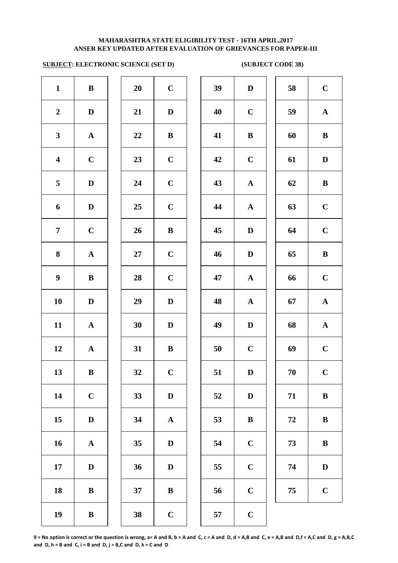# **SUBJECT: ELECTRONIC SCIENCE (SET D) (SUBJECT CODE 38)**

|                       |              | 20     | $\mathbf C$  | 39 | $\mathbf{D}$ |
|-----------------------|--------------|--------|--------------|----|--------------|
| $\mathbf D$           |              | 21     | $\mathbf D$  | 40 | $\mathbf C$  |
| ${\bf A}$             |              | 22     | $\bf{B}$     | 41 | $\bf{B}$     |
| $\mathbf C$           |              | 23     | $\mathbf C$  | 42 | $\mathbf C$  |
| $\mathbf D$           |              | 24     | $\mathbf C$  | 43 | $\mathbf A$  |
| $\mathbf D$           |              | 25     | $\mathbf C$  | 44 | $\mathbf A$  |
| $\mathbf C$           |              | 26     | $\, {\bf B}$ | 45 | $\mathbf{D}$ |
| $\boldsymbol{\rm{A}}$ |              | $27\,$ | $\mathbf C$  | 46 | $\mathbf{D}$ |
| $\, {\bf B}$          |              | 28     | $\mathbf C$  | 47 | $\mathbf A$  |
| $\mathbf D$           |              | 29     | $\mathbf D$  | 48 | $\mathbf{A}$ |
| $\mathbf A$           |              | 30     | $\mathbf D$  | 49 | $\mathbf{D}$ |
| $\boldsymbol{\rm{A}}$ |              | 31     | $\, {\bf B}$ | 50 | $\mathbf C$  |
| $\bf{B}$              |              | 32     | $\mathbf C$  | 51 | $\bf{D}$     |
| $\mathbf C$           |              | 33     | $\mathbf D$  | 52 | $\bf{D}$     |
| $\mathbf D$           |              | 34     | ${\bf A}$    | 53 | $\bf{B}$     |
| ${\bf A}$             |              | 35     | ${\bf D}$    | 54 | $\mathbf C$  |
| $\mathbf D$           |              | 36     | $\mathbf D$  | 55 | $\mathbf C$  |
| $\, {\bf B}$          |              | 37     | $\, {\bf B}$ | 56 | $\mathbf C$  |
| $\, {\bf B}$          |              | 38     | $\mathbf C$  | 57 | $\mathbf C$  |
|                       | $\, {\bf B}$ |        |              |    |              |

| 20 | $\mathbf C$ |
|----|-------------|
| 21 | D           |
| 22 | B           |
| 23 | $\mathbf C$ |
| 24 | $\mathbf C$ |
| 25 | $\mathbf C$ |
| 26 | B           |
| 27 | $\mathbf C$ |
| 28 | $\mathbf C$ |
| 29 | D           |
| 30 | D           |
| 31 | B           |
| 32 | $\mathbf C$ |
| 33 | D           |
| 34 | A           |
| 35 | D           |
| 36 | D           |
| 37 | B           |
|    |             |

| $\mathbf{1}$            | $\, {\bf B}$ | 20     | $\mathbf C$ | 39 | $\mathbf D$  | 58 | $\mathbf C$  |
|-------------------------|--------------|--------|-------------|----|--------------|----|--------------|
| $\boldsymbol{2}$        | $\mathbf D$  | 21     | $\mathbf D$ | 40 | $\mathbf C$  | 59 | ${\bf A}$    |
| $\mathbf{3}$            | ${\bf A}$    | 22     | $\bf{B}$    | 41 | $\, {\bf B}$ | 60 | $\, {\bf B}$ |
| $\overline{\mathbf{4}}$ | $\mathbf C$  | 23     | $\mathbf C$ | 42 | $\mathbf C$  | 61 | $\mathbf D$  |
| $\overline{5}$          | $\mathbf D$  | 24     | $\mathbf C$ | 43 | ${\bf A}$    | 62 | $\, {\bf B}$ |
| 6                       | $\mathbf D$  | 25     | $\mathbf C$ | 44 | $\mathbf{A}$ | 63 | $\mathbf C$  |
| $\overline{7}$          | $\mathbf C$  | 26     | $\bf{B}$    | 45 | $\mathbf D$  | 64 | $\mathbf C$  |
| 8                       | ${\bf A}$    | $27\,$ | $\mathbf C$ | 46 | $\mathbf D$  | 65 | $\, {\bf B}$ |
| $\boldsymbol{9}$        | $\bf{B}$     | 28     | $\mathbf C$ | 47 | ${\bf A}$    | 66 | $\mathbf C$  |
| 10                      | $\mathbf D$  | 29     | $\mathbf D$ | 48 | ${\bf A}$    | 67 | ${\bf A}$    |
| 11                      | ${\bf A}$    | 30     | $\mathbf D$ | 49 | $\mathbf D$  | 68 | ${\bf A}$    |
| 12                      | ${\bf A}$    | 31     | $\bf{B}$    | 50 | $\mathbf C$  | 69 | $\mathbf C$  |
| 13                      | $\bf{B}$     | 32     | $\mathbf C$ | 51 | $\mathbf D$  | 70 | $\mathbf C$  |
| 14                      | $\mathbf C$  | 33     | $\mathbf D$ | 52 | $\mathbf D$  | 71 | $\bf{B}$     |
| 15                      | $\mathbf D$  | 34     | ${\bf A}$   | 53 | $\bf{B}$     | 72 | $\, {\bf B}$ |
| 16                      | ${\bf A}$    | 35     | D           | 54 | $\mathbf C$  | 73 | $\bf{B}$     |
| 17                      | $\mathbf D$  | 36     | $\mathbf D$ | 55 | $\mathbf C$  | 74 | $\mathbf D$  |
| 18                      | $\, {\bf B}$ | 37     | ${\bf B}$   | 56 | $\mathbf C$  | 75 | $\mathbf C$  |
| 19                      | $\bf{B}$     | 38     | $\mathbf C$ | 57 | $\mathbf C$  |    |              |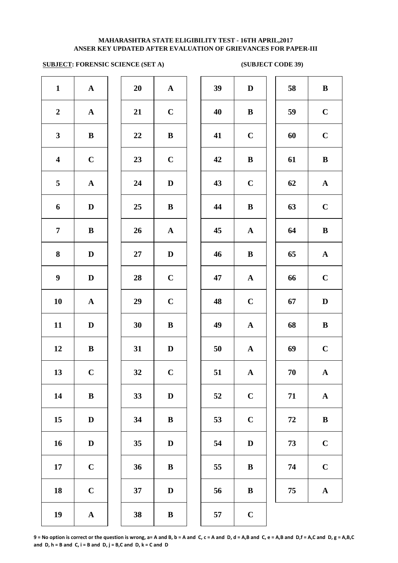# **SUBJECT: FORENSIC SCIENCE (SET A)** (SUBJECT CODE 39)

| $\mathbf{1}$            | $\boldsymbol{\rm{A}}$ | 20 | $\mathbf A$  | 39 | $\mathbf{D}$ |
|-------------------------|-----------------------|----|--------------|----|--------------|
| $\boldsymbol{2}$        | ${\bf A}$             | 21 | $\mathbf C$  | 40 | $\bf{B}$     |
| $\mathbf{3}$            | $\, {\bf B}$          | 22 | $\, {\bf B}$ | 41 | $\mathbf C$  |
| $\overline{\mathbf{4}}$ | $\mathbf C$           | 23 | $\mathbf C$  | 42 | $\bf{B}$     |
| 5                       | $\boldsymbol{\rm{A}}$ | 24 | $\mathbf D$  | 43 | $\mathbf C$  |
| 6                       | $\mathbf D$           | 25 | $\bf{B}$     | 44 | $\bf{B}$     |
| $\overline{7}$          | $\bf{B}$              | 26 | $\mathbf A$  | 45 | $\mathbf A$  |
| 8                       | $\mathbf D$           | 27 | $\mathbf D$  | 46 | $\bf{B}$     |
| $\boldsymbol{9}$        | $\mathbf D$           | 28 | $\mathbf C$  | 47 | $\mathbf A$  |
| ${\bf 10}$              | ${\bf A}$             | 29 | $\mathbf C$  | 48 | $\mathbf C$  |
| 11                      | $\mathbf D$           | 30 | $\, {\bf B}$ | 49 | $\mathbf A$  |
| 12                      | $\, {\bf B}$          | 31 | $\mathbf D$  | 50 | $\mathbf{A}$ |
| 13                      | $\mathbf C$           | 32 | $\mathbf C$  | 51 | $\mathbf A$  |
| 14                      | $\, {\bf B}$          | 33 | $\mathbf D$  | 52 | $\mathbf C$  |
| 15                      | $\mathbf D$           | 34 | $\, {\bf B}$ | 53 | $\mathbf C$  |
| 16                      | $\mathbf D$           | 35 | $\mathbf D$  | 54 | $\bf{D}$     |
| 17                      | $\mathbf C$           | 36 | $\, {\bf B}$ | 55 | $\bf{B}$     |
| 18                      | $\mathbf C$           | 37 | $\mathbf D$  | 56 | $\bf{B}$     |
| 19                      | $\boldsymbol{\rm{A}}$ | 38 | $\, {\bf B}$ | 57 | $\mathbf C$  |
|                         |                       |    |              |    |              |

| 20 | $\mathbf A$             |  |
|----|-------------------------|--|
| 21 | $\mathbf C$             |  |
| 22 | B                       |  |
| 23 | $\mathbf C$             |  |
| 24 | D                       |  |
| 25 | B                       |  |
| 26 | $\mathbf A$             |  |
| 27 | $\mathbf D$             |  |
| 28 | $\mathbf C$             |  |
| 29 | $\overline{C}$          |  |
| 30 | B                       |  |
| 31 | D                       |  |
| 32 | $\overline{\mathbf{C}}$ |  |
| 33 | D                       |  |
| 34 | B                       |  |
| 35 | D                       |  |
| 36 | B                       |  |
| 37 | D                       |  |
|    |                         |  |

| $\mathbf{1}$            | ${\bf A}$    | 20 | ${\bf A}$    | 39 | $\mathbf D$  | 58 | $\, {\bf B}$ |
|-------------------------|--------------|----|--------------|----|--------------|----|--------------|
| $\overline{2}$          | ${\bf A}$    | 21 | $\mathbf C$  | 40 | $\bf{B}$     | 59 | $\mathbf C$  |
| $\mathbf{3}$            | $\bf{B}$     | 22 | $\bf{B}$     | 41 | $\mathbf C$  | 60 | $\mathbf C$  |
| $\overline{\mathbf{4}}$ | $\mathbf C$  | 23 | $\mathbf C$  | 42 | $\bf{B}$     | 61 | $\bf{B}$     |
| $5\overline{)}$         | ${\bf A}$    | 24 | D            | 43 | $\mathbf C$  | 62 | $\mathbf{A}$ |
| 6                       | $\mathbf D$  | 25 | $\bf{B}$     | 44 | $\bf{B}$     | 63 | $\mathbf C$  |
| $\overline{7}$          | $\, {\bf B}$ | 26 | ${\bf A}$    | 45 | $\mathbf{A}$ | 64 | $\bf{B}$     |
| 8                       | $\mathbf D$  | 27 | $\mathbf D$  | 46 | $\bf{B}$     | 65 | $\mathbf{A}$ |
| $\boldsymbol{9}$        | $\mathbf D$  | 28 | $\mathbf C$  | 47 | ${\bf A}$    | 66 | $\mathbf C$  |
| 10                      | ${\bf A}$    | 29 | $\mathbf C$  | 48 | $\mathbf C$  | 67 | $\mathbf D$  |
| 11                      | $\mathbf{D}$ | 30 | $\bf{B}$     | 49 | ${\bf A}$    | 68 | $\, {\bf B}$ |
| 12                      | $\bf{B}$     | 31 | D            | 50 | ${\bf A}$    | 69 | $\mathbf C$  |
| 13                      | $\mathbf C$  | 32 | $\mathbf C$  | 51 | ${\bf A}$    | 70 | ${\bf A}$    |
| 14                      | $\bf{B}$     | 33 | D            | 52 | $\mathbf C$  | 71 | $\mathbf A$  |
| 15                      | $\mathbf D$  | 34 | $\bf{B}$     | 53 | $\mathbf C$  | 72 | $\bf{B}$     |
| 16                      | $\mathbf D$  | 35 | $\mathbf D$  | 54 | $\mathbf D$  | 73 | $\mathbf C$  |
| 17                      | $\mathbf C$  | 36 | ${\bf B}$    | 55 | $\bf{B}$     | 74 | $\mathbf C$  |
| 18                      | $\mathbf C$  | 37 | $\mathbf D$  | 56 | $\, {\bf B}$ | 75 | ${\bf A}$    |
| 19                      | $\mathbf{A}$ | 38 | $\mathbf{R}$ | 57 | $\mathbf C$  |    |              |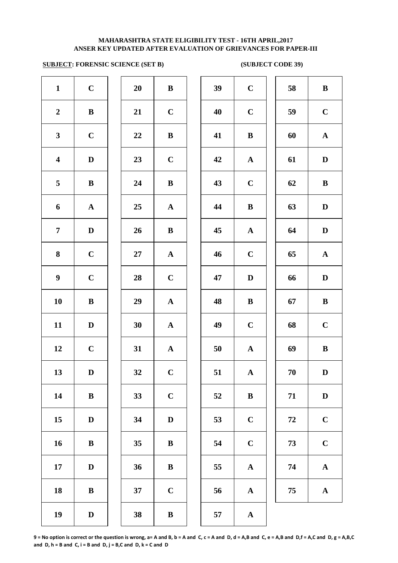# **ANSER KEY UPDATED AFTER EVALUATION OF GRIEVANCES FOR PAPER-III MAHARASHTRA STATE ELIGIBILITY TEST - 16TH APRIL,2017**

# **SUBJECT: FORENSIC SCIENCE (SET B)** (SUBJECT CODE 39)

| $\mathbf{1}$            | $\mathbf C$  | 20     | $\, {\bf B}$          | 39 | $\mathbf C$ |
|-------------------------|--------------|--------|-----------------------|----|-------------|
| $\boldsymbol{2}$        | $\, {\bf B}$ | 21     | $\mathbf C$           | 40 | $\mathbf C$ |
| $\mathbf{3}$            | $\mathbf C$  | $22\,$ | $\, {\bf B}$          | 41 | $\bf{B}$    |
| $\overline{\mathbf{4}}$ | $\mathbf D$  | 23     | $\mathbf C$           | 42 | $\mathbf A$ |
| 5                       | $\, {\bf B}$ | 24     | $\, {\bf B}$          | 43 | $\mathbf C$ |
| 6                       | ${\bf A}$    | 25     | ${\bf A}$             | 44 | $\bf{B}$    |
| $\overline{7}$          | $\mathbf D$  | 26     | $\, {\bf B}$          | 45 | $\mathbf A$ |
| $\bf{8}$                | $\mathbf C$  | 27     | ${\bf A}$             | 46 | $\mathbf C$ |
| $\boldsymbol{9}$        | $\mathbf C$  | 28     | $\mathbf C$           | 47 | $\mathbf D$ |
| 10                      | $\, {\bf B}$ | 29     | $\boldsymbol{\rm{A}}$ | 48 | $\bf{B}$    |
| 11                      | $\mathbf D$  | 30     | $\boldsymbol{\rm{A}}$ | 49 | $\mathbf C$ |
| 12                      | $\mathbf C$  | 31     | $\boldsymbol{\rm{A}}$ | 50 | $\mathbf A$ |
| 13                      | D            | 32     | $\mathbf C$           | 51 | $\mathbf A$ |
| 14                      | $\, {\bf B}$ | 33     | $\mathbf C$           | 52 | $\bf{B}$    |
| 15                      | $\mathbf D$  | 34     | $\mathbf D$           | 53 | $\mathbf C$ |
| 16                      | $\, {\bf B}$ | 35     | $\, {\bf B}$          | 54 | $\mathbf C$ |
| 17                      | $\mathbf D$  | 36     | $\, {\bf B}$          | 55 | $\mathbf A$ |
| 18                      | $\, {\bf B}$ | 37     | $\mathbf C$           | 56 | $\mathbf A$ |
| 19                      | $\mathbf D$  | 38     | $\, {\bf B}$          | 57 | $\mathbf A$ |

| $\mathbf{1}$            | $\mathbf C$ | 20 | ${\bf B}$   | 39 | $\mathbf C$  | 58     | $\, {\bf B}$ |
|-------------------------|-------------|----|-------------|----|--------------|--------|--------------|
| $\overline{2}$          | ${\bf B}$   | 21 | $\mathbf C$ | 40 | $\mathbf C$  | 59     | $\mathbf C$  |
| $\mathbf{3}$            | $\bf C$     | 22 | ${\bf B}$   | 41 | $\bf{B}$     | 60     | ${\bf A}$    |
| $\overline{\mathbf{4}}$ | $\mathbf D$ | 23 | $\mathbf C$ | 42 | ${\bf A}$    | 61     | $\mathbf D$  |
| $\overline{\mathbf{5}}$ | $\bf{B}$    | 24 | $\bf{B}$    | 43 | $\mathbf C$  | 62     | $\, {\bf B}$ |
| 6                       | ${\bf A}$   | 25 | ${\bf A}$   | 44 | $\, {\bf B}$ | 63     | $\mathbf D$  |
| $\overline{7}$          | $\mathbf D$ | 26 | ${\bf B}$   | 45 | ${\bf A}$    | 64     | $\mathbf D$  |
| 8                       | $\mathbf C$ | 27 | ${\bf A}$   | 46 | $\mathbf C$  | 65     | ${\bf A}$    |
| $\boldsymbol{9}$        | $\mathbf C$ | 28 | $\mathbf C$ | 47 | $\mathbf D$  | 66     | $\mathbf D$  |
| 10                      | ${\bf B}$   | 29 | ${\bf A}$   | 48 | $\bf{B}$     | 67     | $\, {\bf B}$ |
| 11                      | $\mathbf D$ | 30 | ${\bf A}$   | 49 | $\mathbf C$  | 68     | $\mathbf C$  |
| 12                      | $\mathbf C$ | 31 | ${\bf A}$   | 50 | ${\bf A}$    | 69     | $\, {\bf B}$ |
| 13                      | $\mathbf D$ | 32 | $\mathbf C$ | 51 | ${\bf A}$    | 70     | $\mathbf D$  |
| 14                      | $\bf{B}$    | 33 | $\mathbf C$ | 52 | $\, {\bf B}$ | 71     | $\mathbf D$  |
| 15                      | $\mathbf D$ | 34 | $\mathbf D$ | 53 | $\mathbf C$  | $72\,$ | $\mathbf C$  |
| 16                      | $\bf{B}$    | 35 | $\bf{B}$    | 54 | $\mathbf C$  | 73     | $\mathbf C$  |
| 17                      | $\mathbf D$ | 36 | ${\bf B}$   | 55 | ${\bf A}$    | 74     | $\mathbf A$  |
| 18                      | ${\bf B}$   | 37 | $\mathbf C$ | 56 | ${\bf A}$    | 75     | ${\bf A}$    |
| 19                      | $\mathbf D$ | 38 | ${\bf B}$   | 57 | $\mathbf{A}$ |        |              |
|                         |             |    |             |    |              |        |              |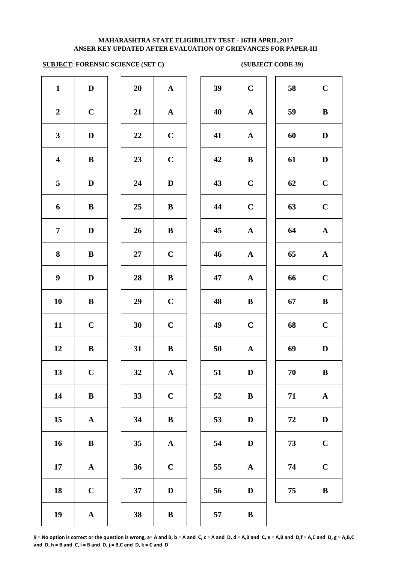# **SUBJECT: FORENSIC SCIENCE (SET C)** (SUBJECT CODE 39)

| $\mathbf{1}$            | $\mathbf D$           | 20 | $\boldsymbol{\rm{A}}$ | 39 | $\mathbf C$  |
|-------------------------|-----------------------|----|-----------------------|----|--------------|
| $\boldsymbol{2}$        | $\mathbf C$           | 21 | ${\bf A}$             | 40 | $\mathbf A$  |
| $\mathbf{3}$            | $\mathbf D$           | 22 | $\mathbf C$           | 41 | $\mathbf A$  |
| $\overline{\mathbf{4}}$ | $\, {\bf B}$          | 23 | $\mathbf C$           | 42 | $\bf{B}$     |
| 5                       | $\mathbf D$           | 24 | $\mathbf D$           | 43 | $\mathbf C$  |
| 6                       | $\bf{B}$              | 25 | $\bf{B}$              | 44 | $\mathbf C$  |
| $\overline{7}$          | $\mathbf D$           | 26 | $\bf{B}$              | 45 | $\mathbf{A}$ |
| 8                       | $\bf{B}$              | 27 | $\mathbf C$           | 46 | $\mathbf A$  |
| $\boldsymbol{9}$        | $\mathbf D$           | 28 | $\, {\bf B}$          | 47 | $\mathbf A$  |
| 10                      | $\, {\bf B}$          | 29 | $\mathbf C$           | 48 | $\bf{B}$     |
| 11                      | $\mathbf C$           | 30 | $\mathbf C$           | 49 | $\mathbf C$  |
| 12                      | $\, {\bf B}$          | 31 | $\, {\bf B}$          | 50 | $\mathbf A$  |
| 13                      | $\mathbf C$           | 32 | ${\bf A}$             | 51 | $\mathbf D$  |
| 14                      | $\, {\bf B}$          | 33 | $\mathbf C$           | 52 | $\bf{B}$     |
| 15                      | $\boldsymbol{\rm{A}}$ | 34 | $\, {\bf B}$          | 53 | $\bf{D}$     |
| 16                      | ${\bf B}$             | 35 | $\boldsymbol{\rm{A}}$ | 54 | D            |
| ${\bf 17}$              | $\boldsymbol{\rm{A}}$ | 36 | $\mathbf C$           | 55 | $\mathbf A$  |
| 18                      | $\mathbf C$           | 37 | $\mathbf D$           | 56 | D            |
| 19                      | $\boldsymbol{\rm{A}}$ | 38 | $\, {\bf B}$          | 57 | $\bf{B}$     |
|                         |                       |    |                       |    |              |

| 20 | $\mathbf A$             |
|----|-------------------------|
| 21 | $\mathbf A$             |
| 22 | $\mathbf C$             |
| 23 | $\mathbf C$             |
| 24 | D                       |
| 25 | B                       |
| 26 | B                       |
| 27 | $\mathbf C$             |
| 28 | B                       |
| 29 | $\mathbf C$             |
| 30 | $\mathbf C$             |
| 31 | B                       |
| 32 | $\overline{\mathbf{A}}$ |
| 33 | $\mathbf C$             |
| 34 | B                       |
| 35 | $\mathbf A$             |
| 36 | $\mathbf C$             |
| 37 | D                       |
|    |                         |

| $\mathbf{1}$            | $\mathbf D$  | 20              | ${\bf A}$    | 39 | $\mathbf C$  | 58 | $\mathbf C$  |
|-------------------------|--------------|-----------------|--------------|----|--------------|----|--------------|
| $\overline{2}$          | $\mathbf C$  | 21              | ${\bf A}$    | 40 | ${\bf A}$    | 59 | $\, {\bf B}$ |
| $\mathbf{3}$            | $\mathbf D$  | 22              | $\mathbf C$  | 41 | $\mathbf{A}$ | 60 | D            |
| $\overline{\mathbf{4}}$ | $\bf{B}$     | 23              | $\mathbf C$  | 42 | $\bf{B}$     | 61 | D            |
| $5\overline{)}$         | $\mathbf D$  | 24              | $\mathbf D$  | 43 | $\mathbf C$  | 62 | $\mathbf C$  |
| 6                       | $\bf{B}$     | 25              | $\bf{B}$     | 44 | $\mathbf C$  | 63 | $\mathbf C$  |
| $\overline{7}$          | $\mathbf D$  | 26              | $\bf{B}$     | 45 | ${\bf A}$    | 64 | ${\bf A}$    |
| 8                       | $\bf{B}$     | 27              | $\mathbf C$  | 46 | ${\bf A}$    | 65 | ${\bf A}$    |
| $\boldsymbol{9}$        | $\mathbf D$  | 28              | $\bf{B}$     | 47 | ${\bf A}$    | 66 | $\mathbf C$  |
| 10                      | $\bf{B}$     | 29              | $\mathbf C$  | 48 | $\, {\bf B}$ | 67 | $\, {\bf B}$ |
| 11                      | $\mathbf C$  | 30              | $\mathbf C$  | 49 | $\mathbf C$  | 68 | $\mathbf C$  |
| 12                      | $\bf{B}$     | 31              | $\bf{B}$     | 50 | $\mathbf{A}$ | 69 | $\mathbf D$  |
| 13                      | $\mathbf C$  | 32              | ${\bf A}$    | 51 | D            | 70 | $\bf{B}$     |
| 14                      | $\bf{B}$     | 33              | $\mathbf C$  | 52 | $\bf{B}$     | 71 | ${\bf A}$    |
| 15                      | ${\bf A}$    | 34              | $\bf{B}$     | 53 | D            | 72 | $\mathbf D$  |
| 16                      | $\, {\bf B}$ | 35              | ${\bf A}$    | 54 | $\mathbf D$  | 73 | $\mathbf C$  |
| 17                      | ${\bf A}$    | 36              | $\mathbf C$  | 55 | $\mathbf A$  | 74 | $\mathbf C$  |
| 18                      | $\mathbf C$  | 37              | $\mathbf D$  | 56 | $\mathbf D$  | 75 | $\, {\bf B}$ |
| 10                      |              | 20 <sub>o</sub> | $\mathbf{D}$ | E7 | $\mathbf{D}$ |    |              |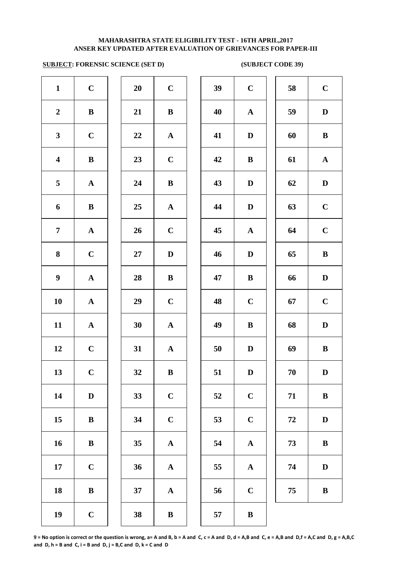# **SUBJECT: FORENSIC SCIENCE (SET D)** (SUBJECT CODE 39)

| $\mathbf{1}$            | $\mathbf C$ | 20     | $\mathbf C$  | 39 | $\mathbf C$ | 58     | $\mathbf C$  |
|-------------------------|-------------|--------|--------------|----|-------------|--------|--------------|
| $\boldsymbol{2}$        | ${\bf B}$   | 21     | $\bf{B}$     | 40 | ${\bf A}$   | 59     | $\mathbf{D}$ |
| $\mathbf{3}$            | $\mathbf C$ | 22     | ${\bf A}$    | 41 | $\mathbf D$ | 60     | $\bf{B}$     |
| $\overline{\mathbf{4}}$ | ${\bf B}$   | 23     | $\mathbf C$  | 42 | $\bf{B}$    | 61     | $\mathbf A$  |
| $5\phantom{.0}$         | ${\bf A}$   | 24     | $\mathbf{B}$ | 43 | $\mathbf D$ | 62     | D            |
| 6                       | $\bf{B}$    | 25     | ${\bf A}$    | 44 | $\mathbf D$ | 63     | $\mathbf C$  |
| $\overline{7}$          | ${\bf A}$   | 26     | $\mathbf C$  | 45 | ${\bf A}$   | 64     | $\mathbf C$  |
| 8                       | $\mathbf C$ | $27\,$ | $\mathbf D$  | 46 | $\mathbf D$ | 65     | $\bf{B}$     |
| $\boldsymbol{9}$        | ${\bf A}$   | 28     | $\bf{B}$     | 47 | $\bf{B}$    | 66     | D            |
| 10                      | ${\bf A}$   | 29     | $\mathbf C$  | 48 | $\mathbf C$ | 67     | $\mathbf C$  |
| 11                      | ${\bf A}$   | 30     | ${\bf A}$    | 49 | $\bf{B}$    | 68     | $\mathbf{D}$ |
| 12                      | $\mathbf C$ | 31     | ${\bf A}$    | 50 | $\mathbf D$ | 69     | $\bf{B}$     |
| 13                      | $\mathbf C$ | 32     | $\, {\bf B}$ | 51 | ${\bf D}$   | $70\,$ | $\bf{D}$     |
| 14                      | $\mathbf D$ | 33     | $\mathbf C$  | 52 | $\mathbf C$ | 71     | $\bf{B}$     |
| 15                      | $\bf{B}$    | 34     | $\mathbf C$  | 53 | $\mathbf C$ | 72     | D            |
| 16                      | ${\bf B}$   | 35     | ${\bf A}$    | 54 | ${\bf A}$   | 73     | $\bf{B}$     |
| 17                      | $\mathbf C$ | 36     | ${\bf A}$    | 55 | ${\bf A}$   | 74     | D            |
| 18                      | ${\bf B}$   | 37     | ${\bf A}$    | 56 | $\mathbf C$ | 75     | $\bf{B}$     |
| 19                      | $\mathbf C$ | 38     | $\bf{B}$     | 57 | $\bf{B}$    |        |              |
|                         |             |        |              |    |             |        |              |

| $\boldsymbol{0}$        | $\mathbf C$             | $\ddot{\phantom{0}}$     |
|-------------------------|-------------------------|--------------------------|
| $\mathbf{1}$            | B                       | $\overline{\phantom{a}}$ |
| $\overline{\mathbf{c}}$ | ${\bf A}$               | $\overline{\phantom{a}}$ |
| $\mathbf{3}$            | $\overline{\mathbf{C}}$ | $\overline{\phantom{a}}$ |
| 4                       | $\bf{B}$                | $\overline{\phantom{a}}$ |
| 5                       | ${\bf A}$               | $\overline{\phantom{a}}$ |
| 6                       | $\mathbf C$             | $\overline{\phantom{a}}$ |
| 7                       | $\mathbf D$             | $\overline{\phantom{a}}$ |
| 8                       | B                       | $\overline{\phantom{a}}$ |
| $\mathbf{9}$            | $\mathbf C$             | $\overline{\phantom{a}}$ |
| $\boldsymbol{0}$        | ${\bf A}$               | $\overline{\phantom{a}}$ |
| $\mathbf{1}$            | $\overline{\mathbf{A}}$ | $\ddot{\cdot}$           |
| $\overline{\mathbf{c}}$ | B                       | $\ddot{\cdot}$           |
| $\mathbf{3}$            | $\mathbf{C}$            | $\ddot{\cdot}$           |
| 4                       | $\mathbf C$             | $\frac{1}{2}$            |
| 5                       | ${\bf A}$               | $\frac{1}{2}$            |
| 6                       | $\mathbf A$             | $\ddot{\cdot}$           |
| 7                       | $\mathbf A$             | $\ddot{\cdot}$           |
|                         |                         |                          |

| $\mathbf C$           | 58 | $\mathbf C$ |
|-----------------------|----|-------------|
| $\mathbf{A}$          | 59 | D           |
| D                     | 60 | $\bf{B}$    |
| B                     | 61 | $\mathbf A$ |
| D                     | 62 | D           |
| $\mathbf D$           | 63 | $\mathbf C$ |
| $\boldsymbol{\rm{A}}$ | 64 | $\mathbf C$ |
| D                     | 65 | B           |
| B                     | 66 | D           |
| $\mathbf C$           | 67 | $\mathbf C$ |
| B                     | 68 | D           |
| $\mathbf D$           | 69 | $\bf{B}$    |
| D                     | 70 | D           |
| $\mathbf C$           | 71 | $\bf{B}$    |
| $\mathbf C$           | 72 | $\mathbf D$ |
| ${\bf A}$             | 73 | B           |
| ${\bf A}$             | 74 | D           |
| $\mathbf C$           | 75 | B           |
| $\bf{B}$              |    |             |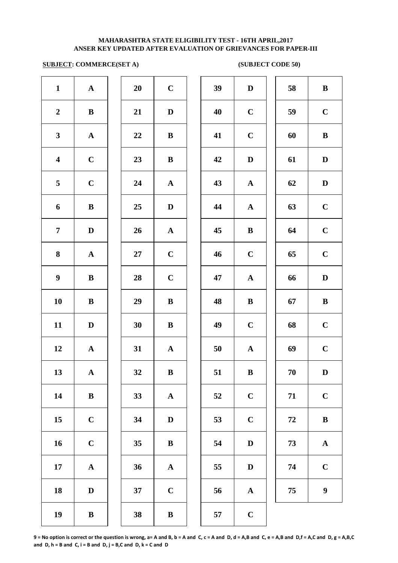# **SUBJECT: COMMERCE(SET A)** (SUBJECT CODE 50)

| $\mathbf{1}$            | ${\bf A}$    | 20     | $\mathbf C$  | 39 | $\mathbf{D}$ |
|-------------------------|--------------|--------|--------------|----|--------------|
| $\boldsymbol{2}$        | $\, {\bf B}$ | 21     | $\mathbf D$  | 40 | $\mathbf C$  |
| $\mathbf{3}$            | ${\bf A}$    | 22     | $\bf{B}$     | 41 | $\mathbf C$  |
| $\overline{\mathbf{4}}$ | $\mathbf C$  | 23     | $\, {\bf B}$ | 42 | $\mathbf{D}$ |
| 5                       | $\mathbf C$  | 24     | ${\bf A}$    | 43 | $\mathbf A$  |
| 6                       | $\, {\bf B}$ | 25     | $\mathbf D$  | 44 | $\mathbf A$  |
| $\overline{7}$          | $\mathbf D$  | 26     | ${\bf A}$    | 45 | $\bf{B}$     |
| ${\bf 8}$               | ${\bf A}$    | $27\,$ | $\mathbf C$  | 46 | $\mathbf C$  |
| $\boldsymbol{9}$        | $\, {\bf B}$ | 28     | $\mathbf C$  | 47 | $\mathbf A$  |
| 10                      | $\bf{B}$     | 29     | $\, {\bf B}$ | 48 | $\bf{B}$     |
| 11                      | $\mathbf D$  | 30     | $\, {\bf B}$ | 49 | $\mathbf C$  |
| 12                      | $\mathbf A$  | 31     | ${\bf A}$    | 50 | $\mathbf A$  |
| 13                      | ${\bf A}$    | 32     | $\bf{B}$     | 51 | $\bf{B}$     |
| 14                      | $\, {\bf B}$ | 33     | ${\bf A}$    | 52 | $\mathbf C$  |
| 15                      | $\mathbf C$  | 34     | $\mathbf D$  | 53 | $\mathbf C$  |
| 16                      | $\mathbf C$  | 35     | $\, {\bf B}$ | 54 | $\mathbf{D}$ |
| $\bf 17$                | $\mathbf A$  | 36     | $\mathbf A$  | 55 | $\bf{D}$     |
| 18                      | $\mathbf D$  | 37     | $\mathbf C$  | 56 | $\mathbf A$  |
| 19                      | $\, {\bf B}$ | 38     | $\, {\bf B}$ | 57 | $\mathbf C$  |
|                         |              |        |              |    |              |

| $\mathbf{1}$            | ${\bf A}$    | 20         | $\mathbf C$  | 39 | $\mathbf D$  | 58 | $\, {\bf B}$     |
|-------------------------|--------------|------------|--------------|----|--------------|----|------------------|
| $\overline{2}$          | $\bf{B}$     | 21         | D            | 40 | $\mathbf C$  | 59 | $\mathbf C$      |
| $\mathbf{3}$            | $\mathbf{A}$ | 22         | $\bf{B}$     | 41 | $\mathbf C$  | 60 | $\bf{B}$         |
| $\overline{\mathbf{4}}$ | $\mathbf C$  | 23         | $\bf{B}$     | 42 | $\mathbf D$  | 61 | $\mathbf D$      |
| $\overline{5}$          | $\mathbf C$  | 24         | ${\bf A}$    | 43 | ${\bf A}$    | 62 | $\mathbf D$      |
| 6                       | $\, {\bf B}$ | 25         | $\mathbf D$  | 44 | $\mathbf A$  | 63 | $\mathbf C$      |
| $\overline{7}$          | $\mathbf D$  | 26         | ${\bf A}$    | 45 | $\bf{B}$     | 64 | $\mathbf C$      |
| $\boldsymbol{8}$        | ${\bf A}$    | ${\bf 27}$ | $\mathbf C$  | 46 | $\mathbf C$  | 65 | $\mathbf C$      |
| $\boldsymbol{9}$        | $\, {\bf B}$ | 28         | $\mathbf C$  | 47 | $\mathbf{A}$ | 66 | $\mathbf D$      |
| 10                      | $\bf{B}$     | 29         | $\, {\bf B}$ | 48 | $\, {\bf B}$ | 67 | $\, {\bf B}$     |
| 11                      | D            | 30         | $\bf{B}$     | 49 | $\mathbf C$  | 68 | $\mathbf C$      |
| 12                      | $\mathbf A$  | 31         | $\mathbf{A}$ | 50 | ${\bf A}$    | 69 | $\mathbf C$      |
| 13                      | $\mathbf{A}$ | 32         | B            | 51 | B            | 70 | D                |
| 14                      | $\, {\bf B}$ | 33         | $\mathbf{A}$ | 52 | $\mathbf C$  | 71 | $\mathbf C$      |
| 15                      | $\mathbf C$  | 34         | $\mathbf D$  | 53 | $\mathbf C$  | 72 | $\, {\bf B}$     |
| 16                      | $\mathbf C$  | 35         | $\bf{B}$     | 54 | $\mathbf D$  | 73 | ${\bf A}$        |
| 17                      | ${\bf A}$    | 36         | ${\bf A}$    | 55 | D            | 74 | $\mathbf C$      |
| 18                      | D            | 37         | $\mathbf C$  | 56 | $\mathbf{A}$ | 75 | $\boldsymbol{9}$ |
| 19                      | $\, {\bf B}$ | 38         | $\, {\bf B}$ | 57 | $\mathbf C$  |    |                  |
|                         |              |            |              |    |              |    |                  |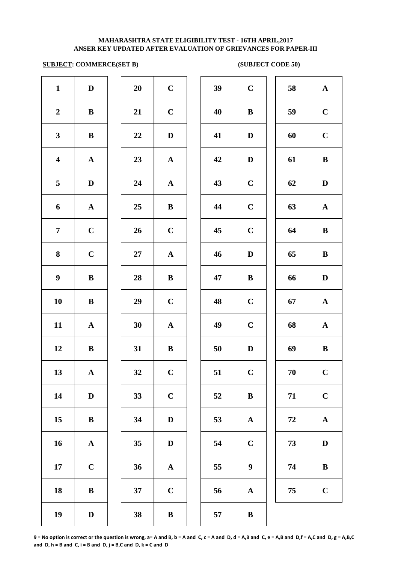# **SUBJECT: COMMERCE(SET B) (SUBJECT CODE 50)**

| $\mathbf{1}$            | $\mathbf D$  | 20        | $\mathbf C$           | 39 | $\mathbf C$  |
|-------------------------|--------------|-----------|-----------------------|----|--------------|
| $\boldsymbol{2}$        | $\bf{B}$     | 21        | $\mathbf C$           | 40 | $\bf{B}$     |
| $\mathbf{3}$            | $\, {\bf B}$ | 22        | $\mathbf D$           | 41 | $\mathbf{D}$ |
| $\overline{\mathbf{4}}$ | ${\bf A}$    | 23        | ${\bf A}$             | 42 | $\mathbf D$  |
| 5                       | $\mathbf D$  | 24        | $\boldsymbol{\rm{A}}$ | 43 | $\mathbf C$  |
| 6                       | ${\bf A}$    | 25        | $\bf{B}$              | 44 | $\mathbf C$  |
| $\overline{7}$          | $\mathbf C$  | 26        | $\mathbf C$           | 45 | $\mathbf C$  |
| 8                       | $\mathbf C$  | <b>27</b> | $\boldsymbol{\rm{A}}$ | 46 | $\bf{D}$     |
| $\boldsymbol{9}$        | $\bf{B}$     | 28        | $\bf{B}$              | 47 | $\bf{B}$     |
| 10                      | $\bf{B}$     | 29        | $\mathbf C$           | 48 | $\mathbf C$  |
| 11                      | ${\bf A}$    | 30        | $\boldsymbol{\rm{A}}$ | 49 | $\mathbf C$  |
| 12                      | $\, {\bf B}$ | 31        | $\, {\bf B}$          | 50 | D            |
| 13                      | ${\bf A}$    | 32        | $\mathbf C$           | 51 | $\mathbf C$  |
| 14                      | $\mathbf D$  | 33        | $\mathbf C$           | 52 | $\bf{B}$     |
| 15                      | $\, {\bf B}$ | 34        | $\mathbf D$           | 53 | $\mathbf A$  |
| 16                      | ${\bf A}$    | 35        | $\mathbf D$           | 54 | $\mathbf C$  |
| 17                      | $\mathbf C$  | 36        | $\boldsymbol{\rm{A}}$ | 55 | 9            |
| 18                      | $\bf{B}$     | 37        | $\mathbf C$           | 56 | $\mathbf A$  |
| 19                      | $\mathbf D$  | 38        | $\, {\bf B}$          | 57 | $\bf{B}$     |
|                         |              |           |                       |    |              |

| 20 | $\mathbf C$             |
|----|-------------------------|
| 21 | $\mathbf C$             |
| 22 | D                       |
| 23 | $\mathbf A$             |
| 24 | A                       |
| 25 | B                       |
| 26 | $\mathbf C$             |
| 27 | $\mathbf A$             |
| 28 | B                       |
| 29 | $\mathbf C$             |
| 30 | $\overline{\mathbf{A}}$ |
| 31 | B                       |
| 32 | $\overline{\mathbf{C}}$ |
| 33 | $\mathbf C$             |
| 34 | D                       |
| 35 | D                       |
| 36 | A                       |
| 37 | $\overline{C}$          |
|    |                         |

| $\mathbf{1}$            | D            | 20        | $\mathbf C$  | 39    | $\mathbf C$      | 58     | $\mathbf{A}$ |
|-------------------------|--------------|-----------|--------------|-------|------------------|--------|--------------|
| $\overline{2}$          | $\bf{B}$     | 21        | $\mathbf C$  | 40    | $\bf{B}$         | 59     | $\mathbf C$  |
| $\mathbf{3}$            | $\bf{B}$     | 22        | $\mathbf D$  | 41    | D                | 60     | $\mathbf C$  |
| $\overline{\mathbf{4}}$ | $\mathbf{A}$ | 23        | ${\bf A}$    | 42    | $\mathbf D$      | 61     | $\bf{B}$     |
| $\overline{5}$          | $\mathbf D$  | 24        | ${\bf A}$    | 43    | $\mathbf C$      | 62     | $\mathbf D$  |
| 6                       | ${\bf A}$    | 25        | $\bf{B}$     | 44    | $\mathbf C$      | 63     | ${\bf A}$    |
| $\overline{7}$          | $\mathbf C$  | 26        | $\mathbf C$  | 45    | $\mathbf C$      | 64     | $\bf{B}$     |
| 8                       | $\mathbf C$  | $27\,$    | ${\bf A}$    | 46    | D                | 65     | $\, {\bf B}$ |
| $\boldsymbol{9}$        | $\bf{B}$     | 28        | $\bf{B}$     | 47    | $\bf{B}$         | 66     | $\mathbf D$  |
| 10                      | $\, {\bf B}$ | 29        | $\mathbf C$  | 48    | $\mathbf C$      | 67     | ${\bf A}$    |
| 11                      | ${\bf A}$    | 30        | $\mathbf{A}$ | 49    | $\mathbf C$      | 68     | ${\bf A}$    |
| 12                      | $\bf{B}$     | 31        | $\bf{B}$     | 50    | $\mathbf D$      | 69     | $\bf{B}$     |
| 13                      | $\mathbf A$  | 32        | $\mathbf C$  | 51    | $\mathbf C$      | $70\,$ | $\mathbf C$  |
| 14                      | $\mathbf D$  | 33        | $\mathbf C$  | 52    | $\bf{B}$         | 71     | $\mathbf C$  |
| 15                      | $\bf{B}$     | 34        | $\mathbf D$  | 53    | ${\bf A}$        | 72     | ${\bf A}$    |
| 16                      | ${\bf A}$    | 35        | $\mathbf D$  | 54    | $\mathbf C$      | 73     | $\mathbf D$  |
| 17                      | $\mathbf C$  | 36        | ${\bf A}$    | 55    | $\boldsymbol{9}$ | 74     | $\, {\bf B}$ |
| 18                      | $\, {\bf B}$ | 37        | $\mathbf C$  | 56    | ${\bf A}$        | 75     | $\mathbf C$  |
| 10                      | D            | <b>30</b> | <b>D</b>     | $- -$ | <b>D</b>         |        |              |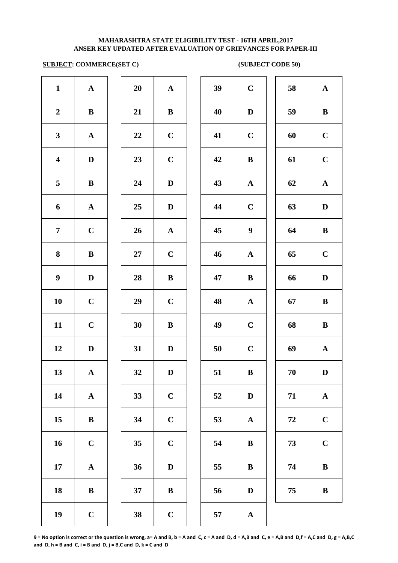# **ANSER KEY UPDATED AFTER EVALUATION OF GRIEVANCES FOR PAPER-III MAHARASHTRA STATE ELIGIBILITY TEST - 16TH APRIL,2017**

# **SUBJECT: COMMERCE(SET C) (SUBJECT CODE 50)**

| $\mathbf{1}$            | $\mathbf A$           | 20     | $\boldsymbol{\rm{A}}$ | 39     | $\mathbf C$      |
|-------------------------|-----------------------|--------|-----------------------|--------|------------------|
| $\boldsymbol{2}$        | $\, {\bf B}$          | 21     | $\, {\bf B}$          | 40     | $\mathbf{D}$     |
| $\mathbf{3}$            | $\boldsymbol{\rm{A}}$ | 22     | $\mathbf C$           | 41     | $\mathbf C$      |
| $\overline{\mathbf{4}}$ | $\mathbf D$           | 23     | $\mathbf C$           | 42     | $\bf{B}$         |
| 5                       | $\bf{B}$              | 24     | $\mathbf D$           | 43     | $\mathbf A$      |
| 6                       | ${\bf A}$             | 25     | $\mathbf D$           | 44     | $\mathbf C$      |
| $\overline{7}$          | $\mathbf C$           | 26     | $\mathbf A$           | 45     | $\boldsymbol{9}$ |
| 8                       | $\, {\bf B}$          | $27\,$ | $\mathbf C$           | 46     | $\mathbf A$      |
| $\boldsymbol{9}$        | $\mathbf D$           | 28     | $\, {\bf B}$          | 47     | $\bf{B}$         |
| ${\bf 10}$              | $\mathbf C$           | 29     | $\mathbf C$           | 48     | $\mathbf{A}$     |
| 11                      | $\mathbf C$           | 30     | $\, {\bf B}$          | 49     | $\mathbf C$      |
| 12                      | $\mathbf D$           | 31     | $\mathbf D$           | $50\,$ | $\mathbf C$      |
| 13                      | ${\bf A}$             | 32     | $\mathbf D$           | 51     | $\bf{B}$         |
| 14                      | $\boldsymbol{\rm{A}}$ | 33     | $\mathbf C$           | 52     | $\mathbf{D}$     |
| 15                      | $\, {\bf B}$          | 34     | $\mathbf C$           | 53     | $\mathbf A$      |
| 16                      | $\mathbf C$           | 35     | $\mathbf C$           | 54     | $\bf{B}$         |
| ${\bf 17}$              | ${\bf A}$             | 36     | $\mathbf D$           | 55     | $\bf{B}$         |
| 18                      | $\, {\bf B}$          | 37     | $\, {\bf B}$          | 56     | $\mathbf{D}$     |
| 19                      | $\mathbf C$           | 38     | $\mathbf C$           | 57     | $\mathbf A$      |
|                         |                       |        |                       |        |                  |

| 20 | $\mathbf A$  |  |
|----|--------------|--|
| 21 | B            |  |
| 22 | $\mathbf C$  |  |
| 23 | $\mathbf C$  |  |
| 24 | D            |  |
| 25 | D            |  |
| 26 | $\mathbf{A}$ |  |
| 27 | $\mathbf C$  |  |
| 28 | B            |  |
| 29 | $\mathbf C$  |  |
| 30 | B            |  |
| 31 | D            |  |
| 32 | D            |  |
| 33 | $\mathbf C$  |  |
| 34 | $\mathbf C$  |  |
| 35 | $\mathbf C$  |  |
| 36 | D            |  |
| 37 | B            |  |
|    |              |  |

| $\mathbf{1}$            | ${\bf A}$    | 20 | ${\bf A}$    | 39 | $\mathbf C$      | 58       | ${\bf A}$    |
|-------------------------|--------------|----|--------------|----|------------------|----------|--------------|
| $\overline{2}$          | $\, {\bf B}$ | 21 | $\bf{B}$     | 40 | $\mathbf D$      | 59       | $\, {\bf B}$ |
| $\mathbf{3}$            | ${\bf A}$    | 22 | $\mathbf C$  | 41 | $\mathbf C$      | 60       | $\mathbf C$  |
| $\overline{\mathbf{4}}$ | $\mathbf D$  | 23 | $\mathbf C$  | 42 | $\bf{B}$         | 61       | $\mathbf C$  |
| 5                       | $\, {\bf B}$ | 24 | $\mathbf D$  | 43 | ${\bf A}$        | 62       | ${\bf A}$    |
| 6                       | ${\bf A}$    | 25 | $\mathbf D$  | 44 | $\mathbf C$      | 63       | $\mathbf D$  |
| $\overline{7}$          | $\mathbf C$  | 26 | ${\bf A}$    | 45 | $\boldsymbol{9}$ | 64       | $\, {\bf B}$ |
| $\boldsymbol{8}$        | $\, {\bf B}$ | 27 | $\mathbf C$  | 46 | ${\bf A}$        | 65       | $\mathbf C$  |
| $\boldsymbol{9}$        | D            | 28 | $\bf{B}$     | 47 | $\, {\bf B}$     | 66       | $\mathbf D$  |
| 10                      | $\mathbf C$  | 29 | $\mathbf C$  | 48 | ${\bf A}$        | 67       | $\, {\bf B}$ |
| 11                      | $\mathbf C$  | 30 | $\bf{B}$     | 49 | $\mathbf C$      | 68       | $\, {\bf B}$ |
| 12                      | $\mathbf{D}$ | 31 | D            | 50 | $\mathbf C$      | 69       | $\mathbf A$  |
| 13                      | $\mathbf A$  | 32 | $\mathbf D$  | 51 | $\, {\bf B}$     | 70       | $\mathbf D$  |
| 14                      | ${\bf A}$    | 33 | $\mathbf C$  | 52 | $\mathbf D$      | 71       | ${\bf A}$    |
| 15                      | ${\bf B}$    | 34 | $\mathbf C$  | 53 | ${\bf A}$        | $\bf 72$ | $\mathbf C$  |
| 16                      | $\mathbf C$  | 35 | $\mathbf C$  | 54 | $\bf{B}$         | 73       | $\mathbf C$  |
| 17                      | $\mathbf A$  | 36 | $\mathbf D$  | 55 | $\, {\bf B}$     | 74       | $\, {\bf B}$ |
| 18                      | $\, {\bf B}$ | 37 | $\, {\bf B}$ | 56 | $\mathbf D$      | 75       | $\, {\bf B}$ |
| 19                      | $\mathbf C$  | 38 | $\mathbf C$  | 57 | $\mathbf A$      |          |              |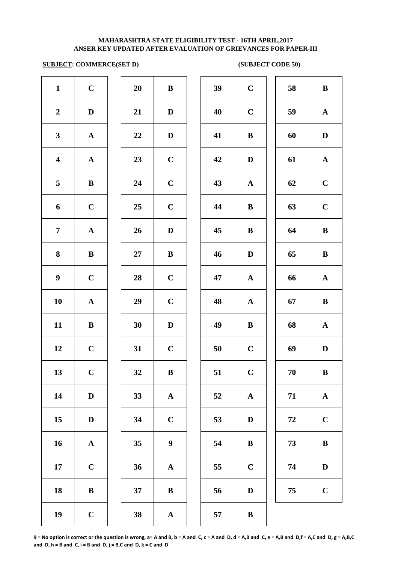# **SUBJECT: COMMERCE(SET D) (SUBJECT CODE 50)**

| $\mathbf{1}$            | $\mathbf C$           | 20 | $\, {\bf B}$          | 39 | $\mathbf C$ |
|-------------------------|-----------------------|----|-----------------------|----|-------------|
| $\boldsymbol{2}$        | $\mathbf D$           | 21 | $\mathbf D$           | 40 | $\mathbf C$ |
| $\mathbf{3}$            | $\boldsymbol{\rm{A}}$ | 22 | $\mathbf D$           | 41 | $\bf{B}$    |
| $\overline{\mathbf{4}}$ | ${\bf A}$             | 23 | $\mathbf C$           | 42 | $\mathbf D$ |
| 5                       | $\, {\bf B}$          | 24 | $\mathbf C$           | 43 | $\mathbf A$ |
| 6                       | $\mathbf C$           | 25 | $\mathbf C$           | 44 | $\bf{B}$    |
| $\overline{7}$          | ${\bf A}$             | 26 | $\mathbf D$           | 45 | $\bf{B}$    |
| 8                       | $\bf{B}$              | 27 | $\bf{B}$              | 46 | $\bf{D}$    |
| $\boldsymbol{9}$        | $\mathbf C$           | 28 | $\mathbf C$           | 47 | $\mathbf A$ |
| 10                      | ${\bf A}$             | 29 | $\mathbf C$           | 48 | $\mathbf A$ |
| 11                      | $\, {\bf B}$          | 30 | $\mathbf{D}%$         | 49 | $\bf{B}$    |
| 12                      | $\mathbf C$           | 31 | $\mathbf C$           | 50 | $\mathbf C$ |
| 13                      | $\mathbf C$           | 32 | $\, {\bf B}$          | 51 | $\mathbf C$ |
| 14                      | $\mathbf D$           | 33 | $\boldsymbol{\rm{A}}$ | 52 | $\mathbf A$ |
| 15                      | $\mathbf D$           | 34 | $\mathbf C$           | 53 | $\bf{D}$    |
| 16                      | $\boldsymbol{\rm{A}}$ | 35 | $\boldsymbol{9}$      | 54 | $\bf{B}$    |
| 17                      | $\mathbf C$           | 36 | $\boldsymbol{\rm{A}}$ | 55 | $\mathbf C$ |
| 18                      | $\bf{B}$              | 37 | $\bf{B}$              | 56 | $\bf{D}$    |
| 19                      | $\mathbf C$           | 38 | ${\bf A}$             | 57 | $\bf{B}$    |
|                         |                       |    |                       |    |             |

| 20 | B              |  |
|----|----------------|--|
| 21 | D              |  |
| 22 | D              |  |
| 23 | $\overline{C}$ |  |
| 24 | $\mathbf C$    |  |
| 25 | $\mathbf C$    |  |
| 26 | $\mathbf D$    |  |
| 27 | B              |  |
| 28 | $\mathbf C$    |  |
| 29 | $\mathbf C$    |  |
| 30 | D              |  |
| 31 | $\overline{C}$ |  |
| 32 | B              |  |
| 33 | A              |  |
| 34 | $\mathbf C$    |  |
| 35 | 9              |  |
| 36 | A              |  |
| 37 | B              |  |
|    |                |  |

| $\mathbf{1}$            | $\bf C$      | 20     | $\bf{B}$                | 39 | $\mathbf C$  | 58 | $\bf{B}$     |
|-------------------------|--------------|--------|-------------------------|----|--------------|----|--------------|
| $\overline{2}$          | $\mathbf D$  | 21     | $\mathbf{D}$            | 40 | $\mathbf C$  | 59 | ${\bf A}$    |
| $\mathbf{3}$            | ${\bf A}$    | 22     | $\mathbf D$             | 41 | $\bf{B}$     | 60 | D            |
| $\overline{\mathbf{4}}$ | $\mathbf{A}$ | 23     | $\mathbf C$             | 42 | D            | 61 | ${\bf A}$    |
| $5\overline{)}$         | $\bf{B}$     | 24     | $\mathbf C$             | 43 | $\mathbf{A}$ | 62 | $\mathbf C$  |
| 6                       | $\mathbf C$  | 25     | $\mathbf C$             | 44 | $\bf{B}$     | 63 | $\mathbf C$  |
| $\overline{7}$          | ${\bf A}$    | 26     | $\mathbf{D}$            | 45 | $\bf{B}$     | 64 | $\bf{B}$     |
| 8                       | ${\bf B}$    | $27\,$ | $\bf{B}$                | 46 | $\mathbf D$  | 65 | $\, {\bf B}$ |
| $\boldsymbol{9}$        | $\mathbf C$  | 28     | $\mathbf C$             | 47 | ${\bf A}$    | 66 | ${\bf A}$    |
| 10                      | ${\bf A}$    | 29     | $\mathbf C$             | 48 | ${\bf A}$    | 67 | $\bf{B}$     |
| 11                      | $\, {\bf B}$ | 30     | $\mathbf D$             | 49 | $\bf{B}$     | 68 | ${\bf A}$    |
| 12                      | $\mathbf C$  | 31     | $\mathbf C$             | 50 | $\mathbf C$  | 69 | $\mathbf D$  |
| 13                      | $\mathbf C$  | 32     | $\bf{B}$                | 51 | $\mathbf C$  | 70 | $\bf{B}$     |
| 14                      | $\mathbf D$  | 33     | ${\bf A}$               | 52 | $\mathbf{A}$ | 71 | ${\bf A}$    |
| 15                      | $\mathbf D$  | 34     | $\mathbf C$             | 53 | $\mathbf D$  | 72 | $\mathbf C$  |
| 16                      | ${\bf A}$    | 35     | $\boldsymbol{9}$        | 54 | $\bf{B}$     | 73 | $\bf{B}$     |
| 17                      | $\mathbf C$  | 36     | ${\bf A}$               | 55 | $\mathbf C$  | 74 | $\mathbf D$  |
| 18                      | $\, {\bf B}$ | 37     | $\, {\bf B}$            | 56 | $\mathbf D$  | 75 | $\mathbf C$  |
| 19                      | $\mathbf C$  | 38     | $\overline{\mathbf{A}}$ | 57 | $\bf{B}$     |    |              |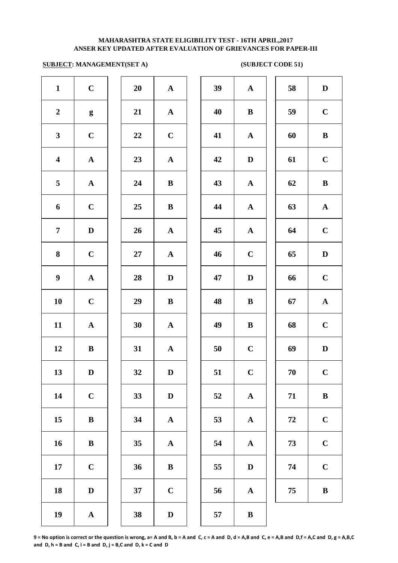### **SUBJECT: MANAGEMENT(SET A)** (SUBJECT CODE 51)

| $\mathbf{1}$            | $\mathbf C$           | 20     | ${\bf A}$             | 39 | $\mathbf A$               |
|-------------------------|-----------------------|--------|-----------------------|----|---------------------------|
| $\boldsymbol{2}$        | $\boldsymbol{g}$      | 21     | ${\bf A}$             | 40 | $\bf{B}$                  |
| $\mathbf{3}$            | $\mathbf C$           | 22     | $\mathbf C$           | 41 | $\mathbf A$               |
| $\overline{\mathbf{4}}$ | $\boldsymbol{\rm{A}}$ | 23     | ${\bf A}$             | 42 | $\mathbf D$               |
| 5                       | $\boldsymbol{\rm{A}}$ | 24     | $\, {\bf B}$          | 43 | $\mathbf A$               |
| 6                       | $\mathbf C$           | 25     | $\, {\bf B}$          | 44 | $\mathbf A$               |
| $\overline{7}$          | $\mathbf D$           | 26     | $\boldsymbol{\rm{A}}$ | 45 | $\mathbf A$               |
| 8                       | $\mathbf C$           | $27\,$ | $\boldsymbol{\rm{A}}$ | 46 | $\mathbf C$               |
| $\boldsymbol{9}$        | $\boldsymbol{\rm{A}}$ | 28     | $\mathbf D$           | 47 | D                         |
| 10                      | $\mathbf C$           | 29     | $\, {\bf B}$          | 48 | $\bf{B}$                  |
| 11                      | ${\bf A}$             | 30     | ${\bf A}$             | 49 | $\bf{B}$                  |
| 12                      | $\, {\bf B}$          | 31     | ${\bf A}$             | 50 | $\mathbf C$               |
| 13                      | $\mathbf D$           | 32     | $\mathbf D$           | 51 | $\mathbf C$               |
| 14                      | $\mathbf C$           | 33     | $\mathbf{D}%$         | 52 | $\boldsymbol{\mathsf{A}}$ |
| 15                      | $\, {\bf B}$          | 34     | $\boldsymbol{\rm{A}}$ | 53 | $\mathbf A$               |
| 16                      | $\, {\bf B}$          | 35     | ${\bf A}$             | 54 | $\mathbf A$               |
| 17                      | $\mathbf C$           | 36     | $\, {\bf B}$          | 55 | $\bf{D}$                  |
| 18                      | $\mathbf D$           | 37     | $\mathbf C$           | 56 | $\mathbf A$               |
| 19                      | ${\bf A}$             | 38     | $\mathbf D$           | 57 | $\bf{B}$                  |
|                         |                       |        |                       |    |                           |

| $\mathbf{1}$            | $\mathbf C$      | 20 | ${\bf A}$    | 39 | ${\bf A}$    | 58 | $\mathbf D$  |
|-------------------------|------------------|----|--------------|----|--------------|----|--------------|
| $\overline{2}$          | $\boldsymbol{g}$ | 21 | ${\bf A}$    | 40 | $\bf{B}$     | 59 | $\mathbf C$  |
| $\mathbf{3}$            | $\mathbf C$      | 22 | $\mathbf C$  | 41 | ${\bf A}$    | 60 | $\, {\bf B}$ |
| $\overline{\mathbf{4}}$ | ${\bf A}$        | 23 | ${\bf A}$    | 42 | $\mathbf D$  | 61 | $\mathbf C$  |
| $\overline{\mathbf{5}}$ | $\mathbf A$      | 24 | $\bf{B}$     | 43 | ${\bf A}$    | 62 | $\bf{B}$     |
| 6                       | $\mathbf C$      | 25 | $\bf{B}$     | 44 | ${\bf A}$    | 63 | $\mathbf{A}$ |
| $\overline{7}$          | $\mathbf D$      | 26 | $\mathbf{A}$ | 45 | ${\bf A}$    | 64 | $\mathbf C$  |
| 8                       | $\mathbf C$      | 27 | $\mathbf{A}$ | 46 | $\mathbf C$  | 65 | D            |
| $\boldsymbol{9}$        | $\mathbf A$      | 28 | D            | 47 | D            | 66 | $\mathbf C$  |
| 10                      | $\mathbf C$      | 29 | $\bf{B}$     | 48 | $\bf{B}$     | 67 | $\mathbf A$  |
| 11                      | $\mathbf A$      | 30 | $\mathbf{A}$ | 49 | $\bf{B}$     | 68 | $\mathbf C$  |
| 12                      | $\bf{B}$         | 31 | $\mathbf{A}$ | 50 | $\mathbf C$  | 69 | $\mathbf D$  |
| 13                      | $\mathbf D$      | 32 | $\mathbf D$  | 51 | $\mathbf C$  | 70 | $\mathbf C$  |
| 14                      | $\mathbf C$      | 33 | $\mathbf D$  | 52 | ${\bf A}$    | 71 | $\bf{B}$     |
| 15                      | $\, {\bf B}$     | 34 | $\mathbf{A}$ | 53 | $\mathbf A$  | 72 | $\mathbf C$  |
| 16                      | $\, {\bf B}$     | 35 | $\mathbf{A}$ | 54 | ${\bf A}$    | 73 | $\mathbf C$  |
| 17                      | $\mathbf C$      | 36 | ${\bf B}$    | 55 | $\mathbf D$  | 74 | $\mathbf C$  |
| 18                      | $\mathbf D$      | 37 | $\mathbf C$  | 56 | $\mathbf A$  | 75 | $\bf{B}$     |
| 19                      | $\mathbf A$      | 38 | $\mathbf D$  | 57 | $\, {\bf B}$ |    |              |
|                         |                  |    |              |    |              |    |              |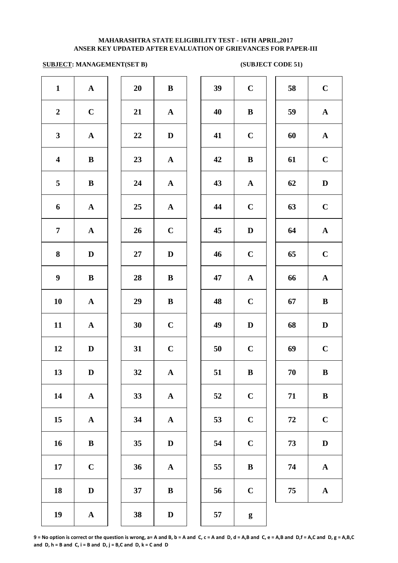### **SUBJECT: MANAGEMENT(SET B) (SUBJECT CODE 51)**

| $\mathbf{1}$            | ${\bf A}$             | 20     | $\bf{B}$              | 39 | $\mathbf C$      |
|-------------------------|-----------------------|--------|-----------------------|----|------------------|
| $\boldsymbol{2}$        | $\mathbf C$           | 21     | ${\bf A}$             | 40 | $\bf{B}$         |
| $\mathbf{3}$            | $\boldsymbol{\rm{A}}$ | 22     | $\mathbf D$           | 41 | $\mathbf C$      |
| $\overline{\mathbf{4}}$ | $\bf{B}$              | 23     | ${\bf A}$             | 42 | $\bf{B}$         |
| 5                       | $\bf{B}$              | 24     | $\mathbf A$           | 43 | $\boldsymbol{A}$ |
| 6                       | $\mathbf A$           | 25     | ${\bf A}$             | 44 | $\mathbf C$      |
| $\overline{7}$          | ${\bf A}$             | 26     | $\mathbf C$           | 45 | $\bf{D}$         |
| 8                       | $\mathbf D$           | $27\,$ | $\mathbf D$           | 46 | $\mathbf C$      |
| $\boldsymbol{9}$        | $\, {\bf B}$          | 28     | $\, {\bf B}$          | 47 | $\boldsymbol{A}$ |
| 10                      | ${\bf A}$             | 29     | $\, {\bf B}$          | 48 | $\mathbf C$      |
| 11                      | ${\bf A}$             | 30     | $\mathbf C$           | 49 | $\mathbf{D}$     |
| 12                      | $\mathbf D$           | 31     | $\mathbf C$           | 50 | $\mathbf C$      |
| 13                      | $\mathbf D$           | 32     | A                     | 51 | $\bf{B}$         |
| 14                      | $\boldsymbol{\rm{A}}$ | 33     | $\boldsymbol{\rm{A}}$ | 52 | $\mathbf C$      |
| 15                      | $\mathbf A$           | 34     | $\mathbf A$           | 53 | $\mathbf C$      |
| 16                      | $\, {\bf B}$          | 35     | $\mathbf D$           | 54 | $\mathbf C$      |
| ${\bf 17}$              | $\mathbf C$           | 36     | $\boldsymbol{\rm{A}}$ | 55 | $\bf{B}$         |
| 18                      | $\mathbf D$           | 37     | $\, {\bf B}$          | 56 | $\mathbf C$      |
| 19                      | $\boldsymbol{\rm{A}}$ | 38     | $\mathbf D$           | 57 | g                |
|                         |                       |        |                       |    |                  |

| $\mathbf{1}$            | $\mathbf{A}$ | 20 | $\bf{B}$     | 39 | $\mathbf C$  | 58 | $\mathbf C$  |
|-------------------------|--------------|----|--------------|----|--------------|----|--------------|
| $\overline{2}$          | $\mathbf C$  | 21 | ${\bf A}$    | 40 | $\bf{B}$     | 59 | $\mathbf{A}$ |
| $\mathbf{3}$            | $\mathbf A$  | 22 | $\mathbf D$  | 41 | $\mathbf C$  | 60 | $\mathbf{A}$ |
| $\overline{\mathbf{4}}$ | $\bf{B}$     | 23 | $\mathbf A$  | 42 | $\bf{B}$     | 61 | $\mathbf C$  |
| $\overline{5}$          | $\bf{B}$     | 24 | $\mathbf{A}$ | 43 | $\mathbf{A}$ | 62 | $\mathbf D$  |
| 6                       | $\mathbf A$  | 25 | $\mathbf A$  | 44 | $\mathbf C$  | 63 | $\mathbf C$  |
| $\overline{7}$          | ${\bf A}$    | 26 | $\mathbf C$  | 45 | $\mathbf D$  | 64 | ${\bf A}$    |
| 8                       | $\mathbf D$  | 27 | $\mathbf D$  | 46 | $\mathbf C$  | 65 | $\mathbf C$  |
| $\boldsymbol{9}$        | $\bf{B}$     | 28 | $\bf{B}$     | 47 | ${\bf A}$    | 66 | ${\bf A}$    |
| 10                      | ${\bf A}$    | 29 | ${\bf B}$    | 48 | $\mathbf C$  | 67 | $\bf{B}$     |
| 11                      | ${\bf A}$    | 30 | $\mathbf C$  | 49 | $\mathbf D$  | 68 | $\mathbf D$  |
| 12                      | D            | 31 | $\mathbf C$  | 50 | $\mathbf C$  | 69 | $\mathbf C$  |
| 13                      | $\mathbf{D}$ | 32 | ${\bf A}$    | 51 | B            | 70 | B            |
| 14                      | ${\bf A}$    | 33 | ${\bf A}$    | 52 | $\mathbf C$  | 71 | $\bf{B}$     |
| 15                      | ${\bf A}$    | 34 | ${\bf A}$    | 53 | $\mathbf C$  | 72 | $\mathbf C$  |
| 16                      | $\bf{B}$     | 35 | $\mathbf D$  | 54 | $\mathbf C$  | 73 | $\mathbf D$  |
| 17                      | $\mathbf C$  | 36 | $\mathbf{A}$ | 55 | $\bf{B}$     | 74 | ${\bf A}$    |
| 18                      | ${\bf D}$    | 37 | $\bf{B}$     | 56 | $\mathbf C$  | 75 | ${\bf A}$    |
| 10                      | $\Lambda$    | 38 | $\mathbf{D}$ | 57 | $\alpha$     |    |              |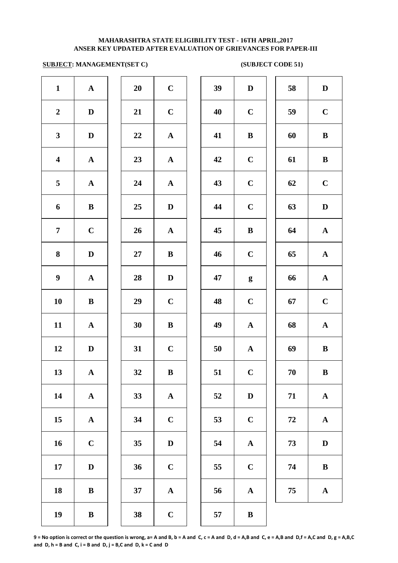### **SUBJECT: MANAGEMENT(SET C) (SUBJECT CODE 51)**

| $\mathbf{1}$            | $\boldsymbol{\rm{A}}$ | 20 | $\mathbf C$           | 39 | $\mathbf{D}$ |
|-------------------------|-----------------------|----|-----------------------|----|--------------|
| $\boldsymbol{2}$        | $\mathbf D$           | 21 | $\mathbf C$           | 40 | $\mathbf C$  |
| $\mathbf{3}$            | $\mathbf D$           | 22 | ${\bf A}$             | 41 | $\bf{B}$     |
| $\overline{\mathbf{4}}$ | ${\bf A}$             | 23 | ${\bf A}$             | 42 | $\mathbf C$  |
| 5                       | $\boldsymbol{\rm{A}}$ | 24 | $\mathbf A$           | 43 | $\mathbf C$  |
| 6                       | $\bf{B}$              | 25 | ${\bf D}$             | 44 | $\mathbf C$  |
| $\overline{7}$          | $\mathbf C$           | 26 | $\boldsymbol{\rm{A}}$ | 45 | $\bf{B}$     |
| 8                       | $\mathbf D$           | 27 | $\bf{B}$              | 46 | $\mathbf C$  |
| $\boldsymbol{9}$        | ${\bf A}$             | 28 | $\mathbf D$           | 47 | g            |
| 10                      | $\, {\bf B}$          | 29 | $\mathbf C$           | 48 | $\mathbf C$  |
| 11                      | $\boldsymbol{\rm{A}}$ | 30 | $\bf{B}$              | 49 | $\mathbf{A}$ |
| 12                      | $\mathbf D$           | 31 | $\mathbf C$           | 50 | $\mathbf A$  |
| 13                      | ${\bf A}$             | 32 | $\, {\bf B}$          | 51 | $\mathbf C$  |
| 14                      | $\boldsymbol{\rm{A}}$ | 33 | $\mathbf A$           | 52 | D            |
| 15                      | $\boldsymbol{\rm{A}}$ | 34 | $\mathbf C$           | 53 | $\mathbf C$  |
| 16                      | $\mathbf C$           | 35 | $\mathbf D$           | 54 | $\mathbf A$  |
| 17                      | $\mathbf D$           | 36 | $\mathbf C$           | 55 | $\mathbf C$  |
| 18                      | $\bf{B}$              | 37 | ${\bf A}$             | 56 | $\mathbf A$  |
| 19                      | $\, {\bf B}$          | 38 | $\mathbf C$           | 57 | $\bf{B}$     |
|                         |                       |    |                       |    |              |

| 20 | $\mathbf C$    |
|----|----------------|
| 21 | $\mathbf C$    |
| 22 | $\mathbf A$    |
| 23 | $\mathbf{A}$   |
| 24 | $\mathbf{A}$   |
| 25 | D              |
| 26 | $\mathbf A$    |
| 27 | B              |
| 28 | $\mathbf D$    |
| 29 | $\mathbf C$    |
| 30 | B              |
| 31 | $\overline{C}$ |
| 32 | B              |
| 33 | A              |
| 34 | $\mathbf C$    |
| 35 | D              |
| 36 | $\mathbf C$    |
| 37 | A              |
| 20 |                |

| $\mathbf{1}$            | $\mathbf A$  | 20 | $\mathbf C$  | 39 | $\mathbf D$      | 58 | $\mathbf D$  |
|-------------------------|--------------|----|--------------|----|------------------|----|--------------|
| $\boldsymbol{2}$        | D            | 21 | $\mathbf C$  | 40 | $\mathbf C$      | 59 | $\mathbf C$  |
| $\mathbf{3}$            | $\mathbf D$  | 22 | ${\bf A}$    | 41 | $\bf{B}$         | 60 | $\, {\bf B}$ |
| $\overline{\mathbf{4}}$ | $\mathbf{A}$ | 23 | ${\bf A}$    | 42 | $\mathbf C$      | 61 | $\bf{B}$     |
| $\overline{5}$          | $\mathbf{A}$ | 24 | $\mathbf{A}$ | 43 | $\mathbf C$      | 62 | $\mathbf C$  |
| 6                       | $\bf{B}$     | 25 | D            | 44 | $\mathbf C$      | 63 | $\mathbf D$  |
| $\overline{7}$          | $\mathbf C$  | 26 | $\mathbf A$  | 45 | $\, {\bf B}$     | 64 | ${\bf A}$    |
| 8                       | $\mathbf D$  | 27 | $\bf{B}$     | 46 | $\mathbf C$      | 65 | ${\bf A}$    |
| $\boldsymbol{9}$        | ${\bf A}$    | 28 | $\mathbf{D}$ | 47 | $\boldsymbol{g}$ | 66 | ${\bf A}$    |
| 10                      | $\, {\bf B}$ | 29 | $\mathbf C$  | 48 | $\mathbf C$      | 67 | $\mathbf C$  |
| 11                      | ${\bf A}$    | 30 | $\bf{B}$     | 49 | ${\bf A}$        | 68 | ${\bf A}$    |
| 12                      | $\mathbf D$  | 31 | $\mathbf C$  | 50 | $\mathbf{A}$     | 69 | $\bf{B}$     |
| 13                      | ${\bf A}$    | 32 | $\, {\bf B}$ | 51 | $\mathbf C$      | 70 | $\bf{B}$     |
| 14                      | $\mathbf{A}$ | 33 | ${\bf A}$    | 52 | $\mathbf D$      | 71 | ${\bf A}$    |
| 15                      | $\mathbf A$  | 34 | $\mathbf C$  | 53 | $\mathbf C$      | 72 | ${\bf A}$    |
| 16                      | $\mathbf C$  | 35 | $\mathbf D$  | 54 | $\mathbf A$      | 73 | ${\bf D}$    |
| 17                      | $\mathbf D$  | 36 | $\mathbf C$  | 55 | $\mathbf C$      | 74 | $\, {\bf B}$ |
| 18                      | ${\bf B}$    | 37 | ${\bf A}$    | 56 | $\mathbf A$      | 75 | $\mathbf A$  |
| 19                      | $\, {\bf B}$ | 38 | $\mathbf C$  | 57 | $\, {\bf B}$     |    |              |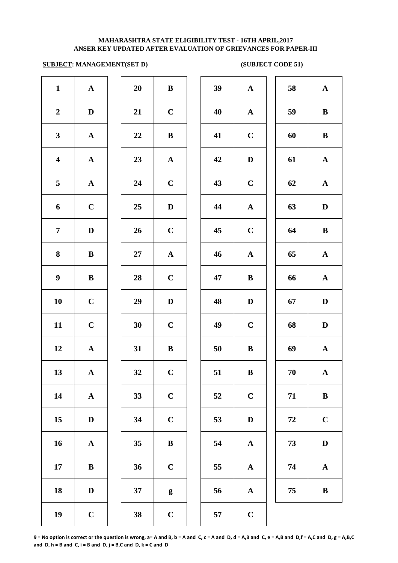### **ANSER KEY UPDATED AFTER EVALUATION OF GRIEVANCES FOR PAPER-III MAHARASHTRA STATE ELIGIBILITY TEST - 16TH APRIL,2017**

### **SUBJECT: MANAGEMENT(SET D) (SUBJECT CODE 51)**

| $\mathbf{1}$            | ${\bf A}$             | 20     | $\, {\bf B}$     | 39 | $\mathbf A$  |
|-------------------------|-----------------------|--------|------------------|----|--------------|
| $\boldsymbol{2}$        | $\mathbf D$           | 21     | $\mathbf C$      | 40 | $\mathbf A$  |
| $\mathbf{3}$            | $\boldsymbol{\rm{A}}$ | 22     | $\bf{B}$         | 41 | $\mathbf C$  |
| $\overline{\mathbf{4}}$ | $\boldsymbol{\rm{A}}$ | 23     | ${\bf A}$        | 42 | $\mathbf{D}$ |
| 5                       | $\boldsymbol{\rm{A}}$ | 24     | $\mathbf C$      | 43 | $\mathbf C$  |
| 6                       | $\mathbf C$           | 25     | $\mathbf D$      | 44 | $\mathbf A$  |
| $\overline{7}$          | $\mathbf D$           | 26     | $\mathbf C$      | 45 | $\mathbf C$  |
| 8                       | $\bf{B}$              | $27\,$ | ${\bf A}$        | 46 | $\mathbf A$  |
| $\boldsymbol{9}$        | $\, {\bf B}$          | 28     | $\mathbf C$      | 47 | $\bf{B}$     |
| 10                      | $\mathbf C$           | 29     | $\mathbf D$      | 48 | $\mathbf{D}$ |
| 11                      | $\mathbf C$           | 30     | $\mathbf C$      | 49 | $\mathbf C$  |
| 12                      | $\boldsymbol{\rm{A}}$ | 31     | $\, {\bf B}$     | 50 | $\bf{B}$     |
| 13                      | $\mathbf A$           | 32     | $\mathbf C$      | 51 | $\bf{B}$     |
| 14                      | ${\bf A}$             | 33     | $\mathbf C$      | 52 | $\mathbf C$  |
| 15                      | $\mathbf D$           | 34     | $\mathbf C$      | 53 | $\bf{D}$     |
| 16                      | $\mathbf A$           | 35     | $\bf{B}$         | 54 | $\mathbf A$  |
| 17                      | $\bf{B}$              | 36     | $\mathbf C$      | 55 | $\mathbf A$  |
| 18                      | $\mathbf D$           | 37     | $\boldsymbol{g}$ | 56 | $\mathbf A$  |
| 19                      | $\mathbf C$           | 38     | $\mathbf C$      | 57 | $\mathbf C$  |
|                         |                       |        |                  |    |              |

| 20             | B              |  |
|----------------|----------------|--|
| 21             | $\mathbf C$    |  |
| 22             | B              |  |
| 23             | $\mathbf{A}$   |  |
| 24             | $\mathbf C$    |  |
| 25             | D              |  |
| 26             | $\mathbf C$    |  |
| <b>27</b>      | $\mathbf{A}$   |  |
| 28             | $\mathbf C$    |  |
| 29             | D              |  |
| 30             | $\overline{C}$ |  |
| 31             | B              |  |
| 32             | $\mathbf C$    |  |
| 33             | $\mathbf C$    |  |
| 34             | $\mathbf C$    |  |
| 35             | B              |  |
| 36             | $\mathbf C$    |  |
| 37             | g              |  |
| 3 <sub>Q</sub> | r              |  |

| $\mathbf{1}$            | $\mathbf A$  | 20       | $\, {\bf B}$     | 39 | $\mathbf A$  | 58 | ${\bf A}$    |
|-------------------------|--------------|----------|------------------|----|--------------|----|--------------|
| $\overline{2}$          | D            | 21       | $\mathbf C$      | 40 | ${\bf A}$    | 59 | $\bf{B}$     |
| $\mathbf{3}$            | $\mathbf{A}$ | $\bf 22$ | $\, {\bf B}$     | 41 | $\mathbf C$  | 60 | $\bf{B}$     |
| $\overline{\mathbf{4}}$ | ${\bf A}$    | 23       | ${\bf A}$        | 42 | $\mathbf D$  | 61 | ${\bf A}$    |
| $\overline{5}$          | $\mathbf{A}$ | 24       | $\mathbf C$      | 43 | $\mathbf C$  | 62 | $\mathbf{A}$ |
| 6                       | $\mathbf C$  | 25       | $\mathbf{D}$     | 44 | ${\bf A}$    | 63 | D            |
| $\overline{7}$          | D            | 26       | $\mathbf C$      | 45 | $\mathbf C$  | 64 | $\bf{B}$     |
| 8                       | $\bf{B}$     | 27       | $\mathbf{A}$     | 46 | $\mathbf{A}$ | 65 | ${\bf A}$    |
| $\boldsymbol{9}$        | $\, {\bf B}$ | 28       | $\mathbf C$      | 47 | $\bf{B}$     | 66 | ${\bf A}$    |
| 10                      | $\mathbf C$  | 29       | $\mathbf D$      | 48 | $\mathbf D$  | 67 | $\mathbf D$  |
| 11                      | $\mathbf C$  | 30       | $\mathbf C$      | 49 | $\mathbf C$  | 68 | $\mathbf D$  |
| 12                      | ${\bf A}$    | 31       | $\bf{B}$         | 50 | $\bf{B}$     | 69 | ${\bf A}$    |
| 13                      | $\mathbf{A}$ | 32       | $\mathbf C$      | 51 | $\bf{B}$     | 70 | $\mathbf{A}$ |
| 14                      | $\mathbf A$  | 33       | $\mathbf C$      | 52 | $\mathbf C$  | 71 | $\, {\bf B}$ |
| 15                      | D            | 34       | $\mathbf C$      | 53 | D            | 72 | $\mathbf C$  |
| 16                      | $\mathbf A$  | 35       | $\bf{B}$         | 54 | ${\bf A}$    | 73 | $\mathbf D$  |
| 17                      | $\bf{B}$     | 36       | $\mathbf C$      | 55 | $\mathbf A$  | 74 | ${\bf A}$    |
| 18                      | D            | 37       | $\boldsymbol{g}$ | 56 | $\mathbf{A}$ | 75 | $\bf{B}$     |
| 19                      | $\mathbf C$  | 38       | $\mathbf C$      | 57 | $\bf C$      |    |              |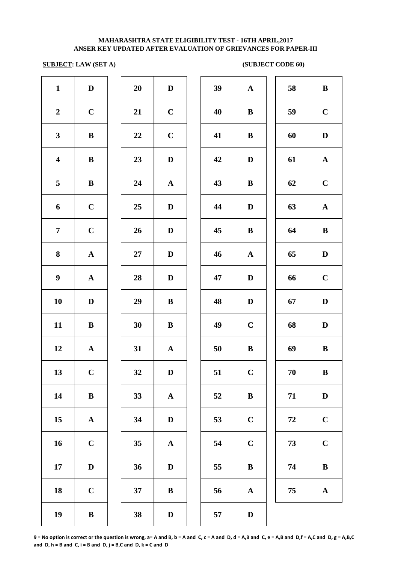## **SUBJECT: LAW (SET A)** (SUBJECT CODE 60)

| $\mathbf{1}$            | $\mathbf D$           | 20     | $\mathbf D$           | 39 | $\mathbf A$  |
|-------------------------|-----------------------|--------|-----------------------|----|--------------|
| $\boldsymbol{2}$        | $\mathbf C$           | 21     | $\mathbf C$           | 40 | $\bf{B}$     |
| $\mathbf{3}$            | $\, {\bf B}$          | 22     | $\mathbf C$           | 41 | $\bf{B}$     |
| $\overline{\mathbf{4}}$ | $\, {\bf B}$          | 23     | $\mathbf D$           | 42 | $\mathbf{D}$ |
| 5                       | $\, {\bf B}$          | 24     | ${\bf A}$             | 43 | $\bf{B}$     |
| 6                       | $\mathbf C$           | 25     | $\mathbf D$           | 44 | $\mathbf{D}$ |
| $\overline{7}$          | $\mathbf C$           | 26     | $\mathbf D$           | 45 | $\bf{B}$     |
| 8                       | $\boldsymbol{\rm{A}}$ | $27\,$ | $\mathbf D$           | 46 | $\mathbf A$  |
| $\boldsymbol{9}$        | ${\bf A}$             | 28     | $\mathbf D$           | 47 | $\mathbf{D}$ |
| ${\bf 10}$              | $\mathbf D$           | 29     | $\bf{B}$              | 48 | $\mathbf{D}$ |
| 11                      | $\bf{B}$              | 30     | $\bf{B}$              | 49 | $\mathbf C$  |
| 12                      | $\mathbf A$           | 31     | $\mathbf A$           | 50 | $\bf{B}$     |
| 13                      | $\mathbf C$           | 32     | $\mathbf D$           | 51 | $\mathbf C$  |
| 14                      | $\, {\bf B}$          | 33     | $\mathbf A$           | 52 | $\bf{B}$     |
| 15                      | $\boldsymbol{\rm{A}}$ | 34     | $\mathbf D$           | 53 | $\mathbf C$  |
| 16                      | $\mathbf C$           | 35     | $\boldsymbol{\rm{A}}$ | 54 | $\mathbf C$  |
| 17                      | $\mathbf D$           | 36     | $\mathbf D$           | 55 | $\bf{B}$     |
| 18                      | $\mathbf C$           | $37\,$ | $\, {\bf B}$          | 56 | $\mathbf A$  |
| 19                      | $\, {\bf B}$          | 38     | $\mathbf D$           | 57 | $\bf{D}$     |

| 20 | $\mathbf{D}$ |
|----|--------------|
| 21 | $\mathbf C$  |
| 22 | $\mathbf C$  |
| 23 | D            |
| 24 | A            |
| 25 | D            |
| 26 | D            |
| 27 | D            |
| 28 | D            |
| 29 | B            |
| 30 | B            |
| 31 | A            |
| 32 | $\bf{D}$     |
| 33 | A            |
| 34 | D            |
| 35 | A            |
| 36 | $\mathbf D$  |
| 37 | B            |
|    |              |

| $\mathbf{1}$            | $\mathbf D$  | 20     | $\mathbf D$  | 39 | ${\bf A}$    | 58 | $\, {\bf B}$ |
|-------------------------|--------------|--------|--------------|----|--------------|----|--------------|
| $\overline{2}$          | $\mathbf C$  | 21     | $\mathbf C$  | 40 | $\bf{B}$     | 59 | $\mathbf C$  |
| $\mathbf{3}$            | $\, {\bf B}$ | 22     | $\mathbf C$  | 41 | $\, {\bf B}$ | 60 | $\mathbf D$  |
| $\overline{\mathbf{4}}$ | $\, {\bf B}$ | 23     | $\mathbf D$  | 42 | $\mathbf D$  | 61 | ${\bf A}$    |
| $\overline{5}$          | $\, {\bf B}$ | 24     | ${\bf A}$    | 43 | $\bf{B}$     | 62 | $\mathbf C$  |
| 6                       | $\mathbf C$  | 25     | $\mathbf D$  | 44 | $\mathbf D$  | 63 | ${\bf A}$    |
| $\overline{7}$          | $\mathbf C$  | 26     | $\mathbf D$  | 45 | $\bf{B}$     | 64 | $\, {\bf B}$ |
| $\boldsymbol{8}$        | ${\bf A}$    | $27\,$ | $\mathbf D$  | 46 | $\mathbf{A}$ | 65 | $\mathbf D$  |
| $\boldsymbol{9}$        | ${\bf A}$    | 28     | D            | 47 | $\mathbf D$  | 66 | $\mathbf C$  |
| 10                      | D            | 29     | $\bf{B}$     | 48 | $\mathbf D$  | 67 | $\mathbf D$  |
| 11                      | $\bf{B}$     | 30     | $\bf{B}$     | 49 | $\mathbf C$  | 68 | $\mathbf D$  |
| 12                      | $\mathbf{A}$ | 31     | $\mathbf{A}$ | 50 | $\bf{B}$     | 69 | $\, {\bf B}$ |
| 13                      | $\mathbf C$  | 32     | D            | 51 | $\mathbf C$  | 70 | B            |
| 14                      | $\bf{B}$     | 33     | $\mathbf{A}$ | 52 | $\bf{B}$     | 71 | $\mathbf D$  |
| 15                      | $\mathbf A$  | 34     | $\mathbf D$  | 53 | $\mathbf C$  | 72 | $\mathbf C$  |
| 16                      | $\mathbf C$  | 35     | $\mathbf{A}$ | 54 | $\mathbf C$  | 73 | $\bf C$      |
| 17                      | D            | 36     | $\mathbf D$  | 55 | $\bf{B}$     | 74 | $\bf{B}$     |
| 18                      | $\mathbf C$  | 37     | $\bf{B}$     | 56 | $\mathbf{A}$ | 75 | ${\bf A}$    |
| 19                      | $\mathbf{R}$ | 38     | $\mathbf{D}$ | 57 | $\mathbf{D}$ |    |              |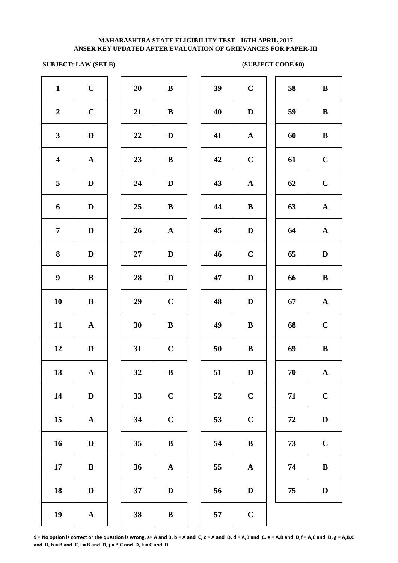### **SUBJECT: LAW (SET B)** (SUBJECT CODE 60)

| $\mathbf{1}$            | $\mathbf C$           | 20     | $\bf{B}$              | 39 | $\mathbf C$  |
|-------------------------|-----------------------|--------|-----------------------|----|--------------|
| $\boldsymbol{2}$        | $\mathbf C$           | 21     | $\, {\bf B}$          | 40 | $\mathbf{D}$ |
| $\mathbf{3}$            | $\mathbf D$           | 22     | $\mathbf D$           | 41 | $\mathbf A$  |
| $\overline{\mathbf{4}}$ | $\boldsymbol{\rm{A}}$ | 23     | $\, {\bf B}$          | 42 | $\mathbf C$  |
| 5                       | $\mathbf D$           | 24     | $\mathbf{D}%$         | 43 | $\mathbf A$  |
| 6                       | $\mathbf D$           | 25     | $\, {\bf B}$          | 44 | $\bf{B}$     |
| $\boldsymbol{7}$        | ${\bf D}$             | 26     | $\boldsymbol{\rm{A}}$ | 45 | $\mathbf{D}$ |
| ${\bf 8}$               | ${\bf D}$             | $27\,$ | $\mathbf D$           | 46 | $\mathbf C$  |
| $\boldsymbol{9}$        | $\, {\bf B}$          | 28     | $\mathbf D$           | 47 | $\mathbf{D}$ |
| 10                      | $\, {\bf B}$          | 29     | $\mathbf C$           | 48 | $\mathbf{D}$ |
| 11                      | ${\bf A}$             | 30     | $\, {\bf B}$          | 49 | $\bf{B}$     |
| 12                      | $\mathbf D$           | 31     | $\mathbf C$           | 50 | $\bf{B}$     |
| 13                      | $\mathbf A$           | 32     | $\bf{B}$              | 51 | $\bf{D}$     |
| 14                      | $\mathbf D$           | 33     | $\mathbf C$           | 52 | $\mathbf C$  |
| 15                      | $\mathbf A$           | 34     | $\mathbf C$           | 53 | $\mathbf C$  |
| 16                      | $\mathbf D$           | 35     | $\, {\bf B}$          | 54 | $\bf{B}$     |
| 17                      | $\, {\bf B}$          | 36     | $\boldsymbol{\rm{A}}$ | 55 | $\mathbf A$  |
| 18                      | ${\bf D}$             | 37     | $\mathbf D$           | 56 | $\bf{D}$     |
| 19                      | ${\bf A}$             | 38     | $\, {\bf B}$          | 57 | $\mathbf C$  |
|                         |                       |        |                       |    |              |

| 20 | B              |  |
|----|----------------|--|
| 21 | B              |  |
| 22 | D              |  |
| 23 | B              |  |
| 24 | D              |  |
| 25 | B              |  |
| 26 | $\mathbf A$    |  |
| 27 | D              |  |
| 28 | D              |  |
| 29 | $\overline{C}$ |  |
| 30 | B              |  |
| 31 | $\mathbf C$    |  |
| 32 | B              |  |
| 33 | $\mathbf C$    |  |
| 34 | $\mathbf C$    |  |
| 35 | B              |  |
| 36 | A              |  |
| 37 | D              |  |
|    |                |  |

| $\mathbf{1}$            | $\mathbf C$  | 20 | $\bf{B}$     | 39 | $\mathbf C$  | 58     | $\bf{B}$     |
|-------------------------|--------------|----|--------------|----|--------------|--------|--------------|
| $\overline{2}$          | $\mathbf C$  | 21 | $\bf{B}$     | 40 | $\mathbf D$  | 59     | $\bf{B}$     |
| $\mathbf{3}$            | $\mathbf D$  | 22 | $\mathbf D$  | 41 | ${\bf A}$    | 60     | $\, {\bf B}$ |
| $\overline{\mathbf{4}}$ | ${\bf A}$    | 23 | $\bf{B}$     | 42 | $\mathbf C$  | 61     | $\mathbf C$  |
| 5                       | $\mathbf D$  | 24 | $\mathbf D$  | 43 | ${\bf A}$    | 62     | $\mathbf C$  |
| 6                       | $\mathbf D$  | 25 | $\bf{B}$     | 44 | $\bf{B}$     | 63     | $\mathbf A$  |
| $\overline{7}$          | D            | 26 | $\mathbf{A}$ | 45 | D            | 64     | $\mathbf{A}$ |
| 8                       | D            | 27 | D            | 46 | $\mathbf C$  | 65     | $\mathbf{D}$ |
| $\boldsymbol{9}$        | $\bf{B}$     | 28 | $\mathbf D$  | 47 | $\mathbf D$  | 66     | $\bf{B}$     |
| 10                      | $\bf{B}$     | 29 | $\mathbf C$  | 48 | D            | 67     | $\mathbf{A}$ |
| 11                      | $\mathbf A$  | 30 | ${\bf B}$    | 49 | $\bf{B}$     | 68     | $\mathbf C$  |
| 12                      | $\mathbf D$  | 31 | $\bf C$      | 50 | $\bf{B}$     | 69     | $\, {\bf B}$ |
| 13                      | $\mathbf{A}$ | 32 | $\bf{B}$     | 51 | D            | $70\,$ | $\mathbf A$  |
| 14                      | D            | 33 | $\mathbf C$  | 52 | $\mathbf C$  | 71     | $\mathbf C$  |
| 15                      | $\mathbf{A}$ | 34 | $\mathbf C$  | 53 | $\mathbf C$  | 72     | $\mathbf D$  |
| 16                      | D            | 35 | $\bf{B}$     | 54 | $\bf{B}$     | 73     | $\mathbf C$  |
| 17                      | $\bf{B}$     | 36 | $\mathbf A$  | 55 | $\mathbf{A}$ | 74     | $\bf{B}$     |
| 18                      | D            | 37 | $\mathbf{D}$ | 56 | $\mathbf D$  | 75     | $\mathbf D$  |
| 10                      |              | 20 | D            | E7 | $\mathbf{C}$ |        |              |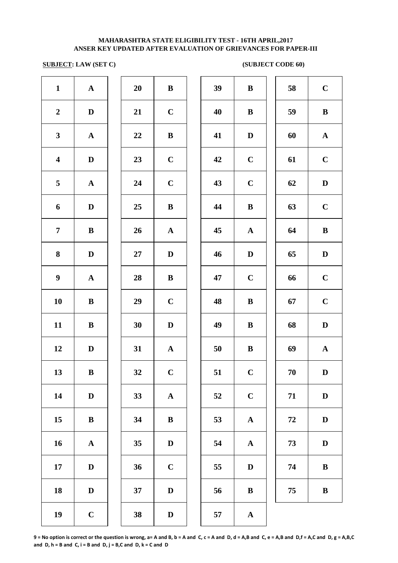### **SUBJECT: LAW (SET C) (SUBJECT CODE 60)**

| $\mathbf{1}$            | $\boldsymbol{\rm{A}}$ | 20 | $\, {\bf B}$ | 39 | $\bf{B}$     |
|-------------------------|-----------------------|----|--------------|----|--------------|
| $\boldsymbol{2}$        | $\mathbf D$           | 21 | $\mathbf C$  | 40 | $\bf{B}$     |
| $\mathbf{3}$            | ${\bf A}$             | 22 | $\bf{B}$     | 41 | $\mathbf{D}$ |
| $\overline{\mathbf{4}}$ | $\mathbf D$           | 23 | $\mathbf C$  | 42 | $\mathbf C$  |
| 5                       | ${\bf A}$             | 24 | $\mathbf C$  | 43 | $\mathbf C$  |
| 6                       | $\mathbf D$           | 25 | $\bf{B}$     | 44 | $\bf{B}$     |
| $\overline{7}$          | $\bf{B}$              | 26 | ${\bf A}$    | 45 | $\mathbf A$  |
| 8                       | $\mathbf D$           | 27 | $\mathbf D$  | 46 | $\mathbf{D}$ |
| $\boldsymbol{9}$        | ${\bf A}$             | 28 | $\, {\bf B}$ | 47 | $\mathbf C$  |
| 10                      | $\, {\bf B}$          | 29 | $\mathbf C$  | 48 | $\bf{B}$     |
| 11                      | $\, {\bf B}$          | 30 | $\mathbf D$  | 49 | $\bf{B}$     |
| 12                      | $\mathbf D$           | 31 | $\mathbf A$  | 50 | $\bf{B}$     |
| 13                      | $\bf{B}$              | 32 | $\mathbf C$  | 51 | $\mathbf C$  |
| 14                      | $\mathbf D$           | 33 | $\mathbf A$  | 52 | $\mathbf C$  |
| 15                      | $\bf{B}$              | 34 | $\bf{B}$     | 53 | $\mathbf A$  |
| 16                      | ${\bf A}$             | 35 | $\mathbf D$  | 54 | $\mathbf A$  |
| 17                      | $\mathbf D$           | 36 | $\mathbf C$  | 55 | $\mathbf{D}$ |
| 18                      | $\mathbf D$           | 37 | $\mathbf D$  | 56 | $\bf{B}$     |
| 19                      | $\mathbf C$           | 38 | $\mathbf D$  | 57 | $\mathbf A$  |
|                         |                       |    |              |    |              |

| 20 | B              |
|----|----------------|
| 21 | $\mathbf C$    |
| 22 | B              |
| 23 | $\mathbf C$    |
| 24 | $\mathbf C$    |
| 25 | B              |
| 26 | $\mathbf{A}$   |
| 27 | $\mathbf D$    |
| 28 | B              |
| 29 | $\mathbf C$    |
| 30 | D              |
| 31 | A              |
| 32 | $\mathbf C$    |
| 33 | A              |
| 34 | B              |
| 35 | D              |
| 36 | $\overline{C}$ |
| 37 | D              |
|    |                |

| $\mathbf{1}$            | ${\bf A}$    | 20 | $\bf{B}$     | 39 | $\bf{B}$     | 58 | $\mathbf C$  |
|-------------------------|--------------|----|--------------|----|--------------|----|--------------|
| $\overline{2}$          | $\mathbf D$  | 21 | $\mathbf C$  | 40 | $\bf{B}$     | 59 | $\, {\bf B}$ |
| $\mathbf{3}$            | ${\bf A}$    | 22 | $\, {\bf B}$ | 41 | $\mathbf D$  | 60 | ${\bf A}$    |
| $\overline{\mathbf{4}}$ | $\mathbf D$  | 23 | $\mathbf C$  | 42 | $\mathbf C$  | 61 | $\mathbf C$  |
| 5                       | ${\bf A}$    | 24 | $\mathbf C$  | 43 | $\mathbf C$  | 62 | $\mathbf D$  |
| 6                       | $\mathbf D$  | 25 | $\, {\bf B}$ | 44 | $\, {\bf B}$ | 63 | $\mathbf C$  |
| $\overline{7}$          | $\bf{B}$     | 26 | ${\bf A}$    | 45 | ${\bf A}$    | 64 | $\, {\bf B}$ |
| 8                       | D            | 27 | $\mathbf{D}$ | 46 | $\mathbf D$  | 65 | $\mathbf D$  |
| $\boldsymbol{9}$        | $\mathbf{A}$ | 28 | $\bf{B}$     | 47 | $\mathbf C$  | 66 | $\mathbf C$  |
| 10                      | $\bf{B}$     | 29 | $\mathbf C$  | 48 | $\bf{B}$     | 67 | $\mathbf C$  |
| 11                      | $\bf{B}$     | 30 | $\mathbf{D}$ | 49 | $\bf{B}$     | 68 | $\mathbf D$  |
| 12                      | $\mathbf{D}$ | 31 | $\mathbf{A}$ | 50 | $\bf{B}$     | 69 | $\mathbf A$  |
| 13                      | $\bf{B}$     | 32 | $\mathbf C$  | 51 | $\mathbf C$  | 70 | $\mathbf D$  |
| 14                      | $\mathbf D$  | 33 | ${\bf A}$    | 52 | $\mathbf C$  | 71 | $\mathbf D$  |
| 15                      | $\bf{B}$     | 34 | $\bf{B}$     | 53 | $\mathbf A$  | 72 | $\mathbf D$  |
| 16                      | $\mathbf{A}$ | 35 | $\mathbf D$  | 54 | $\mathbf{A}$ | 73 | $\mathbf D$  |
| 17                      | D            | 36 | $\mathbf C$  | 55 | $\mathbf D$  | 74 | $\bf{B}$     |
| 18                      | D            | 37 | $\mathbf{D}$ | 56 | $\bf{B}$     | 75 | $\, {\bf B}$ |
| 10                      | $\mathbf C$  | 38 | $\mathbf{D}$ | 57 |              |    |              |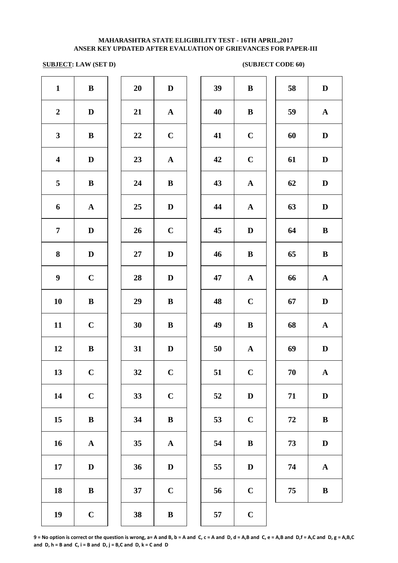## **SUBJECT: LAW (SET D)** (SUBJECT CODE 60)

| $\mathbf{1}$            | $\, {\bf B}$ | 20 | $\mathbf D$           | 39 | $\bf{B}$     |
|-------------------------|--------------|----|-----------------------|----|--------------|
| $\boldsymbol{2}$        | $\mathbf D$  | 21 | $\mathbf A$           | 40 | $\bf{B}$     |
| $\mathbf{3}$            | $\, {\bf B}$ | 22 | $\mathbf C$           | 41 | $\mathbf C$  |
| $\overline{\mathbf{4}}$ | $\mathbf D$  | 23 | ${\bf A}$             | 42 | $\mathbf C$  |
| 5                       | $\, {\bf B}$ | 24 | $\, {\bf B}$          | 43 | $\mathbf A$  |
| 6                       | ${\bf A}$    | 25 | $\mathbf D$           | 44 | $\mathbf A$  |
| $\overline{7}$          | $\mathbf D$  | 26 | $\mathbf C$           | 45 | $\mathbf{D}$ |
| 8                       | $\mathbf D$  | 27 | ${\bf D}$             | 46 | $\bf{B}$     |
| $\boldsymbol{9}$        | $\mathbf C$  | 28 | $\mathbf D$           | 47 | $\mathbf A$  |
| 10                      | $\, {\bf B}$ | 29 | $\bf{B}$              | 48 | $\mathbf C$  |
| 11                      | $\mathbf C$  | 30 | $\bf{B}$              | 49 | $\bf{B}$     |
| 12                      | $\, {\bf B}$ | 31 | $\mathbf D$           | 50 | $\mathbf A$  |
| 13                      | $\mathbf C$  | 32 | $\mathbf C$           | 51 | $\mathbf C$  |
| 14                      | $\mathbf C$  | 33 | $\mathbf C$           | 52 | $\mathbf{D}$ |
| 15                      | $\, {\bf B}$ | 34 | $\, {\bf B}$          | 53 | $\mathbf C$  |
| 16                      | ${\bf A}$    | 35 | $\boldsymbol{\rm{A}}$ | 54 | $\bf{B}$     |
| $17\phantom{.}$         | $\mathbf D$  | 36 | $\mathbf D$           | 55 | $\mathbf{D}$ |
| 18                      | $\bf{B}$     | 37 | $\mathbf C$           | 56 | $\mathbf C$  |
| 19                      | $\mathbf C$  | 38 | $\, {\bf B}$          | 57 | $\mathbf C$  |
|                         |              |    |                       |    |              |

| 20 | $\mathbf D$             |
|----|-------------------------|
| 21 | A                       |
| 22 | $\mathbf C$             |
| 23 | A                       |
| 24 | B                       |
| 25 | D                       |
| 26 | $\mathbf C$             |
| 27 | D                       |
| 28 | $\bf{D}$                |
| 29 | B                       |
| 30 | B                       |
| 31 | D                       |
| 32 | $\mathbf C$             |
| 33 | $\overline{\mathbf{C}}$ |
| 34 | B                       |
| 35 | $\mathbf A$             |
| 36 | D                       |
| 37 | $\overline{\mathbf{C}}$ |
|    |                         |

| $\mathbf{1}$            | $\, {\bf B}$ | 20              | $\mathbf{D}$ | 39 | $\bf{B}$     | 58     | $\mathbf D$  |
|-------------------------|--------------|-----------------|--------------|----|--------------|--------|--------------|
| $\overline{2}$          | $\mathbf D$  | 21              | ${\bf A}$    | 40 | $\, {\bf B}$ | 59     | ${\bf A}$    |
| $\mathbf{3}$            | $\, {\bf B}$ | $22\,$          | $\mathbf C$  | 41 | $\mathbf C$  | 60     | $\mathbf D$  |
| $\overline{\mathbf{4}}$ | D            | 23              | $\mathbf{A}$ | 42 | $\mathbf C$  | 61     | $\mathbf D$  |
| $\overline{\mathbf{5}}$ | $\bf{B}$     | 24              | $\bf{B}$     | 43 | ${\bf A}$    | 62     | $\mathbf D$  |
| 6                       | ${\bf A}$    | 25              | $\mathbf D$  | 44 | ${\bf A}$    | 63     | $\mathbf D$  |
| $\overline{7}$          | $\mathbf D$  | 26              | $\mathbf C$  | 45 | D            | 64     | $\, {\bf B}$ |
| 8                       | $\mathbf D$  | 27              | $\mathbf D$  | 46 | $\bf{B}$     | 65     | $\bf{B}$     |
| $\boldsymbol{9}$        | $\mathbf C$  | 28              | $\mathbf D$  | 47 | ${\bf A}$    | 66     | ${\bf A}$    |
| 10                      | $\bf{B}$     | 29              | $\bf{B}$     | 48 | $\mathbf C$  | 67     | $\mathbf D$  |
| 11                      | $\mathbf C$  | 30              | $\bf{B}$     | 49 | $\, {\bf B}$ | 68     | ${\bf A}$    |
| 12                      | $\, {\bf B}$ | 31              | $\mathbf D$  | 50 | ${\bf A}$    | 69     | $\mathbf D$  |
| 13                      | $\mathbf C$  | 32              | $\mathbf C$  | 51 | $\mathbf C$  | $70\,$ | $\mathbf{A}$ |
| 14                      | $\mathbf C$  | 33              | $\mathbf C$  | 52 | $\mathbf D$  | 71     | $\mathbf D$  |
| 15                      | $\bf{B}$     | 34              | $\bf{B}$     | 53 | $\mathbf C$  | 72     | $\bf{B}$     |
| 16                      | ${\bf A}$    | 35              | $\mathbf{A}$ | 54 | $\bf{B}$     | 73     | $\mathbf D$  |
| 17                      | D            | 36              | $\mathbf D$  | 55 | $\mathbf D$  | 74     | ${\bf A}$    |
| 18                      | $\bf{B}$     | 37              | $\mathbf C$  | 56 | $\mathbf C$  | 75     | ${\bf B}$    |
| 10                      | $\mathbf{C}$ | 20 <sub>o</sub> | D            | E7 | $\mathbf{C}$ |        |              |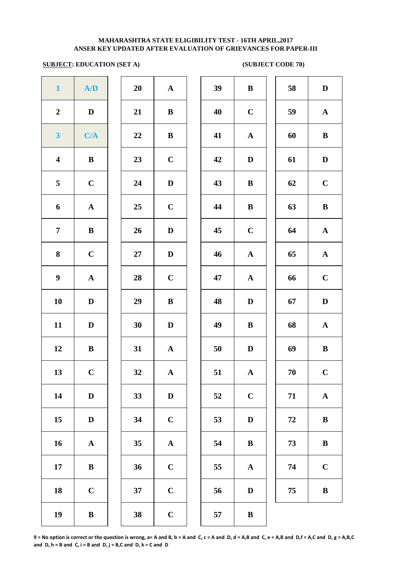### **ANSER KEY UPDATED AFTER EVALUATION OF GRIEVANCES FOR PAPER-III MAHARASHTRA STATE ELIGIBILITY TEST - 16TH APRIL,2017**

### **SUBJECT: EDUCATION (SET A)** (SUBJECT CODE 70)

| $\mathbf{1}$            | A/D                   | 20     | ${\bf A}$             | 39 | $\bf{B}$     |
|-------------------------|-----------------------|--------|-----------------------|----|--------------|
| $\boldsymbol{2}$        | $\mathbf D$           | 21     | $\bf{B}$              | 40 | $\mathbf C$  |
| $\overline{\mathbf{3}}$ | C/A                   | 22     | $\bf{B}$              | 41 | $\mathbf{A}$ |
| $\overline{\mathbf{4}}$ | ${\bf B}$             | 23     | $\mathbf C$           | 42 | $\mathbf{D}$ |
| $\overline{\mathbf{5}}$ | $\mathbf C$           | 24     | $\mathbf{D}%$         | 43 | $\bf{B}$     |
| 6                       | $\boldsymbol{\rm{A}}$ | 25     | $\mathbf C$           | 44 | $\bf{B}$     |
| $\overline{7}$          | $\, {\bf B}$          | 26     | $\mathbf{D}%$         | 45 | $\mathbf C$  |
| $\bf{8}$                | $\mathbf C$           | $27\,$ | $\mathbf{D}%$         | 46 | $\mathbf A$  |
| $\boldsymbol{9}$        | $\boldsymbol{\rm{A}}$ | 28     | $\mathbf C$           | 47 | $\mathbf A$  |
| 10                      | $\mathbf D$           | 29     | $\, {\bf B}$          | 48 | $\mathbf D$  |
| 11                      | $\mathbf D$           | 30     | $\mathbf D$           | 49 | $\bf{B}$     |
| 12                      | $\, {\bf B}$          | 31     | $\boldsymbol{\rm{A}}$ | 50 | $\bf{D}$     |
| 13                      | $\mathbf C$           | 32     | $\mathbf{A}$          | 51 | $\mathbf{A}$ |
| 14                      | $\mathbf D$           | 33     | $\mathbf D$           | 52 | $\mathbf C$  |
| 15                      | $\mathbf D$           | 34     | $\mathbf C$           | 53 | D            |
| 16                      | $\boldsymbol{\rm{A}}$ | 35     | $\mathbf A$           | 54 | $\bf{B}$     |
| $17\phantom{.}$         | $\, {\bf B}$          | 36     | $\mathbf C$           | 55 | $\mathbf A$  |
| 18                      | $\mathbf C$           | 37     | $\mathbf C$           | 56 | $\mathbf{D}$ |
| 19                      | $\, {\bf B}$          | 38     | $\mathbf C$           | 57 | $\bf{B}$     |
|                         |                       |        |                       |    |              |

| 20 | $\mathbf A$  |
|----|--------------|
| 21 | B            |
| 22 | B            |
| 23 | $\mathbf C$  |
| 24 | D            |
| 25 | $\mathbf C$  |
| 26 | D            |
| 27 | D            |
| 28 | $\mathbf C$  |
| 29 | B            |
| 30 | D            |
| 31 | $\mathbf{A}$ |
| 32 | $\mathbf A$  |
| 33 | D            |
| 34 | $\mathbf C$  |
| 35 | A            |
| 36 | $\mathbf C$  |
| 37 | $\mathbf C$  |
| 38 | $\mathsf{C}$ |

| $\mathbf{1}$            | A/D          | 20 | $\mathbf{A}$ | 39 | $\, {\bf B}$ | 58 | $\mathbf D$  |
|-------------------------|--------------|----|--------------|----|--------------|----|--------------|
| $\boldsymbol{2}$        | D            | 21 | $\bf{B}$     | 40 | $\mathbf C$  | 59 | $\mathbf A$  |
| $\mathbf{3}$            | C/A          | 22 | $\bf{B}$     | 41 | ${\bf A}$    | 60 | $\bf{B}$     |
| $\overline{\mathbf{4}}$ | $\, {\bf B}$ | 23 | $\mathbf C$  | 42 | $\mathbf D$  | 61 | $\mathbf D$  |
| $\overline{5}$          | $\mathbf C$  | 24 | $\mathbf D$  | 43 | $\bf{B}$     | 62 | $\mathbf C$  |
| 6                       | $\mathbf A$  | 25 | $\mathbf C$  | 44 | $\bf{B}$     | 63 | $\bf{B}$     |
| $\overline{7}$          | $\bf{B}$     | 26 | $\mathbf D$  | 45 | $\mathbf C$  | 64 | $\mathbf A$  |
| 8                       | $\mathbf C$  | 27 | $\mathbf D$  | 46 | $\mathbf{A}$ | 65 | $\mathbf A$  |
| $\boldsymbol{9}$        | ${\bf A}$    | 28 | $\mathbf C$  | 47 | $\mathbf{A}$ | 66 | $\mathbf C$  |
| 10                      | $\mathbf D$  | 29 | $\, {\bf B}$ | 48 | $\mathbf D$  | 67 | $\mathbf D$  |
| 11                      | $\mathbf D$  | 30 | $\mathbf D$  | 49 | $\bf{B}$     | 68 | ${\bf A}$    |
| 12                      | ${\bf B}$    | 31 | $\mathbf{A}$ | 50 | D            | 69 | $\bf{B}$     |
| 13                      | $\mathbf C$  | 32 | $\mathbf A$  | 51 | ${\bf A}$    | 70 | $\mathbf C$  |
| 14                      | D            | 33 | $\mathbf D$  | 52 | $\mathbf C$  | 71 | ${\bf A}$    |
| 15                      | D            | 34 | $\mathbf C$  | 53 | D            | 72 | $\bf{B}$     |
| 16                      | $\mathbf A$  | 35 | ${\bf A}$    | 54 | $\bf{B}$     | 73 | $\, {\bf B}$ |
| 17                      | ${\bf B}$    | 36 | $\mathbf C$  | 55 | $\mathbf A$  | 74 | $\mathbf C$  |
| 18                      | $\mathbf C$  | 37 | $\mathbf C$  | 56 | $\mathbf D$  | 75 | $\bf{B}$     |
| 19                      | $\bf{B}$     | 38 | $\mathbf C$  | 57 | $\bf{B}$     |    |              |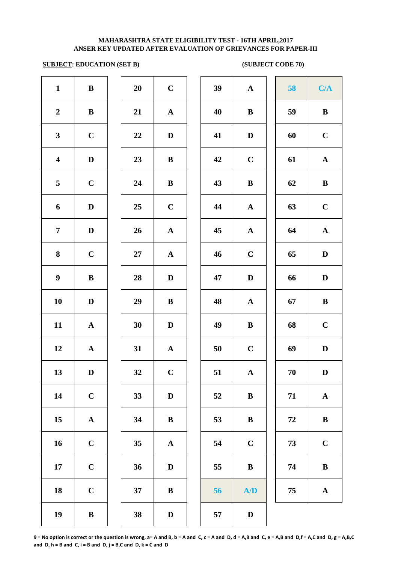### **SUBJECT: EDUCATION (SET B)** (SUBJECT CODE 70)

| $\mathbf{1}$            | ${\bf B}$    | 20     | $\mathbf C$  | 39 | $\mathbf{A}$ | 58     | C/A          |
|-------------------------|--------------|--------|--------------|----|--------------|--------|--------------|
| $\boldsymbol{2}$        | ${\bf B}$    | 21     | ${\bf A}$    | 40 | $\bf{B}$     | 59     | $\bf{B}$     |
| $\mathbf{3}$            | $\mathbf C$  | 22     | $\mathbf D$  | 41 | $\mathbf D$  | 60     | $\mathbf C$  |
| $\overline{\mathbf{4}}$ | $\mathbf D$  | 23     | $\, {\bf B}$ | 42 | $\mathbf C$  | 61     | $\mathbf{A}$ |
| 5                       | $\mathbf C$  | 24     | ${\bf B}$    | 43 | ${\bf B}$    | 62     | $\bf{B}$     |
| 6                       | $\mathbf D$  | 25     | $\mathbf C$  | 44 | ${\bf A}$    | 63     | $\mathbf C$  |
| $\overline{7}$          | $\mathbf D$  | 26     | ${\bf A}$    | 45 | ${\bf A}$    | 64     | ${\bf A}$    |
| 8                       | $\mathbf C$  | $27\,$ | ${\bf A}$    | 46 | $\mathbf C$  | 65     | $\mathbf D$  |
| $\boldsymbol{9}$        | $\, {\bf B}$ | 28     | $\mathbf D$  | 47 | $\mathbf D$  | 66     | $\mathbf D$  |
| 10                      | $\mathbf D$  | 29     | ${\bf B}$    | 48 | $\mathbf{A}$ | 67     | $\bf{B}$     |
| 11                      | ${\bf A}$    | 30     | $\mathbf D$  | 49 | $\bf{B}$     | 68     | $\mathbf C$  |
| 12                      | ${\bf A}$    | 31     | $\mathbf{A}$ | 50 | $\mathbf C$  | 69     | D            |
| 13                      | $\mathbf D$  | 32     | $\mathbf C$  | 51 | $\mathbf{A}$ | $70\,$ | $\mathbf{D}$ |
| 14                      | $\mathbf C$  | 33     | $\mathbf D$  | 52 | $\, {\bf B}$ | 71     | ${\bf A}$    |
| 15                      | ${\bf A}$    | 34     | $\, {\bf B}$ | 53 | $\bf{B}$     | 72     | $\bf{B}$     |
| 16                      | $\mathbf C$  | 35     | ${\bf A}$    | 54 | $\bf C$      | 73     | $\mathbf C$  |
| 17                      | $\mathbf C$  | 36     | $\mathbf D$  | 55 | $\bf{B}$     | 74     | $\bf{B}$     |
| 18                      | $\mathbf C$  | 37     | ${\bf B}$    | 56 | A/D          | 75     | ${\bf A}$    |
| 19                      | $\, {\bf B}$ | 38     | $\mathbf D$  | 57 | $\mathbf D$  |        |              |
|                         |              |        |              |    |              |        |              |

| 39 | $\mathbf A$           | 58 | C/A                   |
|----|-----------------------|----|-----------------------|
| 40 | $\bf{B}$              | 59 | ${\bf B}$             |
| 41 | $\mathbf D$           | 60 | $\mathbf C$           |
| 42 | $\mathbf C$           | 61 | $\mathbf A$           |
| 43 | $\bf{B}$              | 62 | $\bf{B}$              |
| 44 | $\mathbf A$           | 63 | $\mathbf C$           |
| 45 | $\boldsymbol{\rm{A}}$ | 64 | $\boldsymbol{\rm{A}}$ |
| 46 | $\mathbf C$           | 65 | $\mathbf D$           |
| 47 | $\mathbf D$           | 66 | $\mathbf D$           |
| 48 | $\mathbf A$           | 67 | $\bf{B}$              |
| 49 | $\bf{B}$              | 68 | $\mathbf C$           |
| 50 | $\mathbf C$           | 69 | D                     |
| 51 | A                     | 70 | $\mathbf D$           |
| 52 | B                     | 71 | $\boldsymbol{\rm{A}}$ |
| 53 | $\bf{B}$              | 72 | $\, {\bf B}$          |
| 54 | $\mathbf C$           | 73 | $\mathbf C$           |
| 55 | $\bf{B}$              | 74 | $\, {\bf B}$          |
| 56 | A/D                   | 75 | $\mathbf A$           |
|    |                       |    |                       |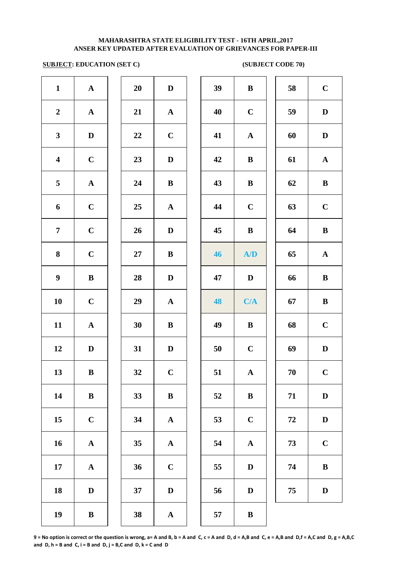### **SUBJECT: EDUCATION (SET C)** (SUBJECT CODE 70)

| $\mathbf{1}$            | $\mathbf A$           | 20 | $\mathbf D$  | 39 | $\bf{B}$    |
|-------------------------|-----------------------|----|--------------|----|-------------|
| $\boldsymbol{2}$        | ${\bf A}$             | 21 | ${\bf A}$    | 40 | $\mathbf C$ |
| $\mathbf{3}$            | $\mathbf D$           | 22 | $\mathbf C$  | 41 | $\mathbf A$ |
| $\overline{\mathbf{4}}$ | $\mathbf C$           | 23 | $\mathbf D$  | 42 | $\bf{B}$    |
| 5                       | $\boldsymbol{\rm{A}}$ | 24 | $\bf{B}$     | 43 | $\bf{B}$    |
| 6                       | $\mathbf C$           | 25 | ${\bf A}$    | 44 | $\mathbf C$ |
| $\overline{7}$          | $\mathbf C$           | 26 | $\mathbf D$  | 45 | $\bf{B}$    |
| 8                       | $\mathbf C$           | 27 | $\bf{B}$     | 46 | A           |
| $\boldsymbol{9}$        | $\bf{B}$              | 28 | $\mathbf D$  | 47 | $\mathbf D$ |
| ${\bf 10}$              | $\mathbf C$           | 29 | ${\bf A}$    | 48 | C/          |
| 11                      | $\boldsymbol{\rm{A}}$ | 30 | $\, {\bf B}$ | 49 | $\bf{B}$    |
| 12                      | $\mathbf D$           | 31 | ${\bf D}$    | 50 | $\mathbf C$ |
| 13                      | $\, {\bf B}$          | 32 | $\mathbf C$  | 51 | $\mathbf A$ |
| 14                      | $\, {\bf B}$          | 33 | $\, {\bf B}$ | 52 | $\bf{B}$    |
| 15                      | $\mathbf C$           | 34 | ${\bf A}$    | 53 | $\mathbf C$ |
| 16                      | $\boldsymbol{\rm{A}}$ | 35 | ${\bf A}$    | 54 | $\mathbf A$ |
| 17                      | $\boldsymbol{\rm{A}}$ | 36 | $\mathbf C$  | 55 | $\bf{D}$    |
| 18                      | $\mathbf D$           | 37 | $\mathbf D$  | 56 | $\bf{D}$    |
| 19                      | $\, {\bf B}$          | 38 | ${\bf A}$    | 57 | $\bf{B}$    |
|                         |                       |    |              |    |             |

| 20 | D                       |  |
|----|-------------------------|--|
| 21 | $\mathbf A$             |  |
| 22 | $\mathbf C$             |  |
| 23 | D                       |  |
| 24 | B                       |  |
| 25 | $\mathbf A$             |  |
| 26 | D                       |  |
| 27 | B                       |  |
| 28 | D                       |  |
| 29 | $\mathbf A$             |  |
|    |                         |  |
| 30 | B                       |  |
| 31 | D                       |  |
| 32 | $\overline{\mathbf{C}}$ |  |
| 33 | $\bf{B}$                |  |
| 34 | $\mathbf A$             |  |
| 35 | A                       |  |
| 36 | $\mathbf C$             |  |
| 37 | D                       |  |

| $\mathbf{1}$            | $\mathbf A$  | 20 | $\mathbf D$  | 39 | $\bf{B}$     | 58 | $\mathbf C$  |
|-------------------------|--------------|----|--------------|----|--------------|----|--------------|
| $\overline{2}$          | $\mathbf{A}$ | 21 | $\mathbf{A}$ | 40 | $\mathbf C$  | 59 | $\mathbf D$  |
| $\mathbf{3}$            | $\mathbf D$  | 22 | $\mathbf C$  | 41 | ${\bf A}$    | 60 | $\mathbf D$  |
| $\overline{\mathbf{4}}$ | $\mathbf C$  | 23 | $\mathbf D$  | 42 | $\bf{B}$     | 61 | $\mathbf{A}$ |
| $\overline{5}$          | ${\bf A}$    | 24 | $\bf{B}$     | 43 | $\bf{B}$     | 62 | $\, {\bf B}$ |
| 6                       | $\mathbf C$  | 25 | $\mathbf A$  | 44 | $\mathbf C$  | 63 | $\bf C$      |
| $\overline{7}$          | $\mathbf C$  | 26 | $\mathbf D$  | 45 | $\bf{B}$     | 64 | $\, {\bf B}$ |
| 8                       | $\mathbf C$  | 27 | $\bf{B}$     | 46 | A/D          | 65 | ${\bf A}$    |
| $\boldsymbol{9}$        | $\, {\bf B}$ | 28 | $\mathbf D$  | 47 | $\mathbf D$  | 66 | $\, {\bf B}$ |
| 10                      | $\mathbf C$  | 29 | $\mathbf{A}$ | 48 | C/A          | 67 | $\, {\bf B}$ |
| 11                      | ${\bf A}$    | 30 | $\bf{B}$     | 49 | $\, {\bf B}$ | 68 | $\mathbf C$  |
| 12                      | D            | 31 | $\mathbf D$  | 50 | $\mathbf C$  | 69 | $\mathbf D$  |
| 13                      | $\bf{B}$     | 32 | $\bf C$      | 51 | ${\bf A}$    | 70 | $\mathbf C$  |
| 14                      | ${\bf B}$    | 33 | $\, {\bf B}$ | 52 | $\bf{B}$     | 71 | $\mathbf D$  |
| 15                      | $\mathbf C$  | 34 | ${\bf A}$    | 53 | $\mathbf C$  | 72 | $\mathbf D$  |
| 16                      | ${\bf A}$    | 35 | ${\bf A}$    | 54 | $\mathbf A$  | 73 | $\mathbf C$  |
| 17                      | ${\bf A}$    | 36 | $\mathbf C$  | 55 | $\mathbf D$  | 74 | $\, {\bf B}$ |
| 18                      | $\mathbf D$  | 37 | $\mathbf D$  | 56 | $\mathbf D$  | 75 | $\mathbf D$  |
|                         |              |    |              |    |              |    |              |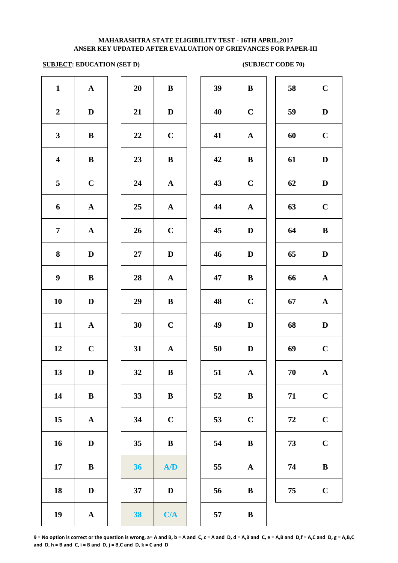### **SUBJECT: EDUCATION (SET D)** (SUBJECT CODE 70)

| $\mathbf{1}$            | ${\bf A}$             | 20 | $\, {\bf B}$ | 39 | $\bf{B}$    |
|-------------------------|-----------------------|----|--------------|----|-------------|
| $\boldsymbol{2}$        | $\mathbf D$           | 21 | $\mathbf D$  | 40 | $\mathbf C$ |
| $\mathbf{3}$            | $\bf{B}$              | 22 | $\mathbf C$  | 41 | $\mathbf A$ |
| $\overline{\mathbf{4}}$ | $\bf{B}$              | 23 | $\, {\bf B}$ | 42 | $\bf{B}$    |
| 5                       | $\mathbf C$           | 24 | ${\bf A}$    | 43 | $\mathbf C$ |
| 6                       | ${\bf A}$             | 25 | ${\bf A}$    | 44 | $\mathbf A$ |
| $\overline{7}$          | ${\bf A}$             | 26 | $\mathbf C$  | 45 | D           |
| 8                       | $\mathbf D$           | 27 | $\mathbf D$  | 46 | $\mathbf D$ |
| $\boldsymbol{9}$        | $\bf{B}$              | 28 | ${\bf A}$    | 47 | $\bf{B}$    |
| 10                      | $\mathbf D$           | 29 | $\, {\bf B}$ | 48 | $\mathbf C$ |
| 11                      | $\boldsymbol{\rm{A}}$ | 30 | $\mathbf C$  | 49 | $\mathbf D$ |
| 12                      | $\mathbf C$           | 31 | ${\bf A}$    | 50 | D           |
| 13                      | $\mathbf D$           | 32 | $\bf{B}$     | 51 | $\mathbf A$ |
| 14                      | $\, {\bf B}$          | 33 | $\, {\bf B}$ | 52 | $\bf{B}$    |
| 15                      | $\boldsymbol{\rm{A}}$ | 34 | $\mathbf C$  | 53 | $\mathbf C$ |
| 16                      | $\mathbf D$           | 35 | $\, {\bf B}$ | 54 | $\bf{B}$    |
| 17                      | $\bf{B}$              | 36 | A/D          | 55 | $\mathbf A$ |
| 18                      | ${\bf D}$             | 37 | ${\bf D}$    | 56 | $\bf{B}$    |
| 19                      | $\boldsymbol{\rm{A}}$ | 38 | C/A          | 57 | $\bf{B}$    |
|                         |                       |    |              |    |             |

| 20        | B                       |  |
|-----------|-------------------------|--|
| 21        | D                       |  |
| 22        | $\mathbf C$             |  |
| 23        | B                       |  |
| 24        | $\mathbf{A}$            |  |
| 25        | $\mathbf{A}$            |  |
| 26        | $\mathbf C$             |  |
| <b>27</b> | D                       |  |
| 28        | $\mathbf A$             |  |
| 29        | B                       |  |
| 30        | $\mathbf C$             |  |
| 31        | $\overline{\mathbf{A}}$ |  |
| 32        | B                       |  |
| 33        | B                       |  |
| 34        | $\overline{\mathbf{C}}$ |  |
| 35        | B                       |  |
| 36        | ${\bf A} / {\bf D}$     |  |
| 37        | D                       |  |
| 38        | C/A                     |  |

| $\mathbf{1}$            | ${\bf A}$   | 20 | $\, {\bf B}$ | 39 | $\, {\bf B}$ | 58     | $\mathbf C$  |
|-------------------------|-------------|----|--------------|----|--------------|--------|--------------|
| $\overline{2}$          | $\mathbf D$ | 21 | $\mathbf D$  | 40 | $\mathbf C$  | 59     | $\mathbf D$  |
| $\mathbf{3}$            | $\bf{B}$    | 22 | $\mathbf C$  | 41 | $\mathbf{A}$ | 60     | $\mathbf C$  |
| $\overline{\mathbf{4}}$ | ${\bf B}$   | 23 | $\bf{B}$     | 42 | $\, {\bf B}$ | 61     | $\mathbf D$  |
| $\overline{5}$          | $\mathbf C$ | 24 | $\mathbf{A}$ | 43 | $\mathbf C$  | 62     | $\mathbf D$  |
| 6                       | $\mathbf A$ | 25 | $\mathbf{A}$ | 44 | $\mathbf{A}$ | 63     | $\mathbf C$  |
| $\overline{7}$          | ${\bf A}$   | 26 | $\bf C$      | 45 | $\mathbf D$  | 64     | $\, {\bf B}$ |
| 8                       | $\mathbf D$ | 27 | $\mathbf D$  | 46 | $\mathbf D$  | 65     | $\mathbf D$  |
| $\boldsymbol{9}$        | $\bf{B}$    | 28 | ${\bf A}$    | 47 | $\, {\bf B}$ | 66     | ${\bf A}$    |
| 10                      | $\mathbf D$ | 29 | ${\bf B}$    | 48 | $\mathbf C$  | 67     | ${\bf A}$    |
| 11                      | ${\bf A}$   | 30 | $\mathbf C$  | 49 | $\mathbf D$  | 68     | $\mathbf D$  |
| 12                      | $\bf C$     | 31 | $\mathbf{A}$ | 50 | $\mathbf D$  | 69     | $\mathbf C$  |
| 13                      | $\mathbf D$ | 32 | $\bf{B}$     | 51 | ${\bf A}$    | $70\,$ | ${\bf A}$    |
| 14                      | $\bf{B}$    | 33 | $\, {\bf B}$ | 52 | $\bf{B}$     | 71     | $\mathbf C$  |
| 15                      | $\mathbf A$ | 34 | $\mathbf C$  | 53 | $\mathbf C$  | 72     | $\mathbf C$  |
| 16                      | $\mathbf D$ | 35 | ${\bf B}$    | 54 | $\bf{B}$     | 73     | $\mathbf C$  |
| 17                      | $\bf{B}$    | 36 | A/D          | 55 | $\mathbf A$  | 74     | $\, {\bf B}$ |
| 18                      | $\mathbf D$ | 37 | $\mathbf D$  | 56 | $\bf{B}$     | 75     | $\mathbf C$  |
| 19                      | ${\bf A}$   | 38 | C/A          | 57 | $\, {\bf B}$ |        |              |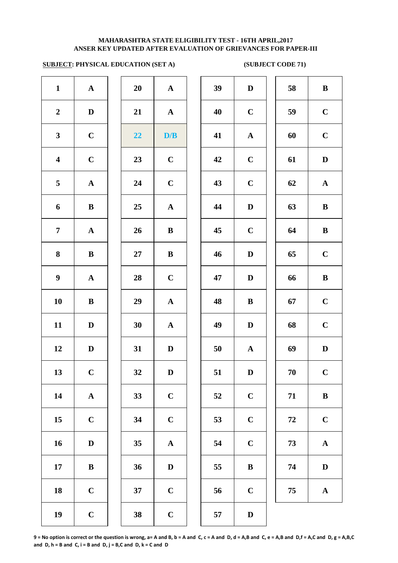# **SUBJECT: PHYSICAL EDUCATION (SET A)** (SUBJECT CODE 71)

| $\mathbf{1}$            | $\boldsymbol{\rm{A}}$ | 20 | ${\bf A}$             | 39 | $\mathbf{D}$ |
|-------------------------|-----------------------|----|-----------------------|----|--------------|
| $\boldsymbol{2}$        | $\mathbf D$           | 21 | ${\bf A}$             | 40 | $\mathbf C$  |
| $\mathbf{3}$            | $\mathbf C$           | 22 | D/B                   | 41 | $\mathbf A$  |
| $\overline{\mathbf{4}}$ | $\mathbf C$           | 23 | $\mathbf C$           | 42 | $\mathbf C$  |
| 5                       | $\boldsymbol{\rm{A}}$ | 24 | $\mathbf C$           | 43 | $\mathbf C$  |
| 6                       | ${\bf B}$             | 25 | ${\bf A}$             | 44 | $\mathbf{D}$ |
| $\overline{7}$          | ${\bf A}$             | 26 | $\bf{B}$              | 45 | $\mathbf C$  |
| 8                       | $\bf{B}$              | 27 | $\bf{B}$              | 46 | $\mathbf{D}$ |
| $\boldsymbol{9}$        | $\mathbf A$           | 28 | $\mathbf C$           | 47 | $\mathbf{D}$ |
| <b>10</b>               | $\bf{B}$              | 29 | $\boldsymbol{\rm{A}}$ | 48 | $\bf{B}$     |
| 11                      | $\mathbf D$           | 30 | $\boldsymbol{\rm{A}}$ | 49 | $\mathbf{D}$ |
| 12                      | $\mathbf D$           | 31 | $\mathbf D$           | 50 | $\mathbf{A}$ |
| 13                      | $\mathbf C$           | 32 | $\mathbf D$           | 51 | $\mathbf{D}$ |
| 14                      | $\boldsymbol{\rm{A}}$ | 33 | $\mathbf C$           | 52 | $\mathbf C$  |
| 15                      | $\mathbf C$           | 34 | $\mathbf C$           | 53 | $\mathbf C$  |
| 16                      | $\mathbf D$           | 35 | $\boldsymbol{\rm{A}}$ | 54 | $\mathbf C$  |
| 17                      | $\bf{B}$              | 36 | $\mathbf D$           | 55 | $\bf{B}$     |
| 18                      | $\mathbf C$           | 37 | $\mathbf C$           | 56 | $\mathbf C$  |
| 19                      | $\mathbf C$           | 38 | $\mathbf C$           | 57 | $\mathbf{D}$ |
|                         |                       |    |                       |    |              |

| 20 | A                       |  |
|----|-------------------------|--|
| 21 | A                       |  |
| 22 | D/B                     |  |
| 23 | $\mathbf C$             |  |
| 24 | $\mathbf C$             |  |
| 25 | $\mathbf A$             |  |
| 26 | B                       |  |
| 27 | B                       |  |
| 28 | $\mathbf C$             |  |
| 29 | $\mathbf A$             |  |
| 30 | $\overline{\mathbf{A}}$ |  |
| 31 | D                       |  |
| 32 | $\bf{D}$                |  |
| 33 | $\mathbf C$             |  |
| 34 | $\mathbf C$             |  |
| 35 | $\mathbf A$             |  |
| 36 | D                       |  |
| 37 | $\overline{\mathbf{C}}$ |  |
|    |                         |  |

| $\mathbf{1}$            | $\mathbf{A}$ | 20 | ${\bf A}$    | 39 | $\mathbf D$  | 58 | $\, {\bf B}$ |
|-------------------------|--------------|----|--------------|----|--------------|----|--------------|
| $\overline{2}$          | $\mathbf D$  | 21 | ${\bf A}$    | 40 | $\mathbf C$  | 59 | $\mathbf C$  |
| $\mathbf{3}$            | $\mathbf C$  | 22 | D/B          | 41 | ${\bf A}$    | 60 | $\mathbf C$  |
| $\overline{\mathbf{4}}$ | $\mathbf C$  | 23 | $\mathbf C$  | 42 | $\mathbf C$  | 61 | $\mathbf D$  |
| $\overline{\mathbf{5}}$ | ${\bf A}$    | 24 | $\mathbf C$  | 43 | $\mathbf C$  | 62 | ${\bf A}$    |
| 6                       | $\bf{B}$     | 25 | ${\bf A}$    | 44 | $\mathbf D$  | 63 | $\bf{B}$     |
| $\overline{7}$          | ${\bf A}$    | 26 | $\bf{B}$     | 45 | $\mathbf C$  | 64 | $\, {\bf B}$ |
| 8                       | ${\bf B}$    | 27 | $\bf{B}$     | 46 | D            | 65 | $\mathbf C$  |
| $\boldsymbol{9}$        | ${\bf A}$    | 28 | $\mathbf C$  | 47 | $\mathbf D$  | 66 | $\bf{B}$     |
| 10                      | ${\bf B}$    | 29 | $\mathbf{A}$ | 48 | $\bf{B}$     | 67 | $\mathbf C$  |
| 11                      | $\mathbf D$  | 30 | ${\bf A}$    | 49 | $\mathbf D$  | 68 | $\mathbf C$  |
| 12                      | $\mathbf{D}$ | 31 | $\mathbf D$  | 50 | ${\bf A}$    | 69 | $\mathbf D$  |
| 13                      | $\mathbf C$  | 32 | $\mathbf D$  | 51 | $\mathbf D$  | 70 | $\mathbf C$  |
| 14                      | ${\bf A}$    | 33 | $\mathbf C$  | 52 | $\mathbf C$  | 71 | $\, {\bf B}$ |
| 15                      | $\mathbf C$  | 34 | $\mathbf C$  | 53 | $\mathbf C$  | 72 | $\mathbf C$  |
| 16                      | ${\bf D}$    | 35 | ${\bf A}$    | 54 | $\mathbf C$  | 73 | ${\bf A}$    |
| 17                      | ${\bf B}$    | 36 | $\mathbf D$  | 55 | $\, {\bf B}$ | 74 | $\mathbf D$  |
| 18                      | $\mathbf C$  | 37 | $\mathbf C$  | 56 | $\mathbf C$  | 75 | ${\bf A}$    |
| 19                      | $\mathbf C$  | 38 | $\mathbf C$  | 57 | $\mathbf{D}$ |    |              |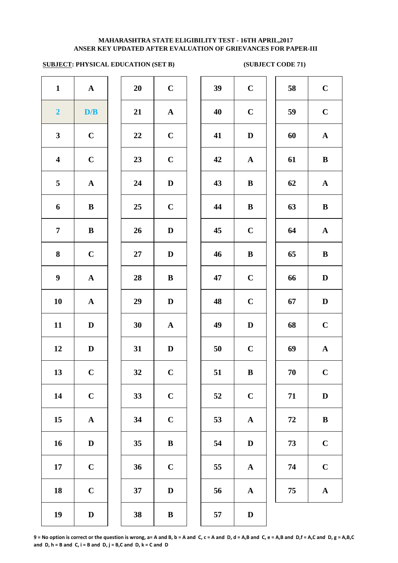### **ANSER KEY UPDATED AFTER EVALUATION OF GRIEVANCES FOR PAPER-III MAHARASHTRA STATE ELIGIBILITY TEST - 16TH APRIL,2017**

# **SUBJECT: PHYSICAL EDUCATION (SET B)** (SUBJECT CODE 71)

| $\mathbf{1}$            | $\boldsymbol{\rm{A}}$ | 20 | $\mathbf C$  | 39 | $\mathbf C$  |
|-------------------------|-----------------------|----|--------------|----|--------------|
| $\overline{\mathbf{2}}$ | D/B                   | 21 | ${\bf A}$    | 40 | $\mathbf C$  |
| $\mathbf{3}$            | $\mathbf C$           | 22 | $\mathbf C$  | 41 | $\mathbf{D}$ |
| $\overline{\mathbf{4}}$ | $\mathbf C$           | 23 | $\mathbf C$  | 42 | $\mathbf A$  |
| 5                       | ${\bf A}$             | 24 | $\mathbf D$  | 43 | $\bf{B}$     |
| 6                       | ${\bf B}$             | 25 | $\mathbf C$  | 44 | $\bf{B}$     |
| $\overline{7}$          | $\bf{B}$              | 26 | $\mathbf D$  | 45 | $\mathbf C$  |
| 8                       | $\mathbf C$           | 27 | $\mathbf D$  | 46 | $\bf{B}$     |
| $\boldsymbol{9}$        | ${\bf A}$             | 28 | $\bf{B}$     | 47 | $\mathbf C$  |
| 10                      | $\boldsymbol{\rm{A}}$ | 29 | $\mathbf D$  | 48 | $\mathbf C$  |
| 11                      | $\mathbf D$           | 30 | $\mathbf A$  | 49 | $\mathbf{D}$ |
| 12                      | $\mathbf D$           | 31 | $\mathbf D$  | 50 | $\mathbf C$  |
| 13                      | $\mathbf C$           | 32 | $\mathbf C$  | 51 | $\bf{B}$     |
| 14                      | $\mathbf C$           | 33 | $\mathbf C$  | 52 | $\mathbf C$  |
| 15                      | $\boldsymbol{\rm{A}}$ | 34 | $\mathbf C$  | 53 | $\mathbf A$  |
| 16                      | $\mathbf D$           | 35 | $\, {\bf B}$ | 54 | $\mathbf{D}$ |
| 17                      | $\mathbf C$           | 36 | $\mathbf C$  | 55 | $\mathbf A$  |
| 18                      | $\mathbf C$           | 37 | ${\bf D}$    | 56 | $\mathbf A$  |
| 19                      | $\mathbf D$           | 38 | $\, {\bf B}$ | 57 | $\mathbf{D}$ |
|                         |                       |    |              |    |              |

| 20 | $\mathbf C$ |
|----|-------------|
| 21 | A           |
| 22 | $\mathbf C$ |
| 23 | $\mathbf C$ |
| 24 | D           |
| 25 | $\mathbf C$ |
| 26 | D           |
| 27 | D           |
| 28 | B           |
| 29 | $\mathbf D$ |
| 30 | $\mathbf A$ |
| 31 | D           |
| 32 | $\mathbf C$ |
| 33 | $\mathbf C$ |
| 34 | $\mathbf C$ |
| 35 | B           |
| 36 | $\mathbf C$ |
|    |             |
| 37 | D           |

| $\mathbf{1}$            | ${\bf A}$    | 20     | $\mathbf C$ | 39 | $\mathbf C$  | 58 | $\mathbf C$  |
|-------------------------|--------------|--------|-------------|----|--------------|----|--------------|
| $\overline{\mathbf{2}}$ | D/B          | 21     | ${\bf A}$   | 40 | $\mathbf C$  | 59 | $\mathbf C$  |
| $\mathbf{3}$            | $\mathbf C$  | 22     | $\mathbf C$ | 41 | $\mathbf D$  | 60 | ${\bf A}$    |
| $\overline{\mathbf{4}}$ | $\mathbf C$  | 23     | $\mathbf C$ | 42 | ${\bf A}$    | 61 | $\, {\bf B}$ |
| 5                       | ${\bf A}$    | 24     | $\mathbf D$ | 43 | $\, {\bf B}$ | 62 | ${\bf A}$    |
| 6                       | $\, {\bf B}$ | 25     | $\mathbf C$ | 44 | $\, {\bf B}$ | 63 | $\, {\bf B}$ |
| $\overline{7}$          | $\, {\bf B}$ | 26     | $\mathbf D$ | 45 | $\mathbf C$  | 64 | ${\bf A}$    |
| $\boldsymbol{8}$        | $\mathbf C$  | $27\,$ | $\mathbf D$ | 46 | $\, {\bf B}$ | 65 | $\, {\bf B}$ |
| $\boldsymbol{9}$        | $\mathbf{A}$ | 28     | $\bf{B}$    | 47 | $\mathbf C$  | 66 | $\mathbf D$  |
| 10                      | $\mathbf{A}$ | 29     | $\mathbf D$ | 48 | $\mathbf C$  | 67 | $\mathbf D$  |
| 11                      | D            | 30     | ${\bf A}$   | 49 | $\mathbf D$  | 68 | $\mathbf C$  |
| 12                      | D            | 31     | D           | 50 | $\mathbf C$  | 69 | $\mathbf A$  |
| 13                      | $\mathbf C$  | 32     | $\mathbf C$ | 51 | $\bf{B}$     | 70 | $\mathbf C$  |
| 14                      | $\mathbf C$  | 33     | $\mathbf C$ | 52 | $\mathbf C$  | 71 | $\mathbf D$  |
| 15                      | $\mathbf A$  | 34     | $\mathbf C$ | 53 | $\mathbf A$  | 72 | $\, {\bf B}$ |
| 16                      | D            | 35     | $\bf{B}$    | 54 | $\mathbf D$  | 73 | $\mathbf C$  |
| 17                      | $\mathbf C$  | 36     | $\mathbf C$ | 55 | ${\bf A}$    | 74 | $\mathbf C$  |
| 18                      | $\mathbf C$  | 37     | D           | 56 | ${\bf A}$    | 75 | $\mathbf A$  |
| 19                      | D            | 38     | $\bf{B}$    | 57 | D            |    |              |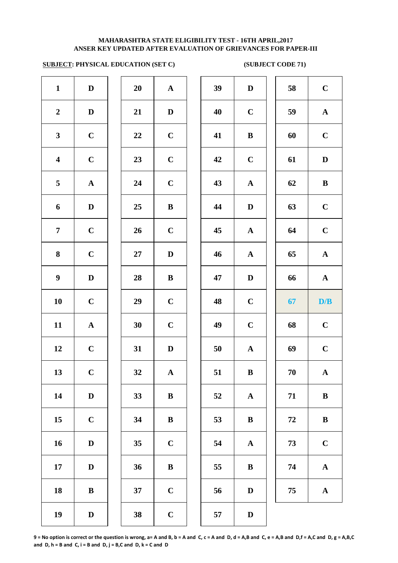# **SUBJECT: PHYSICAL EDUCATION (SET C)** (SUBJECT CODE 71)

| $\mathbf{1}$            | ${\bf D}$             | 20     | $\mathbf A$  | 39 | $\mathbf{D}$ |
|-------------------------|-----------------------|--------|--------------|----|--------------|
| $\boldsymbol{2}$        | $\mathbf D$           | 21     | $\mathbf D$  | 40 | $\mathbf C$  |
| $\mathbf{3}$            | $\mathbf C$           | 22     | $\mathbf C$  | 41 | $\bf{B}$     |
| $\overline{\mathbf{4}}$ | $\mathbf C$           | 23     | $\mathbf C$  | 42 | $\mathbf C$  |
| 5                       | ${\bf A}$             | 24     | $\mathbf C$  | 43 | $\mathbf A$  |
| 6                       | ${\bf D}$             | 25     | $\, {\bf B}$ | 44 | $\mathbf{D}$ |
| $\overline{7}$          | $\mathbf C$           | 26     | $\mathbf C$  | 45 | $\mathbf A$  |
| 8                       | $\mathbf C$           | $27\,$ | $\mathbf D$  | 46 | $\mathbf A$  |
| $\boldsymbol{9}$        | $\mathbf D$           | 28     | $\bf{B}$     | 47 | $\mathbf{D}$ |
| 10                      | $\mathbf C$           | 29     | $\mathbf C$  | 48 | $\mathbf C$  |
| 11                      | $\boldsymbol{\rm{A}}$ | 30     | $\mathbf C$  | 49 | $\mathbf C$  |
| 12                      | $\mathbf C$           | 31     | $\mathbf D$  | 50 | $\mathbf A$  |
| 13                      | $\mathbf C$           | 32     | ${\bf A}$    | 51 | $\bf{B}$     |
| 14                      | $\mathbf D$           | 33     | $\, {\bf B}$ | 52 | $\mathbf A$  |
| 15                      | $\mathbf C$           | 34     | $\, {\bf B}$ | 53 | $\bf{B}$     |
| 16                      | $\mathbf D$           | 35     | $\mathbf C$  | 54 | $\mathbf A$  |
| 17                      | $\mathbf D$           | 36     | $\bf{B}$     | 55 | $\bf{B}$     |
| 18                      | $\bf{B}$              | 37     | $\mathbf C$  | 56 | $\bf{D}$     |
| 19                      | $\mathbf D$           | 38     | $\mathbf C$  | 57 | $\mathbf{D}$ |
|                         |                       |        |              |    |              |

| 20 | A                       |
|----|-------------------------|
| 21 | $\bf{D}$                |
| 22 | $\mathbf C$             |
| 23 | $\mathbf C$             |
| 24 | $\overline{\mathbf{C}}$ |
| 25 | B                       |
| 26 | $\mathbf C$             |
| 27 | D                       |
| 28 | B                       |
| 29 | $\mathbf C$             |
| 30 | $\mathbf C$             |
| 31 | D                       |
| 32 | A                       |
| 33 | B                       |
| 34 | B                       |
| 35 | $\mathbf C$             |
| 36 | B                       |
| 37 | $\overline{\mathbf{C}}$ |
| 38 |                         |

| $\mathbf{1}$            | $\mathbf D$  | 20 | ${\bf A}$    | 39 | $\mathbf D$  | 58 | $\mathbf C$  |
|-------------------------|--------------|----|--------------|----|--------------|----|--------------|
| $\overline{2}$          | $\mathbf D$  | 21 | $\mathbf D$  | 40 | $\mathbf C$  | 59 | $\mathbf A$  |
| $\mathbf{3}$            | $\mathbf C$  | 22 | $\mathbf C$  | 41 | $\, {\bf B}$ | 60 | $\mathbf C$  |
| $\overline{\mathbf{4}}$ | $\mathbf C$  | 23 | $\bf C$      | 42 | $\mathbf C$  | 61 | ${\bf D}$    |
| 5                       | ${\bf A}$    | 24 | $\mathbf C$  | 43 | $\mathbf A$  | 62 | $\, {\bf B}$ |
| 6                       | D            | 25 | $\, {\bf B}$ | 44 | $\mathbf D$  | 63 | $\mathbf C$  |
| $\overline{7}$          | $\mathbf C$  | 26 | $\mathbf C$  | 45 | ${\bf A}$    | 64 | $\mathbf C$  |
| 8                       | $\mathbf C$  | 27 | $\mathbf D$  | 46 | ${\bf A}$    | 65 | ${\bf A}$    |
| $\boldsymbol{9}$        | D            | 28 | $\bf{B}$     | 47 | $\mathbf D$  | 66 | ${\bf A}$    |
| 10                      | $\mathbf C$  | 29 | $\mathbf C$  | 48 | $\mathbf C$  | 67 | D/B          |
| 11                      | $\mathbf{A}$ | 30 | $\mathbf C$  | 49 | $\mathbf C$  | 68 | $\mathbf C$  |
| 12                      | $\mathbf C$  | 31 | $\mathbf D$  | 50 | $\mathbf A$  | 69 | $\mathbf C$  |
| 13                      | $\mathbf C$  | 32 | $\mathbf{A}$ | 51 | $\, {\bf B}$ | 70 | ${\bf A}$    |
| 14                      | D            | 33 | $\bf{B}$     | 52 | ${\bf A}$    | 71 | $\bf{B}$     |
| 15                      | $\mathbf C$  | 34 | $\bf{B}$     | 53 | $\bf{B}$     | 72 | $\, {\bf B}$ |
| 16                      | $\mathbf D$  | 35 | $\mathbf C$  | 54 | ${\bf A}$    | 73 | $\mathbf C$  |
| 17                      | D            | 36 | $\bf{B}$     | 55 | $\bf{B}$     | 74 | $\mathbf A$  |
| 18                      | $\bf{B}$     | 37 | $\mathbf C$  | 56 | $\mathbf D$  | 75 | $\mathbf A$  |
| 19                      | $\mathbf D$  | 38 | $\mathbf C$  | 57 | ${\bf D}$    |    |              |